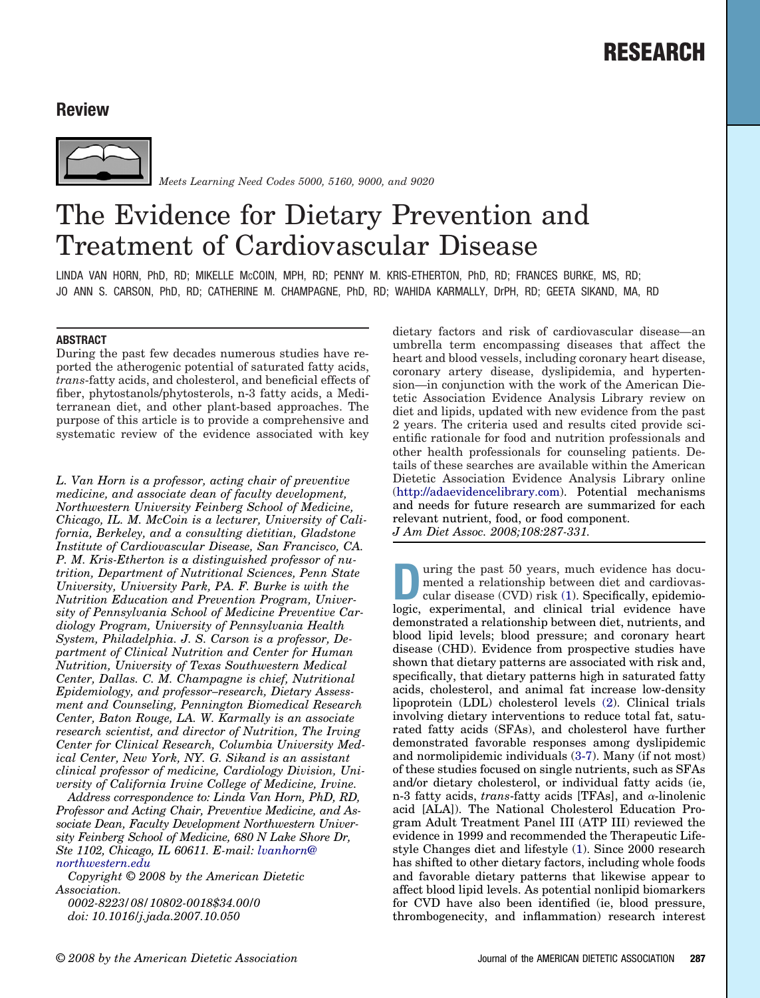# **Review**



*Meets Learning Need Codes 5000, 5160, 9000, and 9020*

# The Evidence for Dietary Prevention and Treatment of Cardiovascular Disease

LINDA VAN HORN, PhD, RD; MIKELLE MCCOIN, MPH, RD; PENNY M. KRIS-ETHERTON, PhD, RD; FRANCES BURKE, MS, RD; JO ANN S. CARSON, PhD, RD; CATHERINE M. CHAMPAGNE, PhD, RD; WAHIDA KARMALLY, DrPH, RD; GEETA SIKAND, MA, RD

# **ABSTRACT**

During the past few decades numerous studies have reported the atherogenic potential of saturated fatty acids, *trans*-fatty acids, and cholesterol, and beneficial effects of fiber, phytostanols/phytosterols, n-3 fatty acids, a Mediterranean diet, and other plant-based approaches. The purpose of this article is to provide a comprehensive and systematic review of the evidence associated with key

*L. Van Horn is a professor, acting chair of preventive medicine, and associate dean of faculty development, Northwestern University Feinberg School of Medicine, Chicago, IL. M. McCoin is a lecturer, University of California, Berkeley, and a consulting dietitian, Gladstone Institute of Cardiovascular Disease, San Francisco, CA. P. M. Kris-Etherton is a distinguished professor of nutrition, Department of Nutritional Sciences, Penn State University, University Park, PA. F. Burke is with the Nutrition Education and Prevention Program, University of Pennsylvania School of Medicine Preventive Cardiology Program, University of Pennsylvania Health System, Philadelphia. J. S. Carson is a professor, Department of Clinical Nutrition and Center for Human Nutrition, University of Texas Southwestern Medical Center, Dallas. C. M. Champagne is chief, Nutritional Epidemiology, and professor–research, Dietary Assessment and Counseling, Pennington Biomedical Research Center, Baton Rouge, LA. W. Karmally is an associate research scientist, and director of Nutrition, The Irving Center for Clinical Research, Columbia University Medical Center, New York, NY. G. Sikand is an assistant clinical professor of medicine, Cardiology Division, University of California Irvine College of Medicine, Irvine.*

*Address correspondence to: Linda Van Horn, PhD, RD, Professor and Acting Chair, Preventive Medicine, and Associate Dean, Faculty Development Northwestern University Feinberg School of Medicine, 680 N Lake Shore Dr, Ste 1102, Chicago, IL 60611. E-mail: [lvanhorn@](lvanhorn@northwestern.edu) [northwestern.edu](lvanhorn@northwestern.edu)*

*Copyright © 2008 by the American Dietetic Association. 0002-8223/08/10802-0018\$34.00/0 doi: 10.1016/j.jada.2007.10.050*

dietary factors and risk of cardiovascular disease—an umbrella term encompassing diseases that affect the heart and blood vessels, including coronary heart disease, coronary artery disease, dyslipidemia, and hypertension—in conjunction with the work of the American Dietetic Association Evidence Analysis Library review on diet and lipids, updated with new evidence from the past 2 years. The criteria used and results cited provide scientific rationale for food and nutrition professionals and other health professionals for counseling patients. Details of these searches are available within the American Dietetic Association Evidence Analysis Library online [\(http://adaevidencelibrary.com\)](http://adaevidencelibrary.com). Potential mechanisms and needs for future research are summarized for each relevant nutrient, food, or food component. *J Am Diet Assoc. 2008;108:287-331.*

**During the past 50 years, much evidence has docu-**<br>
cular disease (CVD) risk [\(1\)](#page-37-0). Specifically, epidemio-<br>
logie argumented and clinical trial quidence house mented a relationship between diet and cardiovaslogic, experimental, and clinical trial evidence have demonstrated a relationship between diet, nutrients, and blood lipid levels; blood pressure; and coronary heart disease (CHD). Evidence from prospective studies have shown that dietary patterns are associated with risk and, specifically, that dietary patterns high in saturated fatty acids, cholesterol, and animal fat increase low-density lipoprotein (LDL) cholesterol levels [\(2\)](#page-37-0). Clinical trials involving dietary interventions to reduce total fat, saturated fatty acids (SFAs), and cholesterol have further demonstrated favorable responses among dyslipidemic and normolipidemic individuals [\(3-7\)](#page-37-0). Many (if not most) of these studies focused on single nutrients, such as SFAs and/or dietary cholesterol, or individual fatty acids (ie, n-3 fatty acids, *trans*-fatty acids [TFAs], and  $\alpha$ -linolenic acid [ALA]). The National Cholesterol Education Program Adult Treatment Panel III (ATP III) reviewed the evidence in 1999 and recommended the Therapeutic Lifestyle Changes diet and lifestyle [\(1\)](#page-37-0). Since 2000 research has shifted to other dietary factors, including whole foods and favorable dietary patterns that likewise appear to affect blood lipid levels. As potential nonlipid biomarkers for CVD have also been identified (ie, blood pressure, thrombogenecity, and inflammation) research interest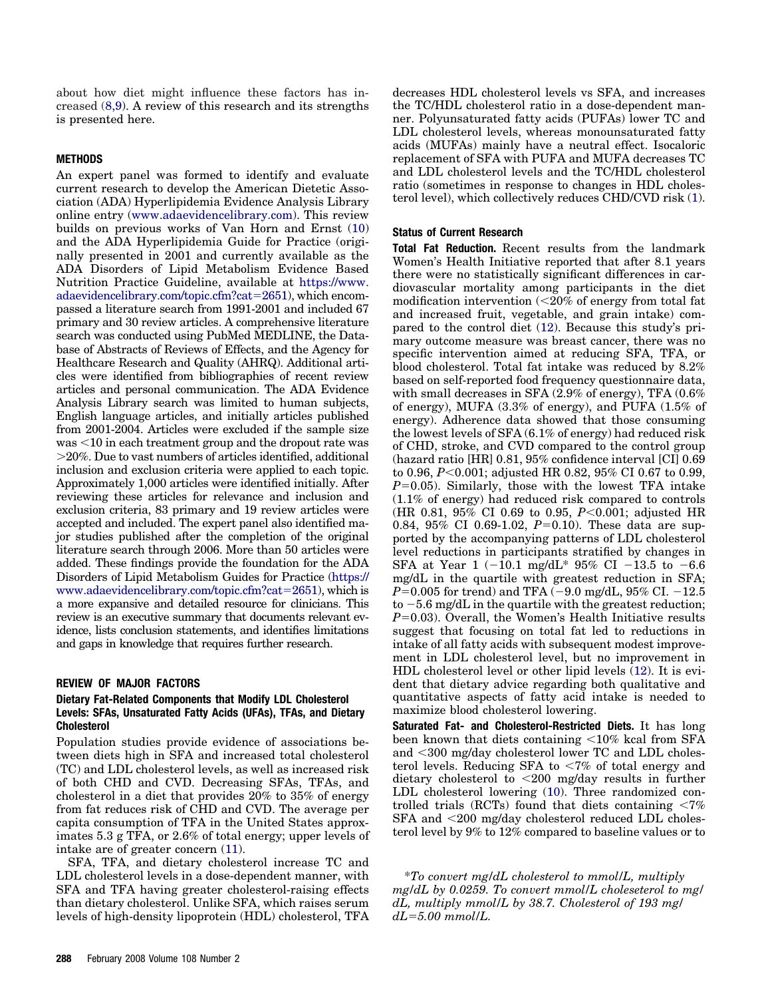about how diet might influence these factors has increased [\(8,9\)](#page-37-0). A review of this research and its strengths is presented here.

#### **METHODS**

An expert panel was formed to identify and evaluate current research to develop the American Dietetic Association (ADA) Hyperlipidemia Evidence Analysis Library online entry [\(www.adaevidencelibrary.com\)](http://www.adaevidencelibrary.com). This review builds on previous works of Van Horn and Ernst [\(10\)](#page-37-0) and the ADA Hyperlipidemia Guide for Practice (originally presented in 2001 and currently available as the ADA Disorders of Lipid Metabolism Evidence Based Nutrition Practice Guideline, available at [https://www.](https://www.adaevidencelibrary.com/topic.cfm?cat=2651) [adaevidencelibrary.com/topic.cfm?cat](https://www.adaevidencelibrary.com/topic.cfm?cat=2651)=2651), which encompassed a literature search from 1991-2001 and included 67 primary and 30 review articles. A comprehensive literature search was conducted using PubMed MEDLINE, the Database of Abstracts of Reviews of Effects, and the Agency for Healthcare Research and Quality (AHRQ). Additional articles were identified from bibliographies of recent review articles and personal communication. The ADA Evidence Analysis Library search was limited to human subjects, English language articles, and initially articles published from 2001-2004. Articles were excluded if the sample size was -10 in each treatment group and the dropout rate was 20%. Due to vast numbers of articles identified, additional inclusion and exclusion criteria were applied to each topic. Approximately 1,000 articles were identified initially. After reviewing these articles for relevance and inclusion and exclusion criteria, 83 primary and 19 review articles were accepted and included. The expert panel also identified major studies published after the completion of the original literature search through 2006. More than 50 articles were added. These findings provide the foundation for the ADA Disorders of Lipid Metabolism Guides for Practice [\(https://](https://www.adaevidencelibrary.com/topic.cfm?cat=2651) [www.adaevidencelibrary.com/topic.cfm?cat](https://www.adaevidencelibrary.com/topic.cfm?cat=2651)=2651), which is a more expansive and detailed resource for clinicians. This review is an executive summary that documents relevant evidence, lists conclusion statements, and identifies limitations and gaps in knowledge that requires further research.

#### **REVIEW OF MAJOR FACTORS**

#### **Dietary Fat-Related Components that Modify LDL Cholesterol Levels: SFAs, Unsaturated Fatty Acids (UFAs), TFAs, and Dietary Cholesterol**

Population studies provide evidence of associations between diets high in SFA and increased total cholesterol (TC) and LDL cholesterol levels, as well as increased risk of both CHD and CVD. Decreasing SFAs, TFAs, and cholesterol in a diet that provides 20% to 35% of energy from fat reduces risk of CHD and CVD. The average per capita consumption of TFA in the United States approximates 5.3 g TFA, or 2.6% of total energy; upper levels of intake are of greater concern [\(11\)](#page-37-0).

SFA, TFA, and dietary cholesterol increase TC and LDL cholesterol levels in a dose-dependent manner, with SFA and TFA having greater cholesterol-raising effects than dietary cholesterol. Unlike SFA, which raises serum levels of high-density lipoprotein (HDL) cholesterol, TFA decreases HDL cholesterol levels vs SFA, and increases the TC/HDL cholesterol ratio in a dose-dependent manner. Polyunsaturated fatty acids (PUFAs) lower TC and LDL cholesterol levels, whereas monounsaturated fatty acids (MUFAs) mainly have a neutral effect. Isocaloric replacement of SFA with PUFA and MUFA decreases TC and LDL cholesterol levels and the TC/HDL cholesterol ratio (sometimes in response to changes in HDL cholesterol level), which collectively reduces CHD/CVD risk [\(1\)](#page-37-0).

#### **Status of Current Research**

**Total Fat Reduction.** Recent results from the landmark Women's Health Initiative reported that after 8.1 years there were no statistically significant differences in cardiovascular mortality among participants in the diet modification intervention ( $<$ 20% of energy from total fat and increased fruit, vegetable, and grain intake) compared to the control diet [\(12\)](#page-37-0). Because this study's primary outcome measure was breast cancer, there was no specific intervention aimed at reducing SFA, TFA, or blood cholesterol. Total fat intake was reduced by 8.2% based on self-reported food frequency questionnaire data, with small decreases in SFA (2.9% of energy), TFA (0.6% of energy), MUFA (3.3% of energy), and PUFA (1.5% of energy). Adherence data showed that those consuming the lowest levels of SFA (6.1% of energy) had reduced risk of CHD, stroke, and CVD compared to the control group (hazard ratio [HR] 0.81, 95% confidence interval [CI] 0.69 to 0.96, *P*-0.001; adjusted HR 0.82, 95% CI 0.67 to 0.99,  $P=0.05$ ). Similarly, those with the lowest TFA intake (1.1% of energy) had reduced risk compared to controls (HR 0.81, 95% CI 0.69 to 0.95, *P*-0.001; adjusted HR 0.84, 95% CI 0.69-1.02,  $P=0.10$ ). These data are supported by the accompanying patterns of LDL cholesterol level reductions in participants stratified by changes in SFA at Year 1  $(-10.1 \text{ mg/dL}^* 95\% \text{ CI} -13.5 \text{ to } -6.6$ mg/dL in the quartile with greatest reduction in SFA; *P*=0.005 for trend) and TFA (-9.0 mg/dL, 95% CI. -12.5 to  $-5.6$  mg/dL in the quartile with the greatest reduction; *P*=0.03). Overall, the Women's Health Initiative results suggest that focusing on total fat led to reductions in intake of all fatty acids with subsequent modest improvement in LDL cholesterol level, but no improvement in HDL cholesterol level or other lipid levels [\(12\)](#page-37-0). It is evident that dietary advice regarding both qualitative and quantitative aspects of fatty acid intake is needed to maximize blood cholesterol lowering.

**Saturated Fat- and Cholesterol-Restricted Diets.** It has long been known that diets containing <10% kcal from SFA and -300 mg/day cholesterol lower TC and LDL cholesterol levels. Reducing SFA to  $< 7\%$  of total energy and dietary cholesterol to <200 mg/day results in further LDL cholesterol lowering [\(10\)](#page-37-0). Three randomized controlled trials (RCTs) found that diets containing  $\langle 7\%$ SFA and <200 mg/day cholesterol reduced LDL cholesterol level by 9% to 12% compared to baseline values or to

\**To convert mg/dL cholesterol to mmol/L, multiply mg/dL by 0.0259. To convert mmol/L choleseterol to mg/ dL, multiply mmol/L by 38.7. Cholesterol of 193 mg/ dL5.00 mmol/L.*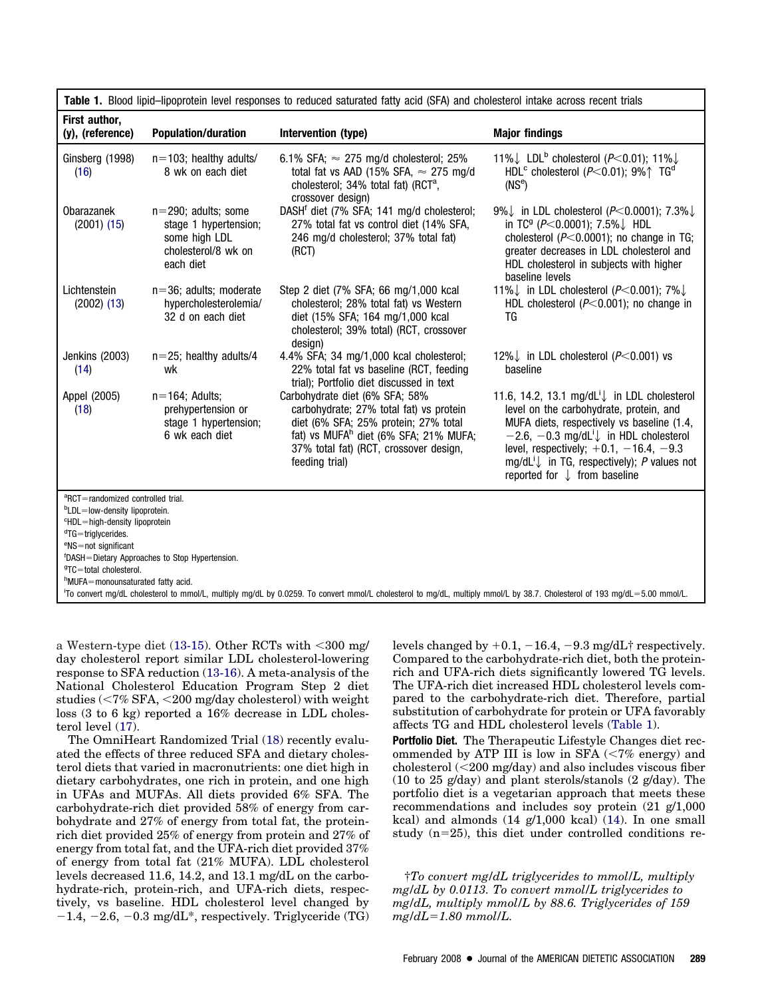<span id="page-2-0"></span>

| Table 1. Blood lipid-lipoprotein level responses to reduced saturated fatty acid (SFA) and cholesterol intake across recent trials                                                                            |                                                                                                      |                                                                                                                                                                                                                                    |                                                                                                                                                                                                                                                                                                                                                                                   |  |
|---------------------------------------------------------------------------------------------------------------------------------------------------------------------------------------------------------------|------------------------------------------------------------------------------------------------------|------------------------------------------------------------------------------------------------------------------------------------------------------------------------------------------------------------------------------------|-----------------------------------------------------------------------------------------------------------------------------------------------------------------------------------------------------------------------------------------------------------------------------------------------------------------------------------------------------------------------------------|--|
| First author,<br>(y), (reference)                                                                                                                                                                             | <b>Population/duration</b>                                                                           | Intervention (type)                                                                                                                                                                                                                | <b>Major findings</b>                                                                                                                                                                                                                                                                                                                                                             |  |
| Ginsberg (1998)<br>(16)                                                                                                                                                                                       | $n=103$ ; healthy adults/<br>8 wk on each diet                                                       | 6.1% SFA; $\approx$ 275 mg/d cholesterol; 25%<br>total fat vs AAD (15% SFA, $\approx$ 275 mg/d<br>cholesterol; 34% total fat) (RCT <sup>a</sup> ,<br>crossover design)                                                             | 11% LDL <sup>b</sup> cholesterol ( $P$ <0.01); 11%<br>HDL <sup>c</sup> cholesterol ( $P$ <0.01): 9%↑ TG <sup>d</sup><br>(NS <sup>e</sup> )                                                                                                                                                                                                                                        |  |
| Obarazanek<br>$(2001)$ $(15)$                                                                                                                                                                                 | $n=290$ ; adults; some<br>stage 1 hypertension;<br>some high LDL<br>cholesterol/8 wk on<br>each diet | DASH <sup>f</sup> diet (7% SFA; 141 mg/d cholesterol;<br>27% total fat vs control diet (14% SFA,<br>246 mg/d cholesterol; 37% total fat)<br>(RCT)                                                                                  | 9% in LDL cholesterol ( $P<0.0001$ ); 7.3% $\downarrow$<br>in TC <sup>9</sup> ( $P < 0.0001$ ); 7.5% HDL<br>cholesterol ( $P<0.0001$ ); no change in TG;<br>greater decreases in LDL cholesterol and<br>HDL cholesterol in subjects with higher<br>baseline levels                                                                                                                |  |
| Lichtenstein<br>$(2002)$ $(13)$                                                                                                                                                                               | $n=36$ ; adults; moderate<br>hypercholesterolemia/<br>32 d on each diet                              | Step 2 diet (7% SFA; 66 mg/1,000 kcal<br>cholesterol; 28% total fat) vs Western<br>diet (15% SFA; 164 mg/1,000 kcal<br>cholesterol; 39% total) (RCT, crossover<br>design)                                                          | 11% in LDL cholesterol ( $P < 0.001$ ); 7% $\downarrow$<br>HDL cholesterol $(P<0.001)$ ; no change in<br>TG                                                                                                                                                                                                                                                                       |  |
| Jenkins (2003)<br>(14)                                                                                                                                                                                        | $n=25$ ; healthy adults/4<br>wk                                                                      | 4.4% SFA; 34 mg/1,000 kcal cholesterol;<br>22% total fat vs baseline (RCT, feeding<br>trial): Portfolio diet discussed in text                                                                                                     | 12% in LDL cholesterol ( $P<0.001$ ) vs<br>baseline                                                                                                                                                                                                                                                                                                                               |  |
| Appel (2005)<br>(18)                                                                                                                                                                                          | $n = 164$ ; Adults;<br>prehypertension or<br>stage 1 hypertension;<br>6 wk each diet                 | Carbohydrate diet (6% SFA; 58%<br>carbohydrate; 27% total fat) vs protein<br>diet (6% SFA; 25% protein; 27% total<br>fat) vs MUFA <sup>h</sup> diet (6% SFA; 21% MUFA;<br>37% total fat) (RCT, crossover design,<br>feeding trial) | 11.6, 14.2, 13.1 mg/dL <sup>i</sup> $\downarrow$ in LDL cholesterol<br>level on the carbohydrate, protein, and<br>MUFA diets, respectively vs baseline (1.4,<br>$-2.6, -0.3$ mg/dL <sup>i</sup> $\downarrow$ in HDL cholesterol<br>level, respectively; $+0.1, -16.4, -9.3$<br>mg/dL <sup>i</sup> ↓ in TG, respectively); P values not<br>reported for $\downarrow$ from baseline |  |
| <sup>a</sup> RCT=randomized controlled trial.                                                                                                                                                                 |                                                                                                      |                                                                                                                                                                                                                                    |                                                                                                                                                                                                                                                                                                                                                                                   |  |
| <sup>b</sup> LDL=low-density lipoprotein.<br><sup>c</sup> HDL=high-density lipoprotein                                                                                                                        |                                                                                                      |                                                                                                                                                                                                                                    |                                                                                                                                                                                                                                                                                                                                                                                   |  |
| <sup>d</sup> TG=triglycerides.<br>$e$ NS = not significant                                                                                                                                                    |                                                                                                      |                                                                                                                                                                                                                                    |                                                                                                                                                                                                                                                                                                                                                                                   |  |
|                                                                                                                                                                                                               | <sup>f</sup> DASH=Dietary Approaches to Stop Hypertension.                                           |                                                                                                                                                                                                                                    |                                                                                                                                                                                                                                                                                                                                                                                   |  |
|                                                                                                                                                                                                               | <sup>g</sup> TC=total cholesterol.                                                                   |                                                                                                                                                                                                                                    |                                                                                                                                                                                                                                                                                                                                                                                   |  |
| hMUFA=monounsaturated fatty acid.<br>To convert mg/dL cholesterol to mmol/L, multiply mg/dL by 0.0259. To convert mmol/L cholesterol to mg/dL, multiply mmol/L by 38.7. Cholesterol of 193 mg/dL=5.00 mmol/L. |                                                                                                      |                                                                                                                                                                                                                                    |                                                                                                                                                                                                                                                                                                                                                                                   |  |

a Western-type diet  $(13-15)$ . Other RCTs with  $<$ 300 mg/ day cholesterol report similar LDL cholesterol-lowering response to SFA reduction [\(13-16\)](#page-37-0). A meta-analysis of the National Cholesterol Education Program Step 2 diet studies (<7% SFA, <200 mg/day cholesterol) with weight loss (3 to 6 kg) reported a 16% decrease in LDL cholesterol level [\(17\)](#page-37-0).

The OmniHeart Randomized Trial [\(18\)](#page-38-0) recently evaluated the effects of three reduced SFA and dietary cholesterol diets that varied in macronutrients: one diet high in dietary carbohydrates, one rich in protein, and one high in UFAs and MUFAs. All diets provided 6% SFA. The carbohydrate-rich diet provided 58% of energy from carbohydrate and 27% of energy from total fat, the proteinrich diet provided 25% of energy from protein and 27% of energy from total fat, and the UFA-rich diet provided 37% of energy from total fat (21% MUFA). LDL cholesterol levels decreased 11.6, 14.2, and 13.1 mg/dL on the carbohydrate-rich, protein-rich, and UFA-rich diets, respectively, vs baseline. HDL cholesterol level changed by  $-1.4$ ,  $-2.6$ ,  $-0.3$  mg/dL\*, respectively. Triglyceride (TG) levels changed by  $+0.1$ ,  $-16.4$ ,  $-9.3$  mg/dL<sup>+</sup> respectively. Compared to the carbohydrate-rich diet, both the proteinrich and UFA-rich diets significantly lowered TG levels. The UFA-rich diet increased HDL cholesterol levels compared to the carbohydrate-rich diet. Therefore, partial substitution of carbohydrate for protein or UFA favorably affects TG and HDL cholesterol levels (Table 1).

**Portfolio Diet.** The Therapeutic Lifestyle Changes diet recommended by ATP III is low in SFA  $\left(\leq 7\% \text{ energy}\right)$  and cholesterol (-200 mg/day) and also includes viscous fiber (10 to 25 g/day) and plant sterols/stanols (2 g/day). The portfolio diet is a vegetarian approach that meets these recommendations and includes soy protein (21 g/1,000 kcal) and almonds  $(14 \text{ g}/1,000 \text{ kcal})$   $(14)$ . In one small study  $(n=25)$ , this diet under controlled conditions re-

†*To convert mg/dL triglycerides to mmol/L, multiply mg/dL by 0.0113. To convert mmol/L triglycerides to mg/dL, multiply mmol/L by 88.6. Triglycerides of 159 mg/dL1.80 mmol/L.*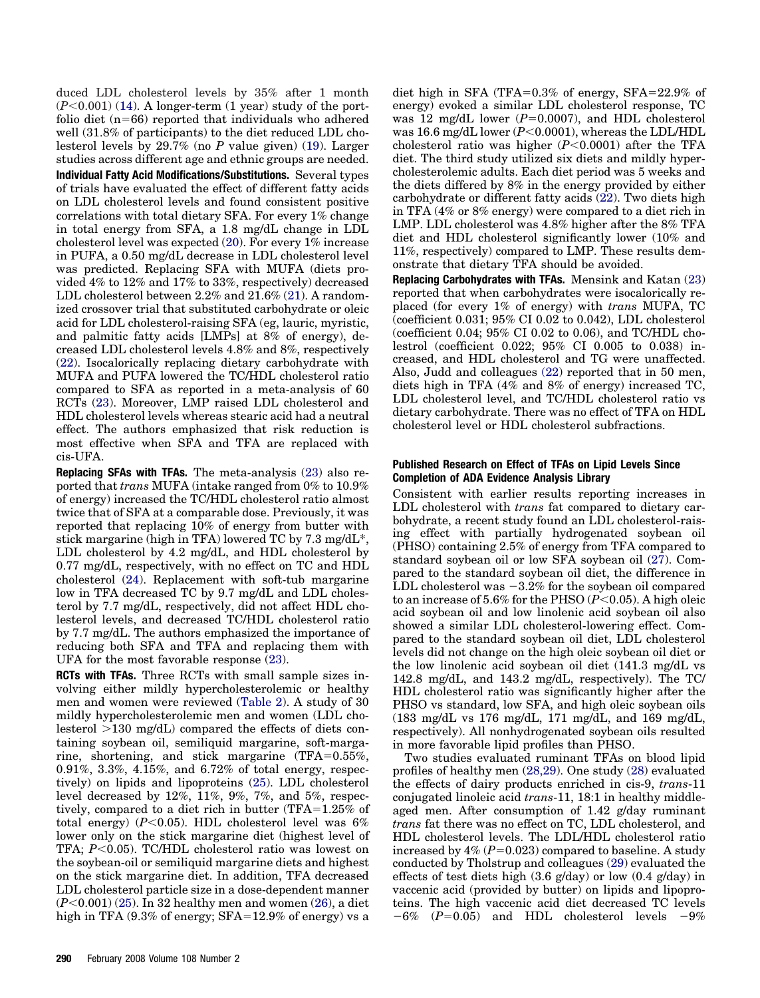duced LDL cholesterol levels by 35% after 1 month  $(P<0.001)$  [\(14\)](#page-37-0). A longer-term (1 year) study of the portfolio diet  $(n=66)$  reported that individuals who adhered well (31.8% of participants) to the diet reduced LDL cholesterol levels by 29.7% (no *P* value given) [\(19\)](#page-38-0). Larger studies across different age and ethnic groups are needed.

**Individual Fatty Acid Modifications/Substitutions.** Several types of trials have evaluated the effect of different fatty acids on LDL cholesterol levels and found consistent positive correlations with total dietary SFA. For every 1% change in total energy from SFA, a 1.8 mg/dL change in LDL cholesterol level was expected [\(20\)](#page-38-0). For every 1% increase in PUFA, a 0.50 mg/dL decrease in LDL cholesterol level was predicted. Replacing SFA with MUFA (diets provided 4% to 12% and 17% to 33%, respectively) decreased LDL cholesterol between 2.2% and 21.6% [\(21\)](#page-38-0). A randomized crossover trial that substituted carbohydrate or oleic acid for LDL cholesterol-raising SFA (eg, lauric, myristic, and palmitic fatty acids [LMPs] at 8% of energy), decreased LDL cholesterol levels 4.8% and 8%, respectively [\(22\)](#page-38-0). Isocalorically replacing dietary carbohydrate with MUFA and PUFA lowered the TC/HDL cholesterol ratio compared to SFA as reported in a meta-analysis of 60 RCTs [\(23\)](#page-38-0). Moreover, LMP raised LDL cholesterol and HDL cholesterol levels whereas stearic acid had a neutral effect. The authors emphasized that risk reduction is most effective when SFA and TFA are replaced with cis-UFA.

**Replacing SFAs with TFAs.** The meta-analysis [\(23\)](#page-38-0) also reported that *trans* MUFA (intake ranged from 0% to 10.9% of energy) increased the TC/HDL cholesterol ratio almost twice that of SFA at a comparable dose. Previously, it was reported that replacing 10% of energy from butter with stick margarine (high in TFA) lowered TC by 7.3 mg/dL\*, LDL cholesterol by 4.2 mg/dL, and HDL cholesterol by 0.77 mg/dL, respectively, with no effect on TC and HDL cholesterol [\(24\)](#page-38-0). Replacement with soft-tub margarine low in TFA decreased TC by 9.7 mg/dL and LDL cholesterol by 7.7 mg/dL, respectively, did not affect HDL cholesterol levels, and decreased TC/HDL cholesterol ratio by 7.7 mg/dL. The authors emphasized the importance of reducing both SFA and TFA and replacing them with UFA for the most favorable response [\(23\)](#page-38-0).

**RCTs with TFAs.** Three RCTs with small sample sizes involving either mildly hypercholesterolemic or healthy men and women were reviewed [\(Table 2\)](#page-4-0). A study of 30 mildly hypercholesterolemic men and women (LDL cholesterol  $>130$  mg/dL) compared the effects of diets containing soybean oil, semiliquid margarine, soft-margarine, shortening, and stick margarine  $(TFA=0.55\%,$ 0.91%, 3.3%, 4.15%, and 6.72% of total energy, respectively) on lipids and lipoproteins [\(25\)](#page-38-0). LDL cholesterol level decreased by 12%, 11%, 9%, 7%, and 5%, respectively, compared to a diet rich in butter (TFA= $1.25\%$  of total energy) (*P*-0.05). HDL cholesterol level was 6% lower only on the stick margarine diet (highest level of TFA; *P*-0.05). TC/HDL cholesterol ratio was lowest on the soybean-oil or semiliquid margarine diets and highest on the stick margarine diet. In addition, TFA decreased LDL cholesterol particle size in a dose-dependent manner (*P*-0.001) [\(25\)](#page-38-0). In 32 healthy men and women [\(26\)](#page-38-0), a diet high in TFA  $(9.3\%$  of energy; SFA=12.9% of energy) vs a

diet high in SFA (TFA= $0.3\%$  of energy, SFA= $22.9\%$  of energy) evoked a similar LDL cholesterol response, TC was 12 mg/dL lower  $(P=0.0007)$ , and HDL cholesterol was 16.6 mg/dL lower (*P*-0.0001), whereas the LDL/HDL cholesterol ratio was higher (*P*-0.0001) after the TFA diet. The third study utilized six diets and mildly hypercholesterolemic adults. Each diet period was 5 weeks and the diets differed by 8% in the energy provided by either carbohydrate or different fatty acids [\(22\)](#page-38-0). Two diets high in TFA (4% or 8% energy) were compared to a diet rich in LMP. LDL cholesterol was 4.8% higher after the 8% TFA diet and HDL cholesterol significantly lower (10% and 11%, respectively) compared to LMP. These results demonstrate that dietary TFA should be avoided.

**Replacing Carbohydrates with TFAs.** Mensink and Katan [\(23\)](#page-38-0) reported that when carbohydrates were isocalorically replaced (for every 1% of energy) with *trans* MUFA, TC (coefficient 0.031; 95% CI 0.02 to 0.042), LDL cholesterol (coefficient 0.04; 95% CI 0.02 to 0.06), and TC/HDL cholestrol (coefficient 0.022; 95% CI 0.005 to 0.038) increased, and HDL cholesterol and TG were unaffected. Also, Judd and colleagues [\(22\)](#page-38-0) reported that in 50 men, diets high in TFA (4% and 8% of energy) increased TC, LDL cholesterol level, and TC/HDL cholesterol ratio vs dietary carbohydrate. There was no effect of TFA on HDL cholesterol level or HDL cholesterol subfractions.

#### **Published Research on Effect of TFAs on Lipid Levels Since Completion of ADA Evidence Analysis Library**

Consistent with earlier results reporting increases in LDL cholesterol with *trans* fat compared to dietary carbohydrate, a recent study found an LDL cholesterol-raising effect with partially hydrogenated soybean oil (PHSO) containing 2.5% of energy from TFA compared to standard soybean oil or low SFA soybean oil [\(27\)](#page-38-0). Compared to the standard soybean oil diet, the difference in LDL cholesterol was  $-3.2%$  for the soybean oil compared to an increase of 5.6% for the PHSO (*P*<0.05). A high oleic acid soybean oil and low linolenic acid soybean oil also showed a similar LDL cholesterol-lowering effect. Compared to the standard soybean oil diet, LDL cholesterol levels did not change on the high oleic soybean oil diet or the low linolenic acid soybean oil diet (141.3 mg/dL vs 142.8 mg/dL, and 143.2 mg/dL, respectively). The TC/ HDL cholesterol ratio was significantly higher after the PHSO vs standard, low SFA, and high oleic soybean oils (183 mg/dL vs 176 mg/dL, 171 mg/dL, and 169 mg/dL, respectively). All nonhydrogenated soybean oils resulted in more favorable lipid profiles than PHSO.

Two studies evaluated ruminant TFAs on blood lipid profiles of healthy men [\(28,29\)](#page-38-0). One study [\(28\)](#page-38-0) evaluated the effects of dairy products enriched in cis-9, *trans*-11 conjugated linoleic acid *trans*-11, 18:1 in healthy middleaged men. After consumption of 1.42 g/day ruminant *trans* fat there was no effect on TC, LDL cholesterol, and HDL cholesterol levels. The LDL/HDL cholesterol ratio increased by  $4\%$  ( $P=0.023$ ) compared to baseline. A study conducted by Tholstrup and colleagues [\(29\)](#page-38-0) evaluated the effects of test diets high (3.6 g/day) or low (0.4 g/day) in vaccenic acid (provided by butter) on lipids and lipoproteins. The high vaccenic acid diet decreased TC levels  $-6\%$  ( $P=0.05$ ) and HDL cholesterol levels  $-9\%$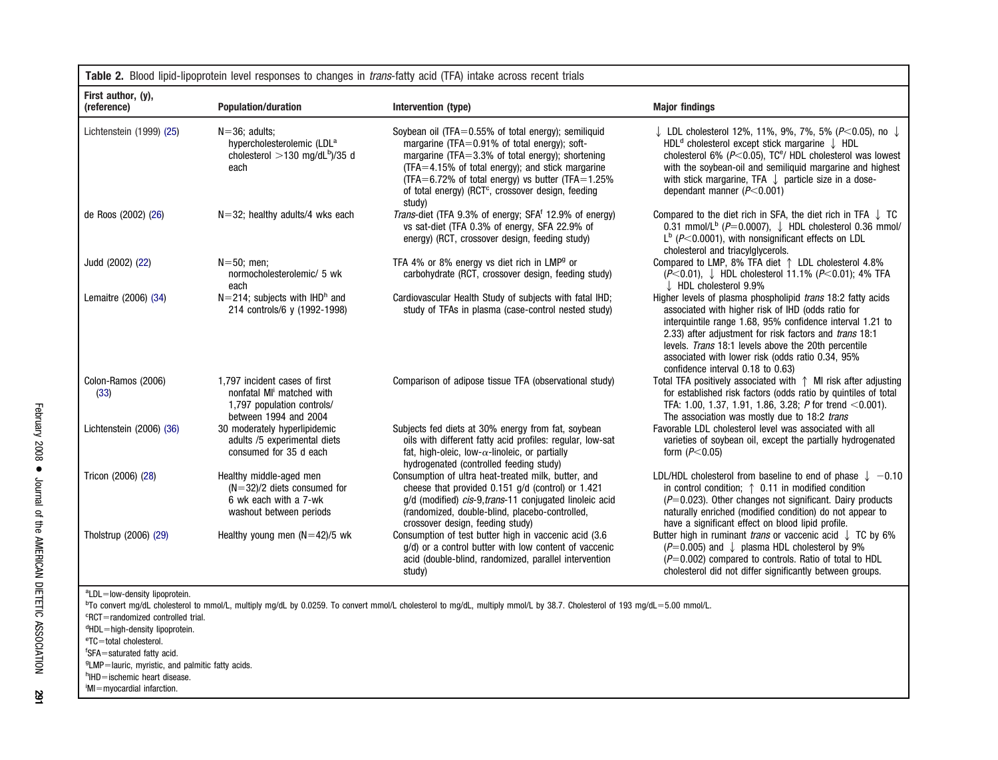<span id="page-4-0"></span>

| Table 2. Blood lipid-lipoprotein level responses to changes in <i>trans</i> -fatty acid (TFA) intake across recent trials |                                                                                                                               |                                                                                                                                                                                                                                                                                                                                                      |                                                                                                                                                                                                                                                                                                                                                                                                 |  |
|---------------------------------------------------------------------------------------------------------------------------|-------------------------------------------------------------------------------------------------------------------------------|------------------------------------------------------------------------------------------------------------------------------------------------------------------------------------------------------------------------------------------------------------------------------------------------------------------------------------------------------|-------------------------------------------------------------------------------------------------------------------------------------------------------------------------------------------------------------------------------------------------------------------------------------------------------------------------------------------------------------------------------------------------|--|
| First author, (y),<br>(reference)                                                                                         | <b>Population/duration</b>                                                                                                    | Intervention (type)                                                                                                                                                                                                                                                                                                                                  | <b>Major findings</b>                                                                                                                                                                                                                                                                                                                                                                           |  |
| Lichtenstein (1999) (25)                                                                                                  | $N = 36$ ; adults;<br>hypercholesterolemic (LDL <sup>a</sup><br>cholesterol $>130$ mg/dL <sup>b</sup> )/35 d<br>each          | Soybean oil (TFA=0.55% of total energy); semiliquid<br>margarine (TFA= $0.91\%$ of total energy); soft-<br>margarine (TFA=3.3% of total energy); shortening<br>$(TFA = 4.15\%$ of total energy); and stick margarine<br>(TFA=6.72% of total energy) vs butter (TFA=1.25%<br>of total energy) (RCT <sup>c</sup> , crossover design, feeding<br>study) | U LDL cholesterol 12%, 11%, 9%, 7%, 5% (P<0.05), no $\downarrow$<br>HDL <sup>d</sup> cholesterol except stick margarine ↓ HDL<br>cholesterol 6% ( $P<0.05$ ), TC <sup>e</sup> / HDL cholesterol was lowest<br>with the soybean-oil and semiliquid margarine and highest<br>with stick margarine, TFA $\downarrow$ particle size in a dose-<br>dependant manner $(P<0.001)$                      |  |
| de Roos (2002) (26)                                                                                                       | $N=32$ ; healthy adults/4 wks each                                                                                            | Trans-diet (TFA 9.3% of energy; SFA <sup>f</sup> 12.9% of energy)<br>vs sat-diet (TFA 0.3% of energy, SFA 22.9% of<br>energy) (RCT, crossover design, feeding study)                                                                                                                                                                                 | Compared to the diet rich in SFA, the diet rich in TFA $\downarrow$ TC<br>0.31 mmol/L <sup>b</sup> (P=0.0007), $\downarrow$ HDL cholesterol 0.36 mmol/<br>$L^b$ (P<0.0001), with nonsignificant effects on LDL<br>cholesterol and triacylglycerols.                                                                                                                                             |  |
| Judd (2002) (22)                                                                                                          | $N = 50$ : men:<br>normocholesterolemic/ 5 wk<br>each                                                                         | TFA 4% or 8% energy vs diet rich in LMP <sup>9</sup> or<br>carbohydrate (RCT, crossover design, feeding study)                                                                                                                                                                                                                                       | Compared to LMP, 8% TFA diet ↑ LDL cholesterol 4.8%<br>$(P<0.01)$ , $\downarrow$ HDL cholesterol 11.1% (P<0.01); 4% TFA<br>$\downarrow$ HDL cholesterol 9.9%                                                                                                                                                                                                                                    |  |
| Lemaitre (2006) (34)                                                                                                      | $N=214$ ; subjects with IHD <sup>h</sup> and<br>214 controls/6 y (1992-1998)                                                  | Cardiovascular Health Study of subjects with fatal IHD;<br>study of TFAs in plasma (case-control nested study)                                                                                                                                                                                                                                       | Higher levels of plasma phospholipid trans 18:2 fatty acids<br>associated with higher risk of IHD (odds ratio for<br>interquintile range 1.68, 95% confidence interval 1.21 to<br>2.33) after adjustment for risk factors and <i>trans</i> 18:1<br>levels. Trans 18:1 levels above the 20th percentile<br>associated with lower risk (odds ratio 0.34, 95%<br>confidence interval 0.18 to 0.63) |  |
| Colon-Ramos (2006)<br>(33)                                                                                                | 1,797 incident cases of first<br>nonfatal MI <sup>'</sup> matched with<br>1,797 population controls/<br>between 1994 and 2004 | Comparison of adipose tissue TFA (observational study)                                                                                                                                                                                                                                                                                               | Total TFA positively associated with $\uparrow$ MI risk after adjusting<br>for established risk factors (odds ratio by quintiles of total<br>TFA: 1.00, 1.37, 1.91, 1.86, 3.28; P for trend <0.001).<br>The association was mostly due to 18:2 trans                                                                                                                                            |  |
| Lichtenstein (2006) (36)                                                                                                  | 30 moderately hyperlipidemic<br>adults /5 experimental diets<br>consumed for 35 d each                                        | Subjects fed diets at 30% energy from fat, soybean<br>oils with different fatty acid profiles: regular, low-sat<br>fat, high-oleic, low- $\alpha$ -linoleic, or partially<br>hydrogenated (controlled feeding study)                                                                                                                                 | Favorable LDL cholesterol level was associated with all<br>varieties of soybean oil, except the partially hydrogenated<br>form $(P<0.05)$                                                                                                                                                                                                                                                       |  |
| Tricon (2006) (28)                                                                                                        | Healthy middle-aged men<br>$(N=32)/2$ diets consumed for<br>6 wk each with a 7-wk<br>washout between periods                  | Consumption of ultra heat-treated milk, butter, and<br>cheese that provided 0.151 g/d (control) or 1.421<br>g/d (modified) cis-9, trans-11 conjugated linoleic acid<br>(randomized, double-blind, placebo-controlled,<br>crossover design, feeding study)                                                                                            | LDL/HDL cholesterol from baseline to end of phase $\downarrow -0.10$<br>in control condition; $\uparrow$ 0.11 in modified condition<br>$(P=0.023)$ . Other changes not significant. Dairy products<br>naturally enriched (modified condition) do not appear to<br>have a significant effect on blood lipid profile.                                                                             |  |
| Tholstrup (2006) (29)                                                                                                     | Healthy young men $(N=42)/5$ wk                                                                                               | Consumption of test butter high in vaccenic acid (3.6)<br>g/d) or a control butter with low content of vaccenic<br>acid (double-blind, randomized, parallel intervention<br>study)                                                                                                                                                                   | Butter high in ruminant <i>trans</i> or vaccenic acid $\downarrow$ TC by 6%<br>( $P=0.005$ ) and $\downarrow$ plasma HDL cholesterol by 9%<br>$(P=0.002)$ compared to controls. Ratio of total to HDL<br>cholesterol did not differ significantly between groups.                                                                                                                               |  |

<sup>d</sup>HDL=high-density lipoprotein.<br><sup>e</sup>TC=total cholesterol.

<sup>f</sup>SFA=saturated fatty acid.

<sup>g</sup>LMP=lauric, myristic, and palmitic fatty acids.<br><sup>h</sup>IHD=ischemic heart disease.

iMI=myocardial infarction.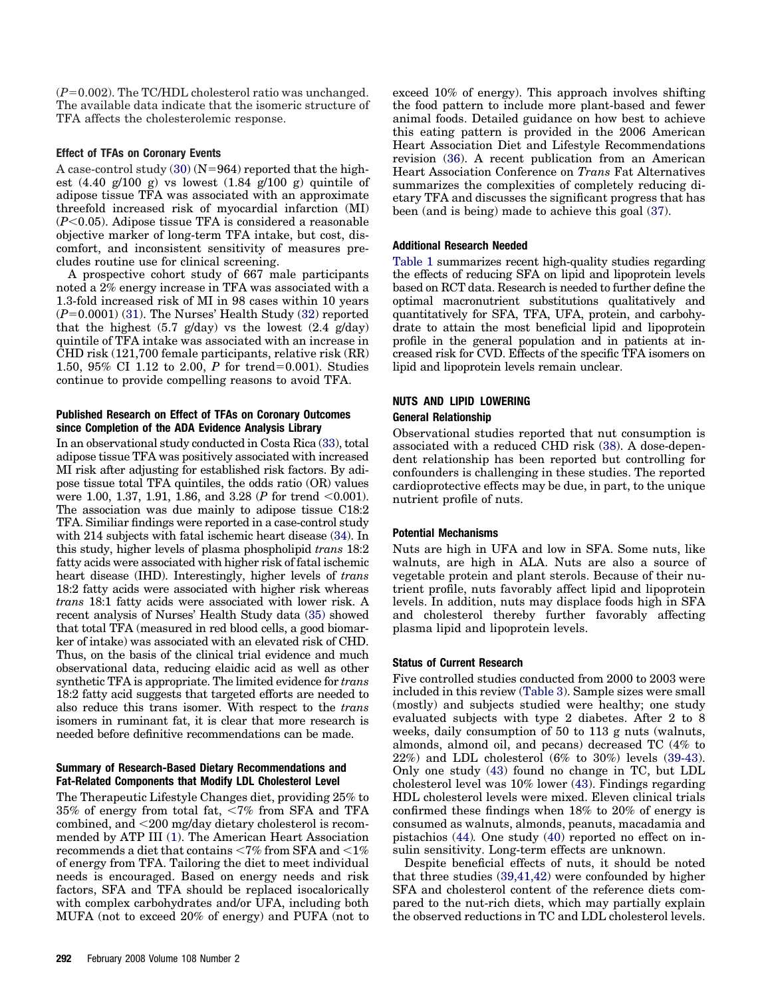$(P=0.002)$ . The TC/HDL cholesterol ratio was unchanged. The available data indicate that the isomeric structure of TFA affects the cholesterolemic response.

#### **Effect of TFAs on Coronary Events**

A case-control study  $(30)$  (N=964) reported that the highest  $(4.40 \text{ g}/100 \text{ g})$  vs lowest  $(1.84 \text{ g}/100 \text{ g})$  quintile of adipose tissue TFA was associated with an approximate threefold increased risk of myocardial infarction (MI) (*P*-0.05). Adipose tissue TFA is considered a reasonable objective marker of long-term TFA intake, but cost, discomfort, and inconsistent sensitivity of measures precludes routine use for clinical screening.

A prospective cohort study of 667 male participants noted a 2% energy increase in TFA was associated with a 1.3-fold increased risk of MI in 98 cases within 10 years  $(P=0.0001)$  [\(31\)](#page-38-0). The Nurses' Health Study [\(32\)](#page-38-0) reported that the highest  $(5.7 \text{ g/day})$  vs the lowest  $(2.4 \text{ g/day})$ quintile of TFA intake was associated with an increase in CHD risk (121,700 female participants, relative risk (RR) 1.50, 95% CI 1.12 to 2.00, *P* for trend=0.001). Studies continue to provide compelling reasons to avoid TFA.

#### **Published Research on Effect of TFAs on Coronary Outcomes since Completion of the ADA Evidence Analysis Library**

In an observational study conducted in Costa Rica [\(33\)](#page-38-0), total adipose tissue TFA was positively associated with increased MI risk after adjusting for established risk factors. By adipose tissue total TFA quintiles, the odds ratio (OR) values were 1.00, 1.37, 1.91, 1.86, and 3.28 (*P* for trend < 0.001). The association was due mainly to adipose tissue C18:2 TFA. Similiar findings were reported in a case-control study with 214 subjects with fatal ischemic heart disease [\(34\)](#page-38-0). In this study, higher levels of plasma phospholipid *trans* 18:2 fatty acids were associated with higher risk of fatal ischemic heart disease (IHD). Interestingly, higher levels of *trans* 18:2 fatty acids were associated with higher risk whereas *trans* 18:1 fatty acids were associated with lower risk. A recent analysis of Nurses' Health Study data [\(35\)](#page-38-0) showed that total TFA (measured in red blood cells, a good biomarker of intake) was associated with an elevated risk of CHD. Thus, on the basis of the clinical trial evidence and much observational data, reducing elaidic acid as well as other synthetic TFA is appropriate. The limited evidence for *trans* 18:2 fatty acid suggests that targeted efforts are needed to also reduce this trans isomer. With respect to the *trans* isomers in ruminant fat, it is clear that more research is needed before definitive recommendations can be made.

#### **Summary of Research-Based Dietary Recommendations and Fat-Related Components that Modify LDL Cholesterol Level**

The Therapeutic Lifestyle Changes diet, providing 25% to  $35\%$  of energy from total fat,  $\leq 7\%$  from SFA and TFA combined, and -200 mg/day dietary cholesterol is recommended by ATP III [\(1\)](#page-37-0). The American Heart Association  ${\rm\,}{\rm\,}{\rm\,}{\rm\,}{\rm\,}{\rm\,}$  and  ${\rm\,}{\rm\,}{\rm\,}$  and  ${\rm\,}{\rm\,}{\rm\,}$  and  ${\rm\,}{\rm\,}{\rm\,}$  and  ${\rm\,}{\rm\,}{\rm\,}$ of energy from TFA. Tailoring the diet to meet individual needs is encouraged. Based on energy needs and risk factors, SFA and TFA should be replaced isocalorically with complex carbohydrates and/or UFA, including both MUFA (not to exceed 20% of energy) and PUFA (not to

exceed 10% of energy). This approach involves shifting the food pattern to include more plant-based and fewer animal foods. Detailed guidance on how best to achieve this eating pattern is provided in the 2006 American Heart Association Diet and Lifestyle Recommendations revision [\(36\)](#page-38-0). A recent publication from an American Heart Association Conference on *Trans* Fat Alternatives summarizes the complexities of completely reducing dietary TFA and discusses the significant progress that has been (and is being) made to achieve this goal [\(37\)](#page-38-0).

#### **Additional Research Needed**

[Table 1](#page-2-0) summarizes recent high-quality studies regarding the effects of reducing SFA on lipid and lipoprotein levels based on RCT data. Research is needed to further define the optimal macronutrient substitutions qualitatively and quantitatively for SFA, TFA, UFA, protein, and carbohydrate to attain the most beneficial lipid and lipoprotein profile in the general population and in patients at increased risk for CVD. Effects of the specific TFA isomers on lipid and lipoprotein levels remain unclear.

# **NUTS AND LIPID LOWERING**

# **General Relationship**

Observational studies reported that nut consumption is associated with a reduced CHD risk [\(38\)](#page-38-0). A dose-dependent relationship has been reported but controlling for confounders is challenging in these studies. The reported cardioprotective effects may be due, in part, to the unique nutrient profile of nuts.

#### **Potential Mechanisms**

Nuts are high in UFA and low in SFA. Some nuts, like walnuts, are high in ALA. Nuts are also a source of vegetable protein and plant sterols. Because of their nutrient profile, nuts favorably affect lipid and lipoprotein levels. In addition, nuts may displace foods high in SFA and cholesterol thereby further favorably affecting plasma lipid and lipoprotein levels.

#### **Status of Current Research**

Five controlled studies conducted from 2000 to 2003 were included in this review [\(Table 3\)](#page-6-0). Sample sizes were small (mostly) and subjects studied were healthy; one study evaluated subjects with type 2 diabetes. After 2 to 8 weeks, daily consumption of 50 to 113 g nuts (walnuts, almonds, almond oil, and pecans) decreased TC (4% to 22%) and LDL cholesterol (6% to 30%) levels [\(39-43\)](#page-38-0). Only one study [\(43\)](#page-38-0) found no change in TC, but LDL cholesterol level was 10% lower [\(43\)](#page-38-0). Findings regarding HDL cholesterol levels were mixed. Eleven clinical trials confirmed these findings when 18% to 20% of energy is consumed as walnuts, almonds, peanuts, macadamia and pistachios [\(44\)](#page-38-0)*.* One study [\(40\)](#page-38-0) reported no effect on insulin sensitivity. Long-term effects are unknown.

Despite beneficial effects of nuts, it should be noted that three studies [\(39,41,42\)](#page-38-0) were confounded by higher SFA and cholesterol content of the reference diets compared to the nut-rich diets, which may partially explain the observed reductions in TC and LDL cholesterol levels.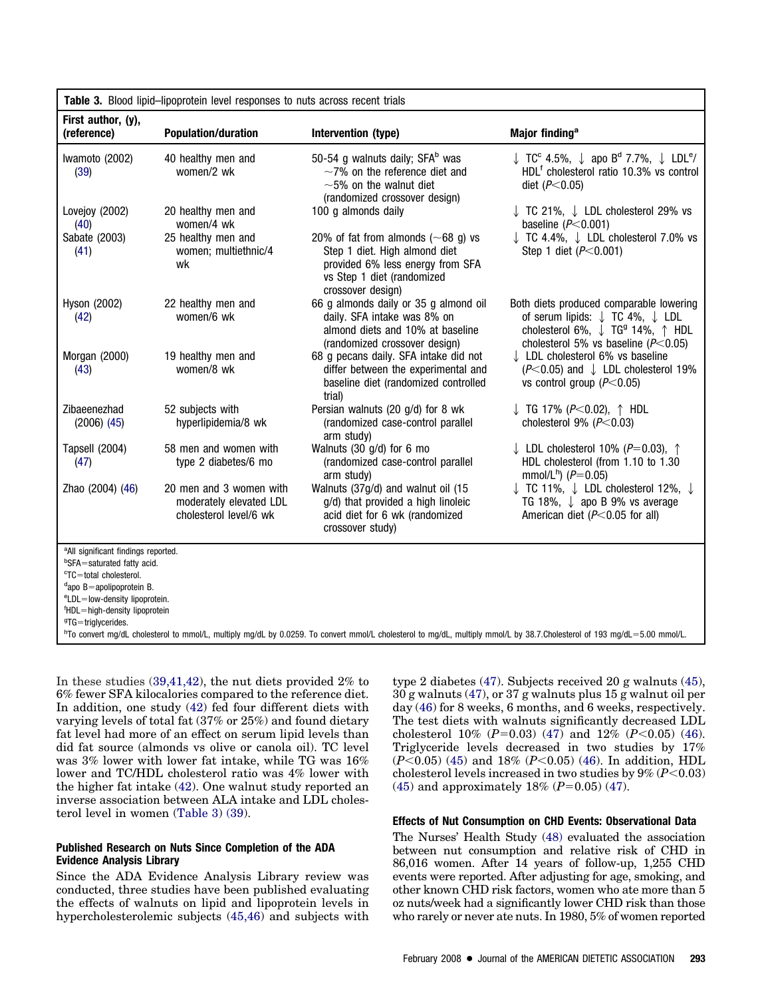<span id="page-6-0"></span>

| Table 3. Blood lipid–lipoprotein level responses to nuts across recent trials |
|-------------------------------------------------------------------------------|
| l First author. (v).                                                          |

| First author, (y),<br>(reference)                                                                                                                                                                                                                        | <b>Population/duration</b>                                                   | Intervention (type)                                                                                                                                              | Major finding <sup>a</sup>                                                                                                                                                                                    |
|----------------------------------------------------------------------------------------------------------------------------------------------------------------------------------------------------------------------------------------------------------|------------------------------------------------------------------------------|------------------------------------------------------------------------------------------------------------------------------------------------------------------|---------------------------------------------------------------------------------------------------------------------------------------------------------------------------------------------------------------|
| Iwamoto (2002)<br>(39)                                                                                                                                                                                                                                   | 40 healthy men and<br>women/2 wk                                             | 50-54 g walnuts daily; SFA <sup>b</sup> was<br>$\sim$ 7% on the reference diet and<br>$\sim$ 5% on the walnut diet<br>(randomized crossover design)              | $\downarrow$ TC <sup>c</sup> 4.5%, $\downarrow$ apo B <sup>d</sup> 7.7%, $\downarrow$ LDL <sup>e</sup> /<br>HDL <sup>f</sup> cholesterol ratio 10.3% vs control<br>diet $(P<0.05)$                            |
| Lovejoy (2002)<br>(40)                                                                                                                                                                                                                                   | 20 healthy men and<br>women/4 wk                                             | 100 g almonds daily                                                                                                                                              | $\downarrow$ TC 21%, $\downarrow$ LDL cholesterol 29% vs<br>baseline $(P<0.001)$                                                                                                                              |
| Sabate (2003)<br>(41)                                                                                                                                                                                                                                    | 25 healthy men and<br>women; multiethnic/4<br>wk                             | 20% of fat from almonds $(\sim 68$ g) vs<br>Step 1 diet. High almond diet<br>provided 6% less energy from SFA<br>vs Step 1 diet (randomized<br>crossover design) | $\downarrow$ TC 4.4%, $\downarrow$ LDL cholesterol 7.0% vs<br>Step 1 diet $(P<0.001)$                                                                                                                         |
| Hyson (2002)<br>(42)                                                                                                                                                                                                                                     | 22 healthy men and<br>women/6 wk                                             | 66 g almonds daily or 35 g almond oil<br>daily. SFA intake was 8% on<br>almond diets and 10% at baseline<br>(randomized crossover design)                        | Both diets produced comparable lowering<br>of serum lipids: $\downarrow$ TC 4%, $\downarrow$ LDL<br>cholesterol 6%, $\downarrow$ TG <sup>9</sup> 14%, $\uparrow$ HDL<br>cholesterol 5% vs baseline $(P<0.05)$ |
| Morgan (2000)<br>(43)                                                                                                                                                                                                                                    | 19 healthy men and<br>women/8 wk                                             | 68 g pecans daily. SFA intake did not<br>differ between the experimental and<br>baseline diet (randomized controlled<br>trial)                                   | ↓ LDL cholesterol 6% vs baseline<br>$(P<0.05)$ and $\downarrow$ LDL cholesterol 19%<br>vs control group $(P<0.05)$                                                                                            |
| Zibaeenezhad<br>$(2006)$ $(45)$                                                                                                                                                                                                                          | 52 subjects with<br>hyperlipidemia/8 wk                                      | Persian walnuts (20 g/d) for 8 wk<br>(randomized case-control parallel<br>arm study)                                                                             | $\downarrow$ TG 17% (P<0.02), $\uparrow$ HDL<br>cholesterol $9\%$ ( $P<0.03$ )                                                                                                                                |
| Tapsell (2004)<br>(47)                                                                                                                                                                                                                                   | 58 men and women with<br>type 2 diabetes/6 mo                                | Walnuts $(30 \text{ g/d})$ for 6 mo<br>(randomized case-control parallel<br>arm study)                                                                           | U LDL cholesterol 10% ( $P=0.03$ ), $\uparrow$<br>HDL cholesterol (from 1.10 to 1.30<br>mmol/L <sup>h</sup> ) ( $P=0.05$ )                                                                                    |
| Zhao (2004) (46)                                                                                                                                                                                                                                         | 20 men and 3 women with<br>moderately elevated LDL<br>cholesterol level/6 wk | Walnuts (37g/d) and walnut oil (15<br>g/d) that provided a high linoleic<br>acid diet for 6 wk (randomized<br>crossover study)                                   | $\downarrow$ TC 11%, $\downarrow$ LDL cholesterol 12%, $\downarrow$<br>TG 18%, $\downarrow$ apo B 9% vs average<br>American diet ( $P<0.05$ for all)                                                          |
| <sup>a</sup> All significant findings reported.<br>bSFA=saturated fatty acid.<br>°TC=total cholesterol.<br>$q$ apo B = apolipoprotein B.<br>eLDL=low-density lipoprotein.<br><sup>f</sup> HDL=high-density lipoprotein<br><sup>9</sup> TG=triglycerides. |                                                                              |                                                                                                                                                                  |                                                                                                                                                                                                               |

hTo convert mg/dL cholesterol to mmol/L, multiply mg/dL by 0.0259. To convert mmol/L cholesterol of my/dL, multiply mmol/L by 38.7.Cholesterol of 193 mg/dL=5.00 mmol/L.

In these studies [\(39,41,42\)](#page-38-0), the nut diets provided 2% to 6% fewer SFA kilocalories compared to the reference diet. In addition, one study [\(42\)](#page-38-0) fed four different diets with varying levels of total fat (37% or 25%) and found dietary fat level had more of an effect on serum lipid levels than did fat source (almonds vs olive or canola oil). TC level was 3% lower with lower fat intake, while TG was 16% lower and TC/HDL cholesterol ratio was 4% lower with the higher fat intake [\(42\)](#page-38-0). One walnut study reported an inverse association between ALA intake and LDL cholesterol level in women (Table 3) [\(39\)](#page-38-0).

#### **Published Research on Nuts Since Completion of the ADA Evidence Analysis Library**

Since the ADA Evidence Analysis Library review was conducted, three studies have been published evaluating the effects of walnuts on lipid and lipoprotein levels in hypercholesterolemic subjects [\(45,46\)](#page-38-0) and subjects with type 2 diabetes [\(47\)](#page-38-0). Subjects received 20 g walnuts [\(45\)](#page-38-0), 30 g walnuts [\(47\)](#page-38-0), or 37 g walnuts plus 15 g walnut oil per day [\(46\)](#page-38-0) for 8 weeks, 6 months, and 6 weeks, respectively. The test diets with walnuts significantly decreased LDL cholesterol  $10\%$   $(P=0.03)$   $(47)$  and  $12\%$   $(P<0.05)$   $(46)$ . Triglyceride levels decreased in two studies by 17% (*P*-0.05) [\(45\)](#page-38-0) and 18% (*P*-0.05) [\(46\)](#page-38-0). In addition, HDL cholesterol levels increased in two studies by 9% (*P*-0.03)  $(45)$  and approximately 18%  $(P=0.05)$  [\(47\)](#page-38-0).

#### **Effects of Nut Consumption on CHD Events: Observational Data**

The Nurses' Health Study [\(48\)](#page-38-0) evaluated the association between nut consumption and relative risk of CHD in 86,016 women. After 14 years of follow-up, 1,255 CHD events were reported. After adjusting for age, smoking, and other known CHD risk factors, women who ate more than 5 oz nuts/week had a significantly lower CHD risk than those who rarely or never ate nuts. In 1980, 5% of women reported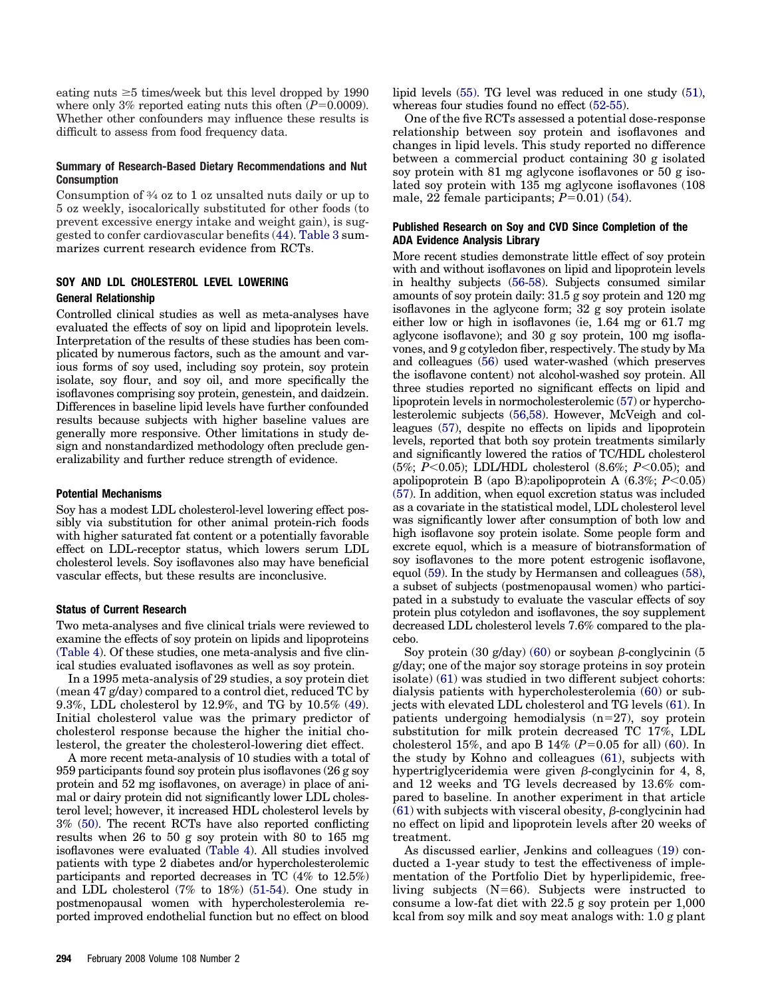eating nuts  $\geq 5$  times/week but this level dropped by 1990 where only 3% reported eating nuts this often  $(P=0.0009)$ . Whether other confounders may influence these results is difficult to assess from food frequency data.

#### **Summary of Research-Based Dietary Recommendations and Nut Consumption**

Consumption of 3⁄4 oz to 1 oz unsalted nuts daily or up to 5 oz weekly, isocalorically substituted for other foods (to prevent excessive energy intake and weight gain), is suggested to confer cardiovascular benefits [\(44\)](#page-38-0). [Table 3](#page-6-0) summarizes current research evidence from RCTs.

# **SOY AND LDL CHOLESTEROL LEVEL LOWERING General Relationship**

Controlled clinical studies as well as meta-analyses have evaluated the effects of soy on lipid and lipoprotein levels. Interpretation of the results of these studies has been complicated by numerous factors, such as the amount and various forms of soy used, including soy protein, soy protein isolate, soy flour, and soy oil, and more specifically the isoflavones comprising soy protein, genestein, and daidzein. Differences in baseline lipid levels have further confounded results because subjects with higher baseline values are generally more responsive. Other limitations in study design and nonstandardized methodology often preclude generalizability and further reduce strength of evidence.

#### **Potential Mechanisms**

Soy has a modest LDL cholesterol-level lowering effect possibly via substitution for other animal protein-rich foods with higher saturated fat content or a potentially favorable effect on LDL-receptor status, which lowers serum LDL cholesterol levels. Soy isoflavones also may have beneficial vascular effects, but these results are inconclusive.

#### **Status of Current Research**

Two meta-analyses and five clinical trials were reviewed to examine the effects of soy protein on lipids and lipoproteins [\(Table 4\)](#page-8-0). Of these studies, one meta-analysis and five clinical studies evaluated isoflavones as well as soy protein.

In a 1995 meta-analysis of 29 studies, a soy protein diet (mean 47 g/day) compared to a control diet, reduced TC by 9.3%, LDL cholesterol by 12.9%, and TG by 10.5% [\(49\)](#page-38-0). Initial cholesterol value was the primary predictor of cholesterol response because the higher the initial cholesterol, the greater the cholesterol-lowering diet effect.

A more recent meta-analysis of 10 studies with a total of 959 participants found soy protein plus isoflavones (26 g soy protein and 52 mg isoflavones, on average) in place of animal or dairy protein did not significantly lower LDL cholesterol level; however, it increased HDL cholesterol levels by 3% [\(50\)](#page-38-0). The recent RCTs have also reported conflicting results when 26 to 50 g soy protein with 80 to 165 mg isoflavones were evaluated [\(Table 4\)](#page-8-0). All studies involved patients with type 2 diabetes and/or hypercholesterolemic participants and reported decreases in TC (4% to 12.5%) and LDL cholesterol (7% to 18%) [\(51-54\)](#page-38-0). One study in postmenopausal women with hypercholesterolemia reported improved endothelial function but no effect on blood

lipid levels [\(55\)](#page-38-0). TG level was reduced in one study [\(51\)](#page-38-0), whereas four studies found no effect [\(52-55\)](#page-38-0).

One of the five RCTs assessed a potential dose-response relationship between soy protein and isoflavones and changes in lipid levels. This study reported no difference between a commercial product containing 30 g isolated soy protein with 81 mg aglycone isoflavones or 50 g isolated soy protein with 135 mg aglycone isoflavones (108 male, 22 female participants;  $P=0.01$  [\(54\)](#page-38-0).

#### **Published Research on Soy and CVD Since Completion of the ADA Evidence Analysis Library**

More recent studies demonstrate little effect of soy protein with and without isoflavones on lipid and lipoprotein levels in healthy subjects [\(56-58\)](#page-38-0). Subjects consumed similar amounts of soy protein daily: 31.5 g soy protein and 120 mg isoflavones in the aglycone form; 32 g soy protein isolate either low or high in isoflavones (ie, 1.64 mg or 61.7 mg aglycone isoflavone); and 30 g soy protein, 100 mg isoflavones, and 9 g cotyledon fiber, respectively. The study by Ma and colleagues [\(56\)](#page-38-0) used water-washed (which preserves the isoflavone content) not alcohol-washed soy protein. All three studies reported no significant effects on lipid and lipoprotein levels in normocholesterolemic [\(57\)](#page-38-0) or hypercholesterolemic subjects [\(56,58\)](#page-38-0). However, McVeigh and colleagues [\(57\)](#page-38-0), despite no effects on lipids and lipoprotein levels, reported that both soy protein treatments similarly and significantly lowered the ratios of TC/HDL cholesterol (5%; *P*-0.05); LDL/HDL cholesterol (8.6%; *P*-0.05); and apolipoprotein B (apo B):apolipoprotein A (6.3%; *P*-0.05) [\(57\)](#page-38-0). In addition, when equol excretion status was included as a covariate in the statistical model, LDL cholesterol level was significantly lower after consumption of both low and high isoflavone soy protein isolate. Some people form and excrete equol, which is a measure of biotransformation of soy isoflavones to the more potent estrogenic isoflavone, equol [\(59\)](#page-39-0). In the study by Hermansen and colleagues [\(58\)](#page-38-0), a subset of subjects (postmenopausal women) who participated in a substudy to evaluate the vascular effects of soy protein plus cotyledon and isoflavones, the soy supplement decreased LDL cholesterol levels 7.6% compared to the placebo.

Soy protein (30 g/day) [\(60\)](#page-39-0) or soybean  $\beta$ -conglycinin (5 g/day; one of the major soy storage proteins in soy protein isolate) [\(61\)](#page-39-0) was studied in two different subject cohorts: dialysis patients with hypercholesterolemia [\(60\)](#page-39-0) or subjects with elevated LDL cholesterol and TG levels [\(61\)](#page-39-0). In patients undergoing hemodialysis  $(n=27)$ , soy protein substitution for milk protein decreased TC 17%, LDL cholesterol 15%, and apo B  $14\%$  ( $P=0.05$  for all) [\(60\)](#page-39-0). In the study by Kohno and colleagues [\(61\)](#page-39-0), subjects with hypertriglyceridemia were given  $\beta$ -conglycinin for 4, 8, and 12 weeks and TG levels decreased by 13.6% compared to baseline. In another experiment in that article  $(61)$  with subjects with visceral obesity,  $\beta$ -conglycinin had no effect on lipid and lipoprotein levels after 20 weeks of treatment.

As discussed earlier, Jenkins and colleagues [\(19\)](#page-38-0) conducted a 1-year study to test the effectiveness of implementation of the Portfolio Diet by hyperlipidemic, freeliving subjects  $(N=66)$ . Subjects were instructed to consume a low-fat diet with 22.5 g soy protein per 1,000 kcal from soy milk and soy meat analogs with: 1.0 g plant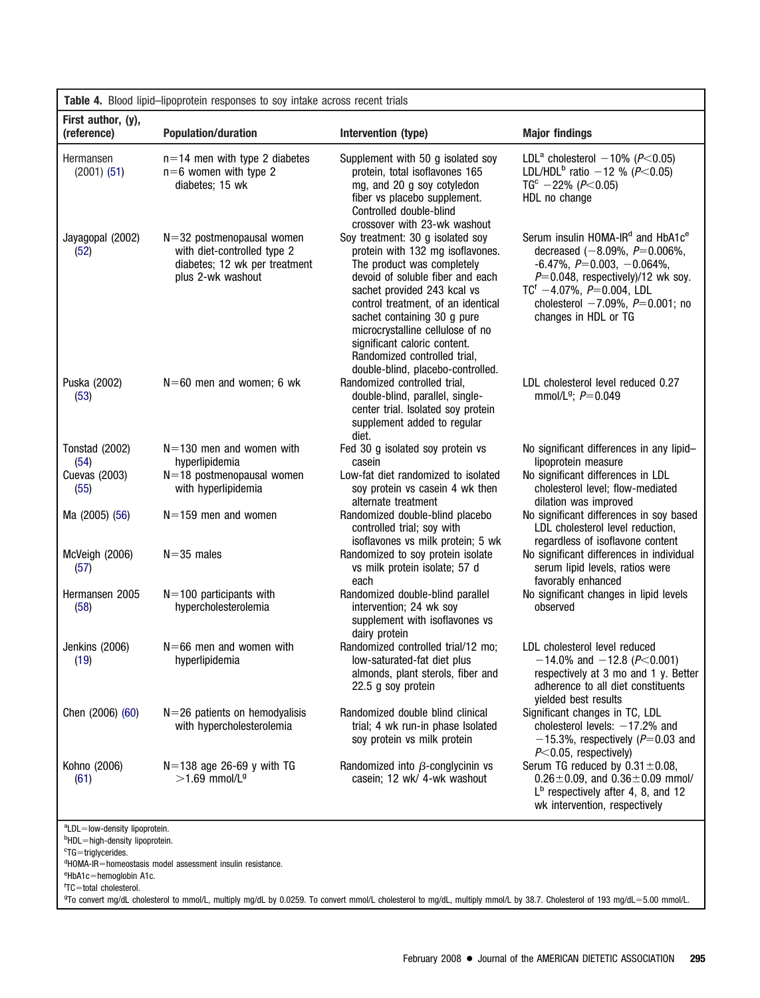<span id="page-8-0"></span>

| Table 4. Blood lipid-lipoprotein responses to soy intake across recent trials                                 |                                                                                                                    |                                                                                                                                                                                                                                                                                                                                                                                     |                                                                                                                                                                                                                                                                                          |  |
|---------------------------------------------------------------------------------------------------------------|--------------------------------------------------------------------------------------------------------------------|-------------------------------------------------------------------------------------------------------------------------------------------------------------------------------------------------------------------------------------------------------------------------------------------------------------------------------------------------------------------------------------|------------------------------------------------------------------------------------------------------------------------------------------------------------------------------------------------------------------------------------------------------------------------------------------|--|
| First author, (y),<br>(reference)                                                                             | <b>Population/duration</b>                                                                                         | Intervention (type)                                                                                                                                                                                                                                                                                                                                                                 | <b>Major findings</b>                                                                                                                                                                                                                                                                    |  |
| Hermansen<br>$(2001)$ $(51)$                                                                                  | $n=14$ men with type 2 diabetes<br>$n=6$ women with type 2<br>diabetes; 15 wk                                      | Supplement with 50 g isolated soy<br>protein, total isoflavones 165<br>mg, and 20 g soy cotyledon<br>fiber vs placebo supplement.<br>Controlled double-blind<br>crossover with 23-wk washout                                                                                                                                                                                        | LDL <sup>a</sup> cholesterol $-10\%$ (P<0.05)<br>LDL/HDL <sup>b</sup> ratio -12 % ( $P<0.05$ )<br>TG <sup>c</sup> $-22\%$ (P<0.05)<br>HDL no change                                                                                                                                      |  |
| Jayagopal (2002)<br>(52)                                                                                      | $N = 32$ postmenopausal women<br>with diet-controlled type 2<br>diabetes; 12 wk per treatment<br>plus 2-wk washout | Soy treatment: 30 g isolated soy<br>protein with 132 mg isoflavones.<br>The product was completely<br>devoid of soluble fiber and each<br>sachet provided 243 kcal vs<br>control treatment, of an identical<br>sachet containing 30 g pure<br>microcrystalline cellulose of no<br>significant caloric content.<br>Randomized controlled trial,<br>double-blind, placebo-controlled. | Serum insulin HOMA-IR <sup>d</sup> and HbA1c <sup>e</sup><br>decreased $(-8.09\%, P=0.006\%,$<br>$-6.47\%$ , $P=0.003$ , $-0.064\%$ ,<br>$P=0.048$ , respectively)/12 wk soy.<br>$TC^{f} - 4.07\%$ , $P = 0.004$ , LDL<br>cholesterol $-7.09\%$ , $P=0.001$ ; no<br>changes in HDL or TG |  |
| Puska (2002)<br>(53)                                                                                          | $N=60$ men and women; 6 wk                                                                                         | Randomized controlled trial,<br>double-blind, parallel, single-<br>center trial. Isolated soy protein<br>supplement added to regular<br>diet.                                                                                                                                                                                                                                       | LDL cholesterol level reduced 0.27<br>mmol/L <sup>g</sup> ; $P=0.049$                                                                                                                                                                                                                    |  |
| Tonstad (2002)<br>(54)                                                                                        | $N = 130$ men and women with<br>hyperlipidemia                                                                     | Fed 30 g isolated soy protein vs<br>casein                                                                                                                                                                                                                                                                                                                                          | No significant differences in any lipid-<br>lipoprotein measure                                                                                                                                                                                                                          |  |
| <b>Cuevas (2003)</b><br>(55)                                                                                  | $N=18$ postmenopausal women<br>with hyperlipidemia                                                                 | Low-fat diet randomized to isolated<br>soy protein vs casein 4 wk then<br>alternate treatment                                                                                                                                                                                                                                                                                       | No significant differences in LDL<br>cholesterol level; flow-mediated<br>dilation was improved                                                                                                                                                                                           |  |
| Ma (2005) (56)                                                                                                | $N = 159$ men and women                                                                                            | Randomized double-blind placebo<br>controlled trial; soy with<br>isoflavones vs milk protein; 5 wk                                                                                                                                                                                                                                                                                  | No significant differences in soy based<br>LDL cholesterol level reduction,<br>regardless of isoflavone content                                                                                                                                                                          |  |
| McVeigh (2006)<br>(57)                                                                                        | $N = 35$ males                                                                                                     | Randomized to soy protein isolate<br>vs milk protein isolate; 57 d<br>each                                                                                                                                                                                                                                                                                                          | No significant differences in individual<br>serum lipid levels, ratios were<br>favorably enhanced                                                                                                                                                                                        |  |
| Hermansen 2005<br>(58)                                                                                        | $N = 100$ participants with<br>hypercholesterolemia                                                                | Randomized double-blind parallel<br>intervention; 24 wk soy<br>supplement with isoflavones vs<br>dairy protein                                                                                                                                                                                                                                                                      | No significant changes in lipid levels<br>observed                                                                                                                                                                                                                                       |  |
| Jenkins (2006)<br>(19)                                                                                        | $N = 66$ men and women with<br>hyperlipidemia                                                                      | Randomized controlled trial/12 mo;<br>low-saturated-fat diet plus<br>almonds, plant sterols, fiber and<br>22.5 g soy protein                                                                                                                                                                                                                                                        | LDL cholesterol level reduced<br>$-14.0\%$ and $-12.8$ (P < 0.001)<br>respectively at 3 mo and 1 y. Better<br>adherence to all diet constituents<br>yielded best results                                                                                                                 |  |
| Chen (2006) (60)                                                                                              | $N = 26$ patients on hemodyalisis<br>with hypercholesterolemia                                                     | Randomized double blind clinical<br>trial; 4 wk run-in phase Isolated<br>soy protein vs milk protein                                                                                                                                                                                                                                                                                | Significant changes in TC, LDL<br>cholesterol levels: $-17.2%$ and<br>$-15.3\%$ , respectively (P=0.03 and<br>$P<0.05$ , respectively)                                                                                                                                                   |  |
| Kohno (2006)<br>(61)                                                                                          | $N=138$ age 26-69 y with TG<br>$>1.69$ mmol/L <sup>9</sup>                                                         | Randomized into $\beta$ -conglycinin vs<br>casein; 12 wk/ 4-wk washout                                                                                                                                                                                                                                                                                                              | Serum TG reduced by $0.31 \pm 0.08$ ,<br>$0.26 \pm 0.09$ , and $0.36 \pm 0.09$ mmol/<br>$L^b$ respectively after 4, 8, and 12<br>wk intervention, respectively                                                                                                                           |  |
| aLDL=low-density lipoprotein.<br><sup>b</sup> HDL=high-density lipoprotein.<br><sup>c</sup> TG=triglycerides. | <sup>d</sup> HOMA-IR=homeostasis model assessment insulin resistance.                                              |                                                                                                                                                                                                                                                                                                                                                                                     |                                                                                                                                                                                                                                                                                          |  |

eHbA1c=hemoglobin A1c.

fTC=total cholesterol.

To convert mg/dL cholesterol to mmol/L, multiply mg/dL by 0.0259. To convert mmol/L cholesterol to mg/dL, multiply mmol/L by 38.7. Cholesterol of 193 mg/dL=5.00 mmol/L.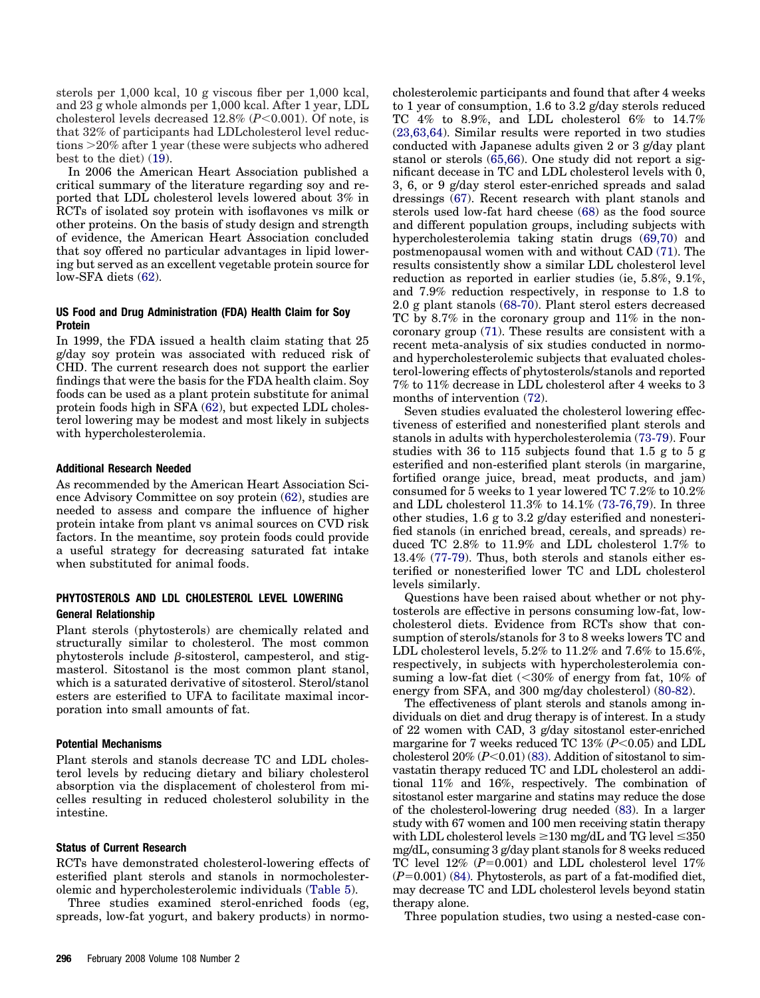sterols per 1,000 kcal, 10 g viscous fiber per 1,000 kcal, and 23 g whole almonds per 1,000 kcal. After 1 year, LDL cholesterol levels decreased 12.8% (*P*-0.001). Of note, is that 32% of participants had LDLcholesterol level reductions 20% after 1 year (these were subjects who adhered best to the diet) [\(19\)](#page-38-0).

In 2006 the American Heart Association published a critical summary of the literature regarding soy and reported that LDL cholesterol levels lowered about 3% in RCTs of isolated soy protein with isoflavones vs milk or other proteins. On the basis of study design and strength of evidence, the American Heart Association concluded that soy offered no particular advantages in lipid lowering but served as an excellent vegetable protein source for low-SFA diets [\(62\)](#page-39-0).

#### **US Food and Drug Administration (FDA) Health Claim for Soy Protein**

In 1999, the FDA issued a health claim stating that 25 g/day soy protein was associated with reduced risk of CHD. The current research does not support the earlier findings that were the basis for the FDA health claim. Soy foods can be used as a plant protein substitute for animal protein foods high in SFA [\(62\)](#page-39-0), but expected LDL cholesterol lowering may be modest and most likely in subjects with hypercholesterolemia.

#### **Additional Research Needed**

As recommended by the American Heart Association Science Advisory Committee on soy protein [\(62\)](#page-39-0), studies are needed to assess and compare the influence of higher protein intake from plant vs animal sources on CVD risk factors. In the meantime, soy protein foods could provide a useful strategy for decreasing saturated fat intake when substituted for animal foods.

## **PHYTOSTEROLS AND LDL CHOLESTEROL LEVEL LOWERING General Relationship**

Plant sterols (phytosterols) are chemically related and structurally similar to cholesterol. The most common phytosterols include  $\beta$ -sitosterol, campesterol, and stigmasterol. Sitostanol is the most common plant stanol, which is a saturated derivative of sitosterol. Sterol/stanol esters are esterified to UFA to facilitate maximal incorporation into small amounts of fat.

#### **Potential Mechanisms**

Plant sterols and stanols decrease TC and LDL cholesterol levels by reducing dietary and biliary cholesterol absorption via the displacement of cholesterol from micelles resulting in reduced cholesterol solubility in the intestine.

#### **Status of Current Research**

RCTs have demonstrated cholesterol-lowering effects of esterified plant sterols and stanols in normocholesterolemic and hypercholesterolemic individuals [\(Table 5\)](#page-10-0).

Three studies examined sterol-enriched foods (eg, spreads, low-fat yogurt, and bakery products) in normocholesterolemic participants and found that after 4 weeks to 1 year of consumption, 1.6 to 3.2 g/day sterols reduced TC 4% to 8.9%, and LDL cholesterol 6% to 14.7% [\(23,63,64\)](#page-38-0). Similar results were reported in two studies conducted with Japanese adults given 2 or 3 g/day plant stanol or sterols [\(65,66\)](#page-39-0). One study did not report a significant decease in TC and LDL cholesterol levels with 0, 3, 6, or 9 g/day sterol ester-enriched spreads and salad dressings [\(67\)](#page-39-0). Recent research with plant stanols and sterols used low-fat hard cheese [\(68\)](#page-39-0) as the food source and different population groups, including subjects with hypercholesterolemia taking statin drugs [\(69,70\)](#page-39-0) and postmenopausal women with and without CAD [\(71\)](#page-39-0). The results consistently show a similar LDL cholesterol level reduction as reported in earlier studies (ie, 5.8%, 9.1%, and 7.9% reduction respectively, in response to 1.8 to 2.0 g plant stanols [\(68-70\)](#page-39-0). Plant sterol esters decreased TC by 8.7% in the coronary group and 11% in the noncoronary group [\(71\)](#page-39-0). These results are consistent with a recent meta-analysis of six studies conducted in normoand hypercholesterolemic subjects that evaluated cholesterol-lowering effects of phytosterols/stanols and reported 7% to 11% decrease in LDL cholesterol after 4 weeks to 3 months of intervention [\(72\)](#page-39-0).

Seven studies evaluated the cholesterol lowering effectiveness of esterified and nonesterified plant sterols and stanols in adults with hypercholesterolemia [\(73-79\)](#page-39-0). Four studies with 36 to 115 subjects found that 1.5 g to 5 g esterified and non-esterified plant sterols (in margarine, fortified orange juice, bread, meat products, and jam) consumed for 5 weeks to 1 year lowered TC 7.2% to 10.2% and LDL cholesterol 11.3% to 14.1% [\(73-76,79\)](#page-39-0). In three other studies, 1.6 g to 3.2 g/day esterified and nonesterified stanols (in enriched bread, cereals, and spreads) reduced TC 2.8% to 11.9% and LDL cholesterol 1.7% to 13.4% [\(77-79\)](#page-39-0). Thus, both sterols and stanols either esterified or nonesterified lower TC and LDL cholesterol levels similarly.

Questions have been raised about whether or not phytosterols are effective in persons consuming low-fat, lowcholesterol diets. Evidence from RCTs show that consumption of sterols/stanols for 3 to 8 weeks lowers TC and LDL cholesterol levels, 5.2% to 11.2% and 7.6% to 15.6%, respectively, in subjects with hypercholesterolemia consuming a low-fat diet (<30% of energy from fat, 10% of energy from SFA, and 300 mg/day cholesterol) [\(80-82\)](#page-39-0).

The effectiveness of plant sterols and stanols among individuals on diet and drug therapy is of interest. In a study of 22 women with CAD, 3 g/day sitostanol ester-enriched margarine for 7 weeks reduced TC 13% (*P*<0.05) and LDL cholesterol  $20\%$   $(P<0.01)$   $(83)$ . Addition of sitostanol to simvastatin therapy reduced TC and LDL cholesterol an additional 11% and 16%, respectively. The combination of sitostanol ester margarine and statins may reduce the dose of the cholesterol-lowering drug needed [\(83\)](#page-39-0). In a larger study with 67 women and 100 men receiving statin therapy with LDL cholesterol levels  $\geq \!\! 130$  mg/dL and TG level  $\leq \!\! 350$ mg/dL, consuming 3 g/day plant stanols for 8 weeks reduced TC level  $12\%$  ( $P=0.001$ ) and LDL cholesterol level  $17\%$  $(P=0.001)$  [\(84\)](#page-39-0). Phytosterols, as part of a fat-modified diet, may decrease TC and LDL cholesterol levels beyond statin therapy alone.

Three population studies, two using a nested-case con-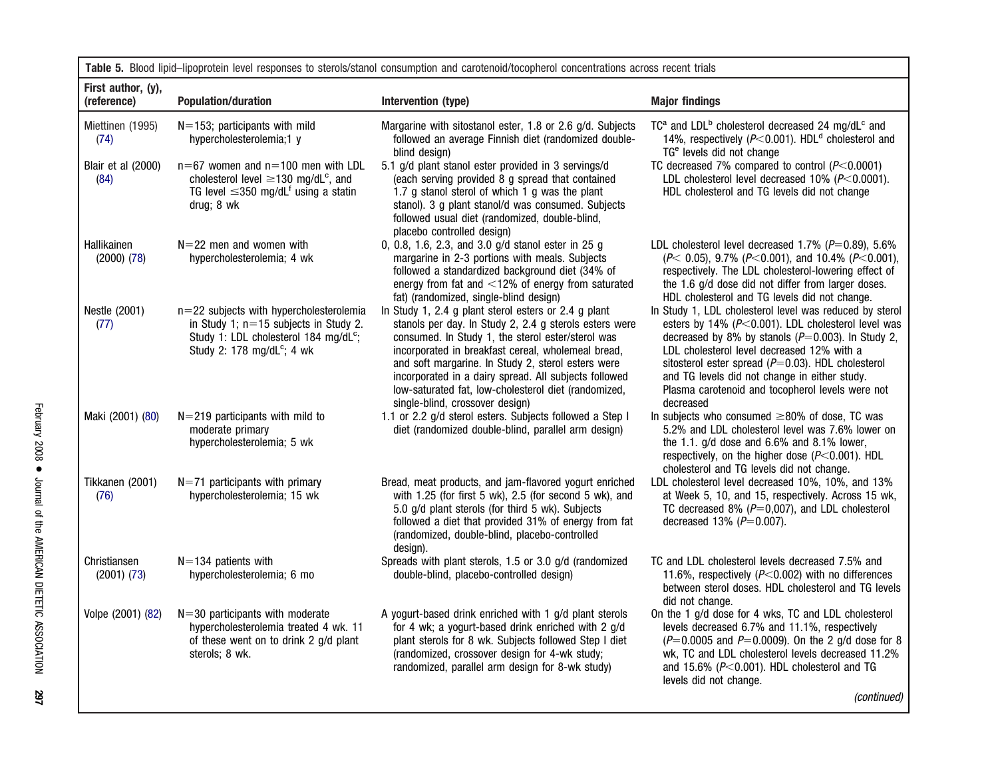<span id="page-10-0"></span>

| Table 5. Blood lipid-lipoprotein level responses to sterols/stanol consumption and carotenoid/tocopherol concentrations across recent trials |                                                                                                                                                                             |                                                                                                                                                                                                                                                                                                                                                                                                                                     |                                                                                                                                                                                                                                                                                                                                                                                                |  |
|----------------------------------------------------------------------------------------------------------------------------------------------|-----------------------------------------------------------------------------------------------------------------------------------------------------------------------------|-------------------------------------------------------------------------------------------------------------------------------------------------------------------------------------------------------------------------------------------------------------------------------------------------------------------------------------------------------------------------------------------------------------------------------------|------------------------------------------------------------------------------------------------------------------------------------------------------------------------------------------------------------------------------------------------------------------------------------------------------------------------------------------------------------------------------------------------|--|
| First author, (y),<br>(reference)                                                                                                            | <b>Population/duration</b>                                                                                                                                                  | Intervention (type)                                                                                                                                                                                                                                                                                                                                                                                                                 | <b>Major findings</b>                                                                                                                                                                                                                                                                                                                                                                          |  |
| Miettinen (1995)<br>(74)                                                                                                                     | $N=153$ ; participants with mild<br>hypercholesterolemia;1 y                                                                                                                | Margarine with sitostanol ester, 1.8 or 2.6 g/d. Subjects<br>followed an average Finnish diet (randomized double-<br>blind design)                                                                                                                                                                                                                                                                                                  | TC <sup>a</sup> and LDL <sup>b</sup> cholesterol decreased 24 mg/dL <sup>c</sup> and<br>14%, respectively ( $P<0.001$ ). HDL <sup>d</sup> cholesterol and<br>TG <sup>e</sup> levels did not change                                                                                                                                                                                             |  |
| Blair et al (2000)<br>(84)                                                                                                                   | $n=67$ women and $n=100$ men with LDL<br>cholesterol level $\geq$ 130 mg/dL <sup>c</sup> , and<br>TG level $\leq$ 350 mg/dL <sup>f</sup> using a statin<br>drug; 8 wk       | 5.1 g/d plant stanol ester provided in 3 servings/d<br>(each serving provided 8 g spread that contained<br>1.7 g stanol sterol of which 1 g was the plant<br>stanol). 3 g plant stanol/d was consumed. Subjects<br>followed usual diet (randomized, double-blind,<br>placebo controlled design)                                                                                                                                     | TC decreased 7% compared to control $(P<0.0001)$<br>LDL cholesterol level decreased $10\%$ ( $P<0.0001$ ).<br>HDL cholesterol and TG levels did not change                                                                                                                                                                                                                                     |  |
| Hallikainen<br>$(2000)$ $(78)$                                                                                                               | $N = 22$ men and women with<br>hypercholesterolemia; 4 wk                                                                                                                   | 0, 0.8, 1.6, 2.3, and 3.0 g/d stanol ester in 25 g<br>margarine in 2-3 portions with meals. Subjects<br>followed a standardized background diet (34% of<br>energy from fat and <12% of energy from saturated<br>fat) (randomized, single-blind design)                                                                                                                                                                              | LDL cholesterol level decreased 1.7% ( $P=0.89$ ), 5.6%<br>$(P< 0.05)$ , 9.7% (P<0.001), and 10.4% (P<0.001),<br>respectively. The LDL cholesterol-lowering effect of<br>the 1.6 g/d dose did not differ from larger doses.<br>HDL cholesterol and TG levels did not change.                                                                                                                   |  |
| Nestle (2001)<br>(77)                                                                                                                        | $n=22$ subjects with hypercholesterolemia<br>in Study 1; $n=15$ subjects in Study 2.<br>Study 1: LDL cholesterol 184 mg/dL <sup>c</sup> ;<br>Study 2: 178 mg/d $L^c$ ; 4 wk | In Study 1, 2.4 g plant sterol esters or 2.4 g plant<br>stanols per day. In Study 2, 2.4 g sterols esters were<br>consumed. In Study 1, the sterol ester/sterol was<br>incorporated in breakfast cereal, wholemeal bread,<br>and soft margarine. In Study 2, sterol esters were<br>incorporated in a dairy spread. All subjects followed<br>low-saturated fat, low-cholesterol diet (randomized,<br>single-blind, crossover design) | In Study 1, LDL cholesterol level was reduced by sterol<br>esters by 14% (P<0.001). LDL cholesterol level was<br>decreased by 8% by stanols ( $P=0.003$ ). In Study 2,<br>LDL cholesterol level decreased 12% with a<br>sitosterol ester spread $(P=0.03)$ . HDL cholesterol<br>and TG levels did not change in either study.<br>Plasma carotenoid and tocopherol levels were not<br>decreased |  |
| Maki (2001) (80)                                                                                                                             | $N=219$ participants with mild to<br>moderate primary<br>hypercholesterolemia; 5 wk                                                                                         | 1.1 or 2.2 g/d sterol esters. Subjects followed a Step I<br>diet (randomized double-blind, parallel arm design)                                                                                                                                                                                                                                                                                                                     | In subjects who consumed $\geq$ 80% of dose, TC was<br>5.2% and LDL cholesterol level was 7.6% lower on<br>the 1.1. $g/d$ dose and 6.6% and 8.1% lower,<br>respectively, on the higher dose $(P<0.001)$ . HDL<br>cholesterol and TG levels did not change.                                                                                                                                     |  |
| Tikkanen (2001)<br>(76)                                                                                                                      | $N=71$ participants with primary<br>hypercholesterolemia; 15 wk                                                                                                             | Bread, meat products, and jam-flavored yogurt enriched<br>with 1.25 (for first 5 wk), 2.5 (for second 5 wk), and<br>5.0 g/d plant sterols (for third 5 wk). Subjects<br>followed a diet that provided 31% of energy from fat<br>(randomized, double-blind, placebo-controlled<br>design).                                                                                                                                           | LDL cholesterol level decreased 10%, 10%, and 13%<br>at Week 5, 10, and 15, respectively. Across 15 wk,<br>TC decreased 8% ( $P=0,007$ ), and LDL cholesterol<br>decreased 13% ( $P=0.007$ ).                                                                                                                                                                                                  |  |
| Christiansen<br>$(2001)$ $(73)$                                                                                                              | $N = 134$ patients with<br>hypercholesterolemia; 6 mo                                                                                                                       | Spreads with plant sterols, 1.5 or 3.0 g/d (randomized<br>double-blind, placebo-controlled design)                                                                                                                                                                                                                                                                                                                                  | TC and LDL cholesterol levels decreased 7.5% and<br>11.6%, respectively ( $P<0.002$ ) with no differences<br>between sterol doses. HDL cholesterol and TG levels<br>did not change.                                                                                                                                                                                                            |  |
| Volpe (2001) (82)                                                                                                                            | $N=30$ participants with moderate<br>hypercholesterolemia treated 4 wk. 11<br>of these went on to drink 2 g/d plant<br>sterols; 8 wk.                                       | A yogurt-based drink enriched with 1 g/d plant sterols<br>for 4 wk; a yogurt-based drink enriched with 2 g/d<br>plant sterols for 8 wk. Subjects followed Step I diet<br>(randomized, crossover design for 4-wk study;<br>randomized, parallel arm design for 8-wk study)                                                                                                                                                           | On the 1 g/d dose for 4 wks, TC and LDL cholesterol<br>levels decreased 6.7% and 11.1%, respectively<br>( $P=0.0005$ and $P=0.0009$ ). On the 2 g/d dose for 8<br>wk, TC and LDL cholesterol levels decreased 11.2%<br>and 15.6% ( $P<0.001$ ). HDL cholesterol and TG<br>levels did not change.                                                                                               |  |
|                                                                                                                                              |                                                                                                                                                                             |                                                                                                                                                                                                                                                                                                                                                                                                                                     | (continued)                                                                                                                                                                                                                                                                                                                                                                                    |  |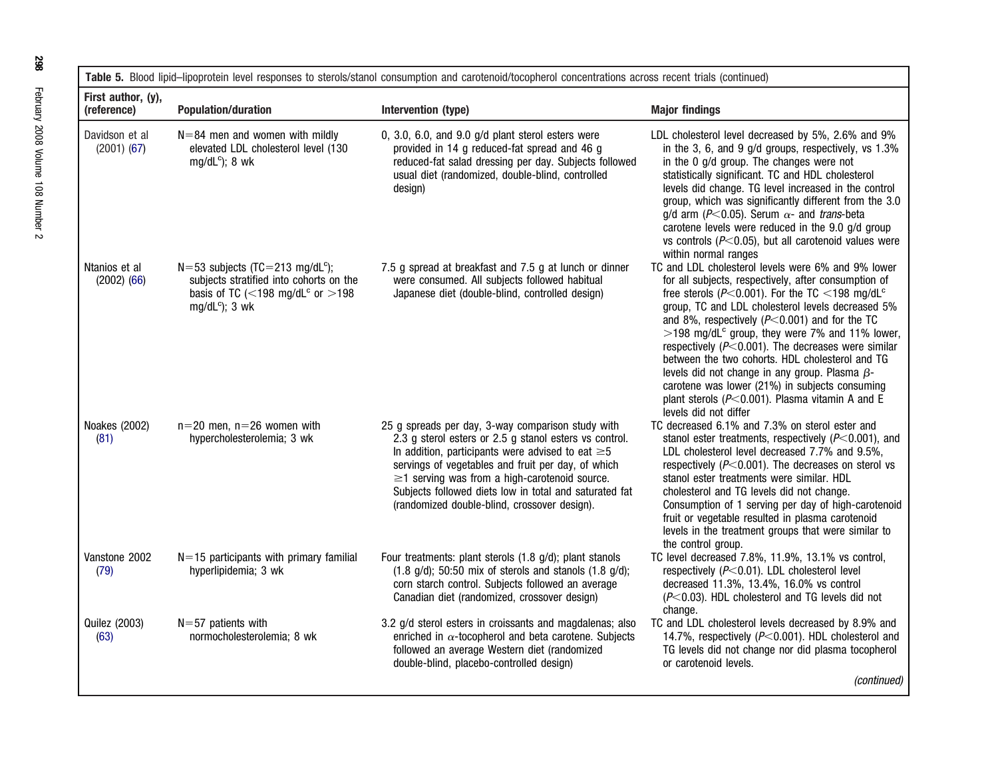| <b>Table 5.</b> Blood lipid–lipoprotein level responses to sterols/stanol consumption and carotenoid/tocopherol concentrations across recent trials (continued) |                                                                                                                                                       |                                                                                                                                                                                                                                                                                                                                                                                              |                                                                                                                                                                                                                                                                                                                                                                                                                                                                                                                                                                                                                                                                |
|-----------------------------------------------------------------------------------------------------------------------------------------------------------------|-------------------------------------------------------------------------------------------------------------------------------------------------------|----------------------------------------------------------------------------------------------------------------------------------------------------------------------------------------------------------------------------------------------------------------------------------------------------------------------------------------------------------------------------------------------|----------------------------------------------------------------------------------------------------------------------------------------------------------------------------------------------------------------------------------------------------------------------------------------------------------------------------------------------------------------------------------------------------------------------------------------------------------------------------------------------------------------------------------------------------------------------------------------------------------------------------------------------------------------|
| First author, (y),<br>(reference)                                                                                                                               | <b>Population/duration</b>                                                                                                                            | Intervention (type)                                                                                                                                                                                                                                                                                                                                                                          | <b>Major findings</b>                                                                                                                                                                                                                                                                                                                                                                                                                                                                                                                                                                                                                                          |
| Davidson et al<br>$(2001)$ $(67)$                                                                                                                               | $N = 84$ men and women with mildly<br>elevated LDL cholesterol level (130<br>$mg/dL^c$ ; 8 wk                                                         | 0, 3.0, 6.0, and 9.0 $q/d$ plant sterol esters were<br>provided in 14 g reduced-fat spread and 46 g<br>reduced-fat salad dressing per day. Subjects followed<br>usual diet (randomized, double-blind, controlled<br>design)                                                                                                                                                                  | LDL cholesterol level decreased by 5%, 2.6% and 9%<br>in the 3, 6, and 9 g/d groups, respectively, vs 1.3%<br>in the 0 g/d group. The changes were not<br>statistically significant. TC and HDL cholesterol<br>levels did change. TG level increased in the control<br>group, which was significantly different from the 3.0<br>g/d arm (P<0.05). Serum $\alpha$ - and <i>trans</i> -beta<br>carotene levels were reduced in the 9.0 g/d group<br>vs controls $(P<0.05)$ , but all carotenoid values were<br>within normal ranges                                                                                                                              |
| Ntanios et al<br>$(2002)$ $(66)$                                                                                                                                | $N = 53$ subjects (TC=213 mg/dL <sup>c</sup> );<br>subjects stratified into cohorts on the<br>basis of TC (<198 mg/dL $c$ or >198<br>$mg/dL^c$ ; 3 wk | 7.5 g spread at breakfast and 7.5 g at lunch or dinner<br>were consumed. All subjects followed habitual<br>Japanese diet (double-blind, controlled design)                                                                                                                                                                                                                                   | TC and LDL cholesterol levels were 6% and 9% lower<br>for all subjects, respectively, after consumption of<br>free sterols ( $P<0.001$ ). For the TC <198 mg/dL <sup>c</sup><br>group, TC and LDL cholesterol levels decreased 5%<br>and 8%, respectively ( $P<0.001$ ) and for the TC<br>$>$ 198 mg/dL <sup>c</sup> group, they were 7% and 11% lower,<br>respectively ( $P<0.001$ ). The decreases were similar<br>between the two cohorts. HDL cholesterol and TG<br>levels did not change in any group. Plasma $\beta$ -<br>carotene was lower (21%) in subjects consuming<br>plant sterols ( $P<0.001$ ). Plasma vitamin A and E<br>levels did not differ |
| Noakes (2002)<br>(81)                                                                                                                                           | $n=20$ men, $n=26$ women with<br>hypercholesterolemia; 3 wk                                                                                           | 25 g spreads per day, 3-way comparison study with<br>2.3 g sterol esters or 2.5 g stanol esters vs control.<br>In addition, participants were advised to eat $\geq 5$<br>servings of vegetables and fruit per day, of which<br>$\geq$ 1 serving was from a high-carotenoid source.<br>Subjects followed diets low in total and saturated fat<br>(randomized double-blind, crossover design). | TC decreased 6.1% and 7.3% on sterol ester and<br>stanol ester treatments, respectively ( $P<0.001$ ), and<br>LDL cholesterol level decreased 7.7% and 9.5%,<br>respectively ( $P<0.001$ ). The decreases on sterol vs<br>stanol ester treatments were similar. HDL<br>cholesterol and TG levels did not change.<br>Consumption of 1 serving per day of high-carotenoid<br>fruit or vegetable resulted in plasma carotenoid<br>levels in the treatment groups that were similar to<br>the control group.                                                                                                                                                       |
| Vanstone 2002<br>(79)                                                                                                                                           | $N=15$ participants with primary familial<br>hyperlipidemia; 3 wk                                                                                     | Four treatments: plant sterols (1.8 g/d); plant stanols<br>$(1.8 \text{ g/d})$ ; 50:50 mix of sterols and stanols $(1.8 \text{ g/d})$ ;<br>corn starch control. Subjects followed an average<br>Canadian diet (randomized, crossover design)                                                                                                                                                 | TC level decreased 7.8%, 11.9%, 13.1% vs control,<br>respectively (P<0.01). LDL cholesterol level<br>decreased 11.3%, 13.4%, 16.0% vs control<br>$(P<0.03)$ . HDL cholesterol and TG levels did not<br>change.                                                                                                                                                                                                                                                                                                                                                                                                                                                 |
| Quilez (2003)<br>(63)                                                                                                                                           | $N = 57$ patients with<br>normocholesterolemia; 8 wk                                                                                                  | 3.2 g/d sterol esters in croissants and magdalenas; also<br>enriched in $\alpha$ -tocopherol and beta carotene. Subjects<br>followed an average Western diet (randomized<br>double-blind, placebo-controlled design)                                                                                                                                                                         | TC and LDL cholesterol levels decreased by 8.9% and<br>14.7%, respectively ( $P<0.001$ ). HDL cholesterol and<br>TG levels did not change nor did plasma tocopherol<br>or carotenoid levels.                                                                                                                                                                                                                                                                                                                                                                                                                                                                   |
|                                                                                                                                                                 |                                                                                                                                                       |                                                                                                                                                                                                                                                                                                                                                                                              | (continued)                                                                                                                                                                                                                                                                                                                                                                                                                                                                                                                                                                                                                                                    |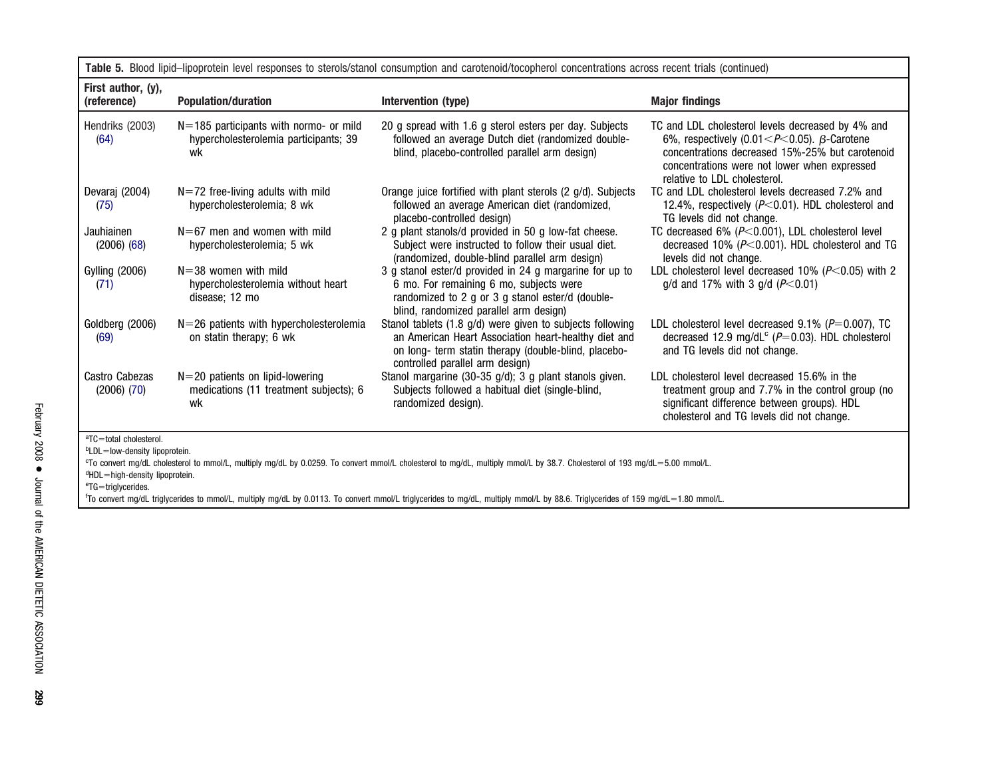| Table 5. Blood lipid-lipoprotein level responses to sterols/stanol consumption and carotenoid/tocopherol concentrations across recent trials (continued)                                                                                                                                       |                                                                                         |                                                                                                                                                                                                              |                                                                                                                                                                                                                                                 |  |
|------------------------------------------------------------------------------------------------------------------------------------------------------------------------------------------------------------------------------------------------------------------------------------------------|-----------------------------------------------------------------------------------------|--------------------------------------------------------------------------------------------------------------------------------------------------------------------------------------------------------------|-------------------------------------------------------------------------------------------------------------------------------------------------------------------------------------------------------------------------------------------------|--|
| First author, (y),<br>(reference)                                                                                                                                                                                                                                                              | <b>Population/duration</b>                                                              | Intervention (type)                                                                                                                                                                                          | <b>Major findings</b>                                                                                                                                                                                                                           |  |
| Hendriks (2003)<br>(64)                                                                                                                                                                                                                                                                        | $N=185$ participants with normo- or mild<br>hypercholesterolemia participants; 39<br>wk | 20 g spread with 1.6 g sterol esters per day. Subjects<br>followed an average Dutch diet (randomized double-<br>blind, placebo-controlled parallel arm design)                                               | TC and LDL cholesterol levels decreased by 4% and<br>6%, respectively (0.01 < $P$ < 0.05). $\beta$ -Carotene<br>concentrations decreased 15%-25% but carotenoid<br>concentrations were not lower when expressed<br>relative to LDL cholesterol. |  |
| Devaraj (2004)<br>(75)                                                                                                                                                                                                                                                                         | $N=72$ free-living adults with mild<br>hypercholesterolemia; 8 wk                       | Orange juice fortified with plant sterols (2 g/d). Subjects<br>followed an average American diet (randomized,<br>placebo-controlled design)                                                                  | TC and LDL cholesterol levels decreased 7.2% and<br>12.4%, respectively ( $P<0.01$ ). HDL cholesterol and<br>TG levels did not change.                                                                                                          |  |
| Jauhiainen<br>$(2006)$ $(68)$                                                                                                                                                                                                                                                                  | $N = 67$ men and women with mild<br>hypercholesterolemia; 5 wk                          | 2 g plant stanols/d provided in 50 g low-fat cheese.<br>Subject were instructed to follow their usual diet.<br>(randomized, double-blind parallel arm design)                                                | TC decreased 6% ( $P<0.001$ ), LDL cholesterol level<br>decreased 10% ( $P<0.001$ ). HDL cholesterol and TG<br>levels did not change.                                                                                                           |  |
| <b>Gylling (2006)</b><br>(71)                                                                                                                                                                                                                                                                  | $N = 38$ women with mild<br>hypercholesterolemia without heart<br>disease; 12 mo        | 3 g stanol ester/d provided in 24 g margarine for up to<br>6 mo. For remaining 6 mo, subjects were<br>randomized to 2 g or 3 g stanol ester/d (double-<br>blind, randomized parallel arm design)             | LDL cholesterol level decreased 10% ( $P<$ 0.05) with 2<br>$q/d$ and 17% with 3 $q/d$ ( $P < 0.01$ )                                                                                                                                            |  |
| Goldberg (2006)<br>(69)                                                                                                                                                                                                                                                                        | $N=26$ patients with hypercholesterolemia<br>on statin therapy; 6 wk                    | Stanol tablets (1.8 g/d) were given to subjects following<br>an American Heart Association heart-healthy diet and<br>on long- term statin therapy (double-blind, placebo-<br>controlled parallel arm design) | LDL cholesterol level decreased $9.1\%$ ( $P=0.007$ ), TC<br>decreased 12.9 mg/dL $c$ ( $P=0.03$ ). HDL cholesterol<br>and TG levels did not change.                                                                                            |  |
| Castro Cabezas<br>$(2006)$ $(70)$                                                                                                                                                                                                                                                              | $N=20$ patients on lipid-lowering<br>medications (11 treatment subjects); 6<br>wk       | Stanol margarine (30-35 g/d); 3 g plant stanols given.<br>Subjects followed a habitual diet (single-blind,<br>randomized design).                                                                            | LDL cholesterol level decreased 15.6% in the<br>treatment group and 7.7% in the control group (no<br>significant difference between groups). HDL<br>cholesterol and TG levels did not change.                                                   |  |
| aTC=total cholesterol.<br><sup>b</sup> LDL=low-density lipoprotein.<br>"To convert mg/dL cholesterol to mmol/L, multiply mg/dL by 0.0259. To convert mmol/L cholesterol to mg/dL, multiply mmol/L by 38.7. Cholesterol of 193 mg/dL=5.00 mmol/L.<br><sup>d</sup> HDL=high-density lipoprotein. |                                                                                         |                                                                                                                                                                                                              |                                                                                                                                                                                                                                                 |  |

<sup>e</sup>TG=triglycerides.

fTo convert mg/dL triglycerides to mmol/L, multiply mg/dL by 0.0113. To convert mmol/L triglycerides to mg/dL, multiply mmol/L by 88.6. Triglycerides of <sup>159</sup> mg/dL1.80 mmol/L.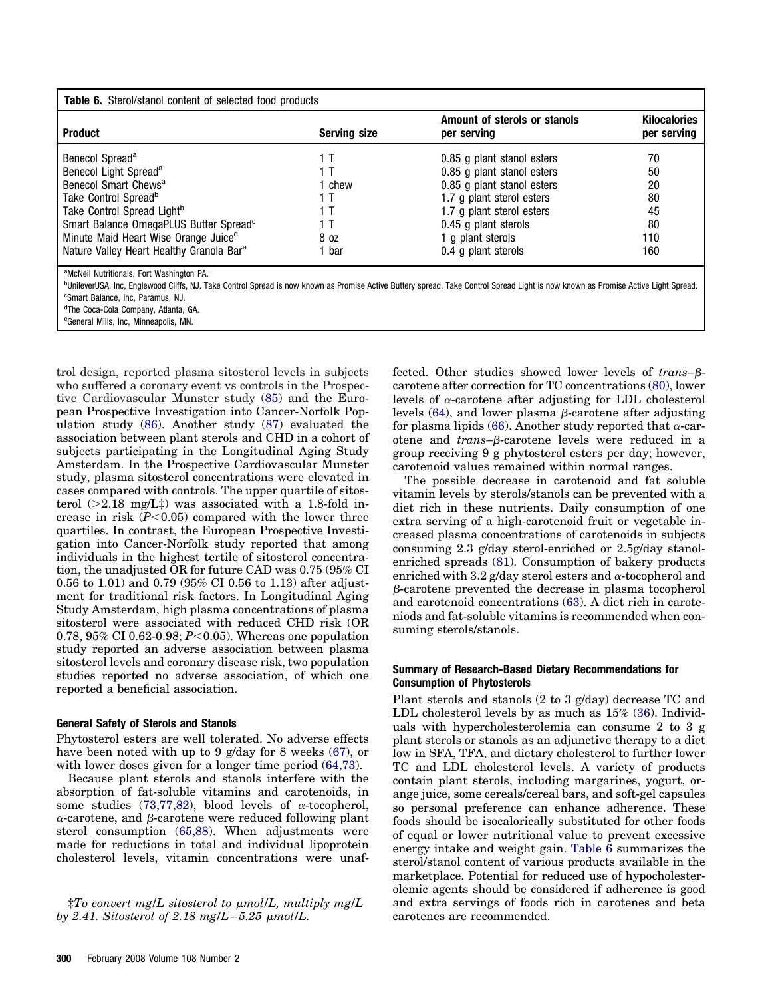| <b>Table 6.</b> Sterol/stanol content of selected food products |                     |                                             |                                    |  |
|-----------------------------------------------------------------|---------------------|---------------------------------------------|------------------------------------|--|
| <b>Product</b>                                                  | <b>Serving size</b> | Amount of sterols or stanols<br>per serving | <b>Kilocalories</b><br>per serving |  |
| Benecol Spread <sup>a</sup>                                     | 1 T                 | 0.85 g plant stanol esters                  | 70                                 |  |
| Benecol Light Spread <sup>a</sup>                               |                     | 0.85 q plant stanol esters                  | 50                                 |  |
| Benecol Smart Chews <sup>a</sup>                                | 1 chew              | 0.85 g plant stanol esters                  | 20                                 |  |
| Take Control Spread <sup>b</sup>                                | 1 T                 | 1.7 q plant sterol esters                   | 80                                 |  |
| Take Control Spread Light <sup>b</sup>                          |                     | 1.7 q plant sterol esters                   | 45                                 |  |
| Smart Balance OmegaPLUS Butter Spread <sup>c</sup>              | ίT                  | 0.45 g plant sterols                        | 80                                 |  |
| Minute Maid Heart Wise Orange Juiced                            | 8 oz                | g plant sterols                             | 110                                |  |
| Nature Valley Heart Healthy Granola Bare                        | ∣ bar               | 0.4 g plant sterols                         | 160                                |  |

aMcNeil Nutritionals, Fort Washington PA.

<sup>b</sup>UnileverUSA, Inc, Englewood Cliffs, NJ. Take Control Spread is now known as Promise Active Buttery spread. Take Control Spread Light is now known as Promise Active Light Spread. c Smart Balance, Inc, Paramus, NJ.

d The Coca-Cola Company, Atlanta, GA.

e General Mills, Inc, Minneapolis, MN.

trol design, reported plasma sitosterol levels in subjects who suffered a coronary event vs controls in the Prospective Cardiovascular Munster study [\(85\)](#page-39-0) and the European Prospective Investigation into Cancer-Norfolk Population study [\(86\)](#page-39-0). Another study [\(87\)](#page-39-0) evaluated the association between plant sterols and CHD in a cohort of subjects participating in the Longitudinal Aging Study Amsterdam. In the Prospective Cardiovascular Munster study, plasma sitosterol concentrations were elevated in cases compared with controls. The upper quartile of sitosterol  $(>2.18 \text{ mg/L}$ ; was associated with a 1.8-fold increase in risk  $(P<0.05)$  compared with the lower three quartiles. In contrast, the European Prospective Investigation into Cancer-Norfolk study reported that among individuals in the highest tertile of sitosterol concentration, the unadjusted OR for future CAD was 0.75 (95% CI 0.56 to 1.01) and 0.79 (95% CI 0.56 to 1.13) after adjustment for traditional risk factors. In Longitudinal Aging Study Amsterdam, high plasma concentrations of plasma sitosterol were associated with reduced CHD risk (OR 0.78, 95% CI 0.62-0.98; *P*-0.05). Whereas one population study reported an adverse association between plasma sitosterol levels and coronary disease risk, two population studies reported no adverse association, of which one reported a beneficial association.

#### **General Safety of Sterols and Stanols**

Phytosterol esters are well tolerated. No adverse effects have been noted with up to 9 g/day for 8 weeks [\(67\)](#page-39-0), or with lower doses given for a longer time period  $(64,73)$ .

Because plant sterols and stanols interfere with the absorption of fat-soluble vitamins and carotenoids, in some studies [\(73,77,82\)](#page-39-0), blood levels of  $\alpha$ -tocopherol,  $\alpha$ -carotene, and  $\beta$ -carotene were reduced following plant sterol consumption [\(65,88\)](#page-39-0). When adjustments were made for reductions in total and individual lipoprotein cholesterol levels, vitamin concentrations were unaf-

‡*To convert mg/L sitosterol to mol/L, multiply mg/L by 2.41. Sitosterol of 2.18 mg/L* $=$ 5.25  $\mu$ *mol/L.* 

fected. Other studies showed lower levels of *trans*– $\beta$ carotene after correction for TC concentrations [\(80\)](#page-39-0), lower levels of  $\alpha$ -carotene after adjusting for LDL cholesterol levels  $(64)$ , and lower plasma  $\beta$ -carotene after adjusting for plasma lipids [\(66\)](#page-39-0). Another study reported that  $\alpha$ -carotene and  $trans$ - $\beta$ -carotene levels were reduced in a group receiving 9 g phytosterol esters per day; however, carotenoid values remained within normal ranges.

The possible decrease in carotenoid and fat soluble vitamin levels by sterols/stanols can be prevented with a diet rich in these nutrients. Daily consumption of one extra serving of a high-carotenoid fruit or vegetable increased plasma concentrations of carotenoids in subjects consuming 2.3 g/day sterol-enriched or 2.5g/day stanolenriched spreads [\(81\)](#page-39-0). Consumption of bakery products enriched with 3.2 g/day sterol esters and  $\alpha$ -tocopherol and  $\beta$ -carotene prevented the decrease in plasma tocopherol and carotenoid concentrations [\(63\)](#page-39-0). A diet rich in caroteniods and fat-soluble vitamins is recommended when consuming sterols/stanols.

#### **Summary of Research-Based Dietary Recommendations for Consumption of Phytosterols**

Plant sterols and stanols (2 to 3 g/day) decrease TC and LDL cholesterol levels by as much as 15% [\(36\)](#page-38-0). Individuals with hypercholesterolemia can consume 2 to 3 g plant sterols or stanols as an adjunctive therapy to a diet low in SFA, TFA, and dietary cholesterol to further lower TC and LDL cholesterol levels. A variety of products contain plant sterols, including margarines, yogurt, orange juice, some cereals/cereal bars, and soft-gel capsules so personal preference can enhance adherence. These foods should be isocalorically substituted for other foods of equal or lower nutritional value to prevent excessive energy intake and weight gain. Table 6 summarizes the sterol/stanol content of various products available in the marketplace. Potential for reduced use of hypocholesterolemic agents should be considered if adherence is good and extra servings of foods rich in carotenes and beta carotenes are recommended.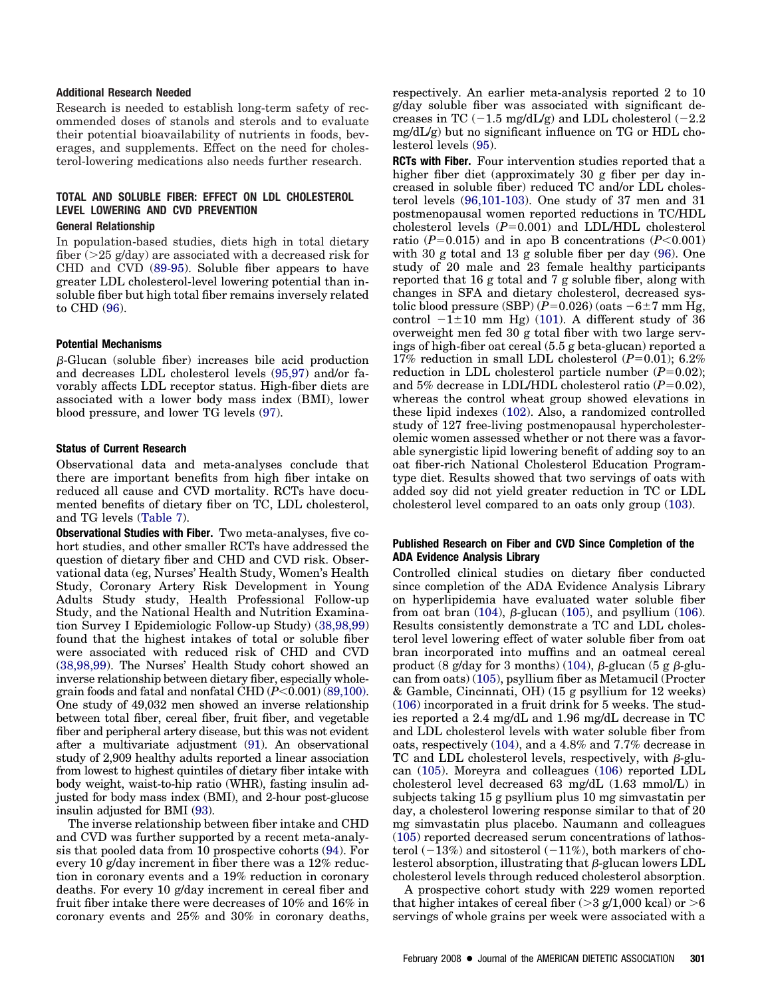#### **Additional Research Needed**

Research is needed to establish long-term safety of recommended doses of stanols and sterols and to evaluate their potential bioavailability of nutrients in foods, beverages, and supplements. Effect on the need for cholesterol-lowering medications also needs further research.

# **TOTAL AND SOLUBLE FIBER: EFFECT ON LDL CHOLESTEROL LEVEL LOWERING AND CVD PREVENTION**

#### **General Relationship**

In population-based studies, diets high in total dietary fiber  $(>25 \text{ g/day})$  are associated with a decreased risk for CHD and CVD [\(89-95\)](#page-39-0). Soluble fiber appears to have greater LDL cholesterol-level lowering potential than insoluble fiber but high total fiber remains inversely related to CHD [\(96\)](#page-39-0).

#### **Potential Mechanisms**

 $\beta$ -Glucan (soluble fiber) increases bile acid production and decreases LDL cholesterol levels [\(95,97\)](#page-39-0) and/or favorably affects LDL receptor status. High-fiber diets are associated with a lower body mass index (BMI), lower blood pressure, and lower TG levels [\(97\)](#page-39-0).

#### **Status of Current Research**

Observational data and meta-analyses conclude that there are important benefits from high fiber intake on reduced all cause and CVD mortality. RCTs have documented benefits of dietary fiber on TC, LDL cholesterol, and TG levels [\(Table 7\)](#page-15-0).

**Observational Studies with Fiber.** Two meta-analyses, five cohort studies, and other smaller RCTs have addressed the question of dietary fiber and CHD and CVD risk. Observational data (eg, Nurses' Health Study, Women's Health Study, Coronary Artery Risk Development in Young Adults Study study, Health Professional Follow-up Study, and the National Health and Nutrition Examination Survey I Epidemiologic Follow-up Study) [\(38,98,99\)](#page-38-0) found that the highest intakes of total or soluble fiber were associated with reduced risk of CHD and CVD [\(38,98,99\)](#page-38-0). The Nurses' Health Study cohort showed an inverse relationship between dietary fiber, especially wholegrain foods and fatal and nonfatal CHD (*P*-0.001) [\(89,100\)](#page-39-0). One study of 49,032 men showed an inverse relationship between total fiber, cereal fiber, fruit fiber, and vegetable fiber and peripheral artery disease, but this was not evident after a multivariate adjustment [\(91\)](#page-39-0). An observational study of 2,909 healthy adults reported a linear association from lowest to highest quintiles of dietary fiber intake with body weight, waist-to-hip ratio (WHR), fasting insulin adjusted for body mass index (BMI), and 2-hour post-glucose insulin adjusted for BMI [\(93\)](#page-39-0).

The inverse relationship between fiber intake and CHD and CVD was further supported by a recent meta-analysis that pooled data from 10 prospective cohorts [\(94\)](#page-39-0). For every 10 g/day increment in fiber there was a 12% reduction in coronary events and a 19% reduction in coronary deaths. For every 10 g/day increment in cereal fiber and fruit fiber intake there were decreases of 10% and 16% in coronary events and 25% and 30% in coronary deaths,

respectively. An earlier meta-analysis reported 2 to 10 g/day soluble fiber was associated with significant decreases in TC  $(-1.5 \text{ mg/dL/g})$  and LDL cholesterol  $(-2.2$ mg/dL/g) but no significant influence on TG or HDL cholesterol levels [\(95\)](#page-39-0).

**RCTs with Fiber.** Four intervention studies reported that a higher fiber diet (approximately 30 g fiber per day increased in soluble fiber) reduced TC and/or LDL cholesterol levels [\(96,101-103\)](#page-39-0). One study of 37 men and 31 postmenopausal women reported reductions in TC/HDL cholesterol levels  $(P=0.001)$  and LDL/HDL cholesterol ratio  $(P=0.015)$  and in apo B concentrations  $(P<0.001)$ with 30 g total and 13 g soluble fiber per day [\(96\)](#page-39-0). One study of 20 male and 23 female healthy participants reported that 16 g total and 7 g soluble fiber, along with changes in SFA and dietary cholesterol, decreased systolic blood pressure (SBP)  $(P=0.026)$  (oats  $-6\pm7$  mm Hg, control  $-1\pm 10$  mm Hg) [\(101\)](#page-40-0). A different study of 36 overweight men fed 30 g total fiber with two large servings of high-fiber oat cereal (5.5 g beta-glucan) reported a 17% reduction in small LDL cholesterol  $(P=0.01)$ ; 6.2% reduction in LDL cholesterol particle number  $(P=0.02)$ ; and 5% decrease in LDL/HDL cholesterol ratio  $(P=0.02)$ , whereas the control wheat group showed elevations in these lipid indexes [\(102\)](#page-40-0). Also, a randomized controlled study of 127 free-living postmenopausal hypercholesterolemic women assessed whether or not there was a favorable synergistic lipid lowering benefit of adding soy to an oat fiber-rich National Cholesterol Education Programtype diet. Results showed that two servings of oats with added soy did not yield greater reduction in TC or LDL cholesterol level compared to an oats only group [\(103\)](#page-40-0).

#### **Published Research on Fiber and CVD Since Completion of the ADA Evidence Analysis Library**

Controlled clinical studies on dietary fiber conducted since completion of the ADA Evidence Analysis Library on hyperlipidemia have evaluated water soluble fiber from oat bran [\(104\)](#page-40-0),  $\beta$ -glucan [\(105\)](#page-40-0), and psyllium [\(106\)](#page-40-0). Results consistently demonstrate a TC and LDL cholesterol level lowering effect of water soluble fiber from oat bran incorporated into muffins and an oatmeal cereal product (8 g/day for 3 months) [\(104\)](#page-40-0),  $\beta$ -glucan (5 g  $\beta$ -glucan from oats) [\(105\)](#page-40-0), psyllium fiber as Metamucil (Procter & Gamble, Cincinnati, OH) (15 g psyllium for 12 weeks) [\(106\)](#page-40-0) incorporated in a fruit drink for 5 weeks. The studies reported a 2.4 mg/dL and 1.96 mg/dL decrease in TC and LDL cholesterol levels with water soluble fiber from oats, respectively [\(104\)](#page-40-0), and a 4.8% and 7.7% decrease in TC and LDL cholesterol levels, respectively, with  $\beta$ -glucan [\(105\)](#page-40-0). Moreyra and colleagues [\(106\)](#page-40-0) reported LDL cholesterol level decreased 63 mg/dL (1.63 mmol/L) in subjects taking 15 g psyllium plus 10 mg simvastatin per day, a cholesterol lowering response similar to that of 20 mg simvastatin plus placebo. Naumann and colleagues [\(105\)](#page-40-0) reported decreased serum concentrations of lathosterol  $(-13%)$  and sitosterol  $(-11%)$ , both markers of cholesterol absorption, illustrating that  $\beta$ -glucan lowers LDL cholesterol levels through reduced cholesterol absorption.

A prospective cohort study with 229 women reported that higher intakes of cereal fiber  $(>3 \text{ g}/1,000 \text{ kcal})$  or  $>6$ servings of whole grains per week were associated with a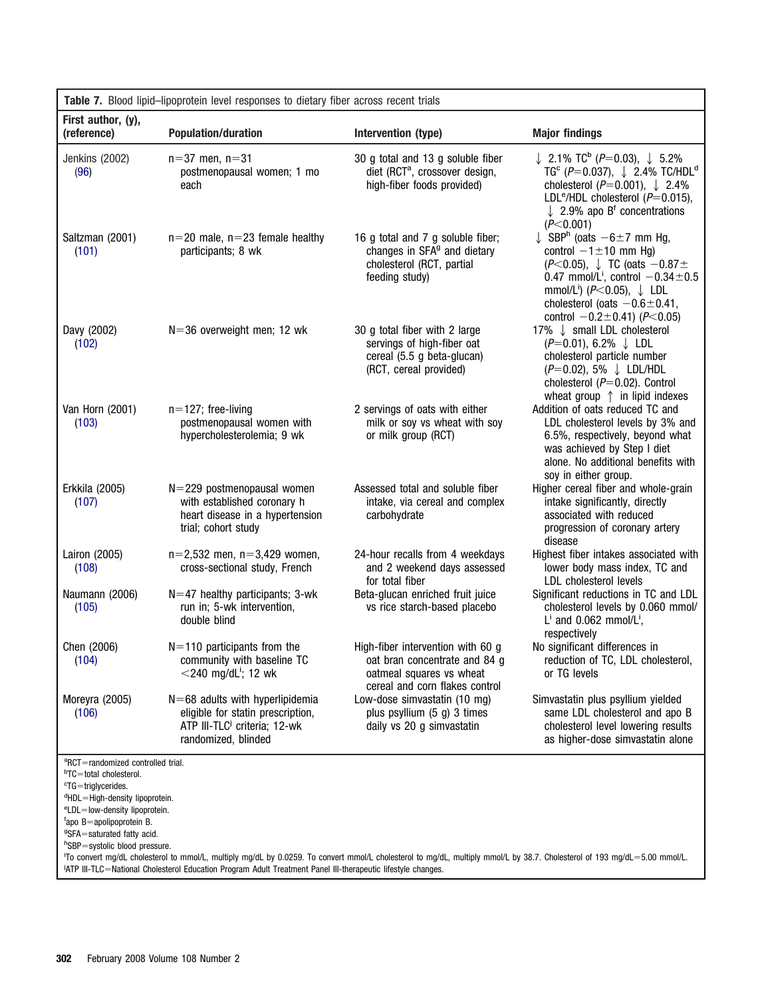<span id="page-15-0"></span>

| Table 7. Blood lipid-lipoprotein level responses to dietary fiber across recent trials                                                                                                                                                                                                               |                                                                                                                                             |                                                                                                                                  |                                                                                                                                                                                                                                                                                                                |
|------------------------------------------------------------------------------------------------------------------------------------------------------------------------------------------------------------------------------------------------------------------------------------------------------|---------------------------------------------------------------------------------------------------------------------------------------------|----------------------------------------------------------------------------------------------------------------------------------|----------------------------------------------------------------------------------------------------------------------------------------------------------------------------------------------------------------------------------------------------------------------------------------------------------------|
| First author, (y),<br>(reference)                                                                                                                                                                                                                                                                    | <b>Population/duration</b>                                                                                                                  | Intervention (type)                                                                                                              | <b>Major findings</b>                                                                                                                                                                                                                                                                                          |
| Jenkins (2002)<br>(96)                                                                                                                                                                                                                                                                               | $n = 37$ men, $n = 31$<br>postmenopausal women; 1 mo<br>each                                                                                | 30 g total and 13 g soluble fiber<br>diet (RCT <sup>a</sup> , crossover design,<br>high-fiber foods provided)                    | ↓ 2.1% TC <sup>b</sup> (P=0.03), ↓ 5.2%<br>TG <sup>c</sup> (P=0.037), ↓ 2.4% TC/HDL <sup>d</sup><br>cholesterol ( $P=0.001$ ), $\downarrow 2.4\%$<br>LDL <sup>e</sup> /HDL cholesterol ( $P=0.015$ ),<br>$\downarrow$ 2.9% apo B <sup>f</sup> concentrations<br>(P<0.001)                                      |
| Saltzman (2001)<br>(101)                                                                                                                                                                                                                                                                             | $n=20$ male, $n=23$ female healthy<br>participants; 8 wk                                                                                    | 16 g total and 7 g soluble fiber;<br>changes in SFA <sup>9</sup> and dietary<br>cholesterol (RCT, partial<br>feeding study)      | $\downarrow$ SBP <sup>h</sup> (oats $-6\pm7$ mm Hg,<br>control $-1 \pm 10$ mm Hg)<br>( $P$ <0.05), ↓ TC (oats -0.87 ±<br>0.47 mmol/L <sup>i</sup> , control $-0.34 \pm 0.5$<br>mmol/L <sup>i</sup> ) ( $P$ <0.05), $\downarrow$ LDL<br>cholesterol (oats $-0.6 \pm 0.41$ ,<br>control $-0.2 \pm 0.41$ (P<0.05) |
| Davy (2002)<br>(102)                                                                                                                                                                                                                                                                                 | $N = 36$ overweight men; 12 wk                                                                                                              | 30 g total fiber with 2 large<br>servings of high-fiber oat<br>cereal (5.5 g beta-glucan)<br>(RCT, cereal provided)              | 17% ↓ small LDL cholesterol<br>$(P=0.01)$ , 6.2% $\downarrow$ LDL<br>cholesterol particle number<br>$(P=0.02)$ , 5% $\downarrow$ LDL/HDL<br>cholesterol ( $P=0.02$ ). Control<br>wheat group $\uparrow$ in lipid indexes                                                                                       |
| Van Horn (2001)<br>(103)                                                                                                                                                                                                                                                                             | $n=127$ ; free-living<br>postmenopausal women with<br>hypercholesterolemia; 9 wk                                                            | 2 servings of oats with either<br>milk or soy vs wheat with soy<br>or milk group (RCT)                                           | Addition of oats reduced TC and<br>LDL cholesterol levels by 3% and<br>6.5%, respectively, beyond what<br>was achieved by Step I diet<br>alone. No additional benefits with<br>soy in either group.                                                                                                            |
| Erkkila (2005)<br>(107)                                                                                                                                                                                                                                                                              | $N = 229$ postmenopausal women<br>with established coronary h<br>heart disease in a hypertension<br>trial; cohort study                     | Assessed total and soluble fiber<br>intake, via cereal and complex<br>carbohydrate                                               | Higher cereal fiber and whole-grain<br>intake significantly, directly<br>associated with reduced<br>progression of coronary artery<br>disease                                                                                                                                                                  |
| Lairon (2005)<br>(108)                                                                                                                                                                                                                                                                               | $n=2,532$ men, $n=3,429$ women,<br>cross-sectional study, French                                                                            | 24-hour recalls from 4 weekdays<br>and 2 weekend days assessed<br>for total fiber                                                | Highest fiber intakes associated with<br>lower body mass index, TC and<br><b>LDL</b> cholesterol levels                                                                                                                                                                                                        |
| Naumann (2006)<br>(105)                                                                                                                                                                                                                                                                              | $N=47$ healthy participants; 3-wk<br>run in; 5-wk intervention,<br>double blind                                                             | Beta-glucan enriched fruit juice<br>vs rice starch-based placebo                                                                 | Significant reductions in TC and LDL<br>cholesterol levels by 0.060 mmol/<br>$L^i$ and 0.062 mmol/ $L^i$ ,<br>respectively                                                                                                                                                                                     |
| Chen (2006)<br>(104)                                                                                                                                                                                                                                                                                 | $N=110$ participants from the<br>community with baseline TC<br>$<$ 240 mg/dL <sup>i</sup> ; 12 wk                                           | High-fiber intervention with 60 g<br>oat bran concentrate and 84 q<br>oatmeal squares vs wheat<br>cereal and corn flakes control | No significant differences in<br>reduction of TC, LDL cholesterol,<br>or TG levels                                                                                                                                                                                                                             |
| Moreyra (2005)<br>(106)                                                                                                                                                                                                                                                                              | $N = 68$ adults with hyperlipidemia<br>eligible for statin prescription,<br>ATP III-TLC <sup>j</sup> criteria; 12-wk<br>randomized, blinded | Low-dose simvastatin (10 mg)<br>plus psyllium (5 g) 3 times<br>daily vs 20 g simvastatin                                         | Simvastatin plus psyllium yielded<br>same LDL cholesterol and apo B<br>cholesterol level lowering results<br>as higher-dose simvastatin alone                                                                                                                                                                  |
| aRCT=randomized controlled trial.<br><sup>b</sup> TC=total cholesterol.<br><sup>c</sup> TG=triglycerides.<br><sup>d</sup> HDL=High-density lipoprotein.<br>eLDL=low-density lipoprotein.<br>$f$ apo B = apolipoprotein B.<br><sup>9</sup> SFA=saturated fatty acid.<br>hSBP=systolic blood pressure. |                                                                                                                                             |                                                                                                                                  |                                                                                                                                                                                                                                                                                                                |

<sup>i</sup>To convert mg/dL cholesterol to mmol/L, multiply mg/dL by 0.0259. To convert mmol/L cholesterol to mg/dL, multiply mmol/L by 38.7. Cholesterol of 193 mg/dL=5.00 mmol/L. ATP III-TLC=National Cholesterol Education Program Adult Treatment Panel III-therapeutic lifestyle changes.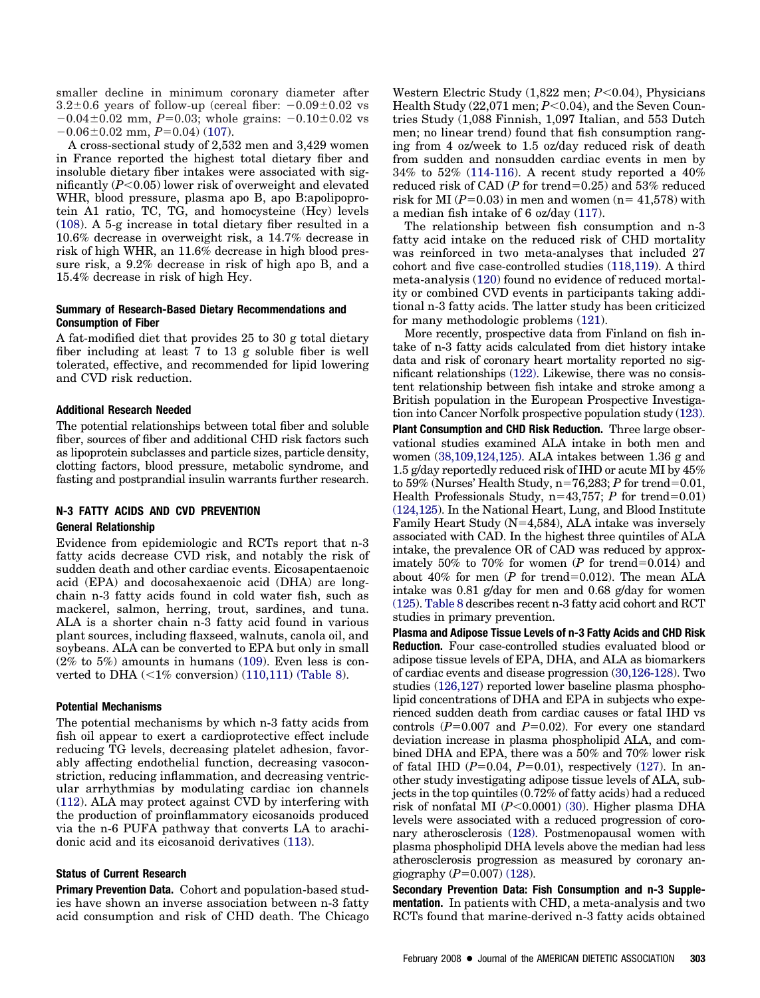smaller decline in minimum coronary diameter after  $3.2\pm0.6$  years of follow-up (cereal fiber:  $-0.09\pm0.02$  vs  $-0.04\pm0.02$  mm,  $P=0.03$ ; whole grains:  $-0.10\pm0.02$  vs  $-0.06\pm0.02$  mm,  $P=0.04$ ) [\(107\)](#page-40-0).

A cross-sectional study of 2,532 men and 3,429 women in France reported the highest total dietary fiber and insoluble dietary fiber intakes were associated with significantly (*P*-0.05) lower risk of overweight and elevated WHR, blood pressure, plasma apo B, apo B:apolipoprotein A1 ratio, TC, TG, and homocysteine (Hcy) levels [\(108\)](#page-40-0). A 5-g increase in total dietary fiber resulted in a 10.6% decrease in overweight risk, a 14.7% decrease in risk of high WHR, an 11.6% decrease in high blood pressure risk, a 9.2% decrease in risk of high apo B, and a 15.4% decrease in risk of high Hcy.

#### **Summary of Research-Based Dietary Recommendations and Consumption of Fiber**

A fat-modified diet that provides 25 to 30 g total dietary fiber including at least 7 to 13 g soluble fiber is well tolerated, effective, and recommended for lipid lowering and CVD risk reduction.

#### **Additional Research Needed**

The potential relationships between total fiber and soluble fiber, sources of fiber and additional CHD risk factors such as lipoprotein subclasses and particle sizes, particle density, clotting factors, blood pressure, metabolic syndrome, and fasting and postprandial insulin warrants further research.

# **N-3 FATTY ACIDS AND CVD PREVENTION**

#### **General Relationship**

Evidence from epidemiologic and RCTs report that n-3 fatty acids decrease CVD risk, and notably the risk of sudden death and other cardiac events. Eicosapentaenoic acid (EPA) and docosahexaenoic acid (DHA) are longchain n-3 fatty acids found in cold water fish, such as mackerel, salmon, herring, trout, sardines, and tuna. ALA is a shorter chain n-3 fatty acid found in various plant sources, including flaxseed, walnuts, canola oil, and soybeans. ALA can be converted to EPA but only in small  $(2\%$  to 5%) amounts in humans  $(109)$ . Even less is converted to DHA  $\left( \langle 1\% \text{ conversion} \right) (110,111)$  $\left( \langle 1\% \text{ conversion} \right) (110,111)$  [\(Table 8\)](#page-17-0).

#### **Potential Mechanisms**

The potential mechanisms by which n-3 fatty acids from fish oil appear to exert a cardioprotective effect include reducing TG levels, decreasing platelet adhesion, favorably affecting endothelial function, decreasing vasoconstriction, reducing inflammation, and decreasing ventricular arrhythmias by modulating cardiac ion channels [\(112\)](#page-40-0). ALA may protect against CVD by interfering with the production of proinflammatory eicosanoids produced via the n-6 PUFA pathway that converts LA to arachidonic acid and its eicosanoid derivatives [\(113\)](#page-40-0).

#### **Status of Current Research**

**Primary Prevention Data.** Cohort and population-based studies have shown an inverse association between n-3 fatty acid consumption and risk of CHD death. The Chicago

Western Electric Study (1,822 men; *P*<0.04), Physicians Health Study (22,071 men; *P*-0.04), and the Seven Countries Study (1,088 Finnish, 1,097 Italian, and 553 Dutch men; no linear trend) found that fish consumption ranging from 4 oz/week to 1.5 oz/day reduced risk of death from sudden and nonsudden cardiac events in men by 34% to 52% [\(114-116\)](#page-40-0). A recent study reported a 40% reduced risk of CAD ( $P$  for trend=0.25) and 53% reduced risk for MI ( $P=0.03$ ) in men and women ( $n = 41,578$ ) with a median fish intake of 6 oz/day [\(117\)](#page-40-0).

The relationship between fish consumption and n-3 fatty acid intake on the reduced risk of CHD mortality was reinforced in two meta-analyses that included 27 cohort and five case-controlled studies [\(118,119\)](#page-40-0). A third meta-analysis [\(120\)](#page-40-0) found no evidence of reduced mortality or combined CVD events in participants taking additional n-3 fatty acids. The latter study has been criticized for many methodologic problems [\(121\)](#page-40-0).

More recently, prospective data from Finland on fish intake of n-3 fatty acids calculated from diet history intake data and risk of coronary heart mortality reported no significant relationships [\(122\)](#page-40-0). Likewise, there was no consistent relationship between fish intake and stroke among a British population in the European Prospective Investigation into Cancer Norfolk prospective population study [\(123\)](#page-40-0). **Plant Consumption and CHD Risk Reduction.** Three large observational studies examined ALA intake in both men and women [\(38,109,124,125\)](#page-38-0). ALA intakes between 1.36 g and 1.5 g/day reportedly reduced risk of IHD or acute MI by 45% to  $59\%$  (Nurses' Health Study,  $n=76,283; P$  for trend=0.01, Health Professionals Study,  $n=43,757$ ; *P* for trend=0.01) [\(124,125\)](#page-40-0). In the National Heart, Lung, and Blood Institute Family Heart Study  $(N=4,584)$ , ALA intake was inversely associated with CAD. In the highest three quintiles of ALA intake, the prevalence OR of CAD was reduced by approximately  $50\%$  to  $70\%$  for women ( $P$  for trend=0.014) and about  $40\%$  for men ( $P$  for trend=0.012). The mean ALA intake was 0.81 g/day for men and 0.68 g/day for women [\(125\)](#page-40-0). [Table 8](#page-17-0) describes recent n-3 fatty acid cohort and RCT studies in primary prevention.

**Plasma and Adipose Tissue Levels of n-3 Fatty Acids and CHD Risk Reduction.** Four case-controlled studies evaluated blood or adipose tissue levels of EPA, DHA, and ALA as biomarkers of cardiac events and disease progression [\(30,126-128\)](#page-38-0). Two studies [\(126,127\)](#page-40-0) reported lower baseline plasma phospholipid concentrations of DHA and EPA in subjects who experienced sudden death from cardiac causes or fatal IHD vs controls  $(P=0.007$  and  $P=0.02$ ). For every one standard deviation increase in plasma phospholipid ALA, and combined DHA and EPA, there was a 50% and 70% lower risk of fatal IHD  $(P=0.04, P=0.01)$ , respectively  $(127)$ . In another study investigating adipose tissue levels of ALA, subjects in the top quintiles (0.72% of fatty acids) had a reduced risk of nonfatal MI (P<0.0001) [\(30\)](#page-38-0). Higher plasma DHA levels were associated with a reduced progression of coronary atherosclerosis [\(128\)](#page-40-0). Postmenopausal women with plasma phospholipid DHA levels above the median had less atherosclerosis progression as measured by coronary angiography  $(P=0.007)$  [\(128\)](#page-40-0).

**Secondary Prevention Data: Fish Consumption and n-3 Supplementation.** In patients with CHD, a meta-analysis and two RCTs found that marine-derived n-3 fatty acids obtained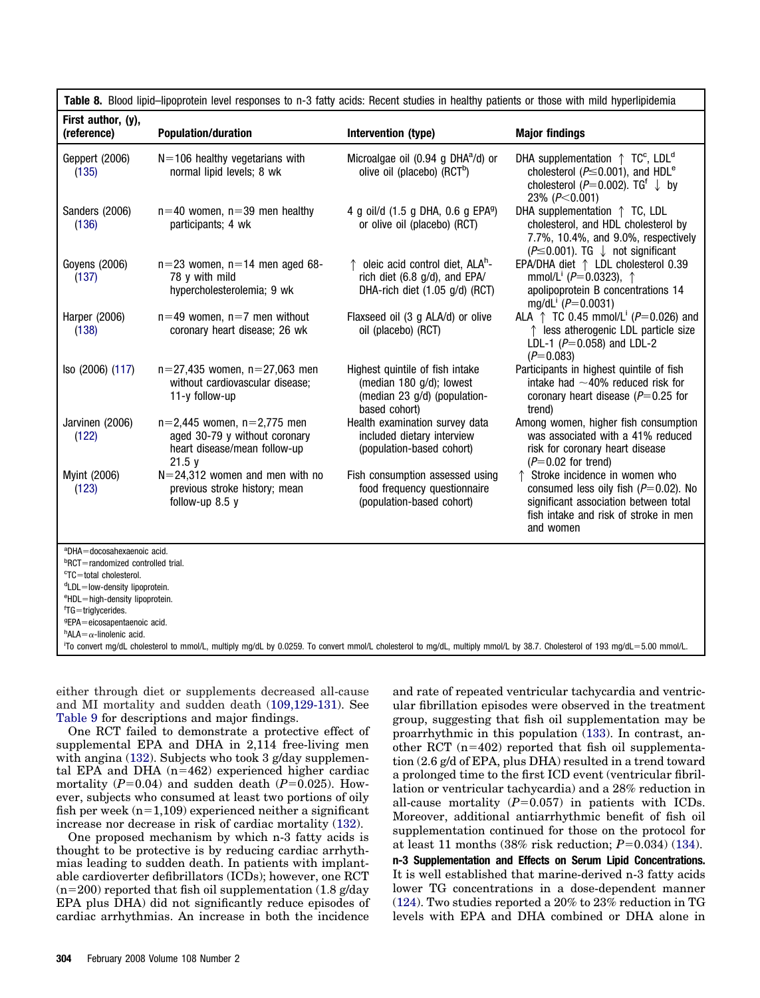| First author, (y),<br>(reference)                                                       | <b>Population/duration</b>                                                                                                                                               | Intervention (type)                                                                                            | <b>Major findings</b>                                                                                                                                                                                       |
|-----------------------------------------------------------------------------------------|--------------------------------------------------------------------------------------------------------------------------------------------------------------------------|----------------------------------------------------------------------------------------------------------------|-------------------------------------------------------------------------------------------------------------------------------------------------------------------------------------------------------------|
| Geppert (2006)<br>(135)                                                                 | $N = 106$ healthy vegetarians with<br>normal lipid levels; 8 wk                                                                                                          | Microalgae oil $(0.94$ g DHA $a/d$ ) or<br>olive oil (placebo) (RCT <sup>b</sup> )                             | DHA supplementation $\uparrow$ TC <sup>c</sup> , LDL <sup>d</sup><br>cholesterol ( $P \le 0.001$ ), and HDL <sup>e</sup><br>cholesterol ( $P=0.002$ ). TG <sup>f</sup> $\downarrow$ by<br>23% ( $P<0.001$ ) |
| Sanders (2006)<br>(136)                                                                 | $n=40$ women, $n=39$ men healthy<br>participants; 4 wk                                                                                                                   | 4 g oil/d (1.5 g DHA, 0.6 g EPA <sup>g</sup> )<br>or olive oil (placebo) (RCT)                                 | DHA supplementation ↑ TC, LDL<br>cholesterol, and HDL cholesterol by<br>7.7%, 10.4%, and 9.0%, respectively<br>( $P \le 0.001$ ). TG $\downarrow$ not significant                                           |
| Govens (2006)<br>(137)                                                                  | $n=23$ women, $n=14$ men aged 68-<br>78 y with mild<br>hypercholesterolemia; 9 wk                                                                                        | oleic acid control diet, ALA <sup>h</sup> -<br>rich diet (6.8 g/d), and EPA/<br>DHA-rich diet (1.05 g/d) (RCT) | EPA/DHA diet ↑ LDL cholesterol 0.39<br>mmol/L <sup>i</sup> (P=0.0323), $\uparrow$<br>apolipoprotein B concentrations 14<br>mg/dL <sup>i</sup> ( $P=0.0031$ )                                                |
| Harper (2006)<br>(138)                                                                  | $n=49$ women, $n=7$ men without<br>coronary heart disease; 26 wk                                                                                                         | Flaxseed oil (3 g ALA/d) or olive<br>oil (placebo) (RCT)                                                       | ALA $\uparrow$ TC 0.45 mmol/L <sup>i</sup> (P=0.026) and<br>↑ less atherogenic LDL particle size<br>LDL-1 ( $P=0.058$ ) and LDL-2<br>$(P=0.083)$                                                            |
| Iso (2006) (117)                                                                        | $n=27,435$ women, $n=27,063$ men<br>without cardiovascular disease:<br>11-y follow-up                                                                                    | Highest quintile of fish intake<br>(median 180 g/d); lowest<br>(median 23 g/d) (population-<br>based cohort)   | Participants in highest quintile of fish<br>intake had $\sim$ 40% reduced risk for<br>coronary heart disease ( $P=0.25$ for<br>trend)                                                                       |
| Jarvinen (2006)<br>(122)                                                                | $n=2,445$ women, $n=2,775$ men<br>aged 30-79 y without coronary<br>heart disease/mean follow-up<br>21.5y                                                                 | Health examination survey data<br>included dietary interview<br>(population-based cohort)                      | Among women, higher fish consumption<br>was associated with a 41% reduced<br>risk for coronary heart disease<br>$(P=0.02$ for trend)                                                                        |
| Myint (2006)<br>(123)                                                                   | $N = 24,312$ women and men with no<br>previous stroke history; mean<br>follow-up $8.5$ y                                                                                 | Fish consumption assessed using<br>food frequency questionnaire<br>(population-based cohort)                   | Stroke incidence in women who<br>consumed less oily fish $(P=0.02)$ . No<br>significant association between total<br>fish intake and risk of stroke in men<br>and women                                     |
| aDHA=docosahexaenoic acid.<br><b>PRCT</b> =randomized controlled trial.                 |                                                                                                                                                                          |                                                                                                                |                                                                                                                                                                                                             |
| <sup>c</sup> TC=total cholesterol.                                                      |                                                                                                                                                                          |                                                                                                                |                                                                                                                                                                                                             |
| <sup>d</sup> LDL=low-density lipoprotein.<br><sup>e</sup> HDL=high-density lipoprotein. |                                                                                                                                                                          |                                                                                                                |                                                                                                                                                                                                             |
| <sup>f</sup> TG=triglycerides.                                                          |                                                                                                                                                                          |                                                                                                                |                                                                                                                                                                                                             |
| <sup>9</sup> EPA=eicosapentaenoic acid.<br>hALA= $\alpha$ -linolenic acid.              |                                                                                                                                                                          |                                                                                                                |                                                                                                                                                                                                             |
|                                                                                         | To convert mg/dL cholesterol to mmol/L, multiply mg/dL by 0.0259. To convert mmol/L cholesterol to mg/dL, multiply mmol/L by 38.7. Cholesterol of 193 mg/dL=5.00 mmol/L. |                                                                                                                |                                                                                                                                                                                                             |

<span id="page-17-0"></span>**Table 8.** Blood lipid–lipoprotein level responses to n-3 fatty acids: Recent studies in healthy patients or those with mild hyperlipidemia

either through diet or supplements decreased all-cause and MI mortality and sudden death [\(109,129-131\)](#page-40-0). See [Table 9](#page-18-0) for descriptions and major findings.

One RCT failed to demonstrate a protective effect of supplemental EPA and DHA in 2,114 free-living men with angina [\(132\)](#page-40-0). Subjects who took 3 g/day supplemental EPA and DHA  $(n=462)$  experienced higher cardiac mortality  $(P=0.04)$  and sudden death  $(P=0.025)$ . However, subjects who consumed at least two portions of oily fish per week  $(n=1,109)$  experienced neither a significant increase nor decrease in risk of cardiac mortality [\(132\)](#page-40-0).

One proposed mechanism by which n-3 fatty acids is thought to be protective is by reducing cardiac arrhythmias leading to sudden death. In patients with implantable cardioverter defibrillators (ICDs); however, one RCT  $(n=200)$  reported that fish oil supplementation (1.8 g/day EPA plus DHA) did not significantly reduce episodes of cardiac arrhythmias. An increase in both the incidence

and rate of repeated ventricular tachycardia and ventricular fibrillation episodes were observed in the treatment group, suggesting that fish oil supplementation may be proarrhythmic in this population [\(133\)](#page-40-0). In contrast, another RCT  $(n=402)$  reported that fish oil supplementation (2.6 g/d of EPA, plus DHA) resulted in a trend toward a prolonged time to the first ICD event (ventricular fibrillation or ventricular tachycardia) and a 28% reduction in all-cause mortality  $(P=0.057)$  in patients with ICDs. Moreover, additional antiarrhythmic benefit of fish oil supplementation continued for those on the protocol for at least 11 months  $(38\% \text{ risk reduction}; P=0.034)$  [\(134\)](#page-40-0).

**n-3 Supplementation and Effects on Serum Lipid Concentrations.** It is well established that marine-derived n-3 fatty acids lower TG concentrations in a dose-dependent manner [\(124\)](#page-40-0). Two studies reported a 20% to 23% reduction in TG levels with EPA and DHA combined or DHA alone in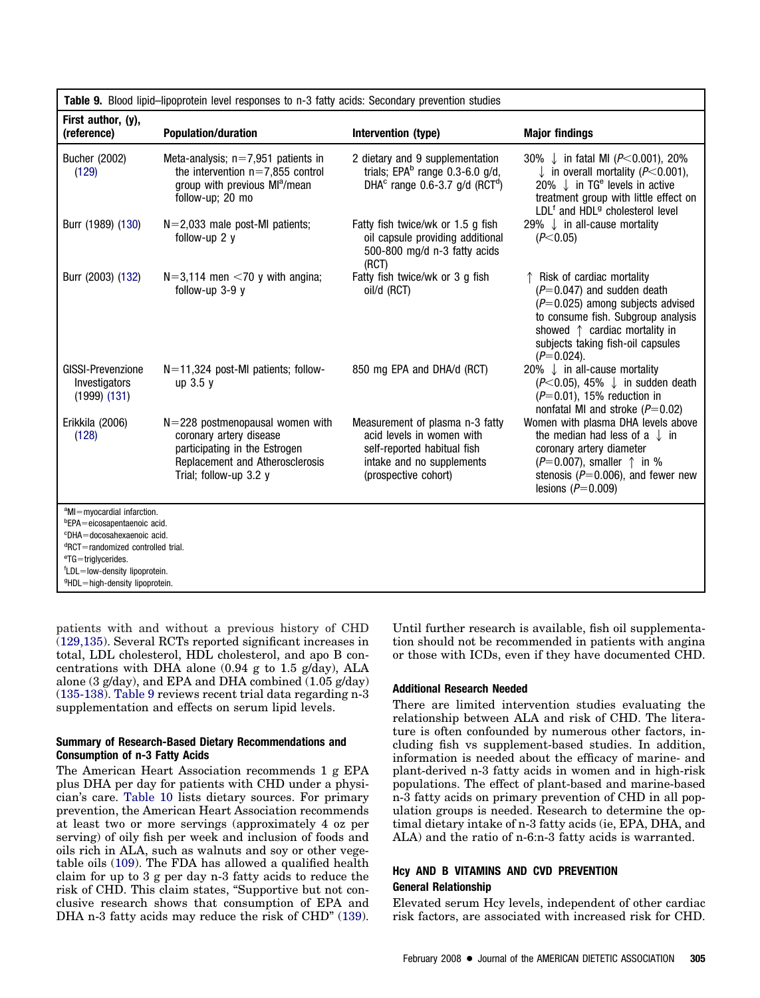<span id="page-18-0"></span>

| Table 9. Blood lipid-lipoprotein level responses to n-3 fatty acids: Secondary prevention studies                                                                                                                                                                     |                                                                                                                                                              |                                                                                                                                                  |                                                                                                                                                                                                                                                         |
|-----------------------------------------------------------------------------------------------------------------------------------------------------------------------------------------------------------------------------------------------------------------------|--------------------------------------------------------------------------------------------------------------------------------------------------------------|--------------------------------------------------------------------------------------------------------------------------------------------------|---------------------------------------------------------------------------------------------------------------------------------------------------------------------------------------------------------------------------------------------------------|
| First author, (y),<br>(reference)                                                                                                                                                                                                                                     | <b>Population/duration</b>                                                                                                                                   | Intervention (type)                                                                                                                              | <b>Major findings</b>                                                                                                                                                                                                                                   |
| Bucher (2002)<br>(129)                                                                                                                                                                                                                                                | Meta-analysis; $n=7,951$ patients in<br>the intervention $n=7,855$ control<br>group with previous Ml <sup>a</sup> /mean<br>follow-up; 20 mo                  | 2 dietary and 9 supplementation<br>trials; EPA $b$ range 0.3-6.0 g/d,<br>DHA <sup>c</sup> range 0.6-3.7 $g/d$ (RCT <sup>d</sup> )                | 30% $\downarrow$ in fatal MI (P<0.001), 20%<br>$\downarrow$ in overall mortality (P<0.001),<br>20% $\downarrow$ in TG <sup>e</sup> levels in active<br>treatment group with little effect on<br>LDL <sup>f</sup> and HDL <sup>g</sup> cholesterol level |
| Burr (1989) (130)                                                                                                                                                                                                                                                     | $N=2,033$ male post-MI patients;<br>follow-up 2 y                                                                                                            | Fatty fish twice/wk or 1.5 g fish<br>oil capsule providing additional<br>500-800 mg/d n-3 fatty acids<br>(RCT)                                   | 29% $\downarrow$ in all-cause mortality<br>(P<0.05)                                                                                                                                                                                                     |
| Burr (2003) (132)                                                                                                                                                                                                                                                     | $N=3,114$ men <70 y with angina;<br>follow-up $3-9$ y                                                                                                        | Fatty fish twice/wk or 3 g fish<br>oil/d (RCT)                                                                                                   | ↑ Risk of cardiac mortality<br>$(P=0.047)$ and sudden death<br>$(P=0.025)$ among subjects advised<br>to consume fish. Subgroup analysis<br>showed $\uparrow$ cardiac mortality in<br>subjects taking fish-oil capsules<br>$(P=0.024)$ .                 |
| GISSI-Prevenzione<br>Investigators<br>$(1999)$ $(131)$                                                                                                                                                                                                                | N=11,324 post-MI patients; follow-<br>up 3.5 y                                                                                                               | 850 mg EPA and DHA/d (RCT)                                                                                                                       | 20% $\downarrow$ in all-cause mortality<br>$(P<0.05)$ , 45% $\downarrow$ in sudden death<br>$(P=0.01)$ , 15% reduction in<br>nonfatal MI and stroke $(P=0.02)$                                                                                          |
| Erikkila (2006)<br>(128)                                                                                                                                                                                                                                              | $N = 228$ postmenopausal women with<br>coronary artery disease<br>participating in the Estrogen<br>Replacement and Atherosclerosis<br>Trial; follow-up 3.2 y | Measurement of plasma n-3 fatty<br>acid levels in women with<br>self-reported habitual fish<br>intake and no supplements<br>(prospective cohort) | Women with plasma DHA levels above<br>the median had less of a $\downarrow$ in<br>coronary artery diameter<br>$(P=0.007)$ , smaller $\uparrow$ in %<br>stenosis ( $P=0.006$ ), and fewer new<br>lesions $(P=0.009)$                                     |
| aMI=myocardial infarction.<br>bEPA=eicosapentaenoic acid.<br><sup>c</sup> DHA=docosahexaenoic acid.<br><sup>d</sup> RCT=randomized controlled trial.<br>eTG=triglycerides.<br><sup>f</sup> LDL=low-density lipoprotein.<br><sup>9</sup> HDL=high-density lipoprotein. |                                                                                                                                                              |                                                                                                                                                  |                                                                                                                                                                                                                                                         |

patients with and without a previous history of CHD [\(129,135\)](#page-40-0). Several RCTs reported significant increases in total, LDL cholesterol, HDL cholesterol, and apo B concentrations with DHA alone (0.94 g to 1.5 g/day), ALA alone (3  $g/day$ ), and EPA and DHA combined (1.05  $g/day$ ) [\(135-138\)](#page-40-0). Table 9 reviews recent trial data regarding n-3 supplementation and effects on serum lipid levels.

#### **Summary of Research-Based Dietary Recommendations and Consumption of n-3 Fatty Acids**

The American Heart Association recommends 1 g EPA plus DHA per day for patients with CHD under a physician's care. [Table 10](#page-19-0) lists dietary sources. For primary prevention, the American Heart Association recommends at least two or more servings (approximately 4 oz per serving) of oily fish per week and inclusion of foods and oils rich in ALA, such as walnuts and soy or other vegetable oils [\(109\)](#page-40-0). The FDA has allowed a qualified health claim for up to 3 g per day n-3 fatty acids to reduce the risk of CHD. This claim states, "Supportive but not conclusive research shows that consumption of EPA and DHA n-3 fatty acids may reduce the risk of CHD" [\(139\)](#page-40-0).

Until further research is available, fish oil supplementation should not be recommended in patients with angina or those with ICDs, even if they have documented CHD.

#### **Additional Research Needed**

There are limited intervention studies evaluating the relationship between ALA and risk of CHD. The literature is often confounded by numerous other factors, including fish vs supplement-based studies. In addition, information is needed about the efficacy of marine- and plant-derived n-3 fatty acids in women and in high-risk populations. The effect of plant-based and marine-based n-3 fatty acids on primary prevention of CHD in all population groups is needed. Research to determine the optimal dietary intake of n-3 fatty acids (ie, EPA, DHA, and ALA) and the ratio of n-6:n-3 fatty acids is warranted.

### **Hcy AND B VITAMINS AND CVD PREVENTION General Relationship**

Elevated serum Hcy levels, independent of other cardiac risk factors, are associated with increased risk for CHD.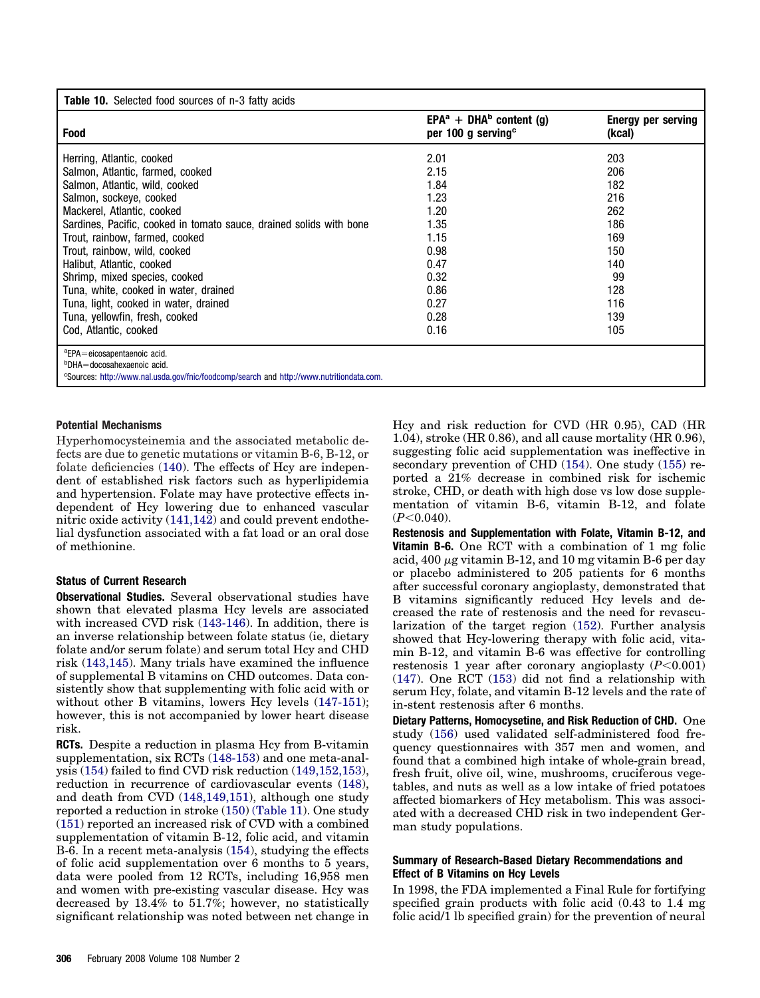<span id="page-19-0"></span>

| <b>Table 10.</b> Selected food sources of n-3 fatty acids                                |                                                                          |                                     |
|------------------------------------------------------------------------------------------|--------------------------------------------------------------------------|-------------------------------------|
| <b>Food</b>                                                                              | $EPA^a$ + DHA <sup>b</sup> content (g)<br>per 100 g serving <sup>c</sup> | <b>Energy per serving</b><br>(kcal) |
| Herring, Atlantic, cooked                                                                | 2.01                                                                     | 203                                 |
| Salmon, Atlantic, farmed, cooked                                                         | 2.15                                                                     | 206                                 |
| Salmon, Atlantic, wild, cooked                                                           | 1.84                                                                     | 182                                 |
| Salmon, sockeye, cooked                                                                  | 1.23                                                                     | 216                                 |
| Mackerel, Atlantic, cooked                                                               | 1.20                                                                     | 262                                 |
| Sardines, Pacific, cooked in tomato sauce, drained solids with bone                      | 1.35                                                                     | 186                                 |
| Trout, rainbow, farmed, cooked                                                           | 1.15                                                                     | 169                                 |
| Trout, rainbow, wild, cooked                                                             | 0.98                                                                     | 150                                 |
| Halibut, Atlantic, cooked                                                                | 0.47                                                                     | 140                                 |
| Shrimp, mixed species, cooked                                                            | 0.32                                                                     | 99                                  |
| Tuna, white, cooked in water, drained                                                    | 0.86                                                                     | 128                                 |
| Tuna, light, cooked in water, drained                                                    | 0.27                                                                     | 116                                 |
| Tuna, yellowfin, fresh, cooked                                                           | 0.28                                                                     | 139                                 |
| Cod, Atlantic, cooked                                                                    | 0.16                                                                     | 105                                 |
| aEPA=eicosapentaenoic acid.                                                              |                                                                          |                                     |
| <sup>b</sup> DHA=docosahexaenoic acid.                                                   |                                                                          |                                     |
| "Sources: http://www.nal.usda.gov/fnic/foodcomp/search and http://www.nutritiondata.com. |                                                                          |                                     |

#### **Potential Mechanisms**

Hyperhomocysteinemia and the associated metabolic defects are due to genetic mutations or vitamin B-6, B-12, or folate deficiencies [\(140\)](#page-40-0). The effects of Hcy are independent of established risk factors such as hyperlipidemia and hypertension. Folate may have protective effects independent of Hcy lowering due to enhanced vascular nitric oxide activity [\(141,142\)](#page-40-0) and could prevent endothelial dysfunction associated with a fat load or an oral dose of methionine.

#### **Status of Current Research**

**Observational Studies.** Several observational studies have shown that elevated plasma Hcy levels are associated with increased CVD risk [\(143-146\)](#page-41-0). In addition, there is an inverse relationship between folate status (ie, dietary folate and/or serum folate) and serum total Hcy and CHD risk [\(143,145\)](#page-41-0). Many trials have examined the influence of supplemental B vitamins on CHD outcomes. Data consistently show that supplementing with folic acid with or without other B vitamins, lowers Hcy levels  $(147-151)$ ; however, this is not accompanied by lower heart disease risk.

**RCTs.** Despite a reduction in plasma Hcy from B-vitamin supplementation, six RCTs [\(148-153\)](#page-41-0) and one meta-analysis [\(154\)](#page-41-0) failed to find CVD risk reduction [\(149,152,153\)](#page-41-0), reduction in recurrence of cardiovascular events [\(148\)](#page-41-0), and death from CVD [\(148,149,151\)](#page-41-0), although one study reported a reduction in stroke [\(150\)](#page-41-0) [\(Table 11\)](#page-20-0). One study [\(151\)](#page-41-0) reported an increased risk of CVD with a combined supplementation of vitamin B-12, folic acid, and vitamin B-6. In a recent meta-analysis [\(154\)](#page-41-0), studying the effects of folic acid supplementation over 6 months to 5 years, data were pooled from 12 RCTs, including 16,958 men and women with pre-existing vascular disease. Hcy was decreased by 13.4% to 51.7%; however, no statistically significant relationship was noted between net change in Hcy and risk reduction for CVD (HR 0.95), CAD (HR 1.04), stroke (HR 0.86), and all cause mortality (HR 0.96), suggesting folic acid supplementation was ineffective in secondary prevention of CHD [\(154\)](#page-41-0). One study [\(155\)](#page-41-0) reported a 21% decrease in combined risk for ischemic stroke, CHD, or death with high dose vs low dose supplementation of vitamin B-6, vitamin B-12, and folate (*P*-0.040).

**Restenosis and Supplementation with Folate, Vitamin B-12, and Vitamin B-6.** One RCT with a combination of 1 mg folic acid,  $400 \mu$ g vitamin B-12, and 10 mg vitamin B-6 per day or placebo administered to 205 patients for 6 months after successful coronary angioplasty, demonstrated that B vitamins significantly reduced Hcy levels and decreased the rate of restenosis and the need for revascularization of the target region [\(152\)](#page-41-0). Further analysis showed that Hcy-lowering therapy with folic acid, vitamin B-12, and vitamin B-6 was effective for controlling restenosis 1 year after coronary angioplasty (*P*-0.001) [\(147\)](#page-41-0). One RCT [\(153\)](#page-41-0) did not find a relationship with serum Hcy, folate, and vitamin B-12 levels and the rate of in-stent restenosis after 6 months.

**Dietary Patterns, Homocysetine, and Risk Reduction of CHD.** One study [\(156\)](#page-41-0) used validated self-administered food frequency questionnaires with 357 men and women, and found that a combined high intake of whole-grain bread, fresh fruit, olive oil, wine, mushrooms, cruciferous vegetables, and nuts as well as a low intake of fried potatoes affected biomarkers of Hcy metabolism. This was associated with a decreased CHD risk in two independent German study populations.

#### **Summary of Research-Based Dietary Recommendations and Effect of B Vitamins on Hcy Levels**

In 1998, the FDA implemented a Final Rule for fortifying specified grain products with folic acid (0.43 to 1.4 mg folic acid/1 lb specified grain) for the prevention of neural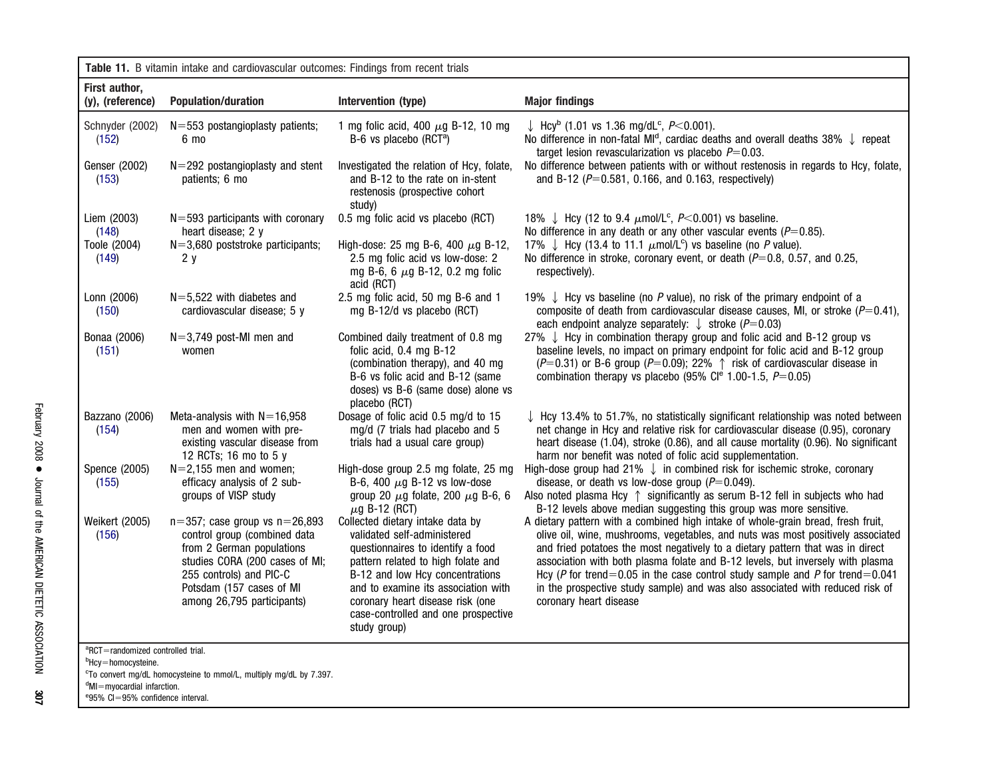<span id="page-20-0"></span>

| Table 11. B vitamin intake and cardiovascular outcomes: Findings from recent trials                           |                                                                                                                                                                                                                        |                                                                                                                                                                                                                                                                                                                 |                                                                                                                                                                                                                                                                                                                                                                                                                                                                                                                                    |  |
|---------------------------------------------------------------------------------------------------------------|------------------------------------------------------------------------------------------------------------------------------------------------------------------------------------------------------------------------|-----------------------------------------------------------------------------------------------------------------------------------------------------------------------------------------------------------------------------------------------------------------------------------------------------------------|------------------------------------------------------------------------------------------------------------------------------------------------------------------------------------------------------------------------------------------------------------------------------------------------------------------------------------------------------------------------------------------------------------------------------------------------------------------------------------------------------------------------------------|--|
| First author.<br>(y), (reference)                                                                             | <b>Population/duration</b>                                                                                                                                                                                             | Intervention (type)                                                                                                                                                                                                                                                                                             | <b>Major findings</b>                                                                                                                                                                                                                                                                                                                                                                                                                                                                                                              |  |
| Schnyder (2002)<br>(152)                                                                                      | $N = 553$ postangioplasty patients;<br>6 mo                                                                                                                                                                            | 1 mg folic acid, 400 $\mu$ g B-12, 10 mg<br>B-6 vs placebo (RCT <sup>a</sup> )                                                                                                                                                                                                                                  | $\downarrow$ Hcy <sup>b</sup> (1.01 vs 1.36 mg/dL <sup>c</sup> , P<0.001).<br>No difference in non-fatal MI <sup>d</sup> , cardiac deaths and overall deaths 38% ↓ repeat<br>target lesion revascularization vs placebo $P=0.03$ .                                                                                                                                                                                                                                                                                                 |  |
| Genser (2002)<br>(153)                                                                                        | $N = 292$ postangioplasty and stent<br>patients: 6 mo                                                                                                                                                                  | Investigated the relation of Hcy, folate,<br>and B-12 to the rate on in-stent<br>restenosis (prospective cohort<br>study)                                                                                                                                                                                       | No difference between patients with or without restenosis in regards to Hcy, folate,<br>and B-12 ( $P = 0.581$ , 0.166, and 0.163, respectively)                                                                                                                                                                                                                                                                                                                                                                                   |  |
| Liem (2003)<br>(148)                                                                                          | $N = 593$ participants with coronary<br>heart disease; 2 y                                                                                                                                                             | 0.5 mg folic acid vs placebo (RCT)                                                                                                                                                                                                                                                                              | 18% $\downarrow$ Hcy (12 to 9.4 $\mu$ mol/L <sup>c</sup> , P<0.001) vs baseline.<br>No difference in any death or any other vascular events ( $P=0.85$ ).                                                                                                                                                                                                                                                                                                                                                                          |  |
| Toole (2004)<br>(149)                                                                                         | $N=3,680$ poststroke participants;<br>2y                                                                                                                                                                               | High-dose: 25 mg B-6, 400 $\mu$ g B-12,<br>2.5 mg folic acid vs low-dose: 2<br>mg B-6, 6 $\mu$ g B-12, 0.2 mg folic<br>acid (RCT)                                                                                                                                                                               | 17% $\downarrow$ Hcy (13.4 to 11.1 $\mu$ mol/L <sup>c</sup> ) vs baseline (no P value).<br>No difference in stroke, coronary event, or death ( $P=0.8$ , 0.57, and 0.25,<br>respectively).                                                                                                                                                                                                                                                                                                                                         |  |
| Lonn (2006)<br>(150)                                                                                          | $N=5,522$ with diabetes and<br>cardiovascular disease; 5 y                                                                                                                                                             | 2.5 mg folic acid, 50 mg B-6 and 1<br>mg B-12/d vs placebo (RCT)                                                                                                                                                                                                                                                | 19% $\downarrow$ Hcy vs baseline (no P value), no risk of the primary endpoint of a<br>composite of death from cardiovascular disease causes, MI, or stroke $(P=0.41)$ ,<br>each endpoint analyze separately: $\downarrow$ stroke (P=0.03)                                                                                                                                                                                                                                                                                         |  |
| Bonaa (2006)<br>(151)                                                                                         | $N=3,749$ post-MI men and<br>women                                                                                                                                                                                     | Combined daily treatment of 0.8 mg<br>folic acid, 0.4 mg B-12<br>(combination therapy), and 40 mg<br>B-6 vs folic acid and B-12 (same<br>doses) vs B-6 (same dose) alone vs<br>placebo (RCT)                                                                                                                    | 27% ↓ Hcy in combination therapy group and folic acid and B-12 group vs<br>baseline levels, no impact on primary endpoint for folic acid and B-12 group<br>( $P=0.31$ ) or B-6 group ( $P=0.09$ ); 22% $\uparrow$ risk of cardiovascular disease in<br>combination therapy vs placebo (95% $Cle$ 1.00-1.5, $P=0.05$ )                                                                                                                                                                                                              |  |
| Bazzano (2006)<br>(154)                                                                                       | Meta-analysis with $N=16,958$<br>men and women with pre-<br>existing vascular disease from<br>12 RCTs; 16 mo to 5 y                                                                                                    | Dosage of folic acid 0.5 mg/d to 15<br>mg/d (7 trials had placebo and 5<br>trials had a usual care group)                                                                                                                                                                                                       | $\downarrow$ Hcy 13.4% to 51.7%, no statistically significant relationship was noted between<br>net change in Hcy and relative risk for cardiovascular disease (0.95), coronary<br>heart disease (1.04), stroke (0.86), and all cause mortality (0.96). No significant<br>harm nor benefit was noted of folic acid supplementation.                                                                                                                                                                                                |  |
| Spence (2005)<br>(155)                                                                                        | $N=2,155$ men and women;<br>efficacy analysis of 2 sub-<br>groups of VISP study                                                                                                                                        | High-dose group 2.5 mg folate, 25 mg<br>B-6, 400 $\mu$ g B-12 vs low-dose<br>group 20 $\mu$ g folate, 200 $\mu$ g B-6, 6<br>$\mu$ g B-12 (RCT)                                                                                                                                                                  | High-dose group had 21% $\downarrow$ in combined risk for ischemic stroke, coronary<br>disease, or death vs low-dose group ( $P=0.049$ ).<br>Also noted plasma Hcy $\uparrow$ significantly as serum B-12 fell in subjects who had<br>B-12 levels above median suggesting this group was more sensitive.                                                                                                                                                                                                                           |  |
| Weikert (2005)<br>(156)                                                                                       | $n=357$ ; case group vs $n=26,893$<br>control group (combined data<br>from 2 German populations<br>studies CORA (200 cases of MI;<br>255 controls) and PIC-C<br>Potsdam (157 cases of MI<br>among 26,795 participants) | Collected dietary intake data by<br>validated self-administered<br>questionnaires to identify a food<br>pattern related to high folate and<br>B-12 and low Hcy concentrations<br>and to examine its association with<br>coronary heart disease risk (one<br>case-controlled and one prospective<br>study group) | A dietary pattern with a combined high intake of whole-grain bread, fresh fruit,<br>olive oil, wine, mushrooms, vegetables, and nuts was most positively associated<br>and fried potatoes the most negatively to a dietary pattern that was in direct<br>association with both plasma folate and B-12 levels, but inversely with plasma<br>Hcy (P for trend=0.05 in the case control study sample and P for trend=0.041<br>in the prospective study sample) and was also associated with reduced risk of<br>coronary heart disease |  |
| aRCT=randomized controlled trial.<br><sup>b</sup> Hcy=homocysteine.<br><sup>d</sup> MI=myocardial infarction. | <sup>c</sup> To convert mg/dL homocysteine to mmol/L, multiply mg/dL by 7.397.                                                                                                                                         |                                                                                                                                                                                                                                                                                                                 |                                                                                                                                                                                                                                                                                                                                                                                                                                                                                                                                    |  |

<sup>e</sup>95% CI=95% confidence interval.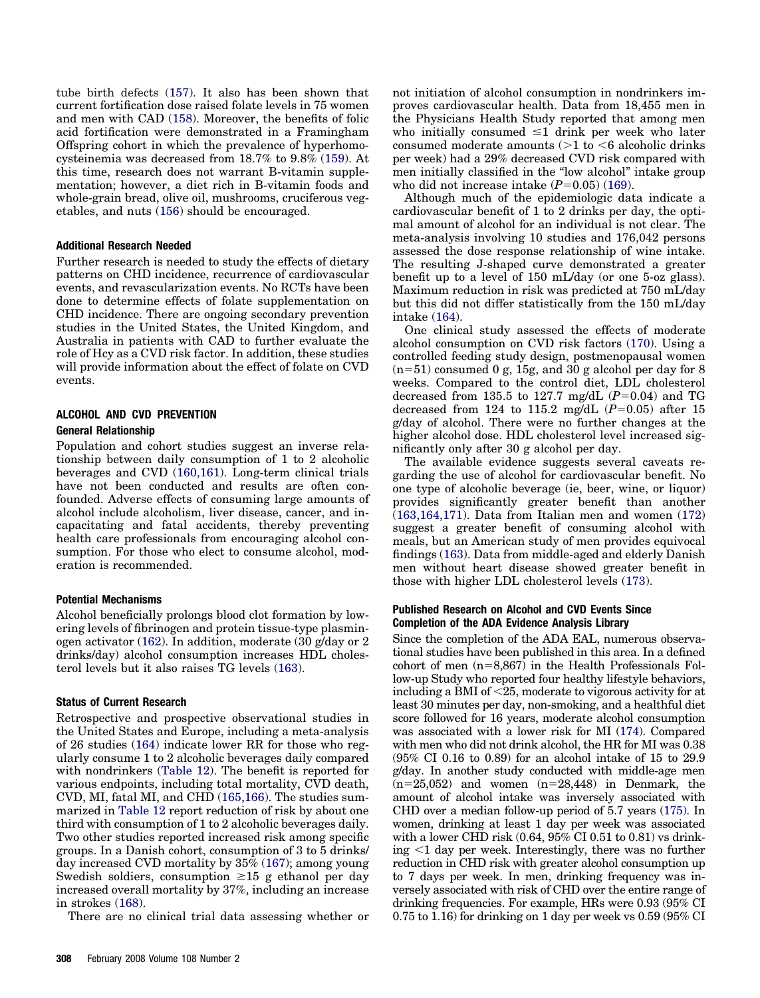tube birth defects [\(157\)](#page-41-0). It also has been shown that current fortification dose raised folate levels in 75 women and men with CAD [\(158\)](#page-41-0). Moreover, the benefits of folic acid fortification were demonstrated in a Framingham Offspring cohort in which the prevalence of hyperhomocysteinemia was decreased from 18.7% to 9.8% [\(159\)](#page-41-0). At this time, research does not warrant B-vitamin supplementation; however, a diet rich in B-vitamin foods and whole-grain bread, olive oil, mushrooms, cruciferous vegetables, and nuts [\(156\)](#page-41-0) should be encouraged.

#### **Additional Research Needed**

Further research is needed to study the effects of dietary patterns on CHD incidence, recurrence of cardiovascular events, and revascularization events. No RCTs have been done to determine effects of folate supplementation on CHD incidence. There are ongoing secondary prevention studies in the United States, the United Kingdom, and Australia in patients with CAD to further evaluate the role of Hcy as a CVD risk factor. In addition, these studies will provide information about the effect of folate on CVD events.

# **ALCOHOL AND CVD PREVENTION**

## **General Relationship**

Population and cohort studies suggest an inverse relationship between daily consumption of 1 to 2 alcoholic beverages and CVD [\(160,161\)](#page-41-0). Long-term clinical trials have not been conducted and results are often confounded. Adverse effects of consuming large amounts of alcohol include alcoholism, liver disease, cancer, and incapacitating and fatal accidents, thereby preventing health care professionals from encouraging alcohol consumption. For those who elect to consume alcohol, moderation is recommended.

#### **Potential Mechanisms**

Alcohol beneficially prolongs blood clot formation by lowering levels of fibrinogen and protein tissue-type plasminogen activator [\(162\)](#page-41-0). In addition, moderate (30 g/day or 2 drinks/day) alcohol consumption increases HDL cholesterol levels but it also raises TG levels [\(163\)](#page-41-0).

#### **Status of Current Research**

Retrospective and prospective observational studies in the United States and Europe, including a meta-analysis of 26 studies [\(164\)](#page-41-0) indicate lower RR for those who regularly consume 1 to 2 alcoholic beverages daily compared with nondrinkers [\(Table 12\)](#page-22-0). The benefit is reported for various endpoints, including total mortality, CVD death, CVD, MI, fatal MI, and CHD [\(165,166\)](#page-41-0). The studies summarized in [Table 12](#page-22-0) report reduction of risk by about one third with consumption of 1 to 2 alcoholic beverages daily. Two other studies reported increased risk among specific groups. In a Danish cohort, consumption of 3 to 5 drinks/ day increased CVD mortality by 35% [\(167\)](#page-41-0); among young Swedish soldiers, consumption  $\geq 15$  g ethanol per day increased overall mortality by 37%, including an increase in strokes [\(168\)](#page-41-0).

There are no clinical trial data assessing whether or

Although much of the epidemiologic data indicate a cardiovascular benefit of 1 to 2 drinks per day, the optimal amount of alcohol for an individual is not clear. The meta-analysis involving 10 studies and 176,042 persons assessed the dose response relationship of wine intake. The resulting J-shaped curve demonstrated a greater benefit up to a level of 150 mL/day (or one 5-oz glass). Maximum reduction in risk was predicted at 750 mL/day but this did not differ statistically from the 150 mL/day intake [\(164\)](#page-41-0).

One clinical study assessed the effects of moderate alcohol consumption on CVD risk factors [\(170\)](#page-41-0). Using a controlled feeding study design, postmenopausal women  $(n=51)$  consumed 0 g, 15g, and 30 g alcohol per day for 8 weeks. Compared to the control diet, LDL cholesterol decreased from 135.5 to 127.7 mg/dL  $(P=0.04)$  and TG decreased from 124 to 115.2 mg/dL  $(P=0.05)$  after 15 g/day of alcohol. There were no further changes at the higher alcohol dose. HDL cholesterol level increased significantly only after 30 g alcohol per day.

The available evidence suggests several caveats regarding the use of alcohol for cardiovascular benefit. No one type of alcoholic beverage (ie, beer, wine, or liquor) provides significantly greater benefit than another [\(163,164,171\)](#page-41-0). Data from Italian men and women [\(172\)](#page-41-0) suggest a greater benefit of consuming alcohol with meals, but an American study of men provides equivocal findings [\(163\)](#page-41-0). Data from middle-aged and elderly Danish men without heart disease showed greater benefit in those with higher LDL cholesterol levels [\(173\)](#page-41-0).

#### **Published Research on Alcohol and CVD Events Since Completion of the ADA Evidence Analysis Library**

Since the completion of the ADA EAL, numerous observational studies have been published in this area. In a defined cohort of men  $(n=8,867)$  in the Health Professionals Follow-up Study who reported four healthy lifestyle behaviors, including a BMI of  $<$  25, moderate to vigorous activity for at least 30 minutes per day, non-smoking, and a healthful diet score followed for 16 years, moderate alcohol consumption was associated with a lower risk for MI [\(174\)](#page-41-0). Compared with men who did not drink alcohol, the HR for MI was 0.38 (95% CI 0.16 to 0.89) for an alcohol intake of 15 to 29.9 g/day. In another study conducted with middle-age men  $(n=25,052)$  and women  $(n=28,448)$  in Denmark, the amount of alcohol intake was inversely associated with CHD over a median follow-up period of 5.7 years [\(175\)](#page-41-0). In women, drinking at least 1 day per week was associated with a lower CHD risk (0.64, 95% CI 0.51 to 0.81) vs drinking -1 day per week. Interestingly, there was no further reduction in CHD risk with greater alcohol consumption up to 7 days per week. In men, drinking frequency was inversely associated with risk of CHD over the entire range of drinking frequencies. For example, HRs were 0.93 (95% CI 0.75 to 1.16) for drinking on 1 day per week vs 0.59 (95% CI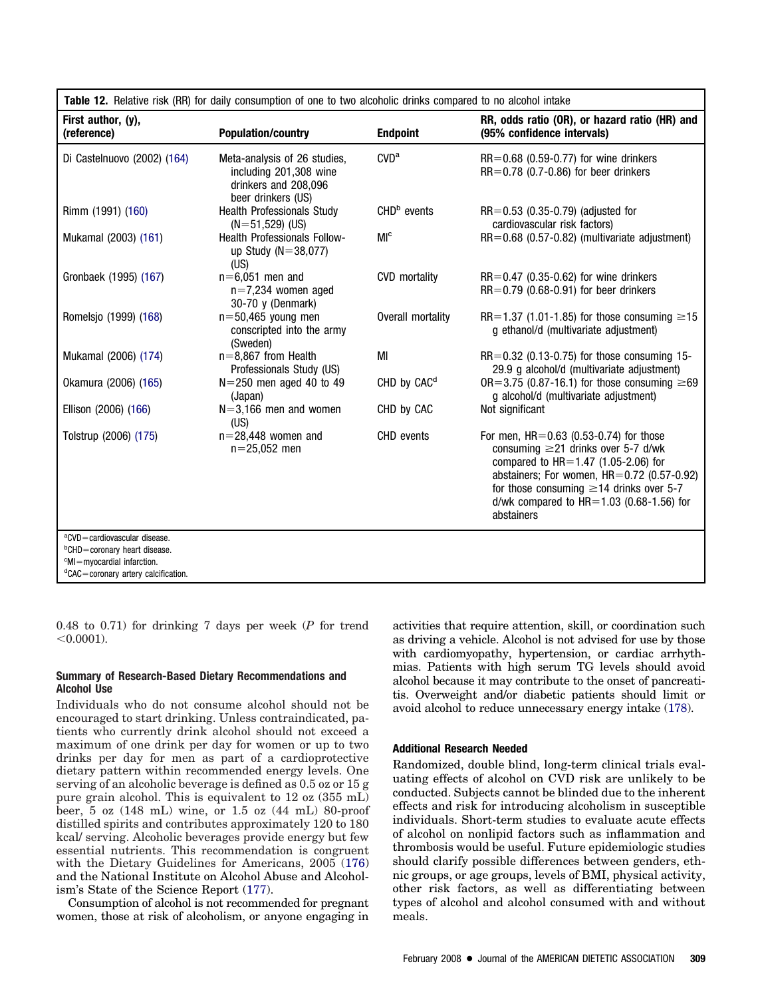<span id="page-22-0"></span>

| Table 12. Relative risk (RR) for daily consumption of one to two alcoholic drinks compared to no alcohol intake                                                       |                                                                                                      |                         |                                                                                                                                                                                                                                                                                                |  |  |
|-----------------------------------------------------------------------------------------------------------------------------------------------------------------------|------------------------------------------------------------------------------------------------------|-------------------------|------------------------------------------------------------------------------------------------------------------------------------------------------------------------------------------------------------------------------------------------------------------------------------------------|--|--|
| First author, (y),<br>(reference)                                                                                                                                     | <b>Population/country</b>                                                                            | <b>Endpoint</b>         | RR, odds ratio (OR), or hazard ratio (HR) and<br>(95% confidence intervals)                                                                                                                                                                                                                    |  |  |
| Di Castelnuovo (2002) (164)                                                                                                                                           | Meta-analysis of 26 studies,<br>including 201,308 wine<br>drinkers and 208,096<br>beer drinkers (US) | CVD <sup>a</sup>        | $RR=0.68$ (0.59-0.77) for wine drinkers<br>$RR=0.78$ (0.7-0.86) for beer drinkers                                                                                                                                                                                                              |  |  |
| Rimm (1991) (160)                                                                                                                                                     | <b>Health Professionals Study</b><br>$(N=51,529)$ (US)                                               | CHD <sup>b</sup> events | $RR = 0.53$ (0.35-0.79) (adjusted for<br>cardiovascular risk factors)                                                                                                                                                                                                                          |  |  |
| Mukamal (2003) (161)                                                                                                                                                  | <b>Health Professionals Follow-</b><br>up Study ( $N = 38,077$ )<br>(US)                             | M <sub>c</sub>          | $RR = 0.68$ (0.57-0.82) (multivariate adjustment)                                                                                                                                                                                                                                              |  |  |
| Gronbaek (1995) (167)                                                                                                                                                 | $n=6.051$ men and<br>$n=7,234$ women aged<br>30-70 y (Denmark)                                       | <b>CVD</b> mortality    | $RR=0.47$ (0.35-0.62) for wine drinkers<br>$RR=0.79$ (0.68-0.91) for beer drinkers                                                                                                                                                                                                             |  |  |
| Romelsjo (1999) (168)                                                                                                                                                 | $n = 50,465$ young men<br>conscripted into the army<br>(Sweden)                                      | Overall mortality       | RR=1.37 (1.01-1.85) for those consuming $\geq 15$<br>g ethanol/d (multivariate adjustment)                                                                                                                                                                                                     |  |  |
| Mukamal (2006) (174)                                                                                                                                                  | $n=8,867$ from Health<br>Professionals Study (US)                                                    | MI                      | $RR = 0.32$ (0.13-0.75) for those consuming 15-<br>29.9 g alcohol/d (multivariate adjustment)                                                                                                                                                                                                  |  |  |
| Okamura (2006) (165)                                                                                                                                                  | $N = 250$ men aged 40 to 49<br>(Japan)                                                               | CHD by CAC <sup>d</sup> | $OR = 3.75$ (0.87-16.1) for those consuming $\geq 69$<br>g alcohol/d (multivariate adjustment)                                                                                                                                                                                                 |  |  |
| Ellison (2006) (166)                                                                                                                                                  | $N = 3,166$ men and women<br>(US)                                                                    | CHD by CAC              | Not significant                                                                                                                                                                                                                                                                                |  |  |
| Tolstrup (2006) (175)                                                                                                                                                 | $n=28,448$ women and<br>$n = 25,052$ men                                                             | CHD events              | For men, $HR = 0.63$ (0.53-0.74) for those<br>consuming $\geq$ 21 drinks over 5-7 d/wk<br>compared to $HR = 1.47$ (1.05-2.06) for<br>abstainers; For women, $HR=0.72$ (0.57-0.92)<br>for those consuming $\geq$ 14 drinks over 5-7<br>$d/wk$ compared to HR=1.03 (0.68-1.56) for<br>abstainers |  |  |
| aCVD=cardiovascular disease.<br><sup>b</sup> CHD=coronary heart disease.<br><sup>c</sup> MI=myocardial infarction.<br><sup>d</sup> CAC=coronary artery calcification. |                                                                                                      |                         |                                                                                                                                                                                                                                                                                                |  |  |

0.48 to 0.71) for drinking 7 days per week (*P* for trend  $< 0.0001$ ).

#### **Summary of Research-Based Dietary Recommendations and Alcohol Use**

Individuals who do not consume alcohol should not be encouraged to start drinking. Unless contraindicated, patients who currently drink alcohol should not exceed a maximum of one drink per day for women or up to two drinks per day for men as part of a cardioprotective dietary pattern within recommended energy levels. One serving of an alcoholic beverage is defined as 0.5 oz or 15 g pure grain alcohol. This is equivalent to 12 oz (355 mL) beer, 5 oz (148 mL) wine, or 1.5 oz (44 mL) 80-proof distilled spirits and contributes approximately 120 to 180 kcal/ serving. Alcoholic beverages provide energy but few essential nutrients. This recommendation is congruent with the Dietary Guidelines for Americans, 2005 [\(176\)](#page-41-0) and the National Institute on Alcohol Abuse and Alcoholism's State of the Science Report [\(177\)](#page-41-0).

Consumption of alcohol is not recommended for pregnant women, those at risk of alcoholism, or anyone engaging in activities that require attention, skill, or coordination such as driving a vehicle. Alcohol is not advised for use by those with cardiomyopathy, hypertension, or cardiac arrhythmias. Patients with high serum TG levels should avoid alcohol because it may contribute to the onset of pancreatitis. Overweight and/or diabetic patients should limit or avoid alcohol to reduce unnecessary energy intake [\(178\)](#page-41-0).

#### **Additional Research Needed**

Randomized, double blind, long-term clinical trials evaluating effects of alcohol on CVD risk are unlikely to be conducted. Subjects cannot be blinded due to the inherent effects and risk for introducing alcoholism in susceptible individuals. Short-term studies to evaluate acute effects of alcohol on nonlipid factors such as inflammation and thrombosis would be useful. Future epidemiologic studies should clarify possible differences between genders, ethnic groups, or age groups, levels of BMI, physical activity, other risk factors, as well as differentiating between types of alcohol and alcohol consumed with and without meals.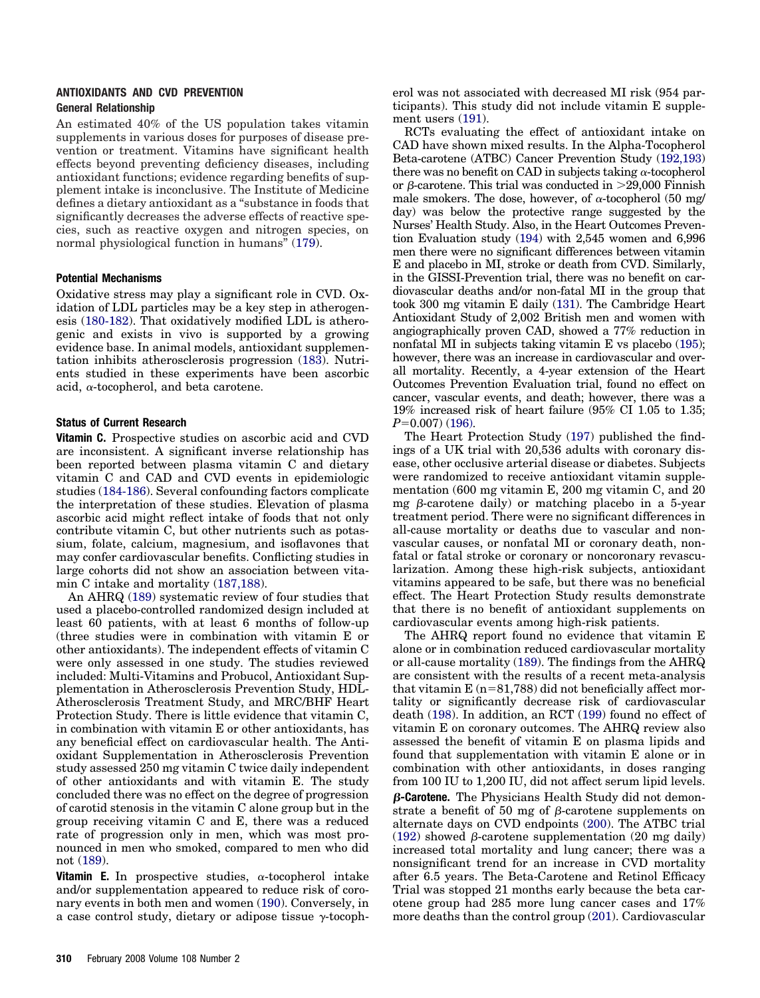# **ANTIOXIDANTS AND CVD PREVENTION**

#### **General Relationship**

An estimated 40% of the US population takes vitamin supplements in various doses for purposes of disease prevention or treatment. Vitamins have significant health effects beyond preventing deficiency diseases, including antioxidant functions; evidence regarding benefits of supplement intake is inconclusive. The Institute of Medicine defines a dietary antioxidant as a "substance in foods that significantly decreases the adverse effects of reactive species, such as reactive oxygen and nitrogen species, on normal physiological function in humans" [\(179\)](#page-41-0).

#### **Potential Mechanisms**

Oxidative stress may play a significant role in CVD. Oxidation of LDL particles may be a key step in atherogenesis [\(180-182\)](#page-41-0). That oxidatively modified LDL is atherogenic and exists in vivo is supported by a growing evidence base. In animal models, antioxidant supplementation inhibits atherosclerosis progression [\(183\)](#page-41-0). Nutrients studied in these experiments have been ascorbic acid,  $\alpha$ -tocopherol, and beta carotene.

#### **Status of Current Research**

**Vitamin C.** Prospective studies on ascorbic acid and CVD are inconsistent. A significant inverse relationship has been reported between plasma vitamin C and dietary vitamin C and CAD and CVD events in epidemiologic studies [\(184-186\)](#page-41-0). Several confounding factors complicate the interpretation of these studies. Elevation of plasma ascorbic acid might reflect intake of foods that not only contribute vitamin C, but other nutrients such as potassium, folate, calcium, magnesium, and isoflavones that may confer cardiovascular benefits. Conflicting studies in large cohorts did not show an association between vitamin C intake and mortality [\(187,188\)](#page-42-0).

An AHRQ [\(189\)](#page-42-0) systematic review of four studies that used a placebo-controlled randomized design included at least 60 patients, with at least 6 months of follow-up (three studies were in combination with vitamin E or other antioxidants). The independent effects of vitamin C were only assessed in one study. The studies reviewed included: Multi-Vitamins and Probucol, Antioxidant Supplementation in Atherosclerosis Prevention Study, HDL-Atherosclerosis Treatment Study, and MRC/BHF Heart Protection Study. There is little evidence that vitamin C, in combination with vitamin E or other antioxidants, has any beneficial effect on cardiovascular health. The Antioxidant Supplementation in Atherosclerosis Prevention study assessed 250 mg vitamin C twice daily independent of other antioxidants and with vitamin E. The study concluded there was no effect on the degree of progression of carotid stenosis in the vitamin C alone group but in the group receiving vitamin C and E, there was a reduced rate of progression only in men, which was most pronounced in men who smoked, compared to men who did not [\(189\)](#page-42-0).

**Vitamin E.** In prospective studies,  $\alpha$ -tocopherol intake and/or supplementation appeared to reduce risk of coronary events in both men and women [\(190\)](#page-42-0). Conversely, in a case control study, dietary or adipose tissue  $\gamma$ -tocopherol was not associated with decreased MI risk (954 participants). This study did not include vitamin E supplement users [\(191\)](#page-42-0).

RCTs evaluating the effect of antioxidant intake on CAD have shown mixed results. In the Alpha-Tocopherol Beta-carotene (ATBC) Cancer Prevention Study [\(192,193\)](#page-42-0) there was no benefit on CAD in subjects taking  $\alpha$ -tocopherol or  $\beta$ -carotene. This trial was conducted in  $>$ 29,000 Finnish male smokers. The dose, however, of  $\alpha$ -tocopherol (50 mg/ day) was below the protective range suggested by the Nurses' Health Study. Also, in the Heart Outcomes Prevention Evaluation study [\(194\)](#page-42-0) with 2,545 women and 6,996 men there were no significant differences between vitamin E and placebo in MI, stroke or death from CVD. Similarly, in the GISSI-Prevention trial, there was no benefit on cardiovascular deaths and/or non-fatal MI in the group that took 300 mg vitamin E daily [\(131\)](#page-40-0). The Cambridge Heart Antioxidant Study of 2,002 British men and women with angiographically proven CAD, showed a 77% reduction in nonfatal MI in subjects taking vitamin E vs placebo [\(195\)](#page-42-0); however, there was an increase in cardiovascular and overall mortality. Recently, a 4-year extension of the Heart Outcomes Prevention Evaluation trial, found no effect on cancer, vascular events, and death; however, there was a 19% increased risk of heart failure (95% CI 1.05 to 1.35; *P*=0.007) [\(196\)](#page-42-0).

The Heart Protection Study [\(197\)](#page-42-0) published the findings of a UK trial with 20,536 adults with coronary disease, other occlusive arterial disease or diabetes. Subjects were randomized to receive antioxidant vitamin supplementation (600 mg vitamin E, 200 mg vitamin C, and 20  $mg$   $\beta$ -carotene daily) or matching placebo in a 5-year treatment period. There were no significant differences in all-cause mortality or deaths due to vascular and nonvascular causes, or nonfatal MI or coronary death, nonfatal or fatal stroke or coronary or noncoronary revascularization. Among these high-risk subjects, antioxidant vitamins appeared to be safe, but there was no beneficial effect. The Heart Protection Study results demonstrate that there is no benefit of antioxidant supplements on cardiovascular events among high-risk patients.

The AHRQ report found no evidence that vitamin E alone or in combination reduced cardiovascular mortality or all-cause mortality [\(189\)](#page-42-0). The findings from the AHRQ are consistent with the results of a recent meta-analysis that vitamin  $E(n=81,788)$  did not beneficially affect mortality or significantly decrease risk of cardiovascular death [\(198\)](#page-42-0). In addition, an RCT [\(199\)](#page-42-0) found no effect of vitamin E on coronary outcomes. The AHRQ review also assessed the benefit of vitamin E on plasma lipids and found that supplementation with vitamin E alone or in combination with other antioxidants, in doses ranging from 100 IU to 1,200 IU, did not affect serum lipid levels. -**-Carotene.** The Physicians Health Study did not demonstrate a benefit of 50 mg of  $\beta$ -carotene supplements on alternate days on CVD endpoints [\(200\)](#page-42-0). The ATBC trial [\(192\)](#page-42-0) showed  $\beta$ -carotene supplementation (20 mg daily) increased total mortality and lung cancer; there was a nonsignificant trend for an increase in CVD mortality after 6.5 years. The Beta-Carotene and Retinol Efficacy Trial was stopped 21 months early because the beta carotene group had 285 more lung cancer cases and 17% more deaths than the control group [\(201\)](#page-42-0). Cardiovascular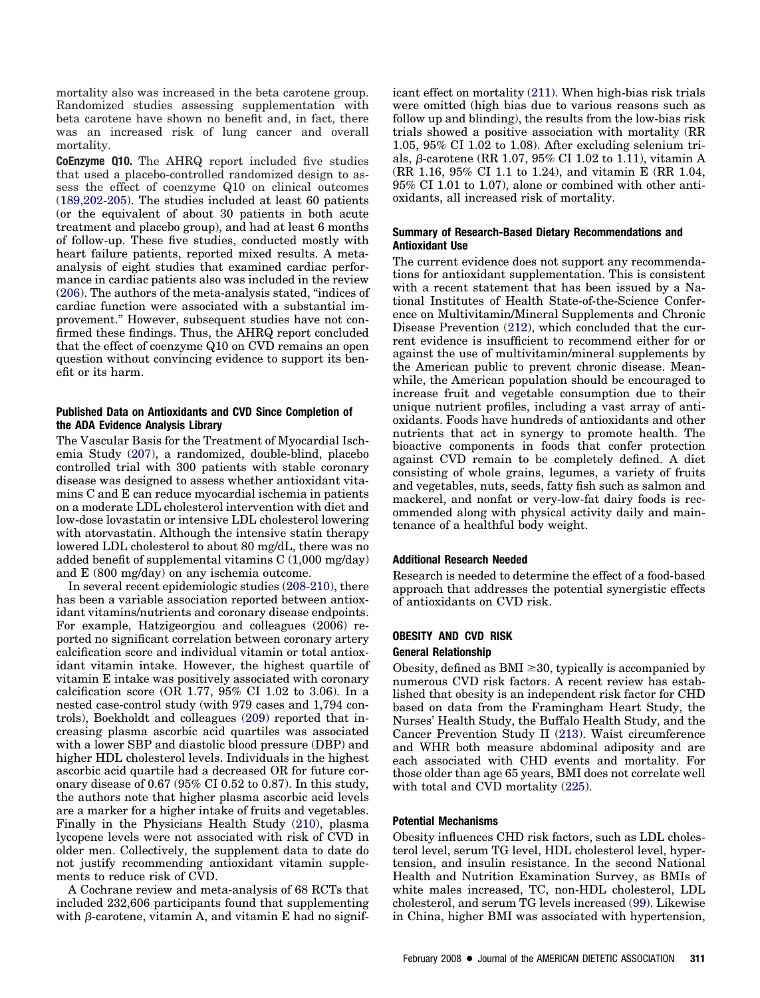mortality also was increased in the beta carotene group. Randomized studies assessing supplementation with beta carotene have shown no benefit and, in fact, there was an increased risk of lung cancer and overall mortality.

**CoEnzyme Q10.** The AHRQ report included five studies that used a placebo-controlled randomized design to assess the effect of coenzyme Q10 on clinical outcomes [\(189,202-205\)](#page-42-0). The studies included at least 60 patients (or the equivalent of about 30 patients in both acute treatment and placebo group), and had at least 6 months of follow-up. These five studies, conducted mostly with heart failure patients, reported mixed results. A metaanalysis of eight studies that examined cardiac performance in cardiac patients also was included in the review [\(206\)](#page-42-0). The authors of the meta-analysis stated, "indices of cardiac function were associated with a substantial improvement." However, subsequent studies have not confirmed these findings. Thus, the AHRQ report concluded that the effect of coenzyme Q10 on CVD remains an open question without convincing evidence to support its benefit or its harm.

#### **Published Data on Antioxidants and CVD Since Completion of the ADA Evidence Analysis Library**

The Vascular Basis for the Treatment of Myocardial Ischemia Study [\(207\)](#page-42-0), a randomized, double-blind, placebo controlled trial with 300 patients with stable coronary disease was designed to assess whether antioxidant vitamins C and E can reduce myocardial ischemia in patients on a moderate LDL cholesterol intervention with diet and low-dose lovastatin or intensive LDL cholesterol lowering with atorvastatin. Although the intensive statin therapy lowered LDL cholesterol to about 80 mg/dL, there was no added benefit of supplemental vitamins C (1,000 mg/day) and E (800 mg/day) on any ischemia outcome.

In several recent epidemiologic studies [\(208-210\)](#page-42-0), there has been a variable association reported between antioxidant vitamins/nutrients and coronary disease endpoints. For example, Hatzigeorgiou and colleagues (2006) reported no significant correlation between coronary artery calcification score and individual vitamin or total antioxidant vitamin intake. However, the highest quartile of vitamin E intake was positively associated with coronary calcification score (OR 1.77, 95% CI 1.02 to 3.06). In a nested case-control study (with 979 cases and 1,794 controls), Boekholdt and colleagues [\(209\)](#page-42-0) reported that increasing plasma ascorbic acid quartiles was associated with a lower SBP and diastolic blood pressure (DBP) and higher HDL cholesterol levels. Individuals in the highest ascorbic acid quartile had a decreased OR for future coronary disease of 0.67 (95% CI 0.52 to 0.87). In this study, the authors note that higher plasma ascorbic acid levels are a marker for a higher intake of fruits and vegetables. Finally in the Physicians Health Study [\(210\)](#page-42-0), plasma lycopene levels were not associated with risk of CVD in older men. Collectively, the supplement data to date do not justify recommending antioxidant vitamin supplements to reduce risk of CVD.

A Cochrane review and meta-analysis of 68 RCTs that included 232,606 participants found that supplementing with  $\beta$ -carotene, vitamin A, and vitamin E had no significant effect on mortality [\(211\)](#page-42-0). When high-bias risk trials were omitted (high bias due to various reasons such as follow up and blinding), the results from the low-bias risk trials showed a positive association with mortality (RR 1.05, 95% CI 1.02 to 1.08). After excluding selenium trials,  $\beta$ -carotene (RR 1.07, 95% CI 1.02 to 1.11), vitamin A (RR 1.16, 95% CI 1.1 to 1.24), and vitamin E (RR 1.04, 95% CI 1.01 to 1.07), alone or combined with other antioxidants, all increased risk of mortality.

#### **Summary of Research-Based Dietary Recommendations and Antioxidant Use**

The current evidence does not support any recommendations for antioxidant supplementation. This is consistent with a recent statement that has been issued by a National Institutes of Health State-of-the-Science Conference on Multivitamin/Mineral Supplements and Chronic Disease Prevention [\(212\)](#page-42-0), which concluded that the current evidence is insufficient to recommend either for or against the use of multivitamin/mineral supplements by the American public to prevent chronic disease. Meanwhile, the American population should be encouraged to increase fruit and vegetable consumption due to their unique nutrient profiles, including a vast array of antioxidants. Foods have hundreds of antioxidants and other nutrients that act in synergy to promote health. The bioactive components in foods that confer protection against CVD remain to be completely defined. A diet consisting of whole grains, legumes, a variety of fruits and vegetables, nuts, seeds, fatty fish such as salmon and mackerel, and nonfat or very-low-fat dairy foods is recommended along with physical activity daily and maintenance of a healthful body weight.

#### **Additional Research Needed**

Research is needed to determine the effect of a food-based approach that addresses the potential synergistic effects of antioxidants on CVD risk.

#### **OBESITY AND CVD RISK**

#### **General Relationship**

Obesity, defined as  $BMI \geq 30$ , typically is accompanied by numerous CVD risk factors. A recent review has established that obesity is an independent risk factor for CHD based on data from the Framingham Heart Study, the Nurses' Health Study, the Buffalo Health Study, and the Cancer Prevention Study II [\(213\)](#page-42-0). Waist circumference and WHR both measure abdominal adiposity and are each associated with CHD events and mortality. For those older than age 65 years, BMI does not correlate well with total and CVD mortality  $(225)$ .

#### **Potential Mechanisms**

Obesity influences CHD risk factors, such as LDL cholesterol level, serum TG level, HDL cholesterol level, hypertension, and insulin resistance. In the second National Health and Nutrition Examination Survey, as BMIs of white males increased, TC, non-HDL cholesterol, LDL cholesterol, and serum TG levels increased [\(99\)](#page-40-0). Likewise in China, higher BMI was associated with hypertension,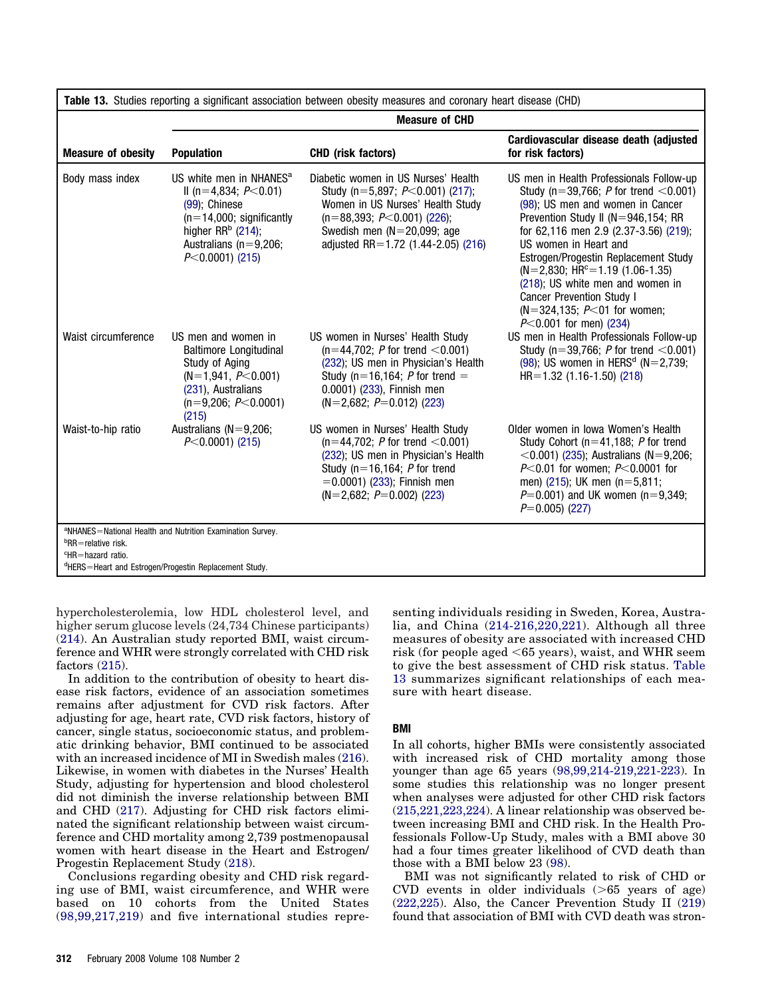|                           |                                                                                                                                                                                        | <b>Measure of CHD</b>                                                                                                                                                                                                         |                                                                                                                                                                                                                                                                                                                                                                                                                                                            |
|---------------------------|----------------------------------------------------------------------------------------------------------------------------------------------------------------------------------------|-------------------------------------------------------------------------------------------------------------------------------------------------------------------------------------------------------------------------------|------------------------------------------------------------------------------------------------------------------------------------------------------------------------------------------------------------------------------------------------------------------------------------------------------------------------------------------------------------------------------------------------------------------------------------------------------------|
| <b>Measure of obesity</b> | <b>Population</b>                                                                                                                                                                      | <b>CHD</b> (risk factors)                                                                                                                                                                                                     | Cardiovascular disease death (adjusted<br>for risk factors)                                                                                                                                                                                                                                                                                                                                                                                                |
| Body mass index           | US white men in NHANES <sup>a</sup><br>II (n=4,834; $P<0.01$ )<br>(99); Chinese<br>$(n=14,000;$ significantly<br>higher $RR^b$ (214);<br>Australians ( $n=9,206$ ;<br>$P<0.0001$ (215) | Diabetic women in US Nurses' Health<br>Study (n=5,897; $P<0.001$ ) (217);<br>Women in US Nurses' Health Study<br>$(n=88,393; P<0.001)$ (226);<br>Swedish men ( $N = 20,099$ ; age<br>adjusted RR=1.72 $(1.44 - 2.05)$ $(216)$ | US men in Health Professionals Follow-up<br>Study ( $n = 39,766$ ; P for trend $\leq 0.001$ )<br>(98); US men and women in Cancer<br>Prevention Study II (N=946,154; RR<br>for 62,116 men 2.9 (2.37-3.56) (219);<br>US women in Heart and<br>Estrogen/Progestin Replacement Study<br>$(N=2,830; HRc=1.19(1.06-1.35)$<br>(218); US white men and women in<br><b>Cancer Prevention Study I</b><br>(N=324,135; $P<$ 01 for women;<br>$P<0.001$ for men) (234) |
| Waist circumference       | US men and women in<br><b>Baltimore Longitudinal</b><br>Study of Aging<br>$(N=1,941, P<0.001)$<br>(231), Australians<br>$(n=9,206; P<0.0001)$<br>(215)                                 | US women in Nurses' Health Study<br>$(n=44,702; P$ for trend $< 0.001$ )<br>(232); US men in Physician's Health<br>Study ( $n=16,164$ ; P for trend $=$<br>0.0001) (233), Finnish men<br>$(N=2,682; P=0.012)$ (223)           | US men in Health Professionals Follow-up<br>Study ( $n = 39,766$ ; P for trend $\leq 0.001$ )<br>(98); US women in HERS <sup>d</sup> (N=2,739;<br>$HR = 1.32$ (1.16-1.50) (218)                                                                                                                                                                                                                                                                            |
| Waist-to-hip ratio        | Australians ( $N=9,206$ ;<br>$P<0.0001$ (215)                                                                                                                                          | US women in Nurses' Health Study<br>$(n=44,702; P$ for trend $< 0.001$ )<br>(232); US men in Physician's Health<br>Study ( $n=16,164$ ; P for trend<br>$= 0.0001$ ) (233); Finnish men<br>$(N=2,682; P=0.002)$ (223)          | Older women in Iowa Women's Health<br>Study Cohort ( $n=41,188$ ; P for trend<br>$<$ 0.001) (235); Australians (N=9,206;<br>$P<0.01$ for women: $P<0.0001$ for<br>men) $(215)$ ; UK men $(n=5.811)$ ;<br>$P=0.001$ ) and UK women (n=9,349;<br>$P=0.005$ (227)                                                                                                                                                                                             |

<sup>d</sup>HERS=Heart and Estrogen/Progestin Replacement Study.

hypercholesterolemia, low HDL cholesterol level, and higher serum glucose levels (24,734 Chinese participants) [\(214\)](#page-42-0). An Australian study reported BMI, waist circumference and WHR were strongly correlated with CHD risk factors [\(215\)](#page-42-0).

In addition to the contribution of obesity to heart disease risk factors, evidence of an association sometimes remains after adjustment for CVD risk factors. After adjusting for age, heart rate, CVD risk factors, history of cancer, single status, socioeconomic status, and problematic drinking behavior, BMI continued to be associated with an increased incidence of MI in Swedish males [\(216\)](#page-42-0). Likewise, in women with diabetes in the Nurses' Health Study, adjusting for hypertension and blood cholesterol did not diminish the inverse relationship between BMI and CHD [\(217\)](#page-42-0). Adjusting for CHD risk factors eliminated the significant relationship between waist circumference and CHD mortality among 2,739 postmenopausal women with heart disease in the Heart and Estrogen/ Progestin Replacement Study [\(218\)](#page-42-0).

Conclusions regarding obesity and CHD risk regarding use of BMI, waist circumference, and WHR were based on 10 cohorts from the United States [\(98,99,217,219\)](#page-40-0) and five international studies representing individuals residing in Sweden, Korea, Australia, and China [\(214-216,220,221\)](#page-42-0). Although all three measures of obesity are associated with increased CHD risk (for people aged  $<$ 65 years), waist, and WHR seem to give the best assessment of CHD risk status. Table 13 summarizes significant relationships of each measure with heart disease.

#### **BMI**

In all cohorts, higher BMIs were consistently associated with increased risk of CHD mortality among those younger than age 65 years [\(98,99,214-219,221-223\)](#page-40-0). In some studies this relationship was no longer present when analyses were adjusted for other CHD risk factors [\(215,221,223,224\)](#page-42-0). A linear relationship was observed between increasing BMI and CHD risk. In the Health Professionals Follow-Up Study, males with a BMI above 30 had a four times greater likelihood of CVD death than those with a BMI below 23 [\(98\)](#page-40-0).

BMI was not significantly related to risk of CHD or CVD events in older individuals  $(>\,65$  years of age) [\(222,225\)](#page-42-0). Also, the Cancer Prevention Study II [\(219\)](#page-42-0) found that association of BMI with CVD death was stron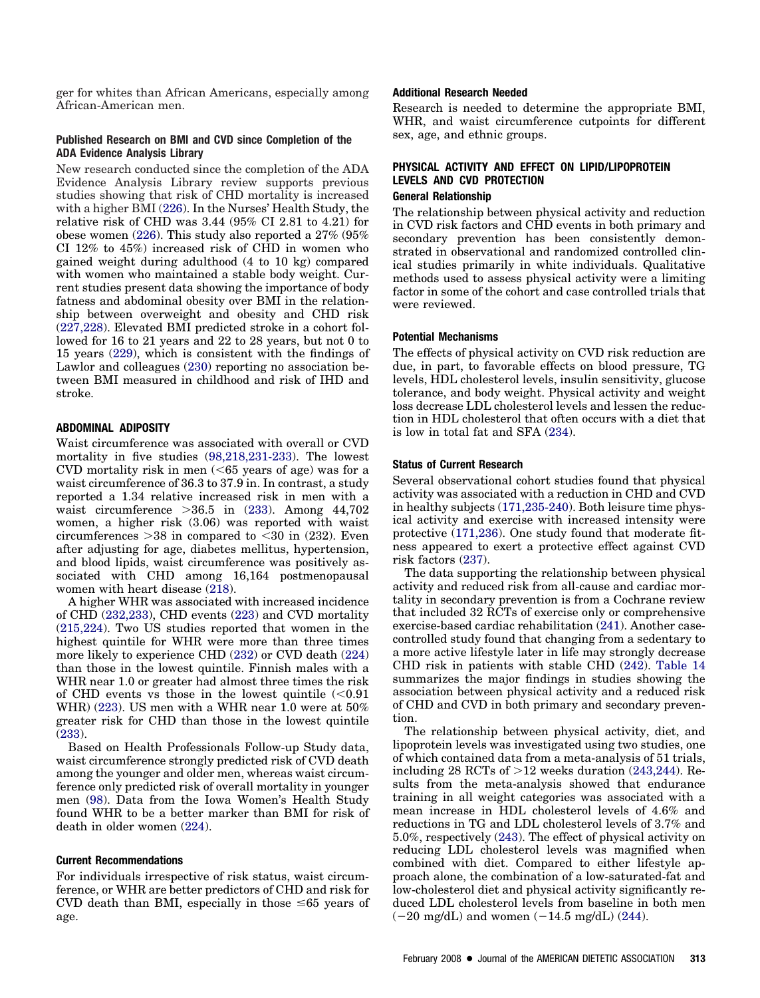ger for whites than African Americans, especially among African-American men.

#### **Published Research on BMI and CVD since Completion of the ADA Evidence Analysis Library**

New research conducted since the completion of the ADA Evidence Analysis Library review supports previous studies showing that risk of CHD mortality is increased with a higher BMI [\(226\)](#page-42-0). In the Nurses' Health Study, the relative risk of CHD was 3.44 (95% CI 2.81 to 4.21) for obese women [\(226\)](#page-42-0). This study also reported a 27% (95% CI 12% to 45%) increased risk of CHD in women who gained weight during adulthood (4 to 10 kg) compared with women who maintained a stable body weight. Current studies present data showing the importance of body fatness and abdominal obesity over BMI in the relationship between overweight and obesity and CHD risk [\(227,228\)](#page-42-0). Elevated BMI predicted stroke in a cohort followed for 16 to 21 years and 22 to 28 years, but not 0 to 15 years [\(229\)](#page-43-0), which is consistent with the findings of Lawlor and colleagues [\(230\)](#page-43-0) reporting no association between BMI measured in childhood and risk of IHD and stroke.

#### **ABDOMINAL ADIPOSITY**

Waist circumference was associated with overall or CVD mortality in five studies [\(98,218,231-233\)](#page-40-0). The lowest CVD mortality risk in men  $(<$  65 years of age) was for a waist circumference of 36.3 to 37.9 in. In contrast, a study reported a 1.34 relative increased risk in men with a waist circumference 36.5 in [\(233\)](#page-43-0). Among 44,702 women, a higher risk (3.06) was reported with waist circumferences  $>38$  in compared to  $< 30$  in (232). Even after adjusting for age, diabetes mellitus, hypertension, and blood lipids, waist circumference was positively associated with CHD among 16,164 postmenopausal women with heart disease [\(218\)](#page-42-0).

A higher WHR was associated with increased incidence of CHD [\(232,233\)](#page-43-0), CHD events [\(223\)](#page-42-0) and CVD mortality [\(215,224\)](#page-42-0). Two US studies reported that women in the highest quintile for WHR were more than three times more likely to experience CHD [\(232\)](#page-43-0) or CVD death [\(224\)](#page-42-0) than those in the lowest quintile. Finnish males with a WHR near 1.0 or greater had almost three times the risk of CHD events vs those in the lowest quintile  $\langle$  <0.91 WHR) [\(223\)](#page-42-0). US men with a WHR near 1.0 were at 50% greater risk for CHD than those in the lowest quintile [\(233\)](#page-43-0).

Based on Health Professionals Follow-up Study data, waist circumference strongly predicted risk of CVD death among the younger and older men, whereas waist circumference only predicted risk of overall mortality in younger men [\(98\)](#page-40-0). Data from the Iowa Women's Health Study found WHR to be a better marker than BMI for risk of death in older women [\(224\)](#page-42-0).

#### **Current Recommendations**

For individuals irrespective of risk status, waist circumference, or WHR are better predictors of CHD and risk for CVD death than BMI, especially in those  $\leq 65$  years of age.

#### **Additional Research Needed**

Research is needed to determine the appropriate BMI, WHR, and waist circumference cutpoints for different sex, age, and ethnic groups.

# **PHYSICAL ACTIVITY AND EFFECT ON LIPID/LIPOPROTEIN LEVELS AND CVD PROTECTION**

# **General Relationship**

The relationship between physical activity and reduction in CVD risk factors and CHD events in both primary and secondary prevention has been consistently demonstrated in observational and randomized controlled clinical studies primarily in white individuals. Qualitative methods used to assess physical activity were a limiting factor in some of the cohort and case controlled trials that were reviewed.

#### **Potential Mechanisms**

The effects of physical activity on CVD risk reduction are due, in part, to favorable effects on blood pressure, TG levels, HDL cholesterol levels, insulin sensitivity, glucose tolerance, and body weight. Physical activity and weight loss decrease LDL cholesterol levels and lessen the reduction in HDL cholesterol that often occurs with a diet that is low in total fat and SFA [\(234\)](#page-43-0).

#### **Status of Current Research**

Several observational cohort studies found that physical activity was associated with a reduction in CHD and CVD in healthy subjects [\(171,235-240\)](#page-41-0). Both leisure time physical activity and exercise with increased intensity were protective [\(171,236\)](#page-41-0). One study found that moderate fitness appeared to exert a protective effect against CVD risk factors [\(237\)](#page-43-0).

The data supporting the relationship between physical activity and reduced risk from all-cause and cardiac mortality in secondary prevention is from a Cochrane review that included 32 RCTs of exercise only or comprehensive exercise-based cardiac rehabilitation [\(241\)](#page-43-0). Another casecontrolled study found that changing from a sedentary to a more active lifestyle later in life may strongly decrease CHD risk in patients with stable CHD [\(242\)](#page-43-0). [Table 14](#page-27-0) summarizes the major findings in studies showing the association between physical activity and a reduced risk of CHD and CVD in both primary and secondary prevention.

The relationship between physical activity, diet, and lipoprotein levels was investigated using two studies, one of which contained data from a meta-analysis of 51 trials, including 28 RCTs of  $>12$  weeks duration [\(243,244\)](#page-43-0). Results from the meta-analysis showed that endurance training in all weight categories was associated with a mean increase in HDL cholesterol levels of 4.6% and reductions in TG and LDL cholesterol levels of 3.7% and 5.0%, respectively [\(243\)](#page-43-0). The effect of physical activity on reducing LDL cholesterol levels was magnified when combined with diet. Compared to either lifestyle approach alone, the combination of a low-saturated-fat and low-cholesterol diet and physical activity significantly reduced LDL cholesterol levels from baseline in both men  $(-20 \text{ mg/dL})$  and women  $(-14.5 \text{ mg/dL})$  [\(244\)](#page-43-0).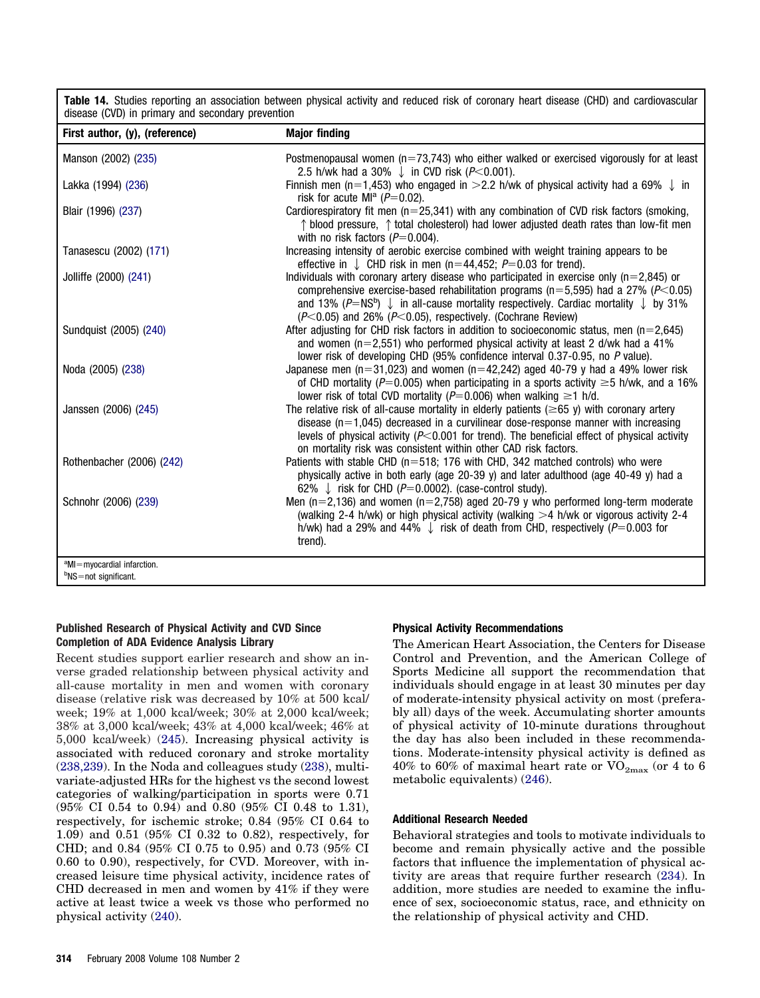| First author, (y), (reference)                                  | <b>Major finding</b>                                                                                                                                                                                                                                                                                                                                                            |
|-----------------------------------------------------------------|---------------------------------------------------------------------------------------------------------------------------------------------------------------------------------------------------------------------------------------------------------------------------------------------------------------------------------------------------------------------------------|
| Manson (2002) (235)                                             | Postmenopausal women ( $n=73,743$ ) who either walked or exercised vigorously for at least<br>2.5 h/wk had a 30% $\downarrow$ in CVD risk (P<0.001).                                                                                                                                                                                                                            |
| Lakka (1994) (236)                                              | Finnish men (n=1,453) who engaged in >2.2 h/wk of physical activity had a 69% $\downarrow$ in<br>risk for acute M $^a$ (P=0.02).                                                                                                                                                                                                                                                |
| Blair (1996) (237)                                              | Cardiorespiratory fit men ( $n=25,341$ ) with any combination of CVD risk factors (smoking,<br>↑ blood pressure, ↑ total cholesterol) had lower adjusted death rates than low-fit men<br>with no risk factors ( $P=0.004$ ).                                                                                                                                                    |
| Tanasescu (2002) (171)                                          | Increasing intensity of aerobic exercise combined with weight training appears to be<br>effective in $\downarrow$ CHD risk in men (n=44,452; P=0.03 for trend).                                                                                                                                                                                                                 |
| Jolliffe (2000) (241)                                           | Individuals with coronary artery disease who participated in exercise only ( $n=2,845$ ) or<br>comprehensive exercise-based rehabilitation programs ( $n=5,595$ ) had a 27% ( $P<0.05$ )<br>and 13% ( $P=\text{NS}^b$ ) $\downarrow$ in all-cause mortality respectively. Cardiac mortality $\downarrow$ by 31%<br>$(P<0.05)$ and 26% (P<0.05), respectively. (Cochrane Review) |
| Sundquist (2005) (240)                                          | After adjusting for CHD risk factors in addition to socioeconomic status, men $(n=2.645)$<br>and women ( $n=2.551$ ) who performed physical activity at least 2 d/wk had a 41%<br>lower risk of developing CHD (95% confidence interval 0.37-0.95, no P value).                                                                                                                 |
| Noda (2005) (238)                                               | Japanese men ( $n=31,023$ ) and women ( $n=42,242$ ) aged 40-79 y had a 49% lower risk<br>of CHD mortality (P=0.005) when participating in a sports activity $\geq$ 5 h/wk, and a 16%<br>lower risk of total CVD mortality ( $P=0.006$ ) when walking $\geq 1$ h/d.                                                                                                             |
| Janssen (2006) (245)                                            | The relative risk of all-cause mortality in elderly patients ( $\geq 65$ y) with coronary artery<br>disease ( $n=1,045$ ) decreased in a curvilinear dose-response manner with increasing<br>levels of physical activity ( $P<0.001$ for trend). The beneficial effect of physical activity<br>on mortality risk was consistent within other CAD risk factors.                  |
| Rothenbacher (2006) (242)                                       | Patients with stable CHD ( $n=518$ ; 176 with CHD, 342 matched controls) who were<br>physically active in both early (age 20-39 y) and later adulthood (age 40-49 y) had a<br>62% $\downarrow$ risk for CHD (P=0.0002). (case-control study).                                                                                                                                   |
| Schnohr (2006) (239)                                            | Men ( $n=2,136$ ) and women ( $n=2,758$ ) aged 20-79 y who performed long-term moderate<br>(walking 2-4 h/wk) or high physical activity (walking $>4$ h/wk or vigorous activity 2-4<br>h/wk) had a 29% and 44% $\downarrow$ risk of death from CHD, respectively (P=0.003 for<br>trend).                                                                                        |
| aMI=myocardial infarction.<br>b <sub>NS</sub> =not significant. |                                                                                                                                                                                                                                                                                                                                                                                 |

<span id="page-27-0"></span>**Table 14.** Studies reporting an association between physical activity and reduced risk of coronary heart disease (CHD) and cardiovascular disease (CVD) in primary and secondary prevention

#### **Published Research of Physical Activity and CVD Since Completion of ADA Evidence Analysis Library**

Recent studies support earlier research and show an inverse graded relationship between physical activity and all-cause mortality in men and women with coronary disease (relative risk was decreased by 10% at 500 kcal/ week; 19% at 1,000 kcal/week; 30% at 2,000 kcal/week; 38% at 3,000 kcal/week; 43% at 4,000 kcal/week; 46% at 5,000 kcal/week) [\(245\)](#page-43-0). Increasing physical activity is associated with reduced coronary and stroke mortality [\(238,239\)](#page-43-0). In the Noda and colleagues study [\(238\)](#page-43-0), multivariate-adjusted HRs for the highest vs the second lowest categories of walking/participation in sports were 0.71 (95% CI 0.54 to 0.94) and 0.80 (95% CI 0.48 to 1.31), respectively, for ischemic stroke; 0.84 (95% CI 0.64 to 1.09) and 0.51 (95% CI 0.32 to 0.82), respectively, for CHD; and 0.84 (95% CI 0.75 to 0.95) and 0.73 (95% CI 0.60 to 0.90), respectively, for CVD. Moreover, with increased leisure time physical activity, incidence rates of CHD decreased in men and women by 41% if they were active at least twice a week vs those who performed no physical activity [\(240\)](#page-43-0).

#### **Physical Activity Recommendations**

The American Heart Association, the Centers for Disease Control and Prevention, and the American College of Sports Medicine all support the recommendation that individuals should engage in at least 30 minutes per day of moderate-intensity physical activity on most (preferably all) days of the week. Accumulating shorter amounts of physical activity of 10-minute durations throughout the day has also been included in these recommendations. Moderate-intensity physical activity is defined as 40% to 60% of maximal heart rate or  $VO_{2max}$  (or 4 to 6 metabolic equivalents) [\(246\)](#page-43-0).

#### **Additional Research Needed**

Behavioral strategies and tools to motivate individuals to become and remain physically active and the possible factors that influence the implementation of physical activity are areas that require further research [\(234\)](#page-43-0). In addition, more studies are needed to examine the influence of sex, socioeconomic status, race, and ethnicity on the relationship of physical activity and CHD.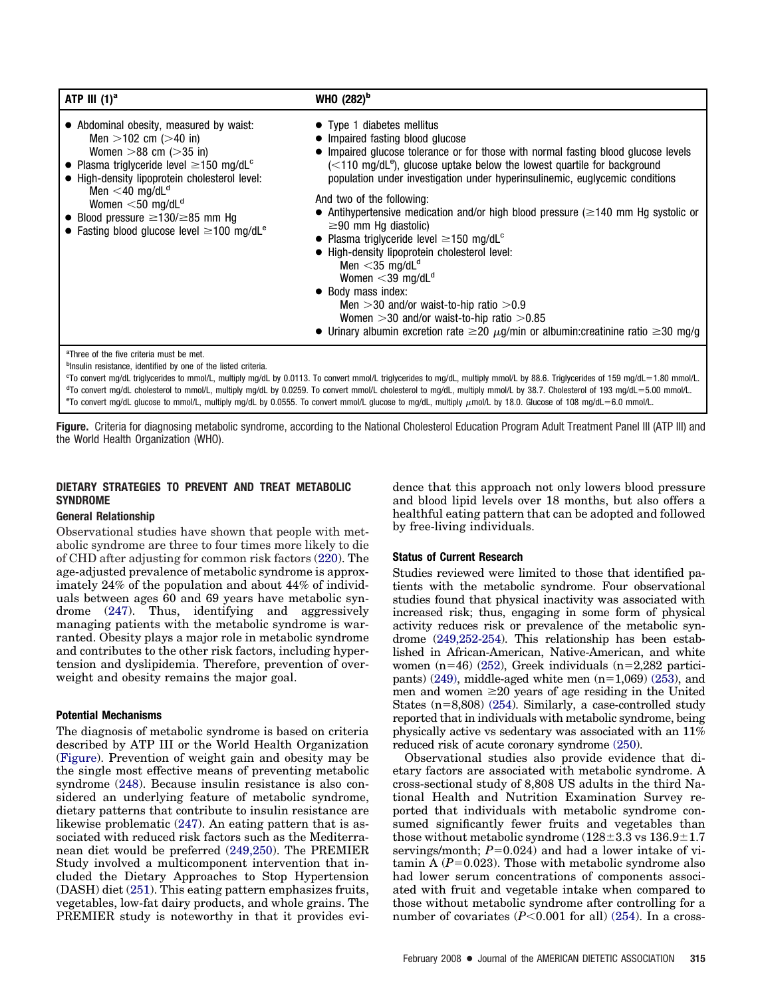| ATP III $(1)^a$                                                                                                                                                                                                                                                                                                                                                                              | WHO (282) <sup>b</sup>                                                                                                                                                                                                                                                                                                                                                                                                                                                                                                                                                                                                                                                                                                                                                                                                                                                                            |
|----------------------------------------------------------------------------------------------------------------------------------------------------------------------------------------------------------------------------------------------------------------------------------------------------------------------------------------------------------------------------------------------|---------------------------------------------------------------------------------------------------------------------------------------------------------------------------------------------------------------------------------------------------------------------------------------------------------------------------------------------------------------------------------------------------------------------------------------------------------------------------------------------------------------------------------------------------------------------------------------------------------------------------------------------------------------------------------------------------------------------------------------------------------------------------------------------------------------------------------------------------------------------------------------------------|
| • Abdominal obesity, measured by waist:<br>Men $>$ 102 cm ( $>$ 40 in)<br>Women $>88$ cm ( $>35$ in)<br>• Plasma triglyceride level $\geq$ 150 mg/dL <sup>c</sup><br>• High-density lipoprotein cholesterol level:<br>Men $<$ 40 mg/d $Ld$<br>Women $<$ 50 mg/dL <sup>d</sup><br>• Blood pressure $\geq$ 130/ $\geq$ 85 mm Hq<br>• Fasting blood glucose level $\geq$ 100 mg/dL <sup>e</sup> | • Type 1 diabetes mellitus<br>• Impaired fasting blood glucose<br>• Impaired glucose tolerance or for those with normal fasting blood glucose levels<br>$\approx$ 110 mg/dL <sup>e</sup> ), glucose uptake below the lowest quartile for background<br>population under investigation under hyperinsulinemic, euglycemic conditions<br>And two of the following:<br>• Antihypertensive medication and/or high blood pressure ( $\geq$ 140 mm Hg systolic or<br>$\geq$ 90 mm Hg diastolic)<br>• Plasma triglyceride level $\geq$ 150 mg/dL <sup>c</sup><br>• High-density lipoprotein cholesterol level:<br>Men $<$ 35 mg/d $Ld$<br>Women $<$ 39 mg/dL <sup>d</sup><br>• Body mass index:<br>Men $>$ 30 and/or waist-to-hip ratio $>$ 0.9<br>Women $>$ 30 and/or waist-to-hip ratio $>$ 0.85<br>• Urinary albumin excretion rate $\geq$ 20 $\mu$ g/min or albumin: creatinine ratio $\geq$ 30 mg/g |
| <sup>a</sup> Three of the five criteria must be met.<br><sup>b</sup> Insulin resistance, identified by one of the listed criteria.                                                                                                                                                                                                                                                           | <sup>c</sup> To convert mg/dL triglycerides to mmol/L, multiply mg/dL by 0.0113. To convert mmol/L triglycerides to mg/dL, multiply mmol/L by 88.6. Triglycerides of 159 mg/dL=1.80 mmol/L.                                                                                                                                                                                                                                                                                                                                                                                                                                                                                                                                                                                                                                                                                                       |

<sup>d</sup>To convert mg/dL cholesterol to mmol/L, multiply mg/dL by 0.0259. To convert mmol/L cholesterol to mg/dL, multiply mmol/L by 38.7. Cholesterol of 193 mg/dL=5.00 mmol/L. eTo convert mg/dL glucose to mmol/L, multiply mg/dL by 0.0555. To convert mmol/L glucose to mg/dL, multiply  $\mu$ mol/L by 18.0. Glucose of 108 mg/dL=6.0 mmol/L.

**Figure.** Criteria for diagnosing metabolic syndrome, according to the National Cholesterol Education Program Adult Treatment Panel III (ATP III) and the World Health Organization (WHO).

# **DIETARY STRATEGIES TO PREVENT AND TREAT METABOLIC SYNDROME**

#### **General Relationship**

Observational studies have shown that people with metabolic syndrome are three to four times more likely to die of CHD after adjusting for common risk factors [\(220\)](#page-42-0). The age-adjusted prevalence of metabolic syndrome is approximately 24% of the population and about 44% of individuals between ages 60 and 69 years have metabolic syndrome [\(247\)](#page-43-0). Thus, identifying and aggressively managing patients with the metabolic syndrome is warranted. Obesity plays a major role in metabolic syndrome and contributes to the other risk factors, including hypertension and dyslipidemia. Therefore, prevention of overweight and obesity remains the major goal.

#### **Potential Mechanisms**

The diagnosis of metabolic syndrome is based on criteria described by ATP III or the World Health Organization (Figure). Prevention of weight gain and obesity may be the single most effective means of preventing metabolic syndrome [\(248\)](#page-43-0). Because insulin resistance is also considered an underlying feature of metabolic syndrome, dietary patterns that contribute to insulin resistance are likewise problematic [\(247\)](#page-43-0). An eating pattern that is associated with reduced risk factors such as the Mediterranean diet would be preferred [\(249,250\)](#page-43-0). The PREMIER Study involved a multicomponent intervention that included the Dietary Approaches to Stop Hypertension (DASH) diet [\(251\)](#page-43-0). This eating pattern emphasizes fruits, vegetables, low-fat dairy products, and whole grains. The PREMIER study is noteworthy in that it provides evidence that this approach not only lowers blood pressure and blood lipid levels over 18 months, but also offers a healthful eating pattern that can be adopted and followed by free-living individuals.

#### **Status of Current Research**

Studies reviewed were limited to those that identified patients with the metabolic syndrome. Four observational studies found that physical inactivity was associated with increased risk; thus, engaging in some form of physical activity reduces risk or prevalence of the metabolic syndrome [\(249,252-254\)](#page-43-0). This relationship has been established in African-American, Native-American, and white women  $(n=46)$  [\(252\)](#page-43-0), Greek individuals  $(n=2,282)$  partici-pants) [\(249\)](#page-43-0), middle-aged white men  $(n=1,069)$  [\(253\)](#page-43-0), and men and women  $\geq 20$  years of age residing in the United States  $(n=8,808)$  [\(254\)](#page-43-0). Similarly, a case-controlled study reported that in individuals with metabolic syndrome, being physically active vs sedentary was associated with an 11% reduced risk of acute coronary syndrome [\(250\)](#page-43-0).

Observational studies also provide evidence that dietary factors are associated with metabolic syndrome. A cross-sectional study of 8,808 US adults in the third National Health and Nutrition Examination Survey reported that individuals with metabolic syndrome consumed significantly fewer fruits and vegetables than those without metabolic syndrome  $(128\pm3.3 \text{ vs } 136.9\pm1.7$ servings/month;  $P=0.024$ ) and had a lower intake of vitamin A  $(P=0.023)$ . Those with metabolic syndrome also had lower serum concentrations of components associated with fruit and vegetable intake when compared to those without metabolic syndrome after controlling for a number of covariates (*P*<0.001 for all) [\(254\)](#page-43-0). In a cross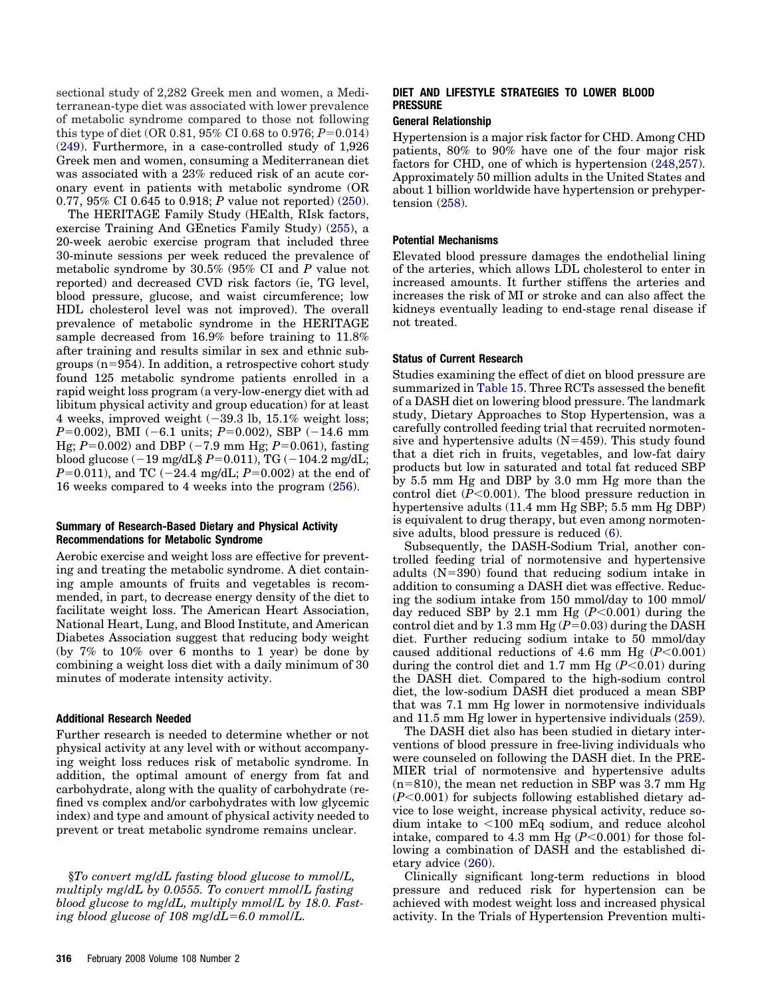sectional study of 2,282 Greek men and women, a Mediterranean-type diet was associated with lower prevalence of metabolic syndrome compared to those not following this type of diet (OR 0.81,  $95\%$  CI 0.68 to 0.976;  $P=0.014$ ) [\(249\)](#page-43-0). Furthermore, in a case-controlled study of 1,926 Greek men and women, consuming a Mediterranean diet was associated with a 23% reduced risk of an acute coronary event in patients with metabolic syndrome (OR 0.77, 95% CI 0.645 to 0.918; *P* value not reported) [\(250\)](#page-43-0).

The HERITAGE Family Study (HEalth, RIsk factors, exercise Training And GEnetics Family Study) [\(255\)](#page-43-0), a 20-week aerobic exercise program that included three 30-minute sessions per week reduced the prevalence of metabolic syndrome by 30.5% (95% CI and *P* value not reported) and decreased CVD risk factors (ie, TG level, blood pressure, glucose, and waist circumference; low HDL cholesterol level was not improved). The overall prevalence of metabolic syndrome in the HERITAGE sample decreased from 16.9% before training to 11.8% after training and results similar in sex and ethnic subgroups  $(n=954)$ . In addition, a retrospective cohort study found 125 metabolic syndrome patients enrolled in a rapid weight loss program (a very-low-energy diet with ad libitum physical activity and group education) for at least 4 weeks, improved weight  $(-39.3 \text{ lb}, 15.1\% \text{ weight loss};$  $P=0.002$ ), BMI (-6.1 units;  $P=0.002$ ), SBP (-14.6 mm Hg;  $P=0.002$ ) and DBP (-7.9 mm Hg;  $P=0.061$ ), fasting blood glucose  $(-19 \text{ mg/dL} \frac{8}{9} P=0.011)$ , TG  $(-104.2 \text{ mg/dL})$ ;  $P=0.011$ ), and TC ( $-24.4$  mg/dL;  $P=0.002$ ) at the end of 16 weeks compared to 4 weeks into the program [\(256\)](#page-43-0).

#### **Summary of Research-Based Dietary and Physical Activity Recommendations for Metabolic Syndrome**

Aerobic exercise and weight loss are effective for preventing and treating the metabolic syndrome. A diet containing ample amounts of fruits and vegetables is recommended, in part, to decrease energy density of the diet to facilitate weight loss. The American Heart Association, National Heart, Lung, and Blood Institute, and American Diabetes Association suggest that reducing body weight (by 7% to 10% over 6 months to 1 year) be done by combining a weight loss diet with a daily minimum of 30 minutes of moderate intensity activity.

#### **Additional Research Needed**

Further research is needed to determine whether or not physical activity at any level with or without accompanying weight loss reduces risk of metabolic syndrome. In addition, the optimal amount of energy from fat and carbohydrate, along with the quality of carbohydrate (refined vs complex and/or carbohydrates with low glycemic index) and type and amount of physical activity needed to prevent or treat metabolic syndrome remains unclear.

§*To convert mg/dL fasting blood glucose to mmol/L, multiply mg/dL by 0.0555. To convert mmol/L fasting blood glucose to mg/dL, multiply mmol/L by 18.0. Fasting blood glucose of 108 mg/dL6.0 mmol/L.*

#### **DIET AND LIFESTYLE STRATEGIES TO LOWER BLOOD PRESSURE**

#### **General Relationship**

Hypertension is a major risk factor for CHD. Among CHD patients, 80% to 90% have one of the four major risk factors for CHD, one of which is hypertension [\(248,257\)](#page-43-0). Approximately 50 million adults in the United States and about 1 billion worldwide have hypertension or prehypertension [\(258\)](#page-43-0).

#### **Potential Mechanisms**

Elevated blood pressure damages the endothelial lining of the arteries, which allows LDL cholesterol to enter in increased amounts. It further stiffens the arteries and increases the risk of MI or stroke and can also affect the kidneys eventually leading to end-stage renal disease if not treated.

#### **Status of Current Research**

Studies examining the effect of diet on blood pressure are summarized in [Table 15.](#page-30-0) Three RCTs assessed the benefit of a DASH diet on lowering blood pressure. The landmark study, Dietary Approaches to Stop Hypertension, was a carefully controlled feeding trial that recruited normotensive and hypertensive adults  $(N=459)$ . This study found that a diet rich in fruits, vegetables, and low-fat dairy products but low in saturated and total fat reduced SBP by 5.5 mm Hg and DBP by 3.0 mm Hg more than the control diet  $(P<0.001)$ . The blood pressure reduction in hypertensive adults (11.4 mm Hg SBP; 5.5 mm Hg DBP) is equivalent to drug therapy, but even among normotensive adults, blood pressure is reduced [\(6\)](#page-37-0).

Subsequently, the DASH-Sodium Trial, another controlled feeding trial of normotensive and hypertensive adults  $(N=390)$  found that reducing sodium intake in addition to consuming a DASH diet was effective. Reducing the sodium intake from 150 mmol/day to 100 mmol/ day reduced SBP by  $2.1$  mm Hg  $(P<0.001)$  during the control diet and by 1.3 mm Hg  $(P=0.03)$  during the DASH diet. Further reducing sodium intake to 50 mmol/day caused additional reductions of  $4.6$  mm Hg  $(P< 0.001)$ during the control diet and 1.7 mm Hg (*P*-0.01) during the DASH diet. Compared to the high-sodium control diet, the low-sodium DASH diet produced a mean SBP that was 7.1 mm Hg lower in normotensive individuals and 11.5 mm Hg lower in hypertensive individuals [\(259\)](#page-43-0).

The DASH diet also has been studied in dietary interventions of blood pressure in free-living individuals who were counseled on following the DASH diet. In the PRE-MIER trial of normotensive and hypertensive adults  $(n=810)$ , the mean net reduction in SBP was 3.7 mm Hg (*P*-0.001) for subjects following established dietary advice to lose weight, increase physical activity, reduce sodium intake to  $\leq 100$  mEq sodium, and reduce alcohol intake, compared to  $4.3 \text{ mm Hg}$   $(P<0.001)$  for those following a combination of DASH and the established dietary advice [\(260\)](#page-43-0).

Clinically significant long-term reductions in blood pressure and reduced risk for hypertension can be achieved with modest weight loss and increased physical activity. In the Trials of Hypertension Prevention multi-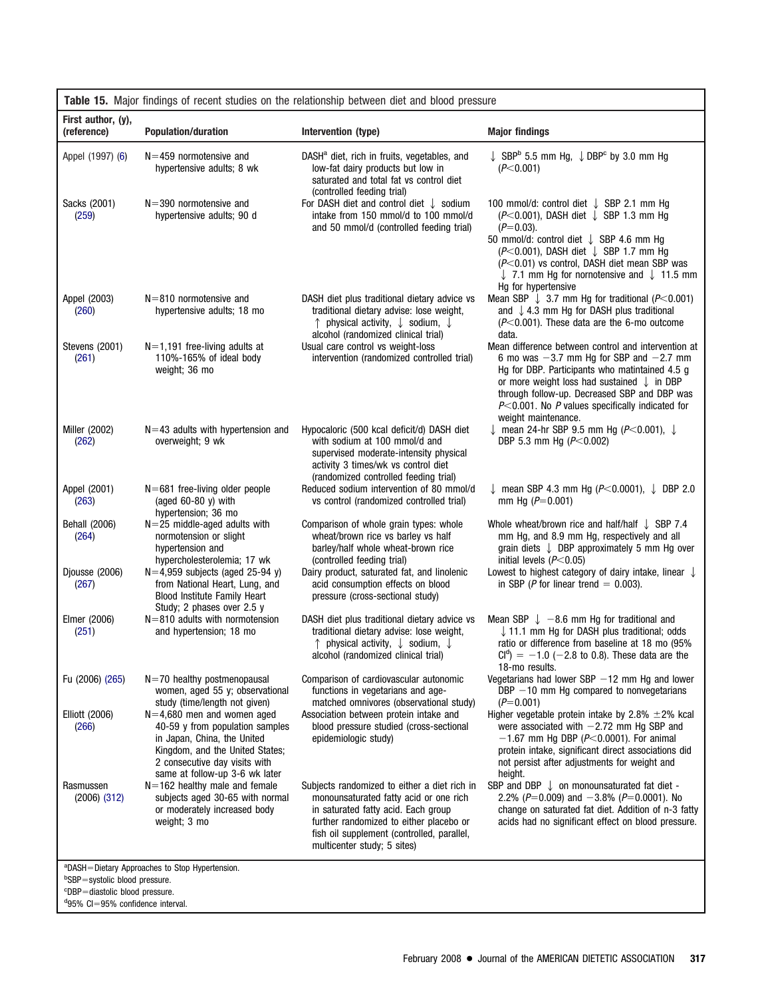<span id="page-30-0"></span>

| Table 15. Major findings of recent studies on the relationship between diet and blood pressure                         |                                                                                                                                                                                                      |                                                                                                                                                                                                                                                       |                                                                                                                                                                                                                                                                                                                                                               |  |  |
|------------------------------------------------------------------------------------------------------------------------|------------------------------------------------------------------------------------------------------------------------------------------------------------------------------------------------------|-------------------------------------------------------------------------------------------------------------------------------------------------------------------------------------------------------------------------------------------------------|---------------------------------------------------------------------------------------------------------------------------------------------------------------------------------------------------------------------------------------------------------------------------------------------------------------------------------------------------------------|--|--|
| First author, (y),<br>(reference)                                                                                      | <b>Population/duration</b>                                                                                                                                                                           | Intervention (type)                                                                                                                                                                                                                                   | <b>Major findings</b>                                                                                                                                                                                                                                                                                                                                         |  |  |
| Appel (1997) (6)                                                                                                       | $N = 459$ normotensive and<br>hypertensive adults; 8 wk                                                                                                                                              | DASH <sup>a</sup> diet, rich in fruits, vegetables, and<br>low-fat dairy products but low in<br>saturated and total fat vs control diet<br>(controlled feeding trial)                                                                                 | $\downarrow$ SBP <sup>b</sup> 5.5 mm Hg, $\downarrow$ DBP <sup>c</sup> by 3.0 mm Hg<br>(P<0.001)                                                                                                                                                                                                                                                              |  |  |
| Sacks (2001)<br>(259)                                                                                                  | $N = 390$ normotensive and<br>hypertensive adults; 90 d                                                                                                                                              | For DASH diet and control diet $\downarrow$ sodium<br>intake from 150 mmol/d to 100 mmol/d<br>and 50 mmol/d (controlled feeding trial)                                                                                                                | 100 mmol/d: control diet ↓ SBP 2.1 mm Hg<br>( $P<0.001$ ), DASH diet $\downarrow$ SBP 1.3 mm Hg<br>$(P=0.03)$ .<br>50 mmol/d: control diet J SBP 4.6 mm Hq<br>( $P<0.001$ ), DASH diet $\downarrow$ SBP 1.7 mm Hq<br>$(P<0.01)$ vs control, DASH diet mean SBP was<br>$\downarrow$ 7.1 mm Hg for nornotensive and $\downarrow$ 11.5 mm<br>Hg for hypertensive |  |  |
| Appel (2003)<br>(260)                                                                                                  | $N = 810$ normotensive and<br>hypertensive adults; 18 mo                                                                                                                                             | DASH diet plus traditional dietary advice vs<br>traditional dietary advise: lose weight,<br>$\uparrow$ physical activity, $\downarrow$ sodium, $\downarrow$<br>alcohol (randomized clinical trial)                                                    | Mean SBP $\downarrow$ 3.7 mm Hg for traditional (P<0.001)<br>and $\downarrow$ 4.3 mm Hg for DASH plus traditional<br>$(P<0.001)$ . These data are the 6-mo outcome<br>data.                                                                                                                                                                                   |  |  |
| Stevens (2001)<br>(261)                                                                                                | $N=1,191$ free-living adults at<br>110%-165% of ideal body<br>weight; 36 mo                                                                                                                          | Usual care control vs weight-loss<br>intervention (randomized controlled trial)                                                                                                                                                                       | Mean difference between control and intervention at<br>6 mo was $-3.7$ mm Hg for SBP and $-2.7$ mm<br>Hq for DBP. Participants who matintained 4.5 q<br>or more weight loss had sustained $\downarrow$ in DBP<br>through follow-up. Decreased SBP and DBP was<br>$P<0.001$ . No P values specifically indicated for<br>weight maintenance.                    |  |  |
| Miller (2002)<br>(262)                                                                                                 | $N=43$ adults with hypertension and<br>overweight; 9 wk                                                                                                                                              | Hypocaloric (500 kcal deficit/d) DASH diet<br>with sodium at 100 mmol/d and<br>supervised moderate-intensity physical<br>activity 3 times/wk vs control diet<br>(randomized controlled feeding trial)                                                 | $\downarrow$ mean 24-hr SBP 9.5 mm Hg (P < 0.001), $\downarrow$<br>DBP 5.3 mm Hg $(P<0.002)$                                                                                                                                                                                                                                                                  |  |  |
| Appel (2001)<br>(263)                                                                                                  | $N = 681$ free-living older people<br>(aged $60-80$ y) with<br>hypertension; 36 mo                                                                                                                   | Reduced sodium intervention of 80 mmol/d<br>vs control (randomized controlled trial)                                                                                                                                                                  | $\downarrow$ mean SBP 4.3 mm Hg (P<0.0001), $\downarrow$ DBP 2.0<br>mm Hg $(P=0.001)$                                                                                                                                                                                                                                                                         |  |  |
| Behall (2006)<br>(264)                                                                                                 | $N = 25$ middle-aged adults with<br>normotension or slight<br>hypertension and<br>hypercholesterolemia; 17 wk                                                                                        | Comparison of whole grain types: whole<br>wheat/brown rice vs barley vs half<br>barley/half whole wheat-brown rice<br>(controlled feeding trial)                                                                                                      | Whole wheat/brown rice and half/half $\downarrow$ SBP 7.4<br>mm Hg, and 8.9 mm Hg, respectively and all<br>grain diets $\downarrow$ DBP approximately 5 mm Hg over<br>initial levels $(P<0.05)$                                                                                                                                                               |  |  |
| Djousse (2006)<br>(267)                                                                                                | $N=4,959$ subjects (aged 25-94 y)<br>from National Heart, Lung, and<br><b>Blood Institute Family Heart</b><br>Study; 2 phases over 2.5 y                                                             | Dairy product, saturated fat, and linolenic<br>acid consumption effects on blood<br>pressure (cross-sectional study)                                                                                                                                  | Lowest to highest category of dairy intake, linear $\downarrow$<br>in SBP (P for linear trend $= 0.003$ ).                                                                                                                                                                                                                                                    |  |  |
| Elmer (2006)<br>(251)                                                                                                  | $N = 810$ adults with normotension<br>and hypertension; 18 mo                                                                                                                                        | DASH diet plus traditional dietary advice vs<br>traditional dietary advise: lose weight,<br>physical activity, $\downarrow$ sodium, $\downarrow$<br>alcohol (randomized clinical trial)                                                               | Mean SBP $\downarrow$ -8.6 mm Hq for traditional and<br>I 11.1 mm Hq for DASH plus traditional; odds<br>ratio or difference from baseline at 18 mo (95%<br>$Cl^d$ ) = -1.0 (-2.8 to 0.8). These data are the<br>18-mo results.                                                                                                                                |  |  |
| Fu (2006) (265)                                                                                                        | $N=70$ healthy postmenopausal<br>women, aged 55 y; observational<br>study (time/length not given)                                                                                                    | Comparison of cardiovascular autonomic<br>functions in vegetarians and age-<br>matched omnivores (observational study)                                                                                                                                | Vegetarians had lower $SBP - 12$ mm Hg and lower<br>DBP $-10$ mm Hg compared to nonvegetarians<br>$(P=0.001)$                                                                                                                                                                                                                                                 |  |  |
| Elliott (2006)<br>(266)                                                                                                | $N=4,680$ men and women aged<br>40-59 y from population samples<br>in Japan, China, the United<br>Kingdom, and the United States;<br>2 consecutive day visits with<br>same at follow-up 3-6 wk later | Association between protein intake and<br>blood pressure studied (cross-sectional<br>epidemiologic study)                                                                                                                                             | Higher vegetable protein intake by 2.8% $\pm$ 2% kcal<br>were associated with $-2.72$ mm Hg SBP and<br>$-1.67$ mm Hg DBP (P<0.0001). For animal<br>protein intake, significant direct associations did<br>not persist after adjustments for weight and<br>height.                                                                                             |  |  |
| Rasmussen<br>$(2006)$ $(312)$                                                                                          | $N = 162$ healthy male and female<br>subjects aged 30-65 with normal<br>or moderately increased body<br>weight; 3 mo                                                                                 | Subjects randomized to either a diet rich in<br>monounsaturated fatty acid or one rich<br>in saturated fatty acid. Each group<br>further randomized to either placebo or<br>fish oil supplement (controlled, parallel,<br>multicenter study; 5 sites) | SBP and DBP $\downarrow$ on monounsaturated fat diet -<br>2.2% ( $P=0.009$ ) and $-3.8\%$ ( $P=0.0001$ ). No<br>change on saturated fat diet. Addition of n-3 fatty<br>acids had no significant effect on blood pressure.                                                                                                                                     |  |  |
| <sup>b</sup> SBP=systolic blood pressure.<br><i>c</i> DBP=diastolic blood pressure.<br>0050/01-050/00ptidence interval | aDASH=Dietary Approaches to Stop Hypertension.                                                                                                                                                       |                                                                                                                                                                                                                                                       |                                                                                                                                                                                                                                                                                                                                                               |  |  |

<sup>c</sup>DBP=diastolic blood pressure.<br><sup>d</sup>95% CI=95% confidence interval.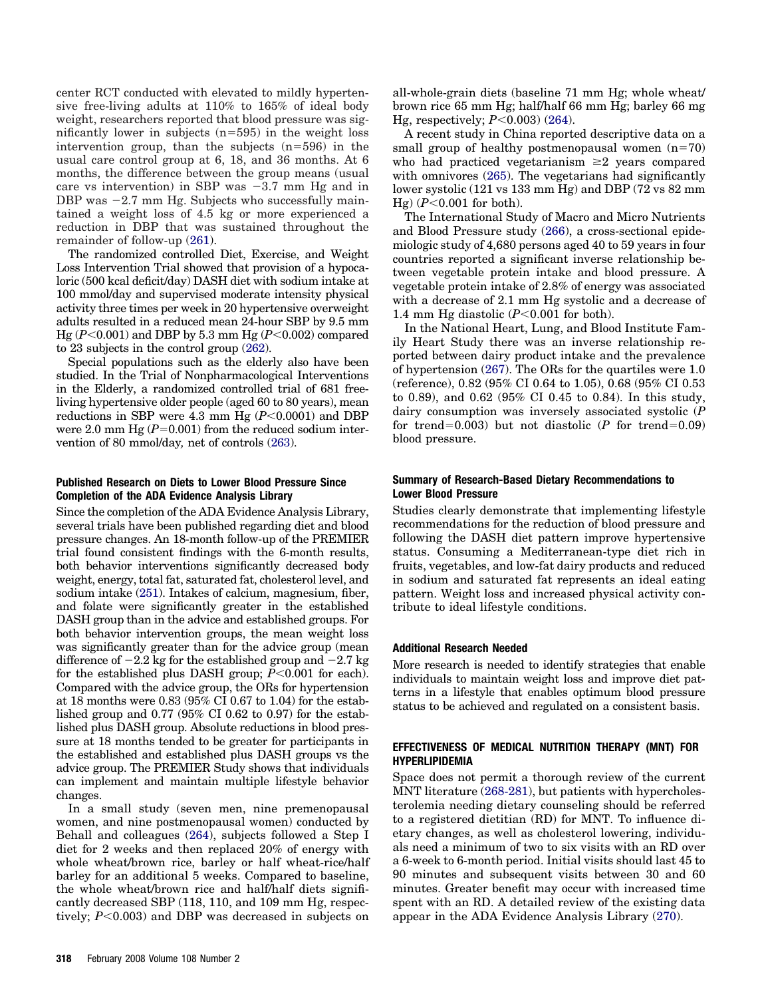center RCT conducted with elevated to mildly hypertensive free-living adults at 110% to 165% of ideal body weight, researchers reported that blood pressure was significantly lower in subjects  $(n=595)$  in the weight loss intervention group, than the subjects  $(n=596)$  in the usual care control group at 6, 18, and 36 months. At 6 months, the difference between the group means (usual care vs intervention) in SBP was  $-3.7$  mm Hg and in DBP was  $-2.7$  mm Hg. Subjects who successfully maintained a weight loss of 4.5 kg or more experienced a reduction in DBP that was sustained throughout the remainder of follow-up [\(261\)](#page-43-0).

The randomized controlled Diet, Exercise, and Weight Loss Intervention Trial showed that provision of a hypocaloric (500 kcal deficit/day) DASH diet with sodium intake at 100 mmol/day and supervised moderate intensity physical activity three times per week in 20 hypertensive overweight adults resulted in a reduced mean 24-hour SBP by 9.5 mm Hg (*P*-0.001) and DBP by 5.3 mm Hg (*P*-0.002) compared to 23 subjects in the control group [\(262\)](#page-43-0).

Special populations such as the elderly also have been studied. In the Trial of Nonpharmacological Interventions in the Elderly, a randomized controlled trial of 681 freeliving hypertensive older people (aged 60 to 80 years), mean reductions in SBP were 4.3 mm Hg ( $P$ <0.0001) and DBP were 2.0 mm Hg  $(P=0.001)$  from the reduced sodium intervention of 80 mmol/day*,* net of controls [\(263\)](#page-43-0).

#### **Published Research on Diets to Lower Blood Pressure Since Completion of the ADA Evidence Analysis Library**

Since the completion of the ADA Evidence Analysis Library, several trials have been published regarding diet and blood pressure changes. An 18-month follow-up of the PREMIER trial found consistent findings with the 6-month results, both behavior interventions significantly decreased body weight, energy, total fat, saturated fat, cholesterol level, and sodium intake [\(251\)](#page-43-0). Intakes of calcium, magnesium, fiber, and folate were significantly greater in the established DASH group than in the advice and established groups. For both behavior intervention groups, the mean weight loss was significantly greater than for the advice group (mean difference of  $-2.2$  kg for the established group and  $-2.7$  kg for the established plus DASH group;  $P<0.001$  for each). Compared with the advice group, the ORs for hypertension at 18 months were 0.83 (95% CI 0.67 to 1.04) for the established group and 0.77 (95% CI 0.62 to 0.97) for the established plus DASH group. Absolute reductions in blood pressure at 18 months tended to be greater for participants in the established and established plus DASH groups vs the advice group. The PREMIER Study shows that individuals can implement and maintain multiple lifestyle behavior changes.

In a small study (seven men, nine premenopausal women, and nine postmenopausal women) conducted by Behall and colleagues [\(264\)](#page-43-0), subjects followed a Step I diet for 2 weeks and then replaced 20% of energy with whole wheat/brown rice, barley or half wheat-rice/half barley for an additional 5 weeks. Compared to baseline, the whole wheat/brown rice and half/half diets significantly decreased SBP (118, 110, and 109 mm Hg, respectively; *P*-0.003) and DBP was decreased in subjects on

all-whole-grain diets (baseline 71 mm Hg; whole wheat/ brown rice 65 mm Hg; half/half 66 mm Hg; barley 66 mg Hg, respectively; *P*-0.003) [\(264\)](#page-43-0).

A recent study in China reported descriptive data on a small group of healthy postmenopausal women  $(n=70)$ who had practiced vegetarianism  $\geq 2$  years compared with omnivores  $(265)$ . The vegetarians had significantly lower systolic (121 vs 133 mm Hg) and DBP (72 vs 82 mm  $Hg$ ) ( $P < 0.001$  for both).

The International Study of Macro and Micro Nutrients and Blood Pressure study [\(266\)](#page-43-0), a cross-sectional epidemiologic study of 4,680 persons aged 40 to 59 years in four countries reported a significant inverse relationship between vegetable protein intake and blood pressure. A vegetable protein intake of 2.8% of energy was associated with a decrease of 2.1 mm Hg systolic and a decrease of 1.4 mm Hg diastolic  $(P<0.001$  for both).

In the National Heart, Lung, and Blood Institute Family Heart Study there was an inverse relationship reported between dairy product intake and the prevalence of hypertension [\(267\)](#page-43-0). The ORs for the quartiles were 1.0 (reference), 0.82 (95% CI 0.64 to 1.05), 0.68 (95% CI 0.53 to 0.89), and 0.62 (95% CI 0.45 to 0.84). In this study, dairy consumption was inversely associated systolic (*P* for trend=0.003) but not diastolic  $(P \text{ for trend}=0.09)$ blood pressure.

#### **Summary of Research-Based Dietary Recommendations to Lower Blood Pressure**

Studies clearly demonstrate that implementing lifestyle recommendations for the reduction of blood pressure and following the DASH diet pattern improve hypertensive status. Consuming a Mediterranean-type diet rich in fruits, vegetables, and low-fat dairy products and reduced in sodium and saturated fat represents an ideal eating pattern. Weight loss and increased physical activity contribute to ideal lifestyle conditions.

#### **Additional Research Needed**

More research is needed to identify strategies that enable individuals to maintain weight loss and improve diet patterns in a lifestyle that enables optimum blood pressure status to be achieved and regulated on a consistent basis.

#### **EFFECTIVENESS OF MEDICAL NUTRITION THERAPY (MNT) FOR HYPERLIPIDEMIA**

Space does not permit a thorough review of the current MNT literature [\(268-281\)](#page-43-0), but patients with hypercholesterolemia needing dietary counseling should be referred to a registered dietitian (RD) for MNT. To influence dietary changes, as well as cholesterol lowering, individuals need a minimum of two to six visits with an RD over a 6-week to 6-month period. Initial visits should last 45 to 90 minutes and subsequent visits between 30 and 60 minutes. Greater benefit may occur with increased time spent with an RD. A detailed review of the existing data appear in the ADA Evidence Analysis Library [\(270\)](#page-43-0).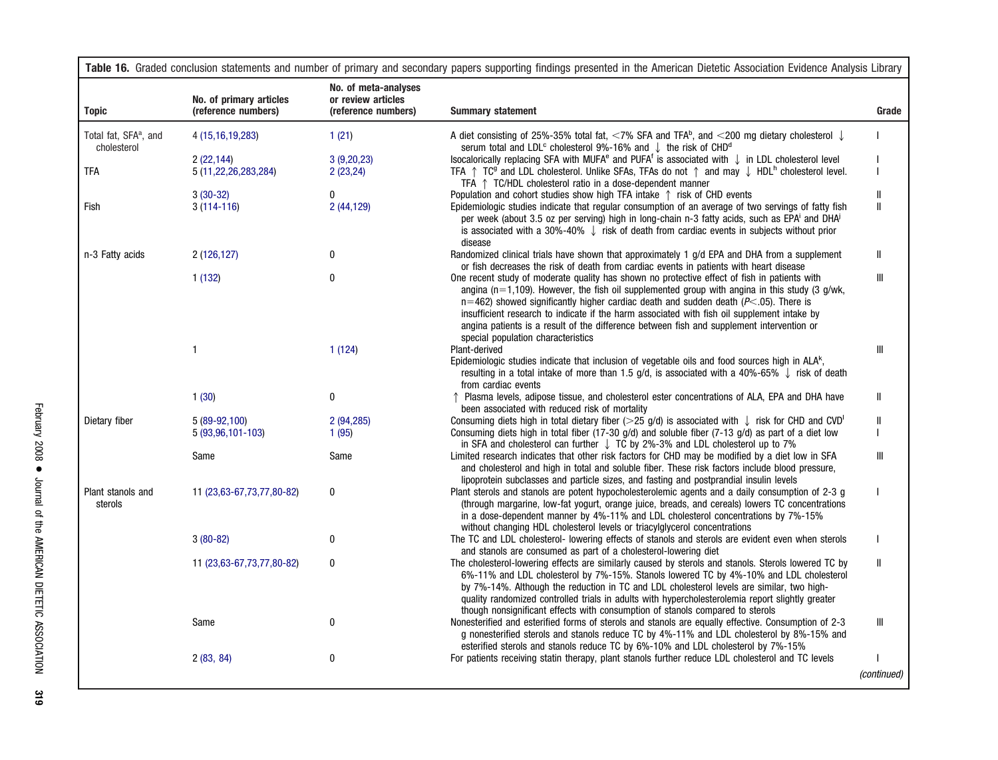<span id="page-32-0"></span>

| <b>Topic</b>                                     | No. of primary articles<br>(reference numbers) | No. of meta-analyses<br>or review articles<br>(reference numbers) | <b>Summary statement</b>                                                                                                                                                                                                                                                                                                                                                                                                                                                                                                          | Grade                              |
|--------------------------------------------------|------------------------------------------------|-------------------------------------------------------------------|-----------------------------------------------------------------------------------------------------------------------------------------------------------------------------------------------------------------------------------------------------------------------------------------------------------------------------------------------------------------------------------------------------------------------------------------------------------------------------------------------------------------------------------|------------------------------------|
| Total fat, SFA <sup>a</sup> , and<br>cholesterol | 4 (15,16,19,283)                               | 1(21)                                                             | A diet consisting of 25%-35% total fat, <7% SFA and TFA <sup>b</sup> , and <200 mg dietary cholesterol $\downarrow$<br>serum total and LDL <sup>c</sup> cholesterol 9%-16% and $\downarrow$ the risk of CHD <sup>d</sup>                                                                                                                                                                                                                                                                                                          |                                    |
|                                                  | 2(22, 144)                                     | 3(9,20,23)                                                        | Isocalorically replacing SFA with MUFA <sup>e</sup> and PUFA <sup>f</sup> is associated with $\downarrow$ in LDL cholesterol level                                                                                                                                                                                                                                                                                                                                                                                                |                                    |
| tfa                                              | 5 (11,22,26,283,284)                           | 2(23,24)                                                          | TFA $\uparrow$ TC <sup>9</sup> and LDL cholesterol. Unlike SFAs, TFAs do not $\uparrow$ and may $\downarrow$ HDL <sup>h</sup> cholesterol level.<br>TFA $\uparrow$ TC/HDL cholesterol ratio in a dose-dependent manner                                                                                                                                                                                                                                                                                                            |                                    |
|                                                  | $3(30-32)$                                     | 0                                                                 | Population and cohort studies show high TFA intake $\uparrow$ risk of CHD events                                                                                                                                                                                                                                                                                                                                                                                                                                                  | Ш                                  |
| Fish                                             | $3(114-116)$                                   | 2 (44,129)                                                        | Epidemiologic studies indicate that regular consumption of an average of two servings of fatty fish<br>per week (about 3.5 oz per serving) high in long-chain n-3 fatty acids, such as EPA <sup>i</sup> and DHA <sup>j</sup><br>is associated with a 30%-40% $\downarrow$ risk of death from cardiac events in subjects without prior<br>disease                                                                                                                                                                                  | $\mathbf{I}$                       |
| n-3 Fatty acids                                  | 2 (126,127)                                    | $\mathbf{0}$                                                      | Randomized clinical trials have shown that approximately 1 g/d EPA and DHA from a supplement<br>or fish decreases the risk of death from cardiac events in patients with heart disease                                                                                                                                                                                                                                                                                                                                            | Ш                                  |
|                                                  | 1(132)                                         | $\bf{0}$                                                          | One recent study of moderate quality has shown no protective effect of fish in patients with<br>angina ( $n=1,109$ ). However, the fish oil supplemented group with angina in this study (3 g/wk,<br>$n=462$ ) showed significantly higher cardiac death and sudden death ( $P<.05$ ). There is<br>insufficient research to indicate if the harm associated with fish oil supplement intake by<br>angina patients is a result of the difference between fish and supplement intervention or<br>special population characteristics | Ш                                  |
|                                                  | $\mathbf{1}$                                   | 1(124)                                                            | Plant-derived<br>Epidemiologic studies indicate that inclusion of vegetable oils and food sources high in ALA <sup>k</sup> ,<br>resulting in a total intake of more than 1.5 g/d, is associated with a 40%-65% $\downarrow$ risk of death<br>from cardiac events                                                                                                                                                                                                                                                                  | Ш                                  |
|                                                  | 1(30)                                          | $\pmb{0}$                                                         | ↑ Plasma levels, adipose tissue, and cholesterol ester concentrations of ALA, EPA and DHA have<br>been associated with reduced risk of mortality                                                                                                                                                                                                                                                                                                                                                                                  | $\mathbb{I}$                       |
| Dietary fiber                                    | 5 (89-92,100)                                  | 2 (94,285)                                                        | Consuming diets high in total dietary fiber ( $>25$ g/d) is associated with $\downarrow$ risk for CHD and CVD <sup>1</sup>                                                                                                                                                                                                                                                                                                                                                                                                        | Ш                                  |
|                                                  | 5 (93,96,101-103)                              | 1(95)                                                             | Consuming diets high in total fiber (17-30 g/d) and soluble fiber (7-13 g/d) as part of a diet low<br>in SFA and cholesterol can further $\downarrow$ TC by 2%-3% and LDL cholesterol up to 7%                                                                                                                                                                                                                                                                                                                                    |                                    |
|                                                  | Same                                           | Same                                                              | Limited research indicates that other risk factors for CHD may be modified by a diet low in SFA<br>and cholesterol and high in total and soluble fiber. These risk factors include blood pressure,<br>lipoprotein subclasses and particle sizes, and fasting and postprandial insulin levels                                                                                                                                                                                                                                      | Ш                                  |
| Plant stanols and<br>sterols                     | 11 (23,63-67,73,77,80-82)                      | 0                                                                 | Plant sterols and stanols are potent hypocholesterolemic agents and a daily consumption of 2-3 g<br>(through margarine, low-fat yogurt, orange juice, breads, and cereals) lowers TC concentrations<br>in a dose-dependent manner by 4%-11% and LDL cholesterol concentrations by 7%-15%<br>without changing HDL cholesterol levels or triacylglycerol concentrations                                                                                                                                                             |                                    |
|                                                  | $3(80-82)$                                     | 0                                                                 | The TC and LDL cholesterol-lowering effects of stanols and sterols are evident even when sterols<br>and stanols are consumed as part of a cholesterol-lowering diet                                                                                                                                                                                                                                                                                                                                                               |                                    |
|                                                  | 11 (23,63-67,73,77,80-82)                      | $\bf{0}$                                                          | The cholesterol-lowering effects are similarly caused by sterols and stanols. Sterols lowered TC by<br>6%-11% and LDL cholesterol by 7%-15%. Stanols lowered TC by 4%-10% and LDL cholesterol<br>by 7%-14%. Although the reduction in TC and LDL cholesterol levels are similar, two high-<br>quality randomized controlled trials in adults with hypercholesterolemia report slightly greater<br>though nonsignificant effects with consumption of stanols compared to sterols                                                   | $\mathsf{I}$                       |
|                                                  | Same                                           | 0                                                                 | Nonesterified and esterified forms of sterols and stanols are equally effective. Consumption of 2-3<br>g nonesterified sterols and stanols reduce TC by 4%-11% and LDL cholesterol by 8%-15% and<br>esterified sterols and stanols reduce TC by 6%-10% and LDL cholesterol by 7%-15%                                                                                                                                                                                                                                              | $\ensuremath{\mathsf{III}}\xspace$ |
|                                                  | 2(83, 84)                                      | 0                                                                 | For patients receiving statin therapy, plant stanols further reduce LDL cholesterol and TC levels                                                                                                                                                                                                                                                                                                                                                                                                                                 |                                    |
|                                                  |                                                |                                                                   |                                                                                                                                                                                                                                                                                                                                                                                                                                                                                                                                   | (continued)                        |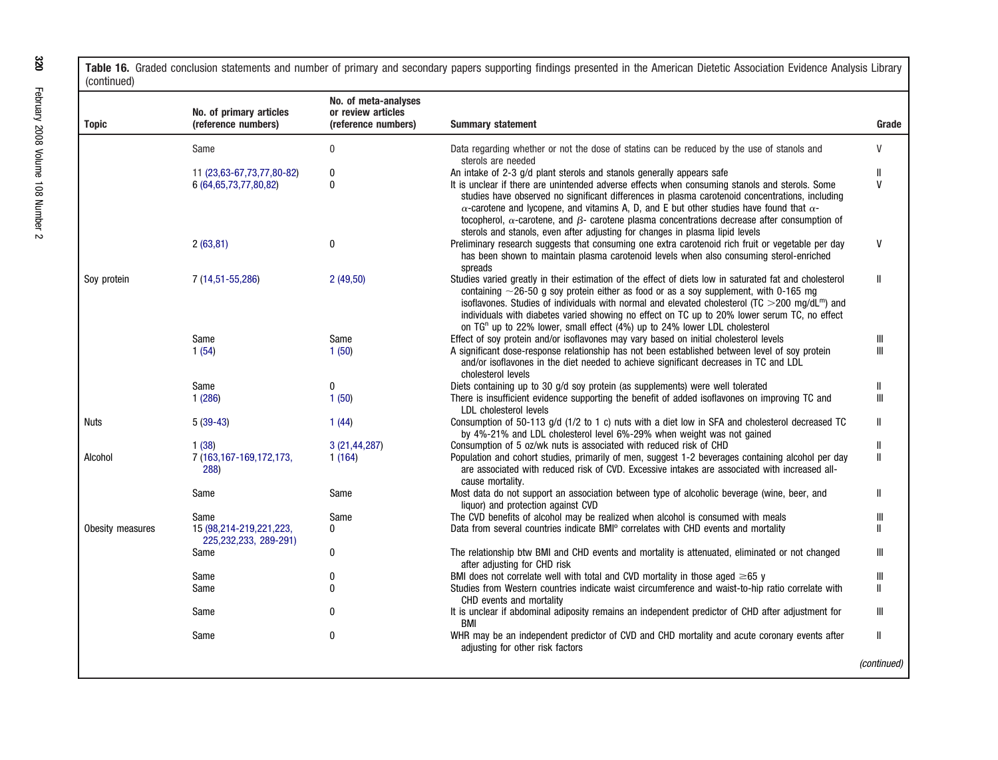**Table 16.** Graded conclusion statements and number of primary and secondary papers supporting findings presented in the American Dietetic Association Evidence Analysis Library (continued)

| <b>Topic</b>     | No. of primary articles<br>(reference numbers)          | No. of meta-analyses<br>or review articles<br>(reference numbers) | <b>Summary statement</b>                                                                                                                                                                                                                                                                                                                                                                                                                                                                                        | Grade        |
|------------------|---------------------------------------------------------|-------------------------------------------------------------------|-----------------------------------------------------------------------------------------------------------------------------------------------------------------------------------------------------------------------------------------------------------------------------------------------------------------------------------------------------------------------------------------------------------------------------------------------------------------------------------------------------------------|--------------|
|                  | Same                                                    | $\mathbf{0}$                                                      | Data regarding whether or not the dose of statins can be reduced by the use of stanols and                                                                                                                                                                                                                                                                                                                                                                                                                      | V            |
|                  |                                                         |                                                                   | sterols are needed                                                                                                                                                                                                                                                                                                                                                                                                                                                                                              |              |
|                  | 11 (23,63-67,73,77,80-82)<br>6 (64, 65, 73, 77, 80, 82) | 0<br>0                                                            | An intake of 2-3 g/d plant sterols and stanols generally appears safe<br>It is unclear if there are unintended adverse effects when consuming stanols and sterols. Some<br>studies have observed no significant differences in plasma carotenoid concentrations, including<br>$\alpha$ -carotene and lycopene, and vitamins A, D, and E but other studies have found that $\alpha$ -<br>tocopherol, $\alpha$ -carotene, and $\beta$ - carotene plasma concentrations decrease after consumption of              | $\mathsf{V}$ |
|                  | 2(63, 81)                                               | $\bf{0}$                                                          | sterols and stanols, even after adjusting for changes in plasma lipid levels<br>Preliminary research suggests that consuming one extra carotenoid rich fruit or vegetable per day<br>has been shown to maintain plasma carotenoid levels when also consuming sterol-enriched<br>spreads                                                                                                                                                                                                                         | V            |
| Soy protein      | 7 (14,51-55,286)                                        | 2(49,50)                                                          | Studies varied greatly in their estimation of the effect of diets low in saturated fat and cholesterol<br>containing $\sim$ 26-50 g soy protein either as food or as a soy supplement, with 0-165 mg<br>isoflavones. Studies of individuals with normal and elevated cholesterol ( $TC > 200$ mq/dL <sup>m</sup> ) and<br>individuals with diabetes varied showing no effect on TC up to 20% lower serum TC, no effect<br>on TG <sup>n</sup> up to 22% lower, small effect (4%) up to 24% lower LDL cholesterol | $\mathbf{I}$ |
|                  | Same                                                    | Same                                                              | Effect of soy protein and/or isoflavones may vary based on initial cholesterol levels                                                                                                                                                                                                                                                                                                                                                                                                                           | Ш            |
|                  | 1(54)                                                   | 1(50)                                                             | A significant dose-response relationship has not been established between level of soy protein<br>and/or isoflavones in the diet needed to achieve significant decreases in TC and LDL<br>cholesterol levels                                                                                                                                                                                                                                                                                                    | Ш            |
|                  | Same                                                    | $\mathbf{0}$                                                      | Diets containing up to 30 g/d soy protein (as supplements) were well tolerated                                                                                                                                                                                                                                                                                                                                                                                                                                  |              |
|                  | 1(286)                                                  | 1(50)                                                             | There is insufficient evidence supporting the benefit of added isoflavones on improving TC and<br>LDL cholesterol levels                                                                                                                                                                                                                                                                                                                                                                                        | Ш            |
| Nuts             | $5(39-43)$                                              | 1(44)                                                             | Consumption of 50-113 g/d (1/2 to 1 c) nuts with a diet low in SFA and cholesterol decreased TC<br>by 4%-21% and LDL cholesterol level 6%-29% when weight was not gained                                                                                                                                                                                                                                                                                                                                        | Ш            |
|                  | 1(38)                                                   | 3(21, 44, 287)                                                    | Consumption of 5 oz/wk nuts is associated with reduced risk of CHD                                                                                                                                                                                                                                                                                                                                                                                                                                              | Ш            |
| Alcohol          | 7 (163, 167-169, 172, 173,<br>288)                      | 1(164)                                                            | Population and cohort studies, primarily of men, suggest 1-2 beverages containing alcohol per day<br>are associated with reduced risk of CVD. Excessive intakes are associated with increased all-<br>cause mortality.                                                                                                                                                                                                                                                                                          | $\mathbf{I}$ |
|                  | Same                                                    | Same                                                              | Most data do not support an association between type of alcoholic beverage (wine, beer, and<br>liquor) and protection against CVD                                                                                                                                                                                                                                                                                                                                                                               |              |
|                  | Same                                                    | Same                                                              | The CVD benefits of alcohol may be realized when alcohol is consumed with meals                                                                                                                                                                                                                                                                                                                                                                                                                                 | Ш            |
| Obesity measures | 15 (98,214-219,221,223,<br>225, 232, 233, 289-291)      | 0                                                                 | Data from several countries indicate BMI <sup>o</sup> correlates with CHD events and mortality                                                                                                                                                                                                                                                                                                                                                                                                                  |              |
|                  | Same                                                    | 0                                                                 | The relationship btw BMI and CHD events and mortality is attenuated, eliminated or not changed<br>after adjusting for CHD risk                                                                                                                                                                                                                                                                                                                                                                                  | Ш            |
|                  | Same                                                    | 0                                                                 | BMI does not correlate well with total and CVD mortality in those aged $\geq 65$ y                                                                                                                                                                                                                                                                                                                                                                                                                              | Ш            |
|                  | Same                                                    | $\Omega$                                                          | Studies from Western countries indicate waist circumference and waist-to-hip ratio correlate with<br>CHD events and mortality                                                                                                                                                                                                                                                                                                                                                                                   | Ш            |
|                  | Same                                                    | 0                                                                 | It is unclear if abdominal adiposity remains an independent predictor of CHD after adjustment for<br><b>BMI</b>                                                                                                                                                                                                                                                                                                                                                                                                 | Ш            |
|                  | Same                                                    | 0                                                                 | WHR may be an independent predictor of CVD and CHD mortality and acute coronary events after<br>adjusting for other risk factors                                                                                                                                                                                                                                                                                                                                                                                | Ш            |
|                  |                                                         |                                                                   |                                                                                                                                                                                                                                                                                                                                                                                                                                                                                                                 | (continued)  |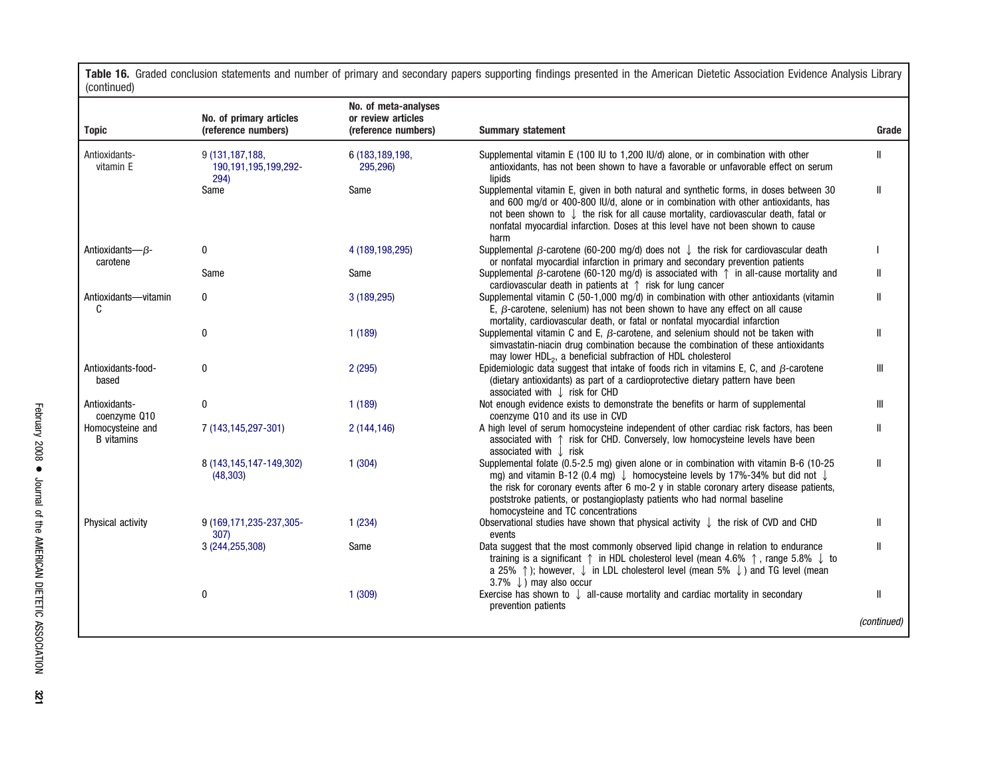**Table 16.** Graded conclusion statements and number of primary and secondary papers supporting findings presented in the American Dietetic Association Evidence Analysis Library (continued)

|                                       | No. of primary articles                               | No. of meta-analyses<br>or review articles |                                                                                                                                                                                                                                                                                                                                                                                                           |             |
|---------------------------------------|-------------------------------------------------------|--------------------------------------------|-----------------------------------------------------------------------------------------------------------------------------------------------------------------------------------------------------------------------------------------------------------------------------------------------------------------------------------------------------------------------------------------------------------|-------------|
| <b>Topic</b>                          | (reference numbers)                                   | (reference numbers)                        | <b>Summary statement</b>                                                                                                                                                                                                                                                                                                                                                                                  | Grade       |
| Antioxidants-<br>vitamin E            | 9 (131, 187, 188,<br>190, 191, 195, 199, 292-<br>294) | 6 (183, 189, 198,<br>295,296)              | Supplemental vitamin E (100 IU to 1,200 IU/d) alone, or in combination with other<br>antioxidants, has not been shown to have a favorable or unfavorable effect on serum<br>lipids                                                                                                                                                                                                                        | Ш           |
|                                       | Same                                                  | Same                                       | Supplemental vitamin E, given in both natural and synthetic forms, in doses between 30<br>and 600 mg/d or 400-800 IU/d, alone or in combination with other antioxidants, has<br>not been shown to $\downarrow$ the risk for all cause mortality, cardiovascular death, fatal or<br>nonfatal myocardial infarction. Doses at this level have not been shown to cause<br>harm                               | Ш           |
| Antioxidants- $\beta$ -<br>carotene   | 0                                                     | 4 (189, 198, 295)                          | Supplemental $\beta$ -carotene (60-200 mg/d) does not $\downarrow$ the risk for cardiovascular death<br>or nonfatal myocardial infarction in primary and secondary prevention patients                                                                                                                                                                                                                    |             |
|                                       | Same                                                  | Same                                       | Supplemental $\beta$ -carotene (60-120 mg/d) is associated with $\uparrow$ in all-cause mortality and<br>cardiovascular death in patients at $\uparrow$ risk for lung cancer                                                                                                                                                                                                                              |             |
| Antioxidants-vitamin<br>C             | 0                                                     | 3 (189,295)                                | Supplemental vitamin C (50-1,000 mg/d) in combination with other antioxidants (vitamin<br>E, $\beta$ -carotene, selenium) has not been shown to have any effect on all cause<br>mortality, cardiovascular death, or fatal or nonfatal myocardial infarction                                                                                                                                               |             |
|                                       | $\mathbf{0}$                                          | 1(189)                                     | Supplemental vitamin C and E, $\beta$ -carotene, and selenium should not be taken with<br>simvastatin-niacin drug combination because the combination of these antioxidants<br>may lower HDL <sub>2</sub> , a beneficial subfraction of HDL cholesterol                                                                                                                                                   |             |
| Antioxidants-food-<br>based           | 0                                                     | 2(295)                                     | Epidemiologic data suggest that intake of foods rich in vitamins E, C, and $\beta$ -carotene<br>(dietary antioxidants) as part of a cardioprotective dietary pattern have been<br>associated with $\downarrow$ risk for CHD                                                                                                                                                                               | Ш           |
| Antioxidants-<br>coenzyme Q10         | $\bf{0}$                                              | 1(189)                                     | Not enough evidence exists to demonstrate the benefits or harm of supplemental<br>coenzyme Q10 and its use in CVD                                                                                                                                                                                                                                                                                         | Ш           |
| Homocysteine and<br><b>B</b> vitamins | 7 (143,145,297-301)                                   | 2 (144,146)                                | A high level of serum homocysteine independent of other cardiac risk factors, has been<br>associated with $\uparrow$ risk for CHD. Conversely, low homocysteine levels have been<br>associated with $\downarrow$ risk                                                                                                                                                                                     |             |
|                                       | 8 (143,145,147-149,302)<br>(48, 303)                  | 1(304)                                     | Supplemental folate (0.5-2.5 mg) given alone or in combination with vitamin B-6 (10-25<br>mg) and vitamin B-12 (0.4 mg) $\downarrow$ homocysteine levels by 17%-34% but did not $\downarrow$<br>the risk for coronary events after 6 mo-2 y in stable coronary artery disease patients,<br>poststroke patients, or postangioplasty patients who had normal baseline<br>homocysteine and TC concentrations |             |
| Physical activity                     | 9 (169,171,235-237,305-<br>307)                       | 1(234)                                     | Observational studies have shown that physical activity $\downarrow$ the risk of CVD and CHD<br>events                                                                                                                                                                                                                                                                                                    |             |
|                                       | 3 (244,255,308)                                       | Same                                       | Data suggest that the most commonly observed lipid change in relation to endurance<br>training is a significant $\uparrow$ in HDL cholesterol level (mean 4.6% $\uparrow$ , range 5.8% $\downarrow$ to<br>a 25% $\uparrow$ ); however, $\downarrow$ in LDL cholesterol level (mean 5% $\downarrow$ ) and TG level (mean<br>3.7% $\downarrow$ ) may also occur                                             |             |
|                                       | 0                                                     | 1(309)                                     | Exercise has shown to $\downarrow$ all-cause mortality and cardiac mortality in secondary<br>prevention patients                                                                                                                                                                                                                                                                                          |             |
|                                       |                                                       |                                            |                                                                                                                                                                                                                                                                                                                                                                                                           | (continued) |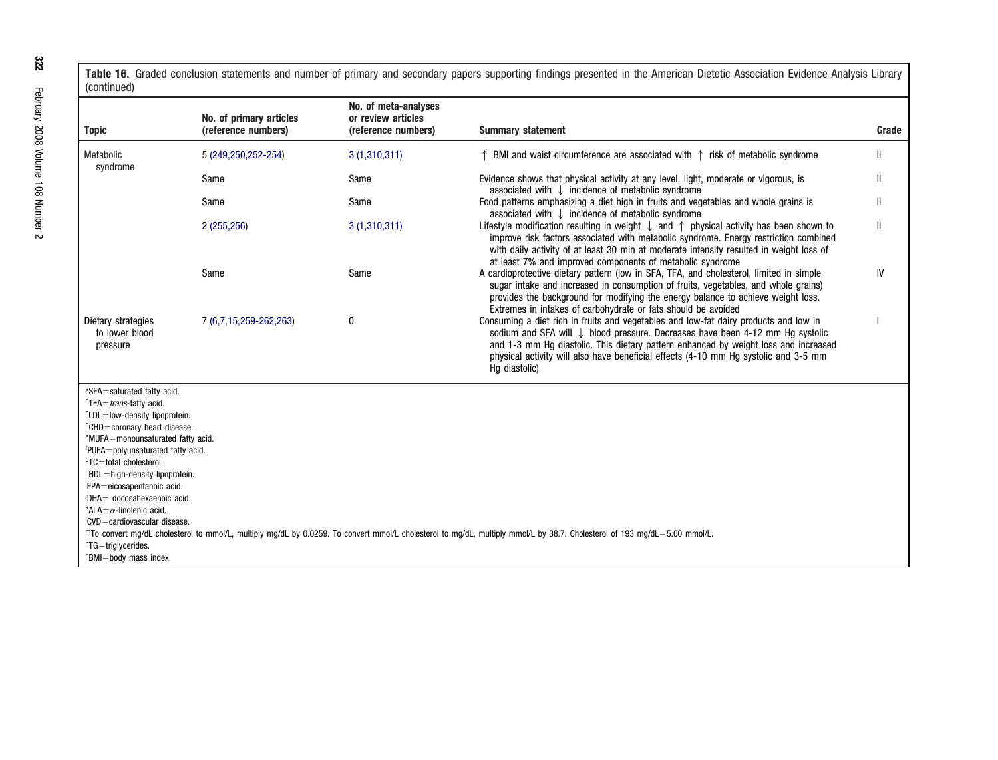**Table 16.** Graded conclusion statements and number of primary and secondary papers supporting findings presented in the American Dietetic Association Evidence Analysis Library (continued)

|                                                                                                                                                                                                                                                                                                                                                                                                                                                                                                                                                | No. of primary articles | No. of meta-analyses<br>or review articles |                                                                                                                                                                                                                                                                                                                                                                      |       |
|------------------------------------------------------------------------------------------------------------------------------------------------------------------------------------------------------------------------------------------------------------------------------------------------------------------------------------------------------------------------------------------------------------------------------------------------------------------------------------------------------------------------------------------------|-------------------------|--------------------------------------------|----------------------------------------------------------------------------------------------------------------------------------------------------------------------------------------------------------------------------------------------------------------------------------------------------------------------------------------------------------------------|-------|
| <b>Topic</b>                                                                                                                                                                                                                                                                                                                                                                                                                                                                                                                                   | (reference numbers)     | (reference numbers)                        | <b>Summary statement</b>                                                                                                                                                                                                                                                                                                                                             | Grade |
| Metabolic<br>syndrome                                                                                                                                                                                                                                                                                                                                                                                                                                                                                                                          | 5 (249,250,252-254)     | 3(1,310,311)                               | $\uparrow$ BMI and waist circumference are associated with $\uparrow$ risk of metabolic syndrome                                                                                                                                                                                                                                                                     | Ш     |
|                                                                                                                                                                                                                                                                                                                                                                                                                                                                                                                                                | Same                    | Same                                       | Evidence shows that physical activity at any level, light, moderate or vigorous, is<br>associated with $\downarrow$ incidence of metabolic syndrome                                                                                                                                                                                                                  |       |
|                                                                                                                                                                                                                                                                                                                                                                                                                                                                                                                                                | Same                    | Same                                       | Food patterns emphasizing a diet high in fruits and vegetables and whole grains is<br>associated with $\downarrow$ incidence of metabolic syndrome                                                                                                                                                                                                                   |       |
|                                                                                                                                                                                                                                                                                                                                                                                                                                                                                                                                                | 2(255, 256)             | 3(1,310,311)                               | Lifestyle modification resulting in weight $\downarrow$ and $\uparrow$ physical activity has been shown to<br>improve risk factors associated with metabolic syndrome. Energy restriction combined<br>with daily activity of at least 30 min at moderate intensity resulted in weight loss of<br>at least 7% and improved components of metabolic syndrome           |       |
|                                                                                                                                                                                                                                                                                                                                                                                                                                                                                                                                                | Same                    | Same                                       | A cardioprotective dietary pattern (low in SFA, TFA, and cholesterol, limited in simple<br>sugar intake and increased in consumption of fruits, vegetables, and whole grains)<br>provides the background for modifying the energy balance to achieve weight loss.<br>Extremes in intakes of carbohydrate or fats should be avoided                                   | IV    |
| Dietary strategies<br>to lower blood<br>pressure                                                                                                                                                                                                                                                                                                                                                                                                                                                                                               | 7 (6,7,15,259-262,263)  | 0                                          | Consuming a diet rich in fruits and vegetables and low-fat dairy products and low in<br>sodium and SFA will ↓ blood pressure. Decreases have been 4-12 mm Hq systolic<br>and 1-3 mm Hq diastolic. This dietary pattern enhanced by weight loss and increased<br>physical activity will also have beneficial effects (4-10 mm Hg systolic and 3-5 mm<br>Hq diastolic) |       |
| aSFA=saturated fatty acid.<br><sup>b</sup> TFA= <i>trans</i> -fatty acid.<br><sup>c</sup> LDL=low-density lipoprotein.<br>$d$ CHD = coronary heart disease.<br>eMUFA=monounsaturated fatty acid.<br><sup>f</sup> PUFA=polyunsaturated fatty acid.<br><sup>9</sup> TC=total cholesterol.<br>hHDL=high-density lipoprotein.<br>'EPA=eicosapentanoic acid.<br><sup>j</sup> DHA = docosahexaenoic acid.<br><sup>k</sup> ALA = $\alpha$ -linolenic acid.<br><sup>1</sup> CVD=cardiovascular disease.<br>"TG=triglycerides.<br>"BMI=body mass index. |                         |                                            | mTo convert mg/dL cholesterol to mmol/L, multiply mg/dL by 0.0259. To convert mmol/L cholesterol to mg/dL, multiply mmol/L by 38.7. Cholesterol of 193 mg/dL=5.00 mmol/L.                                                                                                                                                                                            |       |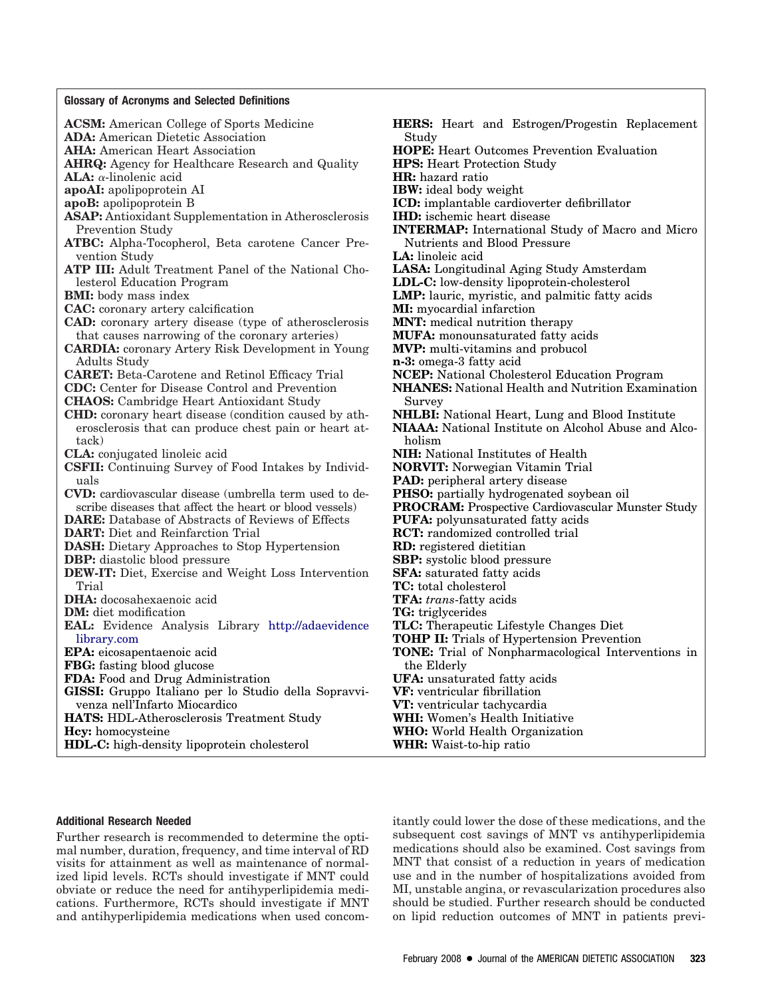| <b>Glossary of Acronyms and Selected Definitions</b>                                                 |                                                              |
|------------------------------------------------------------------------------------------------------|--------------------------------------------------------------|
| <b>ACSM:</b> American College of Sports Medicine                                                     | <b>HERS: H</b>                                               |
| <b>ADA:</b> American Dietetic Association                                                            | Study                                                        |
| <b>AHA:</b> American Heart Association                                                               | $H$ OPE: $H$ $\epsilon$                                      |
| <b>AHRQ:</b> Agency for Healthcare Research and Quality                                              | <b>HPS:</b> Hear                                             |
| ALA: $\alpha$ -linolenic acid                                                                        | HR: hazar                                                    |
| <b>apoAI:</b> apolipoprotein AI                                                                      | <b>IBW</b> : ideal                                           |
| <b>apoB</b> : apolipoprotein B                                                                       | ICD: impla                                                   |
| ASAP: Antioxidant Supplementation in Atherosclerosis                                                 | <b>IHD:</b> ische                                            |
| <b>Prevention Study</b>                                                                              | <b>INTERMA</b>                                               |
| ATBC: Alpha-Tocopherol, Beta carotene Cancer Pre-                                                    | Nutrient                                                     |
| vention Study                                                                                        | LA: linolei                                                  |
| <b>ATP III:</b> Adult Treatment Panel of the National Cho-                                           | LASA: Lor                                                    |
| lesterol Education Program                                                                           | $LDL-C:$ lov                                                 |
| <b>BMI:</b> body mass index                                                                          | <b>LMP</b> : laur                                            |
| <b>CAC</b> : coronary artery calcification                                                           | <b>MI:</b> myoca                                             |
| <b>CAD:</b> coronary artery disease (type of atherosclerosis                                         | MNT: med                                                     |
| that causes narrowing of the coronary arteries)                                                      | MUFA: mo                                                     |
| <b>CARDIA:</b> coronary Artery Risk Development in Young                                             | <b>MVP</b> : mul                                             |
| <b>Adults Study</b>                                                                                  | n-3: omega                                                   |
| <b>CARET:</b> Beta-Carotene and Retinol Efficacy Trial                                               | NCEP: Na                                                     |
| <b>CDC:</b> Center for Disease Control and Prevention                                                | <b>NHANES:</b>                                               |
| <b>CHAOS:</b> Cambridge Heart Antioxidant Study                                                      | Survey                                                       |
| <b>CHD:</b> coronary heart disease (condition caused by ath-                                         | NHLBI: N                                                     |
| erosclerosis that can produce chest pain or heart at-                                                | NIAAA: N                                                     |
| tack)                                                                                                | holism<br>NIH: Natio                                         |
| <b>CLA</b> : conjugated linoleic acid<br><b>CSFII:</b> Continuing Survey of Food Intakes by Individ- | <b>NORVIT:</b>                                               |
| uals                                                                                                 |                                                              |
| CVD: cardiovascular disease (umbrella term used to de-                                               | <b>PAD</b> : peri<br>PHSO: pai                               |
| scribe diseases that affect the heart or blood vessels)                                              | <b>PROCRAI</b>                                               |
| <b>DARE:</b> Database of Abstracts of Reviews of Effects                                             | <b>PUFA</b> : pol                                            |
| <b>DART:</b> Diet and Reinfarction Trial                                                             | <b>RCT:</b> rand                                             |
| <b>DASH:</b> Dietary Approaches to Stop Hypertension                                                 | <b>RD</b> : regist                                           |
| <b>DBP:</b> diastolic blood pressure                                                                 | <b>SBP:</b> syste                                            |
| <b>DEW-IT:</b> Diet, Exercise and Weight Loss Intervention                                           | <b>SFA</b> : satur                                           |
| Trial                                                                                                | TC: total c                                                  |
| <b>DHA</b> : docosahexaenoic acid                                                                    | TFA: trans                                                   |
| <b>DM:</b> diet modification                                                                         | <b>TG:</b> triglyo                                           |
| <b>EAL:</b> Evidence Analysis Library http://adaevidence                                             | TLC: Ther                                                    |
| library.com                                                                                          | TOHP II:                                                     |
| EPA: eicosapentaenoic acid                                                                           | TONE: Tr                                                     |
| FBG: fasting blood glucose                                                                           | the Elde                                                     |
| FDA: Food and Drug Administration                                                                    | UFA: unsa                                                    |
| GISSI: Gruppo Italiano per lo Studio della Sopravvi-                                                 | $VF:$ ventri                                                 |
| venza nell'Infarto Miocardico                                                                        | $VT:$ ventri                                                 |
| <b>HATS:</b> HDL-Atherosclerosis Treatment Study                                                     | <b>WHI: Won</b>                                              |
| <b>Hcy:</b> homocysteine                                                                             | $\mathbf{W} \mathbf{HO:} \ \mathbf{W} \mathbf{O} \mathbf{I}$ |
| <b>HDL-C:</b> high-density lipoprotein cholesterol                                                   | <b>WHR:</b> Wai                                              |
|                                                                                                      |                                                              |

# eart and Estrogen/Progestin Replacement

*A* Heart Outcomes Prevention Evaluation

rt Protection Study

**d** ratio

body weight

**ICD:** implantable cardioverter defibrillator

**IHE:** heart disease

**IP:** International Study of Macro and Micro ts and Blood Pressure

**LA:** linoleic acid

**LASA:** Longitudinal Aging Study Amsterdam

**LDL-C:** low-density lipoprotein-cholesterol

ic, myristic, and palmitic fatty acids

rdial infarction

**Mical nutrition therapy** 

**MUFA:** monounsaturated fatty acids

ti-vitamins and probucol

a-3 fatty acid

- **NCEP:** National Cholesterol Education Program
- National Health and Nutrition Examination

ational Heart, Lung and Blood Institute

ational Institute on Alcohol Abuse and Alco-

onal Institutes of Health

**NORVIT:** Norwegian Vitamin Trial

**PAD:** peripheral artery disease

rtially hydrogenated soybean oil

**M:** Prospective Cardiovascular Munster Study

**Purafied fatty acids** 

 $P$ <sup>l</sup> controlled trial

ered dietitian

blic blood pressure

rated fatty acids

 ${\rm cholesterol}$ 

**TFA:** *trans*-fatty acids  $\operatorname{series}$ 

rapeutic Lifestyle Changes Diet

Trials of Hypertension Prevention

rial of Nonpharmacological Interventions in : $r$ ly

 $\frac{1}{2}$ **urated fatty acids**  $\alpha$ cular fibrillation

**VT:** ventricular tachycardia

nen's Health Initiative

rld Health Organization

**WHR:** Waist-to-hip ratio

#### **Additional Research Needed**

Further research is recommended to determine the optimal number, duration, frequency, and time interval of RD visits for attainment as well as maintenance of normalized lipid levels. RCTs should investigate if MNT could obviate or reduce the need for antihyperlipidemia medications. Furthermore, RCTs should investigate if MNT and antihyperlipidemia medications when used concomitantly could lower the dose of these medications, and the subsequent cost savings of MNT vs antihyperlipidemia medications should also be examined. Cost savings from MNT that consist of a reduction in years of medication use and in the number of hospitalizations avoided from MI, unstable angina, or revascularization procedures also should be studied. Further research should be conducted on lipid reduction outcomes of MNT in patients previ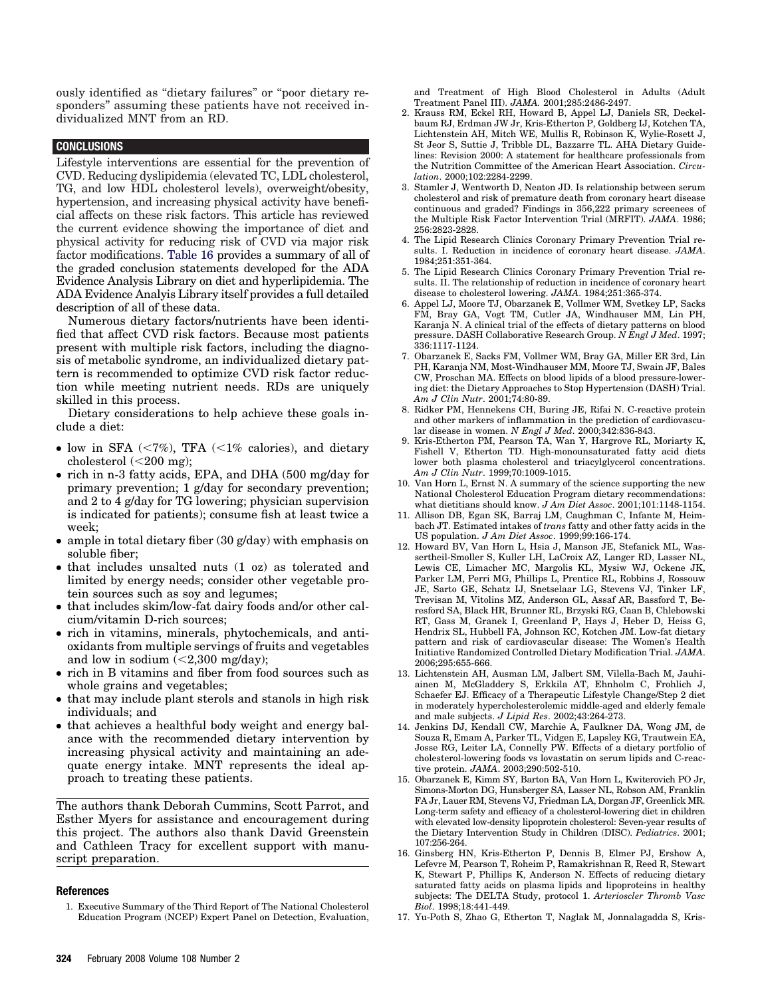<span id="page-37-0"></span>ously identified as "dietary failures" or "poor dietary responders" assuming these patients have not received individualized MNT from an RD.

# **CONCLUSIONS**

Lifestyle interventions are essential for the prevention of CVD. Reducing dyslipidemia (elevated TC, LDL cholesterol, TG, and low HDL cholesterol levels), overweight/obesity, hypertension, and increasing physical activity have beneficial affects on these risk factors. This article has reviewed the current evidence showing the importance of diet and physical activity for reducing risk of CVD via major risk factor modifications. [Table 16](#page-32-0) provides a summary of all of the graded conclusion statements developed for the ADA Evidence Analysis Library on diet and hyperlipidemia. The ADA Evidence Analyis Library itself provides a full detailed description of all of these data.

Numerous dietary factors/nutrients have been identified that affect CVD risk factors. Because most patients present with multiple risk factors, including the diagnosis of metabolic syndrome, an individualized dietary pattern is recommended to optimize CVD risk factor reduction while meeting nutrient needs. RDs are uniquely skilled in this process.

Dietary considerations to help achieve these goals include a diet:

- low in SFA  $\left(\langle 7\% \right)$ , TFA  $\left(\langle 1\% \right)$  calories), and dietary  $\alpha$ cholesterol (<200 mg);
- rich in n-3 fatty acids, EPA, and DHA  $(500 \text{ mg/day}$  for primary prevention; 1 g/day for secondary prevention; and 2 to 4 g/day for TG lowering; physician supervision is indicated for patients); consume fish at least twice a week;
- ample in total dietary fiber  $(30 \text{ g/day})$  with emphasis on soluble fiber;
- that includes unsalted nuts (1 oz) as tolerated and limited by energy needs; consider other vegetable protein sources such as soy and legumes;
- that includes skim/low-fat dairy foods and/or other calcium/vitamin D-rich sources;
- rich in vitamins, minerals, phytochemicals, and antioxidants from multiple servings of fruits and vegetables and low in sodium  $\left( \langle 2,300 \rangle \right)$  mg/day);
- rich in B vitamins and fiber from food sources such as whole grains and vegetables;
- that may include plant sterols and stanols in high risk individuals; and
- that achieves a healthful body weight and energy balance with the recommended dietary intervention by increasing physical activity and maintaining an adequate energy intake. MNT represents the ideal approach to treating these patients.

The authors thank Deborah Cummins, Scott Parrot, and Esther Myers for assistance and encouragement during this project. The authors also thank David Greenstein and Cathleen Tracy for excellent support with manuscript preparation.

#### **References**

1. Executive Summary of the Third Report of The National Cholesterol Education Program (NCEP) Expert Panel on Detection, Evaluation,

and Treatment of High Blood Cholesterol in Adults (Adult Treatment Panel III). *JAMA.* 2001;285:2486-2497.

- 2. Krauss RM, Eckel RH, Howard B, Appel LJ, Daniels SR, Deckelbaum RJ, Erdman JW Jr, Kris-Etherton P, Goldberg IJ, Kotchen TA, Lichtenstein AH, Mitch WE, Mullis R, Robinson K, Wylie-Rosett J, St Jeor S, Suttie J, Tribble DL, Bazzarre TL. AHA Dietary Guidelines: Revision 2000: A statement for healthcare professionals from the Nutrition Committee of the American Heart Association. *Circulation*. 2000;102:2284-2299.
- 3. Stamler J, Wentworth D, Neaton JD. Is relationship between serum cholesterol and risk of premature death from coronary heart disease continuous and graded? Findings in 356,222 primary screenees of the Multiple Risk Factor Intervention Trial (MRFIT). *JAMA*. 1986; 256:2823-2828.
- 4. The Lipid Research Clinics Coronary Primary Prevention Trial results. I. Reduction in incidence of coronary heart disease. *JAMA*. 1984;251:351-364.
- 5. The Lipid Research Clinics Coronary Primary Prevention Trial results. II. The relationship of reduction in incidence of coronary heart disease to cholesterol lowering. *JAMA*. 1984;251:365-374.
- 6. Appel LJ, Moore TJ, Obarzanek E, Vollmer WM, Svetkey LP, Sacks FM, Bray GA, Vogt TM, Cutler JA, Windhauser MM, Lin PH, Karanja N. A clinical trial of the effects of dietary patterns on blood pressure. DASH Collaborative Research Group. *N Engl J Med*. 1997; 336:1117-1124.
- 7. Obarzanek E, Sacks FM, Vollmer WM, Bray GA, Miller ER 3rd, Lin PH, Karanja NM, Most-Windhauser MM, Moore TJ, Swain JF, Bales CW, Proschan MA. Effects on blood lipids of a blood pressure-lowering diet: the Dietary Approaches to Stop Hypertension (DASH) Trial. *Am J Clin Nutr*. 2001;74:80-89.
- 8. Ridker PM, Hennekens CH, Buring JE, Rifai N. C-reactive protein and other markers of inflammation in the prediction of cardiovascular disease in women. *N Engl J Med*. 2000;342:836-843.
- 9. Kris-Etherton PM, Pearson TA, Wan Y, Hargrove RL, Moriarty K, Fishell V, Etherton TD. High-monounsaturated fatty acid diets lower both plasma cholesterol and triacylglycerol concentrations. *Am J Clin Nutr*. 1999;70:1009-1015.
- 10. Van Horn L, Ernst N. A summary of the science supporting the new National Cholesterol Education Program dietary recommendations: what dietitians should know. *J Am Diet Assoc*. 2001;101:1148-1154.
- 11. Allison DB, Egan SK, Barraj LM, Caughman C, Infante M, Heimbach JT. Estimated intakes of *trans* fatty and other fatty acids in the US population. *J Am Diet Assoc.* 1999:99:166-174.
- 12. Howard BV, Van Horn L, Hsia J, Manson JE, Stefanick ML, Wassertheil-Smoller S, Kuller LH, LaCroix AZ, Langer RD, Lasser NL, Lewis CE, Limacher MC, Margolis KL, Mysiw WJ, Ockene JK, Parker LM, Perri MG, Phillips L, Prentice RL, Robbins J, Rossouw JE, Sarto GE, Schatz IJ, Snetselaar LG, Stevens VJ, Tinker LF, Trevisan M, Vitolins MZ, Anderson GL, Assaf AR, Bassford T, Beresford SA, Black HR, Brunner RL, Brzyski RG, Caan B, Chlebowski RT, Gass M, Granek I, Greenland P, Hays J, Heber D, Heiss G, Hendrix SL, Hubbell FA, Johnson KC, Kotchen JM. Low-fat dietary pattern and risk of cardiovascular disease: The Women's Health Initiative Randomized Controlled Dietary Modification Trial. *JAMA*. 2006;295:655-666.
- 13. Lichtenstein AH, Ausman LM, Jalbert SM, Vilella-Bach M, Jauhiainen M, McGladdery S, Erkkila AT, Ehnholm C, Frohlich J, Schaefer EJ. Efficacy of a Therapeutic Lifestyle Change/Step 2 diet in moderately hypercholesterolemic middle-aged and elderly female and male subjects. *J Lipid Res*. 2002;43:264-273.
- 14. Jenkins DJ, Kendall CW, Marchie A, Faulkner DA, Wong JM, de Souza R, Emam A, Parker TL, Vidgen E, Lapsley KG, Trautwein EA, Josse RG, Leiter LA, Connelly PW. Effects of a dietary portfolio of cholesterol-lowering foods vs lovastatin on serum lipids and C-reactive protein. *JAMA*. 2003;290:502-510.
- 15. Obarzanek E, Kimm SY, Barton BA, Van Horn L, Kwiterovich PO Jr, Simons-Morton DG, Hunsberger SA, Lasser NL, Robson AM, Franklin FA Jr, Lauer RM, Stevens VJ, Friedman LA, Dorgan JF, Greenlick MR. Long-term safety and efficacy of a cholesterol-lowering diet in children with elevated low-density lipoprotein cholesterol: Seven-year results of the Dietary Intervention Study in Children (DISC). *Pediatrics*. 2001; 107:256-264.
- 16. Ginsberg HN, Kris-Etherton P, Dennis B, Elmer PJ, Ershow A, Lefevre M, Pearson T, Roheim P, Ramakrishnan R, Reed R, Stewart K, Stewart P, Phillips K, Anderson N. Effects of reducing dietary saturated fatty acids on plasma lipids and lipoproteins in healthy subjects: The DELTA Study, protocol 1. *Arterioscler Thromb Vasc Biol*. 1998;18:441-449.
- 17. Yu-Poth S, Zhao G, Etherton T, Naglak M, Jonnalagadda S, Kris-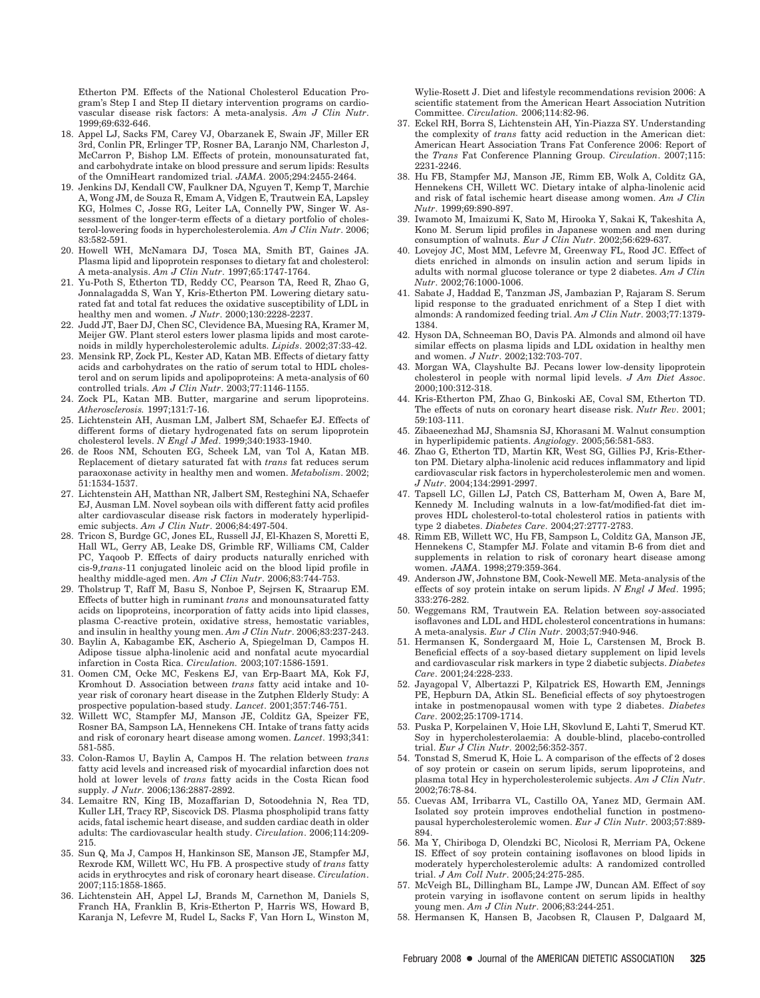<span id="page-38-0"></span>Etherton PM. Effects of the National Cholesterol Education Program's Step I and Step II dietary intervention programs on cardiovascular disease risk factors: A meta-analysis. *Am J Clin Nutr*. 1999;69:632-646.

- 18. Appel LJ, Sacks FM, Carey VJ, Obarzanek E, Swain JF, Miller ER 3rd, Conlin PR, Erlinger TP, Rosner BA, Laranjo NM, Charleston J, McCarron P, Bishop LM. Effects of protein, monounsaturated fat, and carbohydrate intake on blood pressure and serum lipids: Results of the OmniHeart randomized trial. *JAMA*. 2005;294:2455-2464.
- 19. Jenkins DJ, Kendall CW, Faulkner DA, Nguyen T, Kemp T, Marchie A, Wong JM, de Souza R, Emam A, Vidgen E, Trautwein EA, Lapsley KG, Holmes C, Josse RG, Leiter LA, Connelly PW, Singer W. Assessment of the longer-term effects of a dietary portfolio of cholesterol-lowering foods in hypercholesterolemia. *Am J Clin Nutr*. 2006; 83:582-591.
- 20. Howell WH, McNamara DJ, Tosca MA, Smith BT, Gaines JA. Plasma lipid and lipoprotein responses to dietary fat and cholesterol: A meta-analysis. *Am J Clin Nutr*. 1997;65:1747-1764.
- 21. Yu-Poth S, Etherton TD, Reddy CC, Pearson TA, Reed R, Zhao G, Jonnalagadda S, Wan Y, Kris-Etherton PM. Lowering dietary saturated fat and total fat reduces the oxidative susceptibility of LDL in healthy men and women. *J Nutr*. 2000;130:2228-2237.
- 22. Judd JT, Baer DJ, Chen SC, Clevidence BA, Muesing RA, Kramer M, Meijer GW. Plant sterol esters lower plasma lipids and most carotenoids in mildly hypercholesterolemic adults. *Lipids*. 2002;37:33-42.
- 23. Mensink RP, Zock PL, Kester AD, Katan MB. Effects of dietary fatty acids and carbohydrates on the ratio of serum total to HDL cholesterol and on serum lipids and apolipoproteins: A meta-analysis of 60 controlled trials. *Am J Clin Nutr*. 2003;77:1146-1155.
- 24. Zock PL, Katan MB. Butter, margarine and serum lipoproteins. *Atherosclerosis.* 1997;131:7-16.
- 25. Lichtenstein AH, Ausman LM, Jalbert SM, Schaefer EJ. Effects of different forms of dietary hydrogenated fats on serum lipoprotein cholesterol levels. *N Engl J Med*. 1999;340:1933-1940.
- 26. de Roos NM, Schouten EG, Scheek LM, van Tol A, Katan MB. Replacement of dietary saturated fat with *trans* fat reduces serum paraoxonase activity in healthy men and women. *Metabolism*. 2002; 51:1534-1537.
- 27. Lichtenstein AH, Matthan NR, Jalbert SM, Resteghini NA, Schaefer EJ, Ausman LM. Novel soybean oils with different fatty acid profiles alter cardiovascular disease risk factors in moderately hyperlipidemic subjects. *Am J Clin Nutr*. 2006;84:497-504.
- 28. Tricon S, Burdge GC, Jones EL, Russell JJ, El-Khazen S, Moretti E, Hall WL, Gerry AB, Leake DS, Grimble RF, Williams CM, Calder PC, Yaqoob P. Effects of dairy products naturally enriched with cis-9,*trans*-11 conjugated linoleic acid on the blood lipid profile in healthy middle-aged men. *Am J Clin Nutr*. 2006;83:744-753.
- 29. Tholstrup T, Raff M, Basu S, Nonboe P, Sejrsen K, Straarup EM. Effects of butter high in ruminant *trans* and monounsaturated fatty acids on lipoproteins, incorporation of fatty acids into lipid classes, plasma C-reactive protein, oxidative stress, hemostatic variables, and insulin in healthy young men. *Am J Clin Nutr*. 2006;83:237-243.
- 30. Baylin A, Kabagambe EK, Ascherio A, Spiegelman D, Campos H. Adipose tissue alpha-linolenic acid and nonfatal acute myocardial infarction in Costa Rica. *Circulation.* 2003;107:1586-1591.
- 31. Oomen CM, Ocke MC, Feskens EJ, van Erp-Baart MA, Kok FJ, Kromhout D. Association between *trans* fatty acid intake and 10 year risk of coronary heart disease in the Zutphen Elderly Study: A prospective population-based study. *Lancet*. 2001;357:746-751.
- 32. Willett WC, Stampfer MJ, Manson JE, Colditz GA, Speizer FE, Rosner BA, Sampson LA, Hennekens CH. Intake of trans fatty acids and risk of coronary heart disease among women. *Lancet*. 1993;341: 581-585.
- 33. Colon-Ramos U, Baylin A, Campos H. The relation between *trans* fatty acid levels and increased risk of myocardial infarction does not hold at lower levels of *trans* fatty acids in the Costa Rican food supply. *J Nutr*. 2006;136:2887-2892.
- 34. Lemaitre RN, King IB, Mozaffarian D, Sotoodehnia N, Rea TD, Kuller LH, Tracy RP, Siscovick DS. Plasma phospholipid trans fatty acids, fatal ischemic heart disease, and sudden cardiac death in older adults: The cardiovascular health study. *Circulation*. 2006;114:209- 215.
- 35. Sun Q, Ma J, Campos H, Hankinson SE, Manson JE, Stampfer MJ, Rexrode KM, Willett WC, Hu FB. A prospective study of *trans* fatty acids in erythrocytes and risk of coronary heart disease. *Circulation*. 2007;115:1858-1865.
- 36. Lichtenstein AH, Appel LJ, Brands M, Carnethon M, Daniels S, Franch HA, Franklin B, Kris-Etherton P, Harris WS, Howard B, Karanja N, Lefevre M, Rudel L, Sacks F, Van Horn L, Winston M,

Wylie-Rosett J. Diet and lifestyle recommendations revision 2006: A scientific statement from the American Heart Association Nutrition Committee. *Circulation.* 2006;114:82-96.

- 37. Eckel RH, Borra S, Lichtenstein AH, Yin-Piazza SY. Understanding the complexity of *trans* fatty acid reduction in the American diet: American Heart Association Trans Fat Conference 2006: Report of the *Trans* Fat Conference Planning Group. *Circulation*. 2007;115: 2231-2246.
- 38. Hu FB, Stampfer MJ, Manson JE, Rimm EB, Wolk A, Colditz GA, Hennekens CH, Willett WC. Dietary intake of alpha-linolenic acid and risk of fatal ischemic heart disease among women. *Am J Clin Nutr*. 1999;69:890-897.
- 39. Iwamoto M, Imaizumi K, Sato M, Hirooka Y, Sakai K, Takeshita A, Kono M. Serum lipid profiles in Japanese women and men during consumption of walnuts. *Eur J Clin Nutr*. 2002;56:629-637.
- 40. Lovejoy JC, Most MM, Lefevre M, Greenway FL, Rood JC. Effect of diets enriched in almonds on insulin action and serum lipids in adults with normal glucose tolerance or type 2 diabetes. *Am J Clin Nutr*. 2002;76:1000-1006.
- 41. Sabate J, Haddad E, Tanzman JS, Jambazian P, Rajaram S. Serum lipid response to the graduated enrichment of a Step I diet with almonds: A randomized feeding trial. *Am J Clin Nutr*. 2003;77:1379- 1384.
- 42. Hyson DA, Schneeman BO, Davis PA. Almonds and almond oil have similar effects on plasma lipids and LDL oxidation in healthy men and women. *J Nutr*. 2002;132:703-707.
- 43. Morgan WA, Clayshulte BJ. Pecans lower low-density lipoprotein cholesterol in people with normal lipid levels. *J Am Diet Assoc*. 2000;100:312-318.
- 44. Kris-Etherton PM, Zhao G, Binkoski AE, Coval SM, Etherton TD. The effects of nuts on coronary heart disease risk. *Nutr Rev*. 2001; 59:103-111.
- 45. Zibaeenezhad MJ, Shamsnia SJ, Khorasani M. Walnut consumption in hyperlipidemic patients. *Angiology*. 2005;56:581-583.
- 46. Zhao G, Etherton TD, Martin KR, West SG, Gillies PJ, Kris-Etherton PM. Dietary alpha-linolenic acid reduces inflammatory and lipid cardiovascular risk factors in hypercholesterolemic men and women. *J Nutr*. 2004;134:2991-2997.
- 47. Tapsell LC, Gillen LJ, Patch CS, Batterham M, Owen A, Bare M, Kennedy M. Including walnuts in a low-fat/modified-fat diet improves HDL cholesterol-to-total cholesterol ratios in patients with type 2 diabetes. *Diabetes Care*. 2004;27:2777-2783.
- 48. Rimm EB, Willett WC, Hu FB, Sampson L, Colditz GA, Manson JE, Hennekens C, Stampfer MJ. Folate and vitamin B-6 from diet and supplements in relation to risk of coronary heart disease among women. *JAMA*. 1998;279:359-364.
- 49. Anderson JW, Johnstone BM, Cook-Newell ME. Meta-analysis of the effects of soy protein intake on serum lipids. *N Engl J Med*. 1995; 333:276-282.
- 50. Weggemans RM, Trautwein EA. Relation between soy-associated isoflavones and LDL and HDL cholesterol concentrations in humans: A meta-analysis. *Eur J Clin Nutr*. 2003;57:940-946.
- 51. Hermansen K, Sondergaard M, Hoie L, Carstensen M, Brock B. Beneficial effects of a soy-based dietary supplement on lipid levels and cardiovascular risk markers in type 2 diabetic subjects. *Diabetes Care*. 2001;24:228-233.
- 52. Jayagopal V, Albertazzi P, Kilpatrick ES, Howarth EM, Jennings PE, Hepburn DA, Atkin SL. Beneficial effects of soy phytoestrogen intake in postmenopausal women with type 2 diabetes. *Diabetes Care*. 2002;25:1709-1714.
- 53. Puska P, Korpelainen V, Hoie LH, Skovlund E, Lahti T, Smerud KT. Soy in hypercholesterolaemia: A double-blind, placebo-controlled trial. *Eur J Clin Nutr*. 2002;56:352-357.
- 54. Tonstad S, Smerud K, Hoie L. A comparison of the effects of 2 doses of soy protein or casein on serum lipids, serum lipoproteins, and plasma total Hcy in hypercholesterolemic subjects. *Am J Clin Nutr*. 2002;76:78-84.
- 55. Cuevas AM, Irribarra VL, Castillo OA, Yanez MD, Germain AM. Isolated soy protein improves endothelial function in postmenopausal hypercholesterolemic women. *Eur J Clin Nutr*. 2003;57:889- 894.
- 56. Ma Y, Chiriboga D, Olendzki BC, Nicolosi R, Merriam PA, Ockene IS. Effect of soy protein containing isoflavones on blood lipids in moderately hypercholesterolemic adults: A randomized controlled trial. *J Am Coll Nutr*. 2005;24:275-285.
- 57. McVeigh BL, Dillingham BL, Lampe JW, Duncan AM. Effect of soy protein varying in isoflavone content on serum lipids in healthy young men. *Am J Clin Nutr*. 2006;83:244-251.
- 58. Hermansen K, Hansen B, Jacobsen R, Clausen P, Dalgaard M,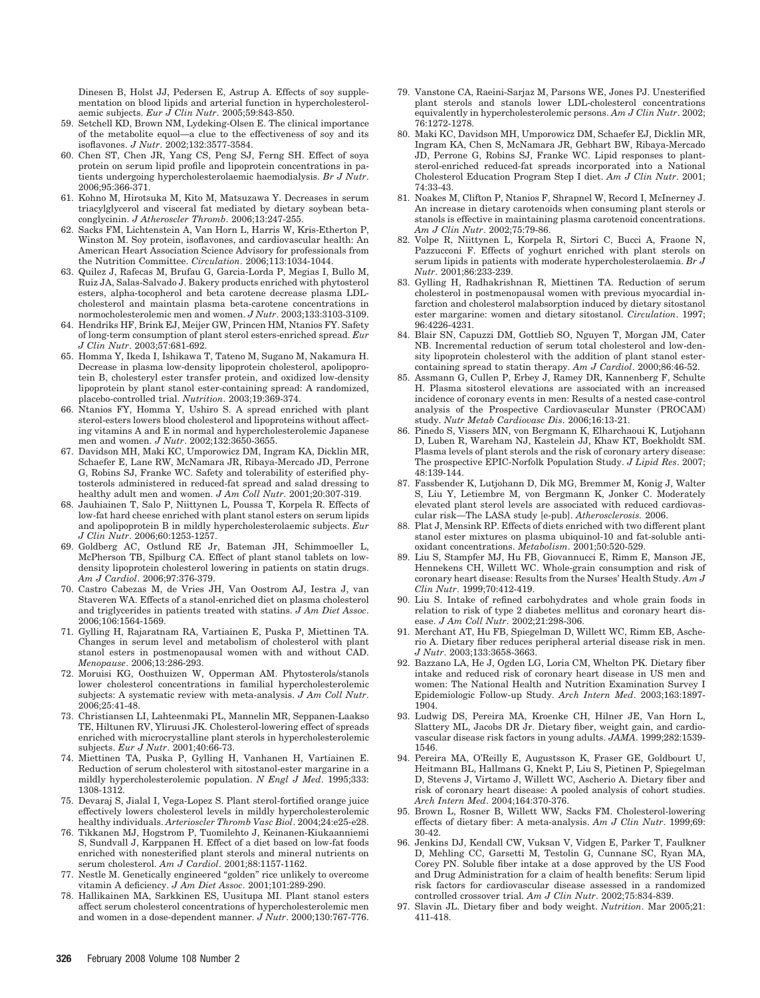<span id="page-39-0"></span>Dinesen B, Holst JJ, Pedersen E, Astrup A. Effects of soy supplementation on blood lipids and arterial function in hypercholesterolaemic subjects. *Eur J Clin Nutr*. 2005;59:843-850.

- 59. Setchell KD, Brown NM, Lydeking-Olsen E. The clinical importance of the metabolite equol—a clue to the effectiveness of soy and its isoflavones. *J Nutr*. 2002;132:3577-3584.
- 60. Chen ST, Chen JR, Yang CS, Peng SJ, Ferng SH. Effect of soya protein on serum lipid profile and lipoprotein concentrations in patients undergoing hypercholesterolaemic haemodialysis. *Br J Nutr*. 2006;95:366-371.
- 61. Kohno M, Hirotsuka M, Kito M, Matsuzawa Y. Decreases in serum triacylglycerol and visceral fat mediated by dietary soybean betaconglycinin. *J Atheroscler Thromb*. 2006;13:247-255.
- 62. Sacks FM, Lichtenstein A, Van Horn L, Harris W, Kris-Etherton P, Winston M. Soy protein, isoflavones, and cardiovascular health: An American Heart Association Science Advisory for professionals from the Nutrition Committee. *Circulation*. 2006;113:1034-1044.
- 63. Quilez J, Rafecas M, Brufau G, Garcia-Lorda P, Megias I, Bullo M, Ruiz JA, Salas-Salvado J. Bakery products enriched with phytosterol esters, alpha-tocopherol and beta carotene decrease plasma LDLcholesterol and maintain plasma beta-carotene concentrations in normocholesterolemic men and women. *J Nutr*. 2003;133:3103-3109.
- 64. Hendriks HF, Brink EJ, Meijer GW, Princen HM, Ntanios FY. Safety of long-term consumption of plant sterol esters-enriched spread. *Eur J Clin Nutr*. 2003;57:681-692.
- 65. Homma Y, Ikeda I, Ishikawa T, Tateno M, Sugano M, Nakamura H. Decrease in plasma low-density lipoprotein cholesterol, apolipoprotein B, cholesteryl ester transfer protein, and oxidized low-density lipoprotein by plant stanol ester-containing spread: A randomized, placebo-controlled trial. *Nutrition*. 2003;19:369-374.
- 66. Ntanios FY, Homma Y, Ushiro S. A spread enriched with plant sterol-esters lowers blood cholesterol and lipoproteins without affecting vitamins A and E in normal and hypercholesterolemic Japanese men and women. *J Nutr*. 2002;132:3650-3655.
- 67. Davidson MH, Maki KC, Umporowicz DM, Ingram KA, Dicklin MR, Schaefer E, Lane RW, McNamara JR, Ribaya-Mercado JD, Perrone G, Robins SJ, Franke WC. Safety and tolerability of esterified phytosterols administered in reduced-fat spread and salad dressing to healthy adult men and women. *J Am Coll Nutr*. 2001;20:307-319.
- 68. Jauhiainen T, Salo P, Niittynen L, Poussa T, Korpela R. Effects of low-fat hard cheese enriched with plant stanol esters on serum lipids and apolipoprotein B in mildly hypercholesterolaemic subjects. *Eur J Clin Nutr*. 2006;60:1253-1257.
- 69. Goldberg AC, Ostlund RE Jr, Bateman JH, Schimmoeller L, McPherson TB, Spilburg CA. Effect of plant stanol tablets on lowdensity lipoprotein cholesterol lowering in patients on statin drugs. *Am J Cardiol*. 2006;97:376-379.
- 70. Castro Cabezas M, de Vries JH, Van Oostrom AJ, Iestra J, van Staveren WA. Effects of a stanol-enriched diet on plasma cholesterol and triglycerides in patients treated with statins. *J Am Diet Assoc*. 2006;106:1564-1569.
- 71. Gylling H, Rajaratnam RA, Vartiainen E, Puska P, Miettinen TA. Changes in serum level and metabolism of cholesterol with plant stanol esters in postmenopausal women with and without CAD. *Menopause*. 2006;13:286-293.
- 72. Moruisi KG, Oosthuizen W, Opperman AM. Phytosterols/stanols lower cholesterol concentrations in familial hypercholesterolemic subjects: A systematic review with meta-analysis. *J Am Coll Nutr*. 2006;25:41-48.
- 73. Christiansen LI, Lahteenmaki PL, Mannelin MR, Seppanen-Laakso TE, Hiltunen RV, Yliruusi JK. Cholesterol-lowering effect of spreads enriched with microcrystalline plant sterols in hypercholesterolemic subjects. *Eur J Nutr*. 2001;40:66-73.
- 74. Miettinen TA, Puska P, Gylling H, Vanhanen H, Vartiainen E. Reduction of serum cholesterol with sitostanol-ester margarine in a mildly hypercholesterolemic population. *N Engl J Med*. 1995;333: 1308-1312.
- 75. Devaraj S, Jialal I, Vega-Lopez S. Plant sterol-fortified orange juice effectively lowers cholesterol levels in mildly hypercholesterolemic healthy individuals. *Arterioscler Thromb Vasc Biol*. 2004;24:e25-e28.
- 76. Tikkanen MJ, Hogstrom P, Tuomilehto J, Keinanen-Kiukaanniemi S, Sundvall J, Karppanen H. Effect of a diet based on low-fat foods enriched with nonesterified plant sterols and mineral nutrients on serum cholesterol. *Am J Cardiol*. 2001;88:1157-1162.
- 77. Nestle M. Genetically engineered "golden" rice unlikely to overcome vitamin A deficiency. *J Am Diet Assoc*. 2001;101:289-290.
- 78. Hallikainen MA, Sarkkinen ES, Uusitupa MI. Plant stanol esters affect serum cholesterol concentrations of hypercholesterolemic men and women in a dose-dependent manner. *J Nutr*. 2000;130:767-776.
- 79. Vanstone CA, Raeini-Sarjaz M, Parsons WE, Jones PJ. Unesterified plant sterols and stanols lower LDL-cholesterol concentrations equivalently in hypercholesterolemic persons. *Am J Clin Nutr*. 2002; 76:1272-1278.
- 80. Maki KC, Davidson MH, Umporowicz DM, Schaefer EJ, Dicklin MR, Ingram KA, Chen S, McNamara JR, Gebhart BW, Ribaya-Mercado JD, Perrone G, Robins SJ, Franke WC. Lipid responses to plantsterol-enriched reduced-fat spreads incorporated into a National Cholesterol Education Program Step I diet. *Am J Clin Nutr*. 2001; 74:33-43.
- 81. Noakes M, Clifton P, Ntanios F, Shrapnel W, Record I, McInerney J. An increase in dietary carotenoids when consuming plant sterols or stanols is effective in maintaining plasma carotenoid concentrations. *Am J Clin Nutr*. 2002;75:79-86.
- 82. Volpe R, Niittynen L, Korpela R, Sirtori C, Bucci A, Fraone N, Pazzucconi F. Effects of yoghurt enriched with plant sterols on serum lipids in patients with moderate hypercholesterolaemia. *Br J Nutr*. 2001;86:233-239.
- 83. Gylling H, Radhakrishnan R, Miettinen TA. Reduction of serum cholesterol in postmenopausal women with previous myocardial infarction and cholesterol malabsorption induced by dietary sitostanol ester margarine: women and dietary sitostanol. *Circulation*. 1997; 96:4226-4231.
- 84. Blair SN, Capuzzi DM, Gottlieb SO, Nguyen T, Morgan JM, Cater NB. Incremental reduction of serum total cholesterol and low-density lipoprotein cholesterol with the addition of plant stanol estercontaining spread to statin therapy. *Am J Cardiol*. 2000;86:46-52.
- 85. Assmann G, Cullen P, Erbey J, Ramey DR, Kannenberg F, Schulte H. Plasma sitosterol elevations are associated with an increased incidence of coronary events in men: Results of a nested case-control analysis of the Prospective Cardiovascular Munster (PROCAM) study. *Nutr Metab Cardiovasc Dis*. 2006;16:13-21.
- 86. Pinedo S, Vissers MN, von Bergmann K, Elharchaoui K, Lutjohann D, Luben R, Wareham NJ, Kastelein JJ, Khaw KT, Boekholdt SM. Plasma levels of plant sterols and the risk of coronary artery disease: The prospective EPIC-Norfolk Population Study. *J Lipid Res*. 2007; 48:139-144.
- 87. Fassbender K, Lutjohann D, Dik MG, Bremmer M, Konig J, Walter S, Liu Y, Letiembre M, von Bergmann K, Jonker C. Moderately elevated plant sterol levels are associated with reduced cardiovascular risk—The LASA study [e-pub]. *Atherosclerosis.* 2006.
- 88. Plat J, Mensink RP. Effects of diets enriched with two different plant stanol ester mixtures on plasma ubiquinol-10 and fat-soluble antioxidant concentrations. *Metabolism*. 2001;50:520-529.
- 89. Liu S, Stampfer MJ, Hu FB, Giovannucci E, Rimm E, Manson JE, Hennekens CH, Willett WC. Whole-grain consumption and risk of coronary heart disease: Results from the Nurses' Health Study. *Am J Clin Nutr*. 1999;70:412-419.
- 90. Liu S. Intake of refined carbohydrates and whole grain foods in relation to risk of type 2 diabetes mellitus and coronary heart disease. *J Am Coll Nutr*. 2002;21:298-306.
- 91. Merchant AT, Hu FB, Spiegelman D, Willett WC, Rimm EB, Ascherio A. Dietary fiber reduces peripheral arterial disease risk in men. *J Nutr*. 2003;133:3658-3663.
- 92. Bazzano LA, He J, Ogden LG, Loria CM, Whelton PK. Dietary fiber intake and reduced risk of coronary heart disease in US men and women: The National Health and Nutrition Examination Survey I Epidemiologic Follow-up Study. *Arch Intern Med*. 2003;163:1897- 1904.
- 93. Ludwig DS, Pereira MA, Kroenke CH, Hilner JE, Van Horn L, Slattery ML, Jacobs DR Jr. Dietary fiber, weight gain, and cardiovascular disease risk factors in young adults. *JAMA*. 1999;282:1539- 1546.
- 94. Pereira MA, O'Reilly E, Augustsson K, Fraser GE, Goldbourt U, Heitmann BL, Hallmans G, Knekt P, Liu S, Pietinen P, Spiegelman D, Stevens J, Virtamo J, Willett WC, Ascherio A. Dietary fiber and risk of coronary heart disease: A pooled analysis of cohort studies. *Arch Intern Med*. 2004;164:370-376.
- 95. Brown L, Rosner B, Willett WW, Sacks FM. Cholesterol-lowering effects of dietary fiber: A meta-analysis. *Am J Clin Nutr*. 1999;69: 30-42.
- 96. Jenkins DJ, Kendall CW, Vuksan V, Vidgen E, Parker T, Faulkner D, Mehling CC, Garsetti M, Testolin G, Cunnane SC, Ryan MA, Corey PN. Soluble fiber intake at a dose approved by the US Food and Drug Administration for a claim of health benefits: Serum lipid risk factors for cardiovascular disease assessed in a randomized controlled crossover trial. *Am J Clin Nutr*. 2002;75:834-839.
- 97. Slavin JL. Dietary fiber and body weight. *Nutrition*. Mar 2005;21: 411-418.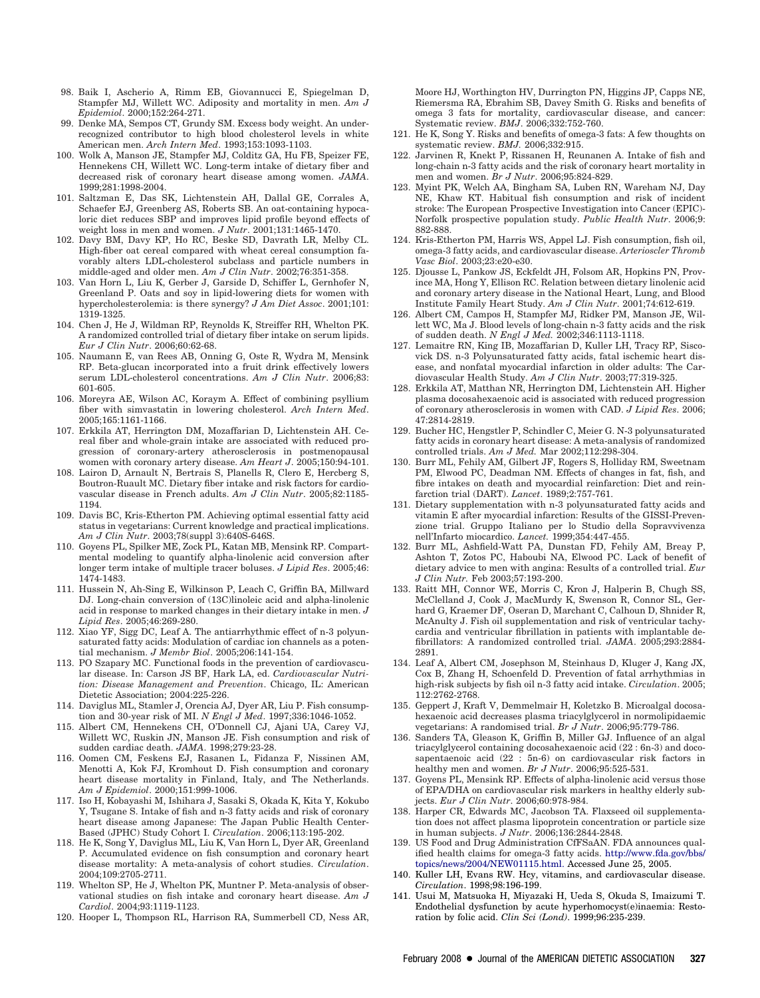- <span id="page-40-0"></span>98. Baik I, Ascherio A, Rimm EB, Giovannucci E, Spiegelman D, Stampfer MJ, Willett WC. Adiposity and mortality in men. *Am J Epidemiol*. 2000;152:264-271.
- 99. Denke MA, Sempos CT, Grundy SM. Excess body weight. An underrecognized contributor to high blood cholesterol levels in white American men. *Arch Intern Med*. 1993;153:1093-1103.
- 100. Wolk A, Manson JE, Stampfer MJ, Colditz GA, Hu FB, Speizer FE, Hennekens CH, Willett WC. Long-term intake of dietary fiber and decreased risk of coronary heart disease among women. *JAMA*. 1999;281:1998-2004.
- 101. Saltzman E, Das SK, Lichtenstein AH, Dallal GE, Corrales A, Schaefer EJ, Greenberg AS, Roberts SB. An oat-containing hypocaloric diet reduces SBP and improves lipid profile beyond effects of weight loss in men and women. *J Nutr*. 2001;131:1465-1470.
- 102. Davy BM, Davy KP, Ho RC, Beske SD, Davrath LR, Melby CL. High-fiber oat cereal compared with wheat cereal consumption favorably alters LDL-cholesterol subclass and particle numbers in middle-aged and older men. *Am J Clin Nutr*. 2002;76:351-358.
- 103. Van Horn L, Liu K, Gerber J, Garside D, Schiffer L, Gernhofer N, Greenland P. Oats and soy in lipid-lowering diets for women with hypercholesterolemia: is there synergy? *J Am Diet Assoc*. 2001;101: 1319-1325.
- 104. Chen J, He J, Wildman RP, Reynolds K, Streiffer RH, Whelton PK. A randomized controlled trial of dietary fiber intake on serum lipids. *Eur J Clin Nutr*. 2006;60:62-68.
- 105. Naumann E, van Rees AB, Onning G, Oste R, Wydra M, Mensink RP. Beta-glucan incorporated into a fruit drink effectively lowers serum LDL-cholesterol concentrations. *Am J Clin Nutr*. 2006;83: 601-605.
- 106. Moreyra AE, Wilson AC, Koraym A. Effect of combining psyllium fiber with simvastatin in lowering cholesterol. *Arch Intern Med*. 2005;165:1161-1166.
- 107. Erkkila AT, Herrington DM, Mozaffarian D, Lichtenstein AH. Cereal fiber and whole-grain intake are associated with reduced progression of coronary-artery atherosclerosis in postmenopausal women with coronary artery disease. *Am Heart J*. 2005;150:94-101.
- 108. Lairon D, Arnault N, Bertrais S, Planells R, Clero E, Hercberg S, Boutron-Ruault MC. Dietary fiber intake and risk factors for cardiovascular disease in French adults. *Am J Clin Nutr*. 2005;82:1185- 1194.
- 109. Davis BC, Kris-Etherton PM. Achieving optimal essential fatty acid status in vegetarians: Current knowledge and practical implications. *Am J Clin Nutr*. 2003;78(suppl 3):640S-646S.
- 110. Goyens PL, Spilker ME, Zock PL, Katan MB, Mensink RP. Compartmental modeling to quantify alpha-linolenic acid conversion after longer term intake of multiple tracer boluses. *J Lipid Res*. 2005;46: 1474-1483.
- 111. Hussein N, Ah-Sing E, Wilkinson P, Leach C, Griffin BA, Millward DJ. Long-chain conversion of (13C)linoleic acid and alpha-linolenic acid in response to marked changes in their dietary intake in men. *J Lipid Res*. 2005;46:269-280.
- 112. Xiao YF, Sigg DC, Leaf A. The antiarrhythmic effect of n-3 polyunsaturated fatty acids: Modulation of cardiac ion channels as a potential mechanism. *J Membr Biol*. 2005;206:141-154.
- 113. PO Szapary MC. Functional foods in the prevention of cardiovascular disease. In: Carson JS BF, Hark LA, ed. *Cardiovascular Nutrition: Disease Management and Prevention*. Chicago, IL: American Dietetic Association; 2004:225-226.
- 114. Daviglus ML, Stamler J, Orencia AJ, Dyer AR, Liu P. Fish consumption and 30-year risk of MI. *N Engl J Med*. 1997;336:1046-1052.
- 115. Albert CM, Hennekens CH, O'Donnell CJ, Ajani UA, Carey VJ, Willett WC, Ruskin JN, Manson JE. Fish consumption and risk of sudden cardiac death. *JAMA*. 1998;279:23-28.
- 116. Oomen CM, Feskens EJ, Rasanen L, Fidanza F, Nissinen AM, Menotti A, Kok FJ, Kromhout D. Fish consumption and coronary heart disease mortality in Finland, Italy, and The Netherlands. *Am J Epidemiol*. 2000;151:999-1006.
- 117. Iso H, Kobayashi M, Ishihara J, Sasaki S, Okada K, Kita Y, Kokubo Y, Tsugane S. Intake of fish and n-3 fatty acids and risk of coronary heart disease among Japanese: The Japan Public Health Center-Based (JPHC) Study Cohort I. *Circulation*. 2006;113:195-202.
- 118. He K, Song Y, Daviglus ML, Liu K, Van Horn L, Dyer AR, Greenland P. Accumulated evidence on fish consumption and coronary heart disease mortality: A meta-analysis of cohort studies. *Circulation*. 2004;109:2705-2711.
- 119. Whelton SP, He J, Whelton PK, Muntner P. Meta-analysis of observational studies on fish intake and coronary heart disease. *Am J Cardiol*. 2004;93:1119-1123.
- 120. Hooper L, Thompson RL, Harrison RA, Summerbell CD, Ness AR,

Moore HJ, Worthington HV, Durrington PN, Higgins JP, Capps NE, Riemersma RA, Ebrahim SB, Davey Smith G. Risks and benefits of omega 3 fats for mortality, cardiovascular disease, and cancer: Systematic review. *BMJ*. 2006;332:752-760.

- 121. He K, Song Y. Risks and benefits of omega-3 fats: A few thoughts on systematic review. *BMJ.* 2006;332:915.
- 122. Jarvinen R, Knekt P, Rissanen H, Reunanen A. Intake of fish and long-chain n-3 fatty acids and the risk of coronary heart mortality in men and women. *Br J Nutr*. 2006;95:824-829.
- 123. Myint PK, Welch AA, Bingham SA, Luben RN, Wareham NJ, Day NE, Khaw KT. Habitual fish consumption and risk of incident stroke: The European Prospective Investigation into Cancer (EPIC)- Norfolk prospective population study. *Public Health Nutr*. 2006;9: 882-888.
- 124. Kris-Etherton PM, Harris WS, Appel LJ. Fish consumption, fish oil, omega-3 fatty acids, and cardiovascular disease. *Arterioscler Thromb Vasc Biol*. 2003;23:e20-e30.
- 125. Djousse L, Pankow JS, Eckfeldt JH, Folsom AR, Hopkins PN, Province MA, Hong Y, Ellison RC. Relation between dietary linolenic acid and coronary artery disease in the National Heart, Lung, and Blood Institute Family Heart Study. *Am J Clin Nutr*. 2001;74:612-619.
- 126. Albert CM, Campos H, Stampfer MJ, Ridker PM, Manson JE, Willett WC, Ma J. Blood levels of long-chain n-3 fatty acids and the risk of sudden death. *N Engl J Med.* 2002;346:1113-1118.
- 127. Lemaitre RN, King IB, Mozaffarian D, Kuller LH, Tracy RP, Siscovick DS. n-3 Polyunsaturated fatty acids, fatal ischemic heart disease, and nonfatal myocardial infarction in older adults: The Cardiovascular Health Study. *Am J Clin Nutr*. 2003;77:319-325.
- 128. Erkkila AT, Matthan NR, Herrington DM, Lichtenstein AH. Higher plasma docosahexaenoic acid is associated with reduced progression of coronary atherosclerosis in women with CAD. *J Lipid Res*. 2006; 47:2814-2819.
- 129. Bucher HC, Hengstler P, Schindler C, Meier G. N-3 polyunsaturated fatty acids in coronary heart disease: A meta-analysis of randomized controlled trials. *Am J Med.* Mar 2002;112:298-304.
- 130. Burr ML, Fehily AM, Gilbert JF, Rogers S, Holliday RM, Sweetnam PM, Elwood PC, Deadman NM. Effects of changes in fat, fish, and fibre intakes on death and myocardial reinfarction: Diet and reinfarction trial (DART). *Lancet*. 1989;2:757-761.
- 131. Dietary supplementation with n-3 polyunsaturated fatty acids and vitamin E after myocardial infarction: Results of the GISSI-Prevenzione trial. Gruppo Italiano per lo Studio della Sopravvivenza nell'Infarto miocardico. *Lancet.* 1999;354:447-455.
- 132. Burr ML, Ashfield-Watt PA, Dunstan FD, Fehily AM, Breay P, Ashton T, Zotos PC, Haboubi NA, Elwood PC. Lack of benefit of dietary advice to men with angina: Results of a controlled trial. *Eur J Clin Nutr.* Feb 2003;57:193-200.
- 133. Raitt MH, Connor WE, Morris C, Kron J, Halperin B, Chugh SS, McClelland J, Cook J, MacMurdy K, Swenson R, Connor SL, Gerhard G, Kraemer DF, Oseran D, Marchant C, Calhoun D, Shnider R, McAnulty J. Fish oil supplementation and risk of ventricular tachycardia and ventricular fibrillation in patients with implantable defibrillators: A randomized controlled trial. *JAMA*. 2005;293:2884- 2891.
- 134. Leaf A, Albert CM, Josephson M, Steinhaus D, Kluger J, Kang JX, Cox B, Zhang H, Schoenfeld D. Prevention of fatal arrhythmias in high-risk subjects by fish oil n-3 fatty acid intake. *Circulation*. 2005; 112:2762-2768.
- 135. Geppert J, Kraft V, Demmelmair H, Koletzko B. Microalgal docosahexaenoic acid decreases plasma triacylglycerol in normolipidaemic vegetarians: A randomised trial. *Br J Nutr*. 2006;95:779-786.
- 136. Sanders TA, Gleason K, Griffin B, Miller GJ. Influence of an algal triacylglycerol containing docosahexaenoic acid (22 : 6n-3) and docosapentaenoic acid (22 : 5n-6) on cardiovascular risk factors in healthy men and women. *Br J Nutr*. 2006;95:525-531.
- 137. Goyens PL, Mensink RP. Effects of alpha-linolenic acid versus those of EPA/DHA on cardiovascular risk markers in healthy elderly subjects. *Eur J Clin Nutr*. 2006;60:978-984.
- 138. Harper CR, Edwards MC, Jacobson TA. Flaxseed oil supplementation does not affect plasma lipoprotein concentration or particle size in human subjects. *J Nutr*. 2006;136:2844-2848.
- 139. US Food and Drug Administration CfFSaAN. FDA announces qualified health claims for omega-3 fatty acids. [http://www.fda.gov/bbs/](http://www.fda.gov/bbs/topics/news/2004/NEW01115.html) [topics/news/2004/NEW01115.html.](http://www.fda.gov/bbs/topics/news/2004/NEW01115.html) Accessed June 25, 2005.
- 140. Kuller LH, Evans RW. Hcy, vitamins, and cardiovascular disease. *Circulation*. 1998;98:196-199.
- 141. Usui M, Matsuoka H, Miyazaki H, Ueda S, Okuda S, Imaizumi T. Endothelial dysfunction by acute hyperhomocyst(e)inaemia: Restoration by folic acid. *Clin Sci (Lond)*. 1999;96:235-239.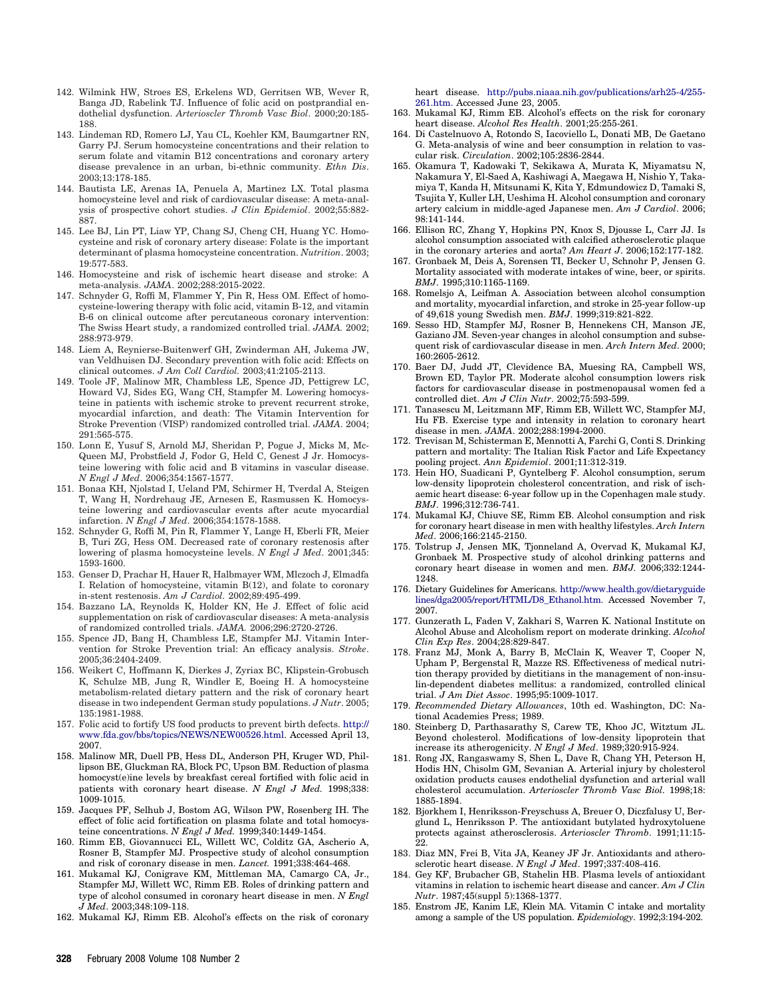- <span id="page-41-0"></span>142. Wilmink HW, Stroes ES, Erkelens WD, Gerritsen WB, Wever R, Banga JD, Rabelink TJ. Influence of folic acid on postprandial endothelial dysfunction. *Arterioscler Thromb Vasc Biol*. 2000;20:185- 188.
- 143. Lindeman RD, Romero LJ, Yau CL, Koehler KM, Baumgartner RN, Garry PJ. Serum homocysteine concentrations and their relation to serum folate and vitamin B12 concentrations and coronary artery disease prevalence in an urban, bi-ethnic community. *Ethn Dis*. 2003;13:178-185.
- 144. Bautista LE, Arenas IA, Penuela A, Martinez LX. Total plasma homocysteine level and risk of cardiovascular disease: A meta-analysis of prospective cohort studies. *J Clin Epidemiol*. 2002;55:882- 887.
- 145. Lee BJ, Lin PT, Liaw YP, Chang SJ, Cheng CH, Huang YC. Homocysteine and risk of coronary artery disease: Folate is the important determinant of plasma homocysteine concentration. *Nutrition*. 2003; 19:577-583.
- 146. Homocysteine and risk of ischemic heart disease and stroke: A meta-analysis. *JAMA*. 2002;288:2015-2022.
- 147. Schnyder G, Roffi M, Flammer Y, Pin R, Hess OM. Effect of homocysteine-lowering therapy with folic acid, vitamin B-12, and vitamin B-6 on clinical outcome after percutaneous coronary intervention: The Swiss Heart study, a randomized controlled trial. *JAMA.* 2002; 288:973-979.
- 148. Liem A, Reynierse-Buitenwerf GH, Zwinderman AH, Jukema JW, van Veldhuisen DJ. Secondary prevention with folic acid: Effects on clinical outcomes. *J Am Coll Cardiol.* 2003;41:2105-2113.
- 149. Toole JF, Malinow MR, Chambless LE, Spence JD, Pettigrew LC, Howard VJ, Sides EG, Wang CH, Stampfer M. Lowering homocysteine in patients with ischemic stroke to prevent recurrent stroke, myocardial infarction, and death: The Vitamin Intervention for Stroke Prevention (VISP) randomized controlled trial. *JAMA*. 2004; 291:565-575.
- 150. Lonn E, Yusuf S, Arnold MJ, Sheridan P, Pogue J, Micks M, Mc-Queen MJ, Probstfield J, Fodor G, Held C, Genest J Jr. Homocysteine lowering with folic acid and B vitamins in vascular disease. *N Engl J Med*. 2006;354:1567-1577.
- 151. Bonaa KH, Njolstad I, Ueland PM, Schirmer H, Tverdal A, Steigen T, Wang H, Nordrehaug JE, Arnesen E, Rasmussen K. Homocysteine lowering and cardiovascular events after acute myocardial infarction. *N Engl J Med*. 2006;354:1578-1588.
- 152. Schnyder G, Roffi M, Pin R, Flammer Y, Lange H, Eberli FR, Meier B, Turi ZG, Hess OM. Decreased rate of coronary restenosis after lowering of plasma homocysteine levels. *N Engl J Med*. 2001;345: 1593-1600.
- 153. Genser D, Prachar H, Hauer R, Halbmayer WM, Mlczoch J, Elmadfa I. Relation of homocysteine, vitamin B(12), and folate to coronary in-stent restenosis. *Am J Cardiol.* 2002;89:495-499.
- 154. Bazzano LA, Reynolds K, Holder KN, He J. Effect of folic acid supplementation on risk of cardiovascular diseases: A meta-analysis of randomized controlled trials. *JAMA.* 2006;296:2720-2726.
- 155. Spence JD, Bang H, Chambless LE, Stampfer MJ. Vitamin Intervention for Stroke Prevention trial: An efficacy analysis. *Stroke*. 2005;36:2404-2409.
- 156. Weikert C, Hoffmann K, Dierkes J, Zyriax BC, Klipstein-Grobusch K, Schulze MB, Jung R, Windler E, Boeing H. A homocysteine metabolism-related dietary pattern and the risk of coronary heart disease in two independent German study populations. *J Nutr*. 2005; 135:1981-1988.
- 157. Folic acid to fortify US food products to prevent birth defects. [http://](http://www.fda.gov/bbs/topics/NEWS/NEW00526.html) [www.fda.gov/bbs/topics/NEWS/NEW00526.html.](http://www.fda.gov/bbs/topics/NEWS/NEW00526.html) Accessed April 13, 2007.
- 158. Malinow MR, Duell PB, Hess DL, Anderson PH, Kruger WD, Phillipson BE, Gluckman RA, Block PC, Upson BM. Reduction of plasma homocyst(e)ine levels by breakfast cereal fortified with folic acid in patients with coronary heart disease. *N Engl J Med.* 1998;338: 1009-1015.
- 159. Jacques PF, Selhub J, Bostom AG, Wilson PW, Rosenberg IH. The effect of folic acid fortification on plasma folate and total homocysteine concentrations. *N Engl J Med.* 1999;340:1449-1454.
- 160. Rimm EB, Giovannucci EL, Willett WC, Colditz GA, Ascherio A, Rosner B, Stampfer MJ. Prospective study of alcohol consumption and risk of coronary disease in men. *Lancet.* 1991;338:464-468.
- 161. Mukamal KJ, Conigrave KM, Mittleman MA, Camargo CA, Jr., Stampfer MJ, Willett WC, Rimm EB. Roles of drinking pattern and type of alcohol consumed in coronary heart disease in men. *N Engl J Med*. 2003;348:109-118.
- 162. Mukamal KJ, Rimm EB. Alcohol's effects on the risk of coronary

heart disease. [http://pubs.niaaa.nih.gov/publications/arh25-4/255-](http://pubs.niaaa.nih.gov/publications/arh25-4/255-261.htm) [261.htm.](http://pubs.niaaa.nih.gov/publications/arh25-4/255-261.htm) Accessed June 23, 2005.

- 163. Mukamal KJ, Rimm EB. Alcohol's effects on the risk for coronary heart disease. *Alcohol Res Health*. 2001;25:255-261.
- 164. Di Castelnuovo A, Rotondo S, Iacoviello L, Donati MB, De Gaetano G. Meta-analysis of wine and beer consumption in relation to vascular risk. *Circulation*. 2002;105:2836-2844.
- 165. Okamura T, Kadowaki T, Sekikawa A, Murata K, Miyamatsu N, Nakamura Y, El-Saed A, Kashiwagi A, Maegawa H, Nishio Y, Takamiya T, Kanda H, Mitsunami K, Kita Y, Edmundowicz D, Tamaki S, Tsujita Y, Kuller LH, Ueshima H. Alcohol consumption and coronary artery calcium in middle-aged Japanese men. *Am J Cardiol*. 2006; 98:141-144.
- 166. Ellison RC, Zhang Y, Hopkins PN, Knox S, Djousse L, Carr JJ. Is alcohol consumption associated with calcified atherosclerotic plaque in the coronary arteries and aorta? *Am Heart J*. 2006;152:177-182.
- 167. Gronbaek M, Deis A, Sorensen TI, Becker U, Schnohr P, Jensen G. Mortality associated with moderate intakes of wine, beer, or spirits. *BMJ*. 1995;310:1165-1169.
- 168. Romelsjo A, Leifman A. Association between alcohol consumption and mortality, myocardial infarction, and stroke in 25-year follow-up of 49,618 young Swedish men. *BMJ*. 1999;319:821-822.
- 169. Sesso HD, Stampfer MJ, Rosner B, Hennekens CH, Manson JE, Gaziano JM. Seven-year changes in alcohol consumption and subsequent risk of cardiovascular disease in men. *Arch Intern Med*. 2000; 160:2605-2612.
- 170. Baer DJ, Judd JT, Clevidence BA, Muesing RA, Campbell WS, Brown ED, Taylor PR. Moderate alcohol consumption lowers risk factors for cardiovascular disease in postmenopausal women fed a controlled diet. *Am J Clin Nutr*. 2002;75:593-599.
- 171. Tanasescu M, Leitzmann MF, Rimm EB, Willett WC, Stampfer MJ, Hu FB. Exercise type and intensity in relation to coronary heart disease in men. *JAMA*. 2002;288:1994-2000.
- 172. Trevisan M, Schisterman E, Mennotti A, Farchi G, Conti S. Drinking pattern and mortality: The Italian Risk Factor and Life Expectancy pooling project. *Ann Epidemiol*. 2001;11:312-319.
- 173. Hein HO, Suadicani P, Gyntelberg F. Alcohol consumption, serum low-density lipoprotein cholesterol concentration, and risk of ischaemic heart disease: 6-year follow up in the Copenhagen male study. *BMJ*. 1996;312:736-741.
- 174. Mukamal KJ, Chiuve SE, Rimm EB. Alcohol consumption and risk for coronary heart disease in men with healthy lifestyles. *Arch Intern Med*. 2006;166:2145-2150.
- 175. Tolstrup J, Jensen MK, Tjonneland A, Overvad K, Mukamal KJ, Gronbaek M. Prospective study of alcohol drinking patterns and coronary heart disease in women and men. *BMJ.* 2006;332:1244- 1248.
- 176. Dietary Guidelines for Americans. [http://www.health.gov/dietaryguide](http://www.health.gov/dietaryguidelines/dga2005/report/HTML/D8_Ethanol.htm) [lines/dga2005/report/HTML/D8\\_Ethanol.htm.](http://www.health.gov/dietaryguidelines/dga2005/report/HTML/D8_Ethanol.htm) Accessed November 7, 2007.
- 177. Gunzerath L, Faden V, Zakhari S, Warren K. National Institute on Alcohol Abuse and Alcoholism report on moderate drinking. *Alcohol Clin Exp Res*. 2004;28:829-847.
- 178. Franz MJ, Monk A, Barry B, McClain K, Weaver T, Cooper N, Upham P, Bergenstal R, Mazze RS. Effectiveness of medical nutrition therapy provided by dietitians in the management of non-insulin-dependent diabetes mellitus: a randomized, controlled clinical trial. *J Am Diet Assoc*. 1995;95:1009-1017.
- 179. *Recommended Dietary Allowances*, 10th ed. Washington, DC: National Academies Press; 1989.
- 180. Steinberg D, Parthasarathy S, Carew TE, Khoo JC, Witztum JL. Beyond cholesterol. Modifications of low-density lipoprotein that increase its atherogenicity. *N Engl J Med*. 1989;320:915-924.
- 181. Rong JX, Rangaswamy S, Shen L, Dave R, Chang YH, Peterson H, Hodis HN, Chisolm GM, Sevanian A. Arterial injury by cholesterol oxidation products causes endothelial dysfunction and arterial wall cholesterol accumulation. *Arterioscler Thromb Vasc Biol.* 1998;18: 1885-1894.
- 182. Bjorkhem I, Henriksson-Freyschuss A, Breuer O, Diczfalusy U, Berglund L, Henriksson P. The antioxidant butylated hydroxytoluene protects against atherosclerosis. *Arterioscler Thromb*. 1991;11:15- 22.
- 183. Diaz MN, Frei B, Vita JA, Keaney JF Jr. Antioxidants and atherosclerotic heart disease. *N Engl J Med*. 1997;337:408-416.
- 184. Gey KF, Brubacher GB, Stahelin HB. Plasma levels of antioxidant vitamins in relation to ischemic heart disease and cancer. *Am J Clin Nutr*. 1987;45(suppl 5):1368-1377.
- 185. Enstrom JE, Kanim LE, Klein MA. Vitamin C intake and mortality among a sample of the US population. *Epidemiology*. 1992;3:194-202.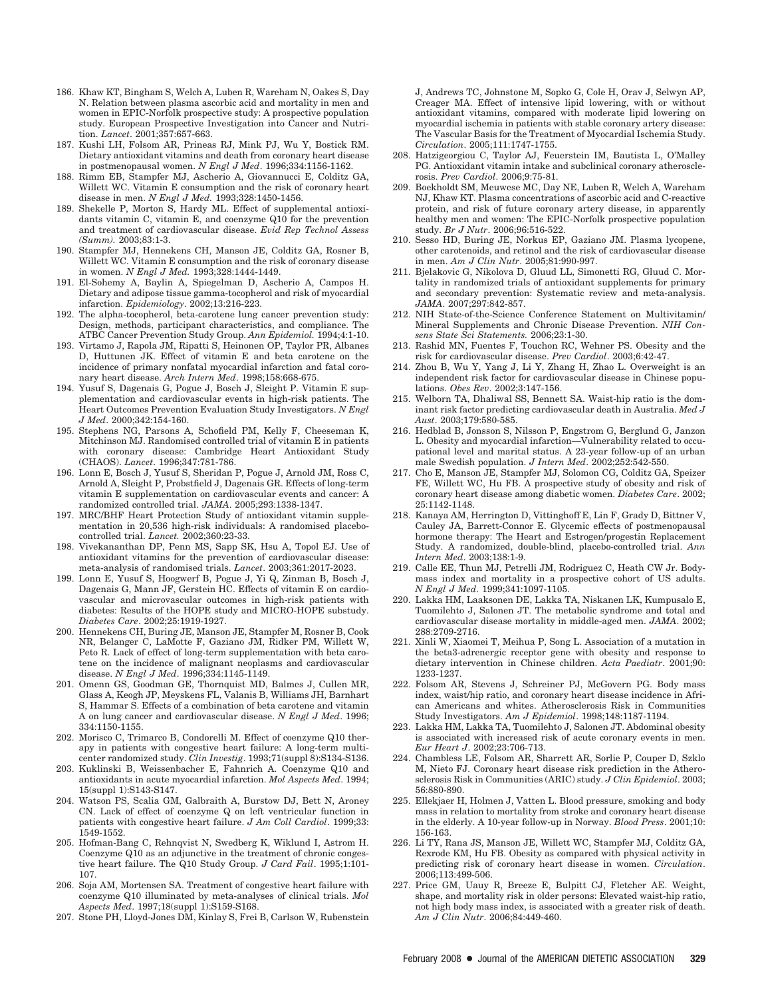- <span id="page-42-0"></span>186. Khaw KT, Bingham S, Welch A, Luben R, Wareham N, Oakes S, Day N. Relation between plasma ascorbic acid and mortality in men and women in EPIC-Norfolk prospective study: A prospective population study. European Prospective Investigation into Cancer and Nutrition. *Lancet*. 2001;357:657-663.
- 187. Kushi LH, Folsom AR, Prineas RJ, Mink PJ, Wu Y, Bostick RM. Dietary antioxidant vitamins and death from coronary heart disease in postmenopausal women. *N Engl J Med*. 1996;334:1156-1162.
- 188. Rimm EB, Stampfer MJ, Ascherio A, Giovannucci E, Colditz GA, Willett WC. Vitamin E consumption and the risk of coronary heart disease in men. *N Engl J Med.* 1993;328:1450-1456.
- 189. Shekelle P, Morton S, Hardy ML. Effect of supplemental antioxidants vitamin C, vitamin E, and coenzyme Q10 for the prevention and treatment of cardiovascular disease. *Evid Rep Technol Assess (Summ).* 2003;83:1-3.
- 190. Stampfer MJ, Hennekens CH, Manson JE, Colditz GA, Rosner B, Willett WC. Vitamin E consumption and the risk of coronary disease in women. *N Engl J Med.* 1993;328:1444-1449.
- 191. El-Sohemy A, Baylin A, Spiegelman D, Ascherio A, Campos H. Dietary and adipose tissue gamma-tocopherol and risk of myocardial infarction. *Epidemiology*. 2002;13:216-223.
- 192. The alpha-tocopherol, beta-carotene lung cancer prevention study: Design, methods, participant characteristics, and compliance. The ATBC Cancer Prevention Study Group. *Ann Epidemiol.* 1994;4:1-10.
- 193. Virtamo J, Rapola JM, Ripatti S, Heinonen OP, Taylor PR, Albanes D, Huttunen JK. Effect of vitamin E and beta carotene on the incidence of primary nonfatal myocardial infarction and fatal coronary heart disease. *Arch Intern Med*. 1998;158:668-675.
- 194. Yusuf S, Dagenais G, Pogue J, Bosch J, Sleight P. Vitamin E supplementation and cardiovascular events in high-risk patients. The Heart Outcomes Prevention Evaluation Study Investigators. *N Engl J Med*. 2000;342:154-160.
- 195. Stephens NG, Parsons A, Schofield PM, Kelly F, Cheeseman K, Mitchinson MJ. Randomised controlled trial of vitamin E in patients with coronary disease: Cambridge Heart Antioxidant Study (CHAOS). *Lancet*. 1996;347:781-786.
- 196. Lonn E, Bosch J, Yusuf S, Sheridan P, Pogue J, Arnold JM, Ross C, Arnold A, Sleight P, Probstfield J, Dagenais GR. Effects of long-term vitamin E supplementation on cardiovascular events and cancer: A randomized controlled trial. *JAMA*. 2005;293:1338-1347.
- 197. MRC/BHF Heart Protection Study of antioxidant vitamin supplementation in 20,536 high-risk individuals: A randomised placebocontrolled trial. *Lancet.* 2002;360:23-33.
- 198. Vivekananthan DP, Penn MS, Sapp SK, Hsu A, Topol EJ. Use of antioxidant vitamins for the prevention of cardiovascular disease: meta-analysis of randomised trials. *Lancet*. 2003;361:2017-2023.
- 199. Lonn E, Yusuf S, Hoogwerf B, Pogue J, Yi Q, Zinman B, Bosch J, Dagenais G, Mann JF, Gerstein HC. Effects of vitamin E on cardiovascular and microvascular outcomes in high-risk patients with diabetes: Results of the HOPE study and MICRO-HOPE substudy. *Diabetes Care*. 2002;25:1919-1927.
- 200. Hennekens CH, Buring JE, Manson JE, Stampfer M, Rosner B, Cook NR, Belanger C, LaMotte F, Gaziano JM, Ridker PM, Willett W, Peto R. Lack of effect of long-term supplementation with beta carotene on the incidence of malignant neoplasms and cardiovascular disease. *N Engl J Med*. 1996;334:1145-1149.
- 201. Omenn GS, Goodman GE, Thornquist MD, Balmes J, Cullen MR, Glass A, Keogh JP, Meyskens FL, Valanis B, Williams JH, Barnhart S, Hammar S. Effects of a combination of beta carotene and vitamin A on lung cancer and cardiovascular disease. *N Engl J Med*. 1996; 334:1150-1155.
- 202. Morisco C, Trimarco B, Condorelli M. Effect of coenzyme Q10 therapy in patients with congestive heart failure: A long-term multicenter randomized study. *Clin Investig*. 1993;71(suppl 8):S134-S136.
- 203. Kuklinski B, Weissenbacher E, Fahnrich A. Coenzyme Q10 and antioxidants in acute myocardial infarction. *Mol Aspects Med*. 1994; 15(suppl 1):S143-S147.
- 204. Watson PS, Scalia GM, Galbraith A, Burstow DJ, Bett N, Aroney CN. Lack of effect of coenzyme Q on left ventricular function in patients with congestive heart failure. *J Am Coll Cardiol*. 1999;33: 1549-1552.
- 205. Hofman-Bang C, Rehnqvist N, Swedberg K, Wiklund I, Astrom H. Coenzyme Q10 as an adjunctive in the treatment of chronic congestive heart failure. The Q10 Study Group. *J Card Fail*. 1995;1:101- 107.
- 206. Soja AM, Mortensen SA. Treatment of congestive heart failure with coenzyme Q10 illuminated by meta-analyses of clinical trials. *Mol Aspects Med*. 1997;18(suppl 1):S159-S168.
- 207. Stone PH, Lloyd-Jones DM, Kinlay S, Frei B, Carlson W, Rubenstein

J, Andrews TC, Johnstone M, Sopko G, Cole H, Orav J, Selwyn AP, Creager MA. Effect of intensive lipid lowering, with or without antioxidant vitamins, compared with moderate lipid lowering on myocardial ischemia in patients with stable coronary artery disease: The Vascular Basis for the Treatment of Myocardial Ischemia Study. *Circulation*. 2005;111:1747-1755.

- 208. Hatzigeorgiou C, Taylor AJ, Feuerstein IM, Bautista L, O'Malley PG. Antioxidant vitamin intake and subclinical coronary atherosclerosis. *Prev Cardiol*. 2006;9:75-81.
- 209. Boekholdt SM, Meuwese MC, Day NE, Luben R, Welch A, Wareham NJ, Khaw KT. Plasma concentrations of ascorbic acid and C-reactive protein, and risk of future coronary artery disease, in apparently healthy men and women: The EPIC-Norfolk prospective population study. *Br J Nutr*. 2006;96:516-522.
- 210. Sesso HD, Buring JE, Norkus EP, Gaziano JM. Plasma lycopene, other carotenoids, and retinol and the risk of cardiovascular disease in men. *Am J Clin Nutr*. 2005;81:990-997.
- 211. Bjelakovic G, Nikolova D, Gluud LL, Simonetti RG, Gluud C. Mortality in randomized trials of antioxidant supplements for primary and secondary prevention: Systematic review and meta-analysis. *JAMA*. 2007;297:842-857.
- 212. NIH State-of-the-Science Conference Statement on Multivitamin/ Mineral Supplements and Chronic Disease Prevention. *NIH Consens State Sci Statements.* 2006;23:1-30.
- 213. Rashid MN, Fuentes F, Touchon RC, Wehner PS. Obesity and the risk for cardiovascular disease. *Prev Cardiol*. 2003;6:42-47.
- 214. Zhou B, Wu Y, Yang J, Li Y, Zhang H, Zhao L. Overweight is an independent risk factor for cardiovascular disease in Chinese populations. *Obes Rev*. 2002;3:147-156.
- 215. Welborn TA, Dhaliwal SS, Bennett SA. Waist-hip ratio is the dominant risk factor predicting cardiovascular death in Australia. *Med J Aust*. 2003;179:580-585.
- 216. Hedblad B, Jonsson S, Nilsson P, Engstrom G, Berglund G, Janzon L. Obesity and myocardial infarction—Vulnerability related to occupational level and marital status. A 23-year follow-up of an urban male Swedish population. *J Intern Med*. 2002;252:542-550.
- 217. Cho E, Manson JE, Stampfer MJ, Solomon CG, Colditz GA, Speizer FE, Willett WC, Hu FB. A prospective study of obesity and risk of coronary heart disease among diabetic women. *Diabetes Care*. 2002; 25:1142-1148.
- 218. Kanaya AM, Herrington D, Vittinghoff E, Lin F, Grady D, Bittner V, Cauley JA, Barrett-Connor E. Glycemic effects of postmenopausal hormone therapy: The Heart and Estrogen/progestin Replacement Study. A randomized, double-blind, placebo-controlled trial. *Ann Intern Med*. 2003;138:1-9.
- 219. Calle EE, Thun MJ, Petrelli JM, Rodriguez C, Heath CW Jr. Bodymass index and mortality in a prospective cohort of US adults. *N Engl J Med*. 1999;341:1097-1105.
- 220. Lakka HM, Laaksonen DE, Lakka TA, Niskanen LK, Kumpusalo E, Tuomilehto J, Salonen JT. The metabolic syndrome and total and cardiovascular disease mortality in middle-aged men. *JAMA*. 2002; 288:2709-2716.
- 221. Xinli W, Xiaomei T, Meihua P, Song L. Association of a mutation in the beta3-adrenergic receptor gene with obesity and response to dietary intervention in Chinese children. *Acta Paediatr*. 2001;90: 1233-1237.
- 222. Folsom AR, Stevens J, Schreiner PJ, McGovern PG. Body mass index, waist/hip ratio, and coronary heart disease incidence in African Americans and whites. Atherosclerosis Risk in Communities Study Investigators. *Am J Epidemiol*. 1998;148:1187-1194.
- 223. Lakka HM, Lakka TA, Tuomilehto J, Salonen JT. Abdominal obesity is associated with increased risk of acute coronary events in men. *Eur Heart J*. 2002;23:706-713.
- 224. Chambless LE, Folsom AR, Sharrett AR, Sorlie P, Couper D, Szklo M, Nieto FJ. Coronary heart disease risk prediction in the Atherosclerosis Risk in Communities (ARIC) study. *J Clin Epidemiol*. 2003; 56:880-890.
- 225. Ellekjaer H, Holmen J, Vatten L. Blood pressure, smoking and body mass in relation to mortality from stroke and coronary heart disease in the elderly. A 10-year follow-up in Norway. *Blood Press*. 2001;10: 156-163.
- 226. Li TY, Rana JS, Manson JE, Willett WC, Stampfer MJ, Colditz GA, Rexrode KM, Hu FB. Obesity as compared with physical activity in predicting risk of coronary heart disease in women. *Circulation*. 2006;113:499-506.
- 227. Price GM, Uauy R, Breeze E, Bulpitt CJ, Fletcher AE. Weight, shape, and mortality risk in older persons: Elevated waist-hip ratio, not high body mass index, is associated with a greater risk of death. *Am J Clin Nutr*. 2006;84:449-460.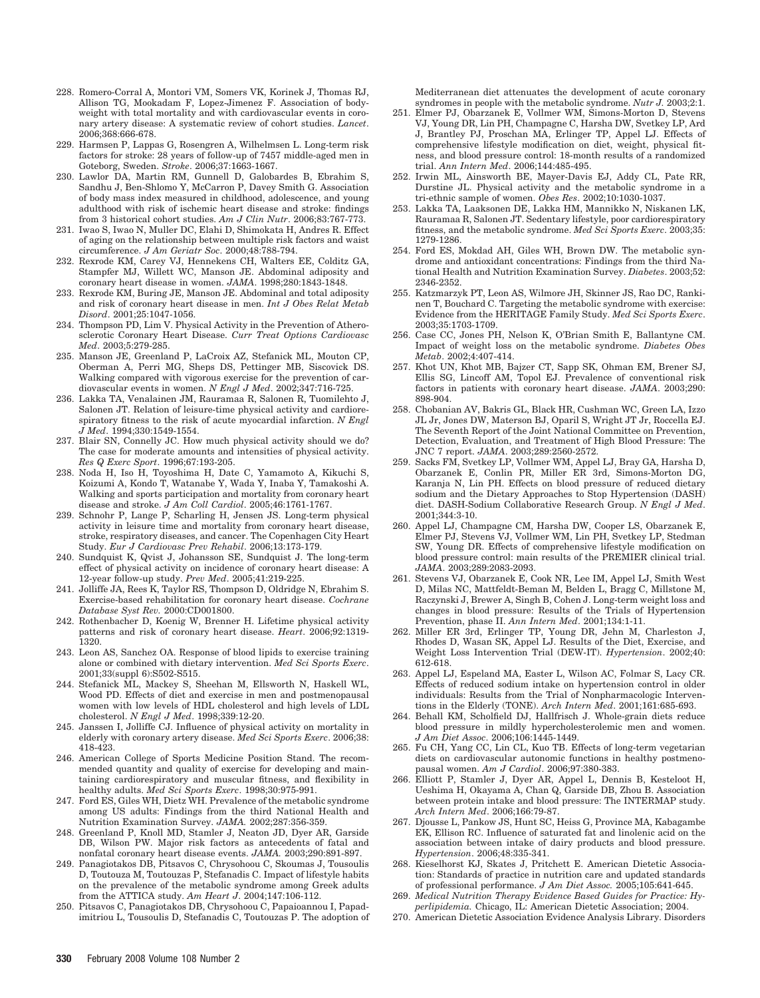- <span id="page-43-0"></span>228. Romero-Corral A, Montori VM, Somers VK, Korinek J, Thomas RJ, Allison TG, Mookadam F, Lopez-Jimenez F. Association of bodyweight with total mortality and with cardiovascular events in coronary artery disease: A systematic review of cohort studies. *Lancet*. 2006;368:666-678.
- 229. Harmsen P, Lappas G, Rosengren A, Wilhelmsen L. Long-term risk factors for stroke: 28 years of follow-up of 7457 middle-aged men in Goteborg, Sweden. *Stroke*. 2006;37:1663-1667.
- 230. Lawlor DA, Martin RM, Gunnell D, Galobardes B, Ebrahim S, Sandhu J, Ben-Shlomo Y, McCarron P, Davey Smith G. Association of body mass index measured in childhood, adolescence, and young adulthood with risk of ischemic heart disease and stroke: findings from 3 historical cohort studies. *Am J Clin Nutr*. 2006;83:767-773.
- 231. Iwao S, Iwao N, Muller DC, Elahi D, Shimokata H, Andres R. Effect of aging on the relationship between multiple risk factors and waist circumference. *J Am Geriatr Soc*. 2000;48:788-794.
- 232. Rexrode KM, Carey VJ, Hennekens CH, Walters EE, Colditz GA, Stampfer MJ, Willett WC, Manson JE. Abdominal adiposity and coronary heart disease in women. *JAMA*. 1998;280:1843-1848.
- 233. Rexrode KM, Buring JE, Manson JE. Abdominal and total adiposity and risk of coronary heart disease in men. *Int J Obes Relat Metab Disord*. 2001;25:1047-1056.
- 234. Thompson PD, Lim V. Physical Activity in the Prevention of Atherosclerotic Coronary Heart Disease. *Curr Treat Options Cardiovasc Med*. 2003;5:279-285.
- 235. Manson JE, Greenland P, LaCroix AZ, Stefanick ML, Mouton CP, Oberman A, Perri MG, Sheps DS, Pettinger MB, Siscovick DS. Walking compared with vigorous exercise for the prevention of cardiovascular events in women. *N Engl J Med*. 2002;347:716-725.
- 236. Lakka TA, Venalainen JM, Rauramaa R, Salonen R, Tuomilehto J, Salonen JT. Relation of leisure-time physical activity and cardiorespiratory fitness to the risk of acute myocardial infarction. *N Engl J Med*. 1994;330:1549-1554.
- 237. Blair SN, Connelly JC. How much physical activity should we do? The case for moderate amounts and intensities of physical activity. *Res Q Exerc Sport*. 1996;67:193-205.
- 238. Noda H, Iso H, Toyoshima H, Date C, Yamamoto A, Kikuchi S, Koizumi A, Kondo T, Watanabe Y, Wada Y, Inaba Y, Tamakoshi A. Walking and sports participation and mortality from coronary heart disease and stroke. *J Am Coll Cardiol*. 2005;46:1761-1767.
- 239. Schnohr P, Lange P, Scharling H, Jensen JS. Long-term physical activity in leisure time and mortality from coronary heart disease, stroke, respiratory diseases, and cancer. The Copenhagen City Heart Study. *Eur J Cardiovasc Prev Rehabil*. 2006;13:173-179.
- 240. Sundquist K, Qvist J, Johansson SE, Sundquist J. The long-term effect of physical activity on incidence of coronary heart disease: A 12-year follow-up study. *Prev Med*. 2005;41:219-225.
- 241. Jolliffe JA, Rees K, Taylor RS, Thompson D, Oldridge N, Ebrahim S. Exercise-based rehabilitation for coronary heart disease. *Cochrane Database Syst Rev.* 2000:CD001800.
- 242. Rothenbacher D, Koenig W, Brenner H. Lifetime physical activity patterns and risk of coronary heart disease. *Heart*. 2006;92:1319- 1320.
- 243. Leon AS, Sanchez OA. Response of blood lipids to exercise training alone or combined with dietary intervention. *Med Sci Sports Exerc*. 2001;33(suppl 6):S502-S515.
- 244. Stefanick ML, Mackey S, Sheehan M, Ellsworth N, Haskell WL, Wood PD. Effects of diet and exercise in men and postmenopausal women with low levels of HDL cholesterol and high levels of LDL cholesterol. *N Engl J Med*. 1998;339:12-20.
- 245. Janssen I, Jolliffe CJ. Influence of physical activity on mortality in elderly with coronary artery disease. *Med Sci Sports Exerc*. 2006;38: 418-423.
- 246. American College of Sports Medicine Position Stand. The recommended quantity and quality of exercise for developing and maintaining cardiorespiratory and muscular fitness, and flexibility in healthy adults. *Med Sci Sports Exerc*. 1998;30:975-991.
- 247. Ford ES, Giles WH, Dietz WH. Prevalence of the metabolic syndrome among US adults: Findings from the third National Health and Nutrition Examination Survey. *JAMA.* 2002;287:356-359.
- 248. Greenland P, Knoll MD, Stamler J, Neaton JD, Dyer AR, Garside DB, Wilson PW. Major risk factors as antecedents of fatal and nonfatal coronary heart disease events. *JAMA.* 2003;290:891-897.
- 249. Panagiotakos DB, Pitsavos C, Chrysohoou C, Skoumas J, Tousoulis D, Toutouza M, Toutouzas P, Stefanadis C. Impact of lifestyle habits on the prevalence of the metabolic syndrome among Greek adults from the ATTICA study. *Am Heart J*. 2004;147:106-112.
- 250. Pitsavos C, Panagiotakos DB, Chrysohoou C, Papaioannou I, Papadimitriou L, Tousoulis D, Stefanadis C, Toutouzas P. The adoption of

Mediterranean diet attenuates the development of acute coronary syndromes in people with the metabolic syndrome. *Nutr J.* 2003;2:1.

- 251. Elmer PJ, Obarzanek E, Vollmer WM, Simons-Morton D, Stevens VJ, Young DR, Lin PH, Champagne C, Harsha DW, Svetkey LP, Ard J, Brantley PJ, Proschan MA, Erlinger TP, Appel LJ. Effects of comprehensive lifestyle modification on diet, weight, physical fitness, and blood pressure control: 18-month results of a randomized trial. *Ann Intern Med*. 2006;144:485-495.
- 252. Irwin ML, Ainsworth BE, Mayer-Davis EJ, Addy CL, Pate RR, Durstine JL. Physical activity and the metabolic syndrome in a tri-ethnic sample of women. *Obes Res*. 2002;10:1030-1037.
- 253. Lakka TA, Laaksonen DE, Lakka HM, Mannikko N, Niskanen LK, Rauramaa R, Salonen JT. Sedentary lifestyle, poor cardiorespiratory fitness, and the metabolic syndrome. *Med Sci Sports Exerc*. 2003;35: 1279-1286.
- 254. Ford ES, Mokdad AH, Giles WH, Brown DW. The metabolic syndrome and antioxidant concentrations: Findings from the third National Health and Nutrition Examination Survey. *Diabetes*. 2003;52: 2346-2352.
- 255. Katzmarzyk PT, Leon AS, Wilmore JH, Skinner JS, Rao DC, Rankinen T, Bouchard C. Targeting the metabolic syndrome with exercise: Evidence from the HERITAGE Family Study. *Med Sci Sports Exerc*. 2003;35:1703-1709.
- 256. Case CC, Jones PH, Nelson K, O'Brian Smith E, Ballantyne CM. Impact of weight loss on the metabolic syndrome. *Diabetes Obes Metab*. 2002;4:407-414.
- 257. Khot UN, Khot MB, Bajzer CT, Sapp SK, Ohman EM, Brener SJ, Ellis SG, Lincoff AM, Topol EJ. Prevalence of conventional risk factors in patients with coronary heart disease. *JAMA*. 2003;290: 898-904.
- 258. Chobanian AV, Bakris GL, Black HR, Cushman WC, Green LA, Izzo JL Jr, Jones DW, Materson BJ, Oparil S, Wright JT Jr, Roccella EJ. The Seventh Report of the Joint National Committee on Prevention, Detection, Evaluation, and Treatment of High Blood Pressure: The JNC 7 report. *JAMA*. 2003;289:2560-2572.
- 259. Sacks FM, Svetkey LP, Vollmer WM, Appel LJ, Bray GA, Harsha D, Obarzanek E, Conlin PR, Miller ER 3rd, Simons-Morton DG, Karanja N, Lin PH. Effects on blood pressure of reduced dietary sodium and the Dietary Approaches to Stop Hypertension (DASH) diet. DASH-Sodium Collaborative Research Group. *N Engl J Med*. 2001;344:3-10.
- 260. Appel LJ, Champagne CM, Harsha DW, Cooper LS, Obarzanek E, Elmer PJ, Stevens VJ, Vollmer WM, Lin PH, Svetkey LP, Stedman SW, Young DR. Effects of comprehensive lifestyle modification on blood pressure control: main results of the PREMIER clinical trial. *JAMA*. 2003;289:2083-2093.
- 261. Stevens VJ, Obarzanek E, Cook NR, Lee IM, Appel LJ, Smith West D, Milas NC, Mattfeldt-Beman M, Belden L, Bragg C, Millstone M, Raczynski J, Brewer A, Singh B, Cohen J. Long-term weight loss and changes in blood pressure: Results of the Trials of Hypertension Prevention, phase II. *Ann Intern Med*. 2001;134:1-11.
- 262. Miller ER 3rd, Erlinger TP, Young DR, Jehn M, Charleston J, Rhodes D, Wasan SK, Appel LJ. Results of the Diet, Exercise, and Weight Loss Intervention Trial (DEW-IT). *Hypertension*. 2002;40: 612-618.
- 263. Appel LJ, Espeland MA, Easter L, Wilson AC, Folmar S, Lacy CR. Effects of reduced sodium intake on hypertension control in older individuals: Results from the Trial of Nonpharmacologic Interventions in the Elderly (TONE). *Arch Intern Med*. 2001;161:685-693.
- 264. Behall KM, Scholfield DJ, Hallfrisch J. Whole-grain diets reduce blood pressure in mildly hypercholesterolemic men and women. *J Am Diet Assoc*. 2006;106:1445-1449.
- 265. Fu CH, Yang CC, Lin CL, Kuo TB. Effects of long-term vegetarian diets on cardiovascular autonomic functions in healthy postmenopausal women. *Am J Cardiol*. 2006;97:380-383.
- 266. Elliott P, Stamler J, Dyer AR, Appel L, Dennis B, Kesteloot H, Ueshima H, Okayama A, Chan Q, Garside DB, Zhou B. Association between protein intake and blood pressure: The INTERMAP study. *Arch Intern Med*. 2006;166:79-87.
- 267. Djousse L, Pankow JS, Hunt SC, Heiss G, Province MA, Kabagambe EK, Ellison RC. Influence of saturated fat and linolenic acid on the association between intake of dairy products and blood pressure. *Hypertension*. 2006;48:335-341.
- 268. Kieselhorst KJ, Skates J, Pritchett E. American Dietetic Association: Standards of practice in nutrition care and updated standards of professional performance. *J Am Diet Assoc.* 2005;105:641-645.
- 269. *Medical Nutrition Therapy Evidence Based Guides for Practice: Hyperlipidemia.* Chicago, IL: American Dietetic Association; 2004.
- 270. American Dietetic Association Evidence Analysis Library. Disorders